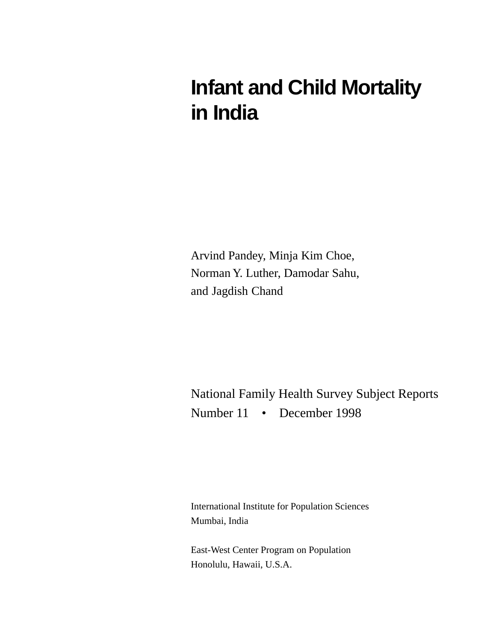# **Infant and Child Mortality in India**

Arvind Pandey, Minja Kim Choe, Norman Y. Luther, Damodar Sahu, and Jagdish Chand

National Family Health Survey Subject Reports Number 11 • December 1998

International Institute for Population Sciences Mumbai, India

East-West Center Program on Population Honolulu, Hawaii, U.S.A.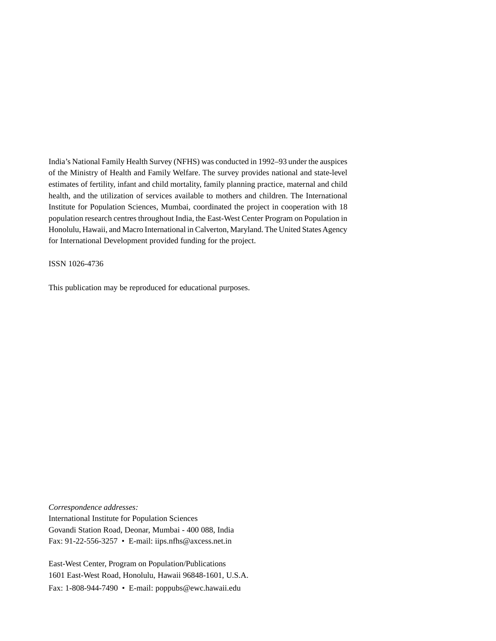India's National Family Health Survey (NFHS) was conducted in 1992–93 under the auspices of the Ministry of Health and Family Welfare. The survey provides national and state-level estimates of fertility, infant and child mortality, family planning practice, maternal and child health, and the utilization of services available to mothers and children. The International Institute for Population Sciences, Mumbai, coordinated the project in cooperation with 18 population research centres throughout India, the East-West Center Program on Population in Honolulu, Hawaii, and Macro International in Calverton, Maryland. The United States Agency for International Development provided funding for the project.

ISSN 1026-4736

This publication may be reproduced for educational purposes.

*Correspondence addresses:*

International Institute for Population Sciences Govandi Station Road, Deonar, Mumbai - 400 088, India Fax: 91-22-556-3257 • E-mail: iips.nfhs@axcess.net.in

East-West Center, Program on Population/Publications 1601 East-West Road, Honolulu, Hawaii 96848-1601, U.S.A. Fax: 1-808-944-7490 • E-mail: poppubs@ewc.hawaii.edu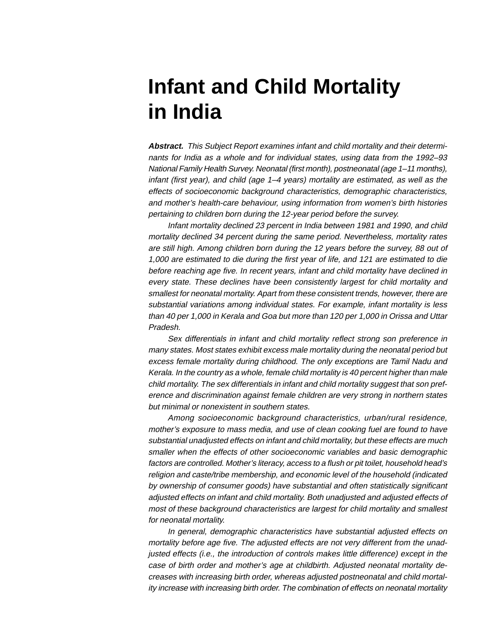# **Infant and Child Mortality in India**

**Abstract.** This Subject Report examines infant and child mortality and their determinants for India as a whole and for individual states, using data from the 1992–93 National Family Health Survey. Neonatal (first month), postneonatal (age 1–11 months), infant (first year), and child (age 1–4 years) mortality are estimated, as well as the effects of socioeconomic background characteristics, demographic characteristics, and mother's health-care behaviour, using information from women's birth histories pertaining to children born during the 12-year period before the survey.

Infant mortality declined 23 percent in India between 1981 and 1990, and child mortality declined 34 percent during the same period. Nevertheless, mortality rates are still high. Among children born during the 12 years before the survey, 88 out of 1,000 are estimated to die during the first year of life, and 121 are estimated to die before reaching age five. In recent years, infant and child mortality have declined in every state. These declines have been consistently largest for child mortality and smallest for neonatal mortality. Apart from these consistent trends, however, there are substantial variations among individual states. For example, infant mortality is less than 40 per 1,000 in Kerala and Goa but more than 120 per 1,000 in Orissa and Uttar Pradesh.

Sex differentials in infant and child mortality reflect strong son preference in many states. Most states exhibit excess male mortality during the neonatal period but excess female mortality during childhood. The only exceptions are Tamil Nadu and Kerala. In the country as a whole, female child mortality is 40 percent higher than male child mortality. The sex differentials in infant and child mortality suggest that son preference and discrimination against female children are very strong in northern states but minimal or nonexistent in southern states.

Among socioeconomic background characteristics, urban/rural residence, mother's exposure to mass media, and use of clean cooking fuel are found to have substantial unadjusted effects on infant and child mortality, but these effects are much smaller when the effects of other socioeconomic variables and basic demographic factors are controlled. Mother's literacy, access to a flush or pit toilet, household head's religion and caste/tribe membership, and economic level of the household (indicated by ownership of consumer goods) have substantial and often statistically significant adjusted effects on infant and child mortality. Both unadjusted and adjusted effects of most of these background characteristics are largest for child mortality and smallest for neonatal mortality.

In general, demographic characteristics have substantial adjusted effects on mortality before age five. The adjusted effects are not very different from the unadjusted effects (i.e., the introduction of controls makes little difference) except in the case of birth order and mother's age at childbirth. Adjusted neonatal mortality decreases with increasing birth order, whereas adjusted postneonatal and child mortality increase with increasing birth order. The combination of effects on neonatal mortality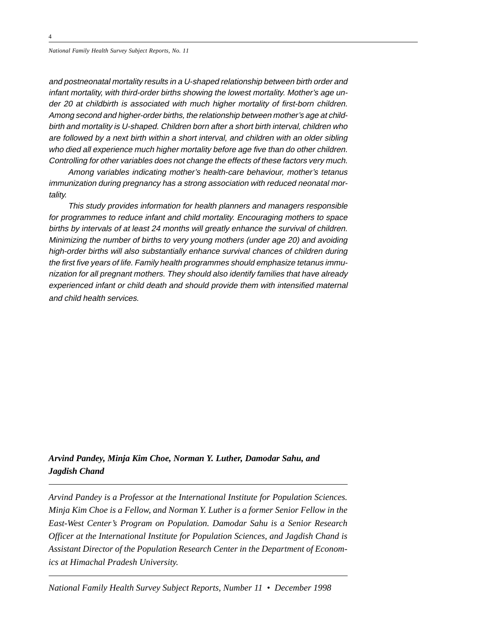and postneonatal mortality results in a U-shaped relationship between birth order and infant mortality, with third-order births showing the lowest mortality. Mother's age under 20 at childbirth is associated with much higher mortality of first-born children. Among second and higher-order births, the relationship between mother's age at childbirth and mortality is U-shaped. Children born after a short birth interval, children who are followed by a next birth within a short interval, and children with an older sibling who died all experience much higher mortality before age five than do other children. Controlling for other variables does not change the effects of these factors very much.

Among variables indicating mother's health-care behaviour, mother's tetanus immunization during pregnancy has a strong association with reduced neonatal mortality.

This study provides information for health planners and managers responsible for programmes to reduce infant and child mortality. Encouraging mothers to space births by intervals of at least 24 months will greatly enhance the survival of children. Minimizing the number of births to very young mothers (under age 20) and avoiding high-order births will also substantially enhance survival chances of children during the first five years of life. Family health programmes should emphasize tetanus immunization for all pregnant mothers. They should also identify families that have already experienced infant or child death and should provide them with intensified maternal and child health services.

### *Arvind Pandey, Minja Kim Choe, Norman Y. Luther, Damodar Sahu, and Jagdish Chand*

*Arvind Pandey is a Professor at the International Institute for Population Sciences. Minja Kim Choe is a Fellow, and Norman Y. Luther is a former Senior Fellow in the East-West Center's Program on Population. Damodar Sahu is a Senior Research Officer at the International Institute for Population Sciences, and Jagdish Chand is Assistant Director of the Population Research Center in the Department of Economics at Himachal Pradesh University.*

*National Family Health Survey Subject Reports, Number 11 • December 1998*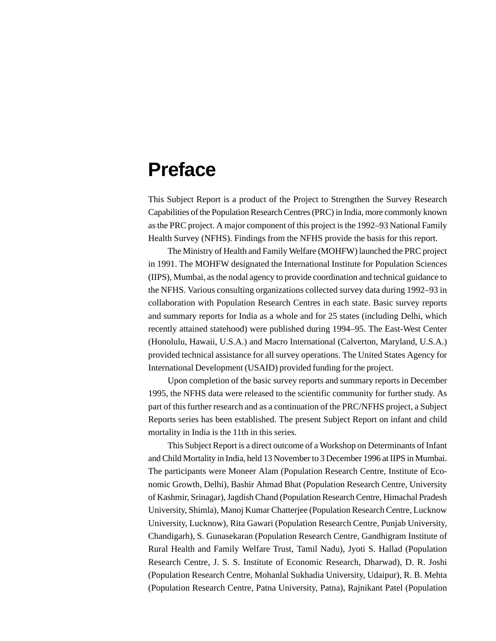## **Preface**

This Subject Report is a product of the Project to Strengthen the Survey Research Capabilities of the Population Research Centres (PRC) in India, more commonly known as the PRC project. A major component of this project is the 1992–93 National Family Health Survey (NFHS). Findings from the NFHS provide the basis for this report.

The Ministry of Health and Family Welfare (MOHFW) launched the PRC project in 1991. The MOHFW designated the International Institute for Population Sciences (IIPS), Mumbai, as the nodal agency to provide coordination and technical guidance to the NFHS. Various consulting organizations collected survey data during 1992–93 in collaboration with Population Research Centres in each state. Basic survey reports and summary reports for India as a whole and for 25 states (including Delhi, which recently attained statehood) were published during 1994–95. The East-West Center (Honolulu, Hawaii, U.S.A.) and Macro International (Calverton, Maryland, U.S.A.) provided technical assistance for all survey operations. The United States Agency for International Development (USAID) provided funding for the project.

Upon completion of the basic survey reports and summary reports in December 1995, the NFHS data were released to the scientific community for further study. As part of this further research and as a continuation of the PRC/NFHS project, a Subject Reports series has been established. The present Subject Report on infant and child mortality in India is the 11th in this series.

This Subject Report is a direct outcome of a Workshop on Determinants of Infant and Child Mortality in India, held 13 November to 3 December 1996 at IIPS in Mumbai. The participants were Moneer Alam (Population Research Centre, Institute of Economic Growth, Delhi), Bashir Ahmad Bhat (Population Research Centre, University of Kashmir, Srinagar), Jagdish Chand (Population Research Centre, Himachal Pradesh University, Shimla), Manoj Kumar Chatterjee (Population Research Centre, Lucknow University, Lucknow), Rita Gawari (Population Research Centre, Punjab University, Chandigarh), S. Gunasekaran (Population Research Centre, Gandhigram Institute of Rural Health and Family Welfare Trust, Tamil Nadu), Jyoti S. Hallad (Population Research Centre, J. S. S. Institute of Economic Research, Dharwad), D. R. Joshi (Population Research Centre, Mohanlal Sukhadia University, Udaipur), R. B. Mehta (Population Research Centre, Patna University, Patna), Rajnikant Patel (Population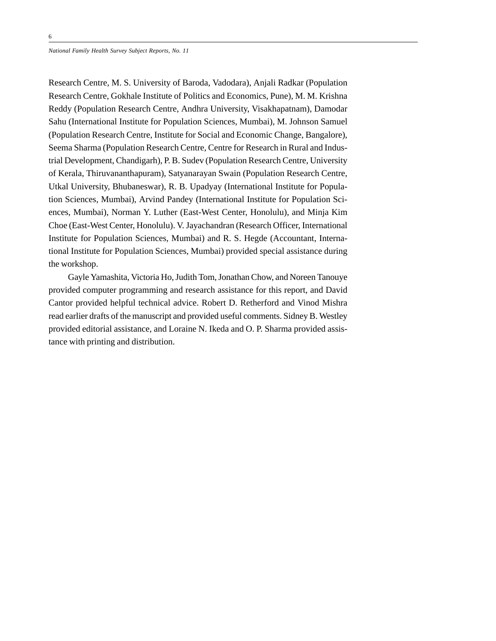Research Centre, M. S. University of Baroda, Vadodara), Anjali Radkar (Population Research Centre, Gokhale Institute of Politics and Economics, Pune), M. M. Krishna Reddy (Population Research Centre, Andhra University, Visakhapatnam), Damodar Sahu (International Institute for Population Sciences, Mumbai), M. Johnson Samuel (Population Research Centre, Institute for Social and Economic Change, Bangalore), Seema Sharma (Population Research Centre, Centre for Research in Rural and Industrial Development, Chandigarh), P. B. Sudev (Population Research Centre, University of Kerala, Thiruvananthapuram), Satyanarayan Swain (Population Research Centre, Utkal University, Bhubaneswar), R. B. Upadyay (International Institute for Population Sciences, Mumbai), Arvind Pandey (International Institute for Population Sciences, Mumbai), Norman Y. Luther (East-West Center, Honolulu), and Minja Kim Choe (East-West Center, Honolulu). V. Jayachandran (Research Officer, International Institute for Population Sciences, Mumbai) and R. S. Hegde (Accountant, International Institute for Population Sciences, Mumbai) provided special assistance during the workshop.

Gayle Yamashita, Victoria Ho, Judith Tom, Jonathan Chow, and Noreen Tanouye provided computer programming and research assistance for this report, and David Cantor provided helpful technical advice. Robert D. Retherford and Vinod Mishra read earlier drafts of the manuscript and provided useful comments. Sidney B. Westley provided editorial assistance, and Loraine N. Ikeda and O. P. Sharma provided assistance with printing and distribution.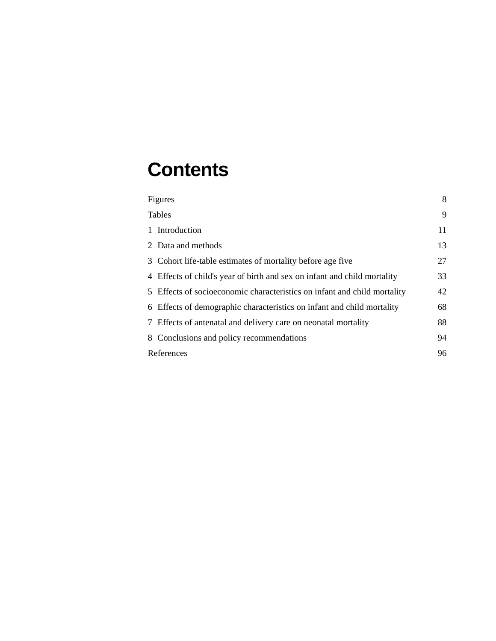## **Contents**

| Figures                                                                  | 8  |
|--------------------------------------------------------------------------|----|
| <b>Tables</b>                                                            | 9  |
| 1 Introduction                                                           | 11 |
| 2 Data and methods                                                       | 13 |
| 3 Cohort life-table estimates of mortality before age five               | 27 |
| 4 Effects of child's year of birth and sex on infant and child mortality | 33 |
| 5 Effects of socioeconomic characteristics on infant and child mortality | 42 |
| 6 Effects of demographic characteristics on infant and child mortality   | 68 |
| 7 Effects of antenatal and delivery care on neonatal mortality           | 88 |
| 8 Conclusions and policy recommendations                                 | 94 |
| References                                                               | 96 |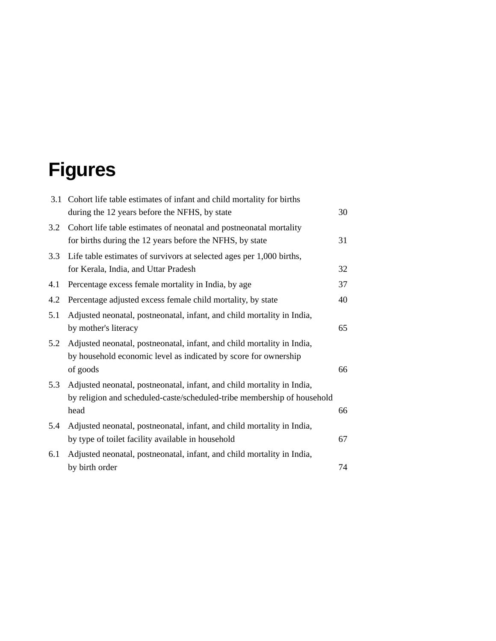# **Figures**

| 3.1 | Cohort life table estimates of infant and child mortality for births<br>during the 12 years before the NFHS, by state                                     | 30 |
|-----|-----------------------------------------------------------------------------------------------------------------------------------------------------------|----|
| 3.2 | Cohort life table estimates of neonatal and postneonatal mortality<br>for births during the 12 years before the NFHS, by state                            | 31 |
| 3.3 | Life table estimates of survivors at selected ages per 1,000 births,<br>for Kerala, India, and Uttar Pradesh                                              | 32 |
| 4.1 | Percentage excess female mortality in India, by age                                                                                                       | 37 |
| 4.2 | Percentage adjusted excess female child mortality, by state                                                                                               | 40 |
| 5.1 | Adjusted neonatal, postneonatal, infant, and child mortality in India,<br>by mother's literacy                                                            | 65 |
| 5.2 | Adjusted neonatal, postneonatal, infant, and child mortality in India,<br>by household economic level as indicated by score for ownership<br>of goods     | 66 |
| 5.3 | Adjusted neonatal, postneonatal, infant, and child mortality in India,<br>by religion and scheduled-caste/scheduled-tribe membership of household<br>head | 66 |
| 5.4 | Adjusted neonatal, postneonatal, infant, and child mortality in India,<br>by type of toilet facility available in household                               | 67 |
| 6.1 | Adjusted neonatal, postneonatal, infant, and child mortality in India,<br>by birth order                                                                  | 74 |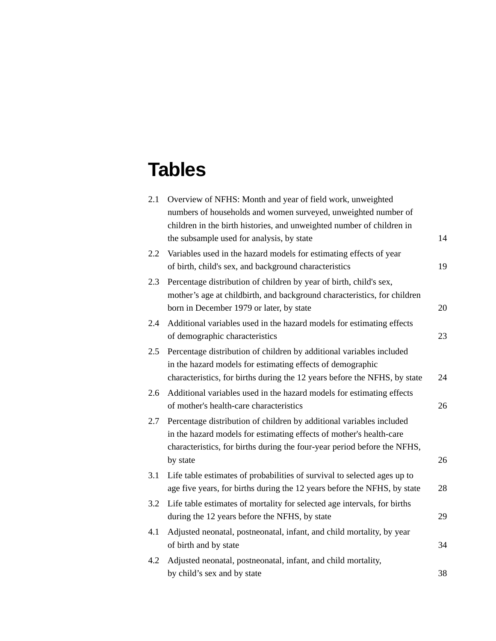## **Tables**

| 2.1 | Overview of NFHS: Month and year of field work, unweighted                |    |
|-----|---------------------------------------------------------------------------|----|
|     | numbers of households and women surveyed, unweighted number of            |    |
|     | children in the birth histories, and unweighted number of children in     |    |
|     | the subsample used for analysis, by state                                 | 14 |
| 2.2 | Variables used in the hazard models for estimating effects of year        |    |
|     | of birth, child's sex, and background characteristics                     | 19 |
| 2.3 | Percentage distribution of children by year of birth, child's sex,        |    |
|     | mother's age at childbirth, and background characteristics, for children  |    |
|     | born in December 1979 or later, by state                                  | 20 |
| 2.4 | Additional variables used in the hazard models for estimating effects     |    |
|     | of demographic characteristics                                            | 23 |
| 2.5 | Percentage distribution of children by additional variables included      |    |
|     | in the hazard models for estimating effects of demographic                |    |
|     | characteristics, for births during the 12 years before the NFHS, by state | 24 |
| 2.6 | Additional variables used in the hazard models for estimating effects     |    |
|     | of mother's health-care characteristics                                   | 26 |
| 2.7 | Percentage distribution of children by additional variables included      |    |
|     | in the hazard models for estimating effects of mother's health-care       |    |
|     | characteristics, for births during the four-year period before the NFHS,  |    |
|     | by state                                                                  | 26 |
| 3.1 | Life table estimates of probabilities of survival to selected ages up to  |    |
|     | age five years, for births during the 12 years before the NFHS, by state  | 28 |
| 3.2 | Life table estimates of mortality for selected age intervals, for births  |    |
|     | during the 12 years before the NFHS, by state                             | 29 |
| 4.1 | Adjusted neonatal, postneonatal, infant, and child mortality, by year     |    |
|     | of birth and by state                                                     | 34 |
| 4.2 | Adjusted neonatal, postneonatal, infant, and child mortality,             |    |
|     | by child's sex and by state                                               | 38 |
|     |                                                                           |    |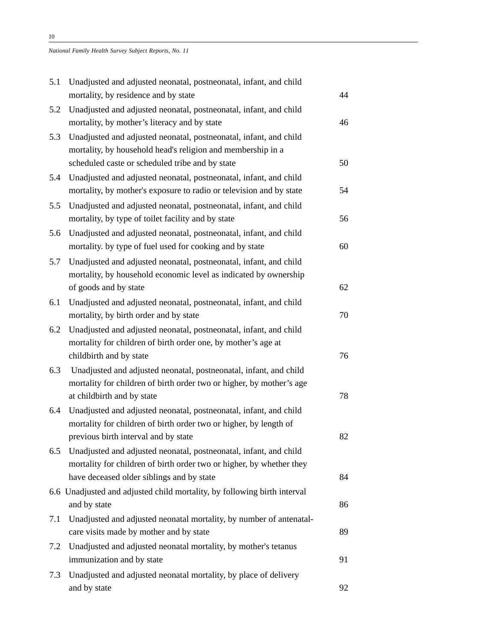| 5.1 | Unadjusted and adjusted neonatal, postneonatal, infant, and child                                                                                                                   |    |
|-----|-------------------------------------------------------------------------------------------------------------------------------------------------------------------------------------|----|
|     | mortality, by residence and by state                                                                                                                                                | 44 |
| 5.2 | Unadjusted and adjusted neonatal, postneonatal, infant, and child<br>mortality, by mother's literacy and by state                                                                   | 46 |
| 5.3 | Unadjusted and adjusted neonatal, postneonatal, infant, and child<br>mortality, by household head's religion and membership in a<br>scheduled caste or scheduled tribe and by state | 50 |
| 5.4 | Unadjusted and adjusted neonatal, postneonatal, infant, and child<br>mortality, by mother's exposure to radio or television and by state                                            | 54 |
| 5.5 | Unadjusted and adjusted neonatal, postneonatal, infant, and child<br>mortality, by type of toilet facility and by state                                                             | 56 |
| 5.6 | Unadjusted and adjusted neonatal, postneonatal, infant, and child<br>mortality. by type of fuel used for cooking and by state                                                       | 60 |
| 5.7 | Unadjusted and adjusted neonatal, postneonatal, infant, and child<br>mortality, by household economic level as indicated by ownership                                               |    |
|     | of goods and by state                                                                                                                                                               | 62 |
| 6.1 | Unadjusted and adjusted neonatal, postneonatal, infant, and child<br>mortality, by birth order and by state                                                                         | 70 |
| 6.2 | Unadjusted and adjusted neonatal, postneonatal, infant, and child<br>mortality for children of birth order one, by mother's age at                                                  |    |
|     | childbirth and by state                                                                                                                                                             | 76 |
| 6.3 | Unadjusted and adjusted neonatal, postneonatal, infant, and child                                                                                                                   |    |
|     | mortality for children of birth order two or higher, by mother's age<br>at childbirth and by state                                                                                  | 78 |
| 6.4 | Unadjusted and adjusted neonatal, postneonatal, infant, and child<br>mortality for children of birth order two or higher, by length of                                              |    |
|     | previous birth interval and by state                                                                                                                                                | 82 |
| 6.5 | Unadjusted and adjusted neonatal, postneonatal, infant, and child<br>mortality for children of birth order two or higher, by whether they                                           |    |
|     | have deceased older siblings and by state                                                                                                                                           | 84 |
|     | 6.6 Unadjusted and adjusted child mortality, by following birth interval<br>and by state                                                                                            | 86 |
| 7.1 | Unadjusted and adjusted neonatal mortality, by number of antenatal-<br>care visits made by mother and by state                                                                      | 89 |
| 7.2 | Unadjusted and adjusted neonatal mortality, by mother's tetanus<br>immunization and by state                                                                                        | 91 |
| 7.3 | Unadjusted and adjusted neonatal mortality, by place of delivery                                                                                                                    |    |
|     | and by state                                                                                                                                                                        | 92 |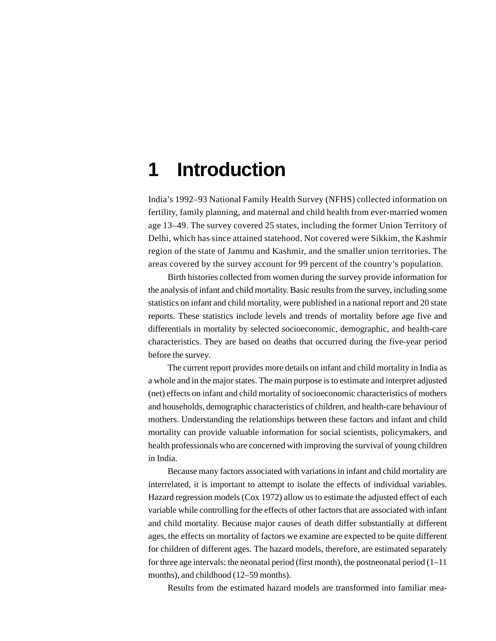## **1 Introduction**

India's 1992–93 National Family Health Survey (NFHS) collected information on fertility, family planning, and maternal and child health from ever-married women age 13–49. The survey covered 25 states, including the former Union Territory of Delhi, which has since attained statehood. Not covered were Sikkim, the Kashmir region of the state of Jammu and Kashmir, and the smaller union territories. The areas covered by the survey account for 99 percent of the country's population.

Birth histories collected from women during the survey provide information for the analysis of infant and child mortality. Basic results from the survey, including some statistics on infant and child mortality, were published in a national report and 20 state reports. These statistics include levels and trends of mortality before age five and differentials in mortality by selected socioeconomic, demographic, and health-care characteristics. They are based on deaths that occurred during the five-year period before the survey.

The current report provides more details on infant and child mortality in India as a whole and in the major states. The main purpose is to estimate and interpret adjusted (net) effects on infant and child mortality of socioeconomic characteristics of mothers and households, demographic characteristics of children, and health-care behaviour of mothers. Understanding the relationships between these factors and infant and child mortality can provide valuable information for social scientists, policymakers, and health professionals who are concerned with improving the survival of young children in India.

Because many factors associated with variations in infant and child mortality are interrelated, it is important to attempt to isolate the effects of individual variables. Hazard regression models (Cox 1972) allow us to estimate the adjusted effect of each variable while controlling for the effects of other factors that are associated with infant and child mortality. Because major causes of death differ substantially at different ages, the effects on mortality of factors we examine are expected to be quite different for children of different ages. The hazard models, therefore, are estimated separately for three age intervals: the neonatal period (first month), the postneonatal period  $(1-11)$ months), and childhood (12–59 months).

Results from the estimated hazard models are transformed into familiar mea-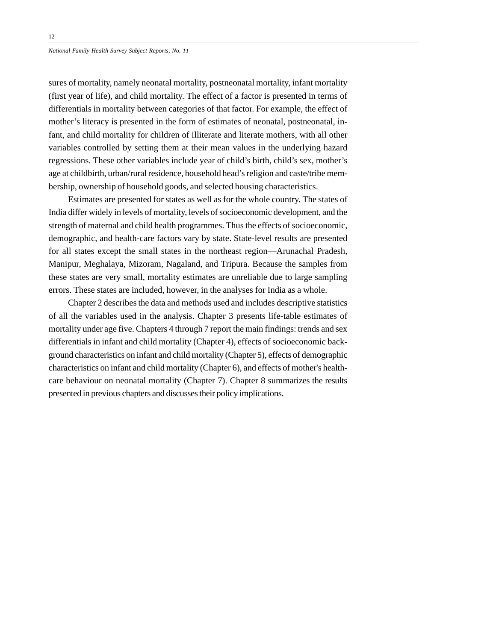sures of mortality, namely neonatal mortality, postneonatal mortality, infant mortality (first year of life), and child mortality. The effect of a factor is presented in terms of differentials in mortality between categories of that factor. For example, the effect of mother's literacy is presented in the form of estimates of neonatal, postneonatal, infant, and child mortality for children of illiterate and literate mothers, with all other variables controlled by setting them at their mean values in the underlying hazard regressions. These other variables include year of child's birth, child's sex, mother's age at childbirth, urban/rural residence, household head's religion and caste/tribe membership, ownership of household goods, and selected housing characteristics.

Estimates are presented for states as well as for the whole country. The states of India differ widely in levels of mortality, levels of socioeconomic development, and the strength of maternal and child health programmes. Thus the effects of socioeconomic, demographic, and health-care factors vary by state. State-level results are presented for all states except the small states in the northeast region—Arunachal Pradesh, Manipur, Meghalaya, Mizoram, Nagaland, and Tripura. Because the samples from these states are very small, mortality estimates are unreliable due to large sampling errors. These states are included, however, in the analyses for India as a whole.

Chapter 2 describes the data and methods used and includes descriptive statistics of all the variables used in the analysis. Chapter 3 presents life-table estimates of mortality under age five. Chapters 4 through 7 report the main findings: trends and sex differentials in infant and child mortality (Chapter 4), effects of socioeconomic background characteristics on infant and child mortality (Chapter 5), effects of demographic characteristics on infant and child mortality (Chapter 6), and effects of mother's healthcare behaviour on neonatal mortality (Chapter 7). Chapter 8 summarizes the results presented in previous chapters and discusses their policy implications.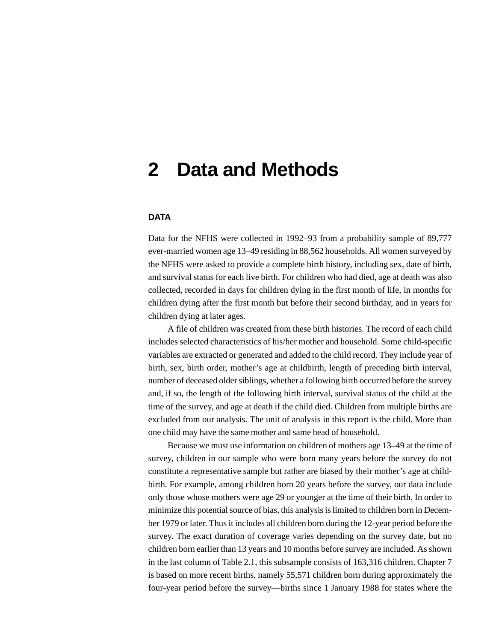## **2 Data and Methods**

### **DATA**

Data for the NFHS were collected in 1992–93 from a probability sample of 89,777 ever-married women age 13–49 residing in 88,562 households. All women surveyed by the NFHS were asked to provide a complete birth history, including sex, date of birth, and survival status for each live birth. For children who had died, age at death was also collected, recorded in days for children dying in the first month of life, in months for children dying after the first month but before their second birthday, and in years for children dying at later ages.

A file of children was created from these birth histories. The record of each child includes selected characteristics of his/her mother and household. Some child-specific variables are extracted or generated and added to the child record. They include year of birth, sex, birth order, mother's age at childbirth, length of preceding birth interval, number of deceased older siblings, whether a following birth occurred before the survey and, if so, the length of the following birth interval, survival status of the child at the time of the survey, and age at death if the child died. Children from multiple births are excluded from our analysis. The unit of analysis in this report is the child. More than one child may have the same mother and same head of household.

Because we must use information on children of mothers age 13–49 at the time of survey, children in our sample who were born many years before the survey do not constitute a representative sample but rather are biased by their mother's age at childbirth. For example, among children born 20 years before the survey, our data include only those whose mothers were age 29 or younger at the time of their birth. In order to minimize this potential source of bias, this analysis is limited to children born in December 1979 or later. Thus it includes all children born during the 12-year period before the survey. The exact duration of coverage varies depending on the survey date, but no children born earlier than 13 years and 10 months before survey are included. As shown in the last column of Table 2.1, this subsample consists of 163,316 children. Chapter 7 is based on more recent births, namely 55,571 children born during approximately the four-year period before the survey—births since 1 January 1988 for states where the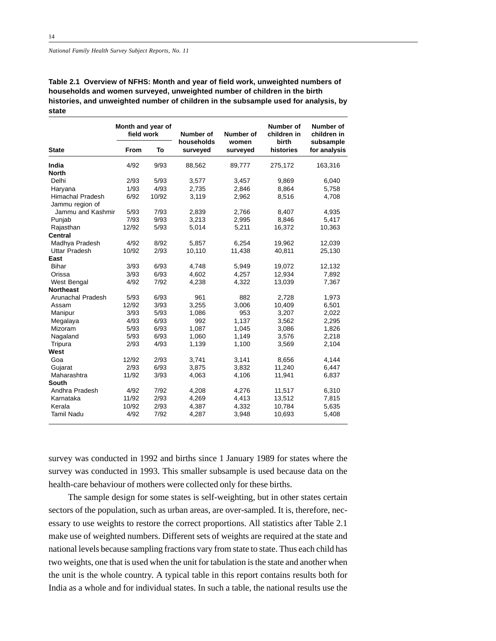|                      | Month and year of<br>field work |       | Number of<br>households | Number of<br>women | Number of<br>children in<br>birth | Number of<br>children in<br>subsample |
|----------------------|---------------------------------|-------|-------------------------|--------------------|-----------------------------------|---------------------------------------|
| <b>State</b>         | From                            | To    | surveyed                | surveyed           | histories                         | for analysis                          |
| India                | 4/92                            | 9/93  | 88,562                  | 89,777             | 275,172                           | 163,316                               |
| <b>North</b>         |                                 |       |                         |                    |                                   |                                       |
| Delhi                | 2/93                            | 5/93  | 3,577                   | 3,457              | 9,869                             | 6,040                                 |
| Haryana              | 1/93                            | 4/93  | 2,735                   | 2,846              | 8,864                             | 5,758                                 |
| Himachal Pradesh     | 6/92                            | 10/92 | 3,119                   | 2,962              | 8,516                             | 4,708                                 |
| Jammu region of      |                                 |       |                         |                    |                                   |                                       |
| Jammu and Kashmir    | 5/93                            | 7/93  | 2,839                   | 2,766              | 8,407                             | 4,935                                 |
| Punjab               | 7/93                            | 9/93  | 3,213                   | 2,995              | 8,846                             | 5,417                                 |
| Rajasthan            | 12/92                           | 5/93  | 5,014                   | 5,211              | 16,372                            | 10,363                                |
| Central              |                                 |       |                         |                    |                                   |                                       |
| Madhya Pradesh       | 4/92                            | 8/92  | 5.857                   | 6,254              | 19,962                            | 12,039                                |
| <b>Uttar Pradesh</b> | 10/92                           | 2/93  | 10,110                  | 11,438             | 40,811                            | 25,130                                |
| East                 |                                 |       |                         |                    |                                   |                                       |
| <b>Bihar</b>         | 3/93                            | 6/93  | 4,748                   | 5,949              | 19,072                            | 12,132                                |
| Orissa               | 3/93                            | 6/93  | 4,602                   | 4,257              | 12,934                            | 7,892                                 |
| West Bengal          | 4/92                            | 7/92  | 4,238                   | 4,322              | 13,039                            | 7,367                                 |
| <b>Northeast</b>     |                                 |       |                         |                    |                                   |                                       |
| Arunachal Pradesh    | 5/93                            | 6/93  | 961                     | 882                | 2.728                             | 1,973                                 |
| Assam                | 12/92                           | 3/93  | 3,255                   | 3,006              | 10,409                            | 6,501                                 |
| Manipur              | 3/93                            | 5/93  | 1.086                   | 953                | 3,207                             | 2,022                                 |
| Megalaya             | 4/93                            | 6/93  | 992                     | 1,137              | 3,562                             | 2,295                                 |
| Mizoram              | 5/93                            | 6/93  | 1,087                   | 1,045              | 3,086                             | 1,826                                 |
| Nagaland             | 5/93                            | 6/93  | 1,060                   | 1,149              | 3,576                             | 2,218                                 |
| Tripura              | 2/93                            | 4/93  | 1,139                   | 1,100              | 3,569                             | 2,104                                 |
| West                 |                                 |       |                         |                    |                                   |                                       |
| Goa                  | 12/92                           | 2/93  | 3,741                   | 3,141              | 8,656                             | 4,144                                 |
| Gujarat              | 2/93                            | 6/93  | 3,875                   | 3,832              | 11,240                            | 6,447                                 |
| Maharashtra          | 11/92                           | 3/93  | 4,063                   | 4,106              | 11,941                            | 6,837                                 |
| South                |                                 |       |                         |                    |                                   |                                       |
| Andhra Pradesh       | 4/92                            | 7/92  | 4,208                   | 4,276              | 11,517                            | 6,310                                 |
| Karnataka            | 11/92                           | 2/93  | 4,269                   | 4,413              | 13,512                            | 7,815                                 |
| Kerala               | 10/92                           | 2/93  | 4,387                   | 4,332              | 10,784                            | 5,635                                 |
| <b>Tamil Nadu</b>    | 4/92                            | 7/92  | 4,287                   | 3,948              | 10,693                            | 5,408                                 |
|                      |                                 |       |                         |                    |                                   |                                       |

**Table 2.1 Overview of NFHS: Month and year of field work, unweighted numbers of households and women surveyed, unweighted number of children in the birth histories, and unweighted number of children in the subsample used for analysis, by state**

survey was conducted in 1992 and births since 1 January 1989 for states where the survey was conducted in 1993. This smaller subsample is used because data on the health-care behaviour of mothers were collected only for these births.

The sample design for some states is self-weighting, but in other states certain sectors of the population, such as urban areas, are over-sampled. It is, therefore, necessary to use weights to restore the correct proportions. All statistics after Table 2.1 make use of weighted numbers. Different sets of weights are required at the state and national levels because sampling fractions vary from state to state. Thus each child has two weights, one that is used when the unit for tabulation is the state and another when the unit is the whole country. A typical table in this report contains results both for India as a whole and for individual states. In such a table, the national results use the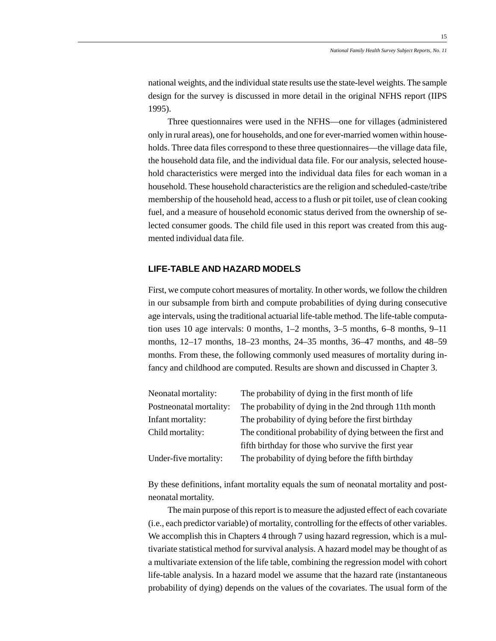15

national weights, and the individual state results use the state-level weights. The sample design for the survey is discussed in more detail in the original NFHS report (IIPS 1995).

Three questionnaires were used in the NFHS—one for villages (administered only in rural areas), one for households, and one for ever-married women within households. Three data files correspond to these three questionnaires—the village data file, the household data file, and the individual data file. For our analysis, selected household characteristics were merged into the individual data files for each woman in a household. These household characteristics are the religion and scheduled-caste/tribe membership of the household head, access to a flush or pit toilet, use of clean cooking fuel, and a measure of household economic status derived from the ownership of selected consumer goods. The child file used in this report was created from this augmented individual data file.

### **LIFE-TABLE AND HAZARD MODELS**

First, we compute cohort measures of mortality. In other words, we follow the children in our subsample from birth and compute probabilities of dying during consecutive age intervals, using the traditional actuarial life-table method. The life-table computation uses 10 age intervals: 0 months, 1–2 months, 3–5 months, 6–8 months, 9–11 months, 12–17 months, 18–23 months, 24–35 months, 36–47 months, and 48–59 months. From these, the following commonly used measures of mortality during infancy and childhood are computed. Results are shown and discussed in Chapter 3.

| Neonatal mortality:     | The probability of dying in the first month of life        |
|-------------------------|------------------------------------------------------------|
| Postneonatal mortality: | The probability of dying in the 2nd through 11th month     |
| Infant mortality:       | The probability of dying before the first birthday         |
| Child mortality:        | The conditional probability of dying between the first and |
|                         | fifth birthday for those who survive the first year        |
| Under-five mortality:   | The probability of dying before the fifth birthday         |

By these definitions, infant mortality equals the sum of neonatal mortality and postneonatal mortality.

The main purpose of this report is to measure the adjusted effect of each covariate (i.e., each predictor variable) of mortality, controlling for the effects of other variables. We accomplish this in Chapters 4 through 7 using hazard regression, which is a multivariate statistical method for survival analysis. A hazard model may be thought of as a multivariate extension of the life table, combining the regression model with cohort life-table analysis. In a hazard model we assume that the hazard rate (instantaneous probability of dying) depends on the values of the covariates. The usual form of the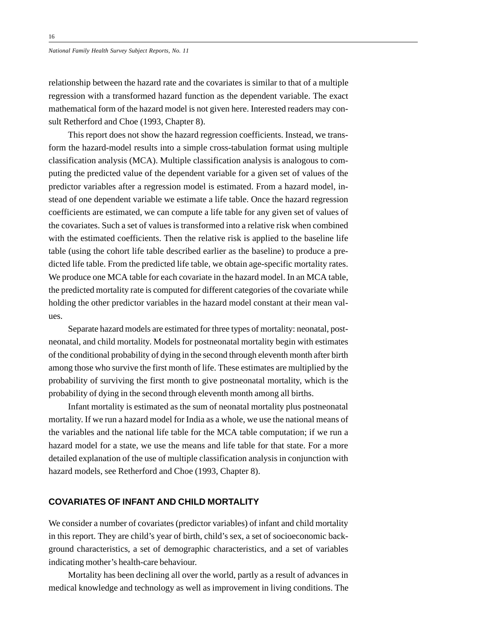relationship between the hazard rate and the covariates is similar to that of a multiple regression with a transformed hazard function as the dependent variable. The exact mathematical form of the hazard model is not given here. Interested readers may consult Retherford and Choe (1993, Chapter 8).

This report does not show the hazard regression coefficients. Instead, we transform the hazard-model results into a simple cross-tabulation format using multiple classification analysis (MCA). Multiple classification analysis is analogous to computing the predicted value of the dependent variable for a given set of values of the predictor variables after a regression model is estimated. From a hazard model, instead of one dependent variable we estimate a life table. Once the hazard regression coefficients are estimated, we can compute a life table for any given set of values of the covariates. Such a set of values is transformed into a relative risk when combined with the estimated coefficients. Then the relative risk is applied to the baseline life table (using the cohort life table described earlier as the baseline) to produce a predicted life table. From the predicted life table, we obtain age-specific mortality rates. We produce one MCA table for each covariate in the hazard model. In an MCA table, the predicted mortality rate is computed for different categories of the covariate while holding the other predictor variables in the hazard model constant at their mean values.

Separate hazard models are estimated for three types of mortality: neonatal, postneonatal, and child mortality. Models for postneonatal mortality begin with estimates of the conditional probability of dying in the second through eleventh month after birth among those who survive the first month of life. These estimates are multiplied by the probability of surviving the first month to give postneonatal mortality, which is the probability of dying in the second through eleventh month among all births.

Infant mortality is estimated as the sum of neonatal mortality plus postneonatal mortality. If we run a hazard model for India as a whole, we use the national means of the variables and the national life table for the MCA table computation; if we run a hazard model for a state, we use the means and life table for that state. For a more detailed explanation of the use of multiple classification analysis in conjunction with hazard models, see Retherford and Choe (1993, Chapter 8).

### **COVARIATES OF INFANT AND CHILD MORTALITY**

We consider a number of covariates (predictor variables) of infant and child mortality in this report. They are child's year of birth, child's sex, a set of socioeconomic background characteristics, a set of demographic characteristics, and a set of variables indicating mother's health-care behaviour.

Mortality has been declining all over the world, partly as a result of advances in medical knowledge and technology as well as improvement in living conditions. The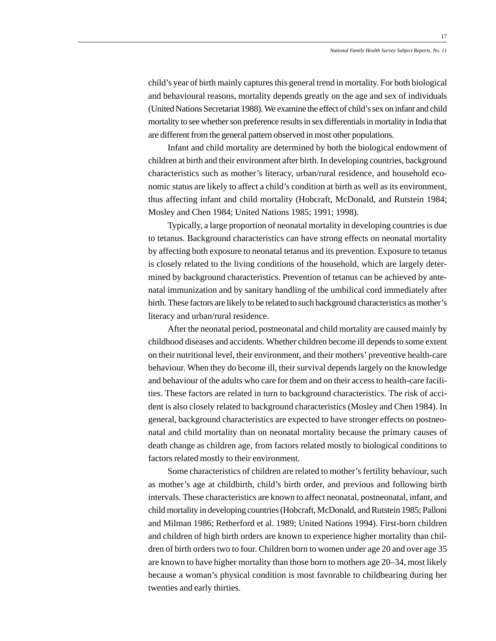child's year of birth mainly captures this general trend in mortality. For both biological and behavioural reasons, mortality depends greatly on the age and sex of individuals (United Nations Secretariat 1988). We examine the effect of child's sex on infant and child mortality to see whether son preference results in sex differentials in mortality in India that are different from the general pattern observed in most other populations.

Infant and child mortality are determined by both the biological endowment of children at birth and their environment after birth. In developing countries, background characteristics such as mother's literacy, urban/rural residence, and household economic status are likely to affect a child's condition at birth as well as its environment, thus affecting infant and child mortality (Hobcraft, McDonald, and Rutstein 1984; Mosley and Chen 1984; United Nations 1985; 1991; 1998).

Typically, a large proportion of neonatal mortality in developing countries is due to tetanus. Background characteristics can have strong effects on neonatal mortality by affecting both exposure to neonatal tetanus and its prevention. Exposure to tetanus is closely related to the living conditions of the household, which are largely determined by background characteristics. Prevention of tetanus can be achieved by antenatal immunization and by sanitary handling of the umbilical cord immediately after birth. These factors are likely to be related to such background characteristics as mother's literacy and urban/rural residence.

After the neonatal period, postneonatal and child mortality are caused mainly by childhood diseases and accidents. Whether children become ill depends to some extent on their nutritional level, their environment, and their mothers' preventive health-care behaviour. When they do become ill, their survival depends largely on the knowledge and behaviour of the adults who care for them and on their access to health-care facilities. These factors are related in turn to background characteristics. The risk of accident is also closely related to background characteristics (Mosley and Chen 1984). In general, background characteristics are expected to have stronger effects on postneonatal and child mortality than on neonatal mortality because the primary causes of death change as children age, from factors related mostly to biological conditions to factors related mostly to their environment.

Some characteristics of children are related to mother's fertility behaviour, such as mother's age at childbirth, child's birth order, and previous and following birth intervals. These characteristics are known to affect neonatal, postneonatal, infant, and child mortality in developing countries (Hobcraft, McDonald, and Rutstein 1985; Palloni and Milman 1986; Retherford et al. 1989; United Nations 1994). First-born children and children of high birth orders are known to experience higher mortality than children of birth orders two to four. Children born to women under age 20 and over age 35 are known to have higher mortality than those born to mothers age 20–34, most likely because a woman's physical condition is most favorable to childbearing during her twenties and early thirties.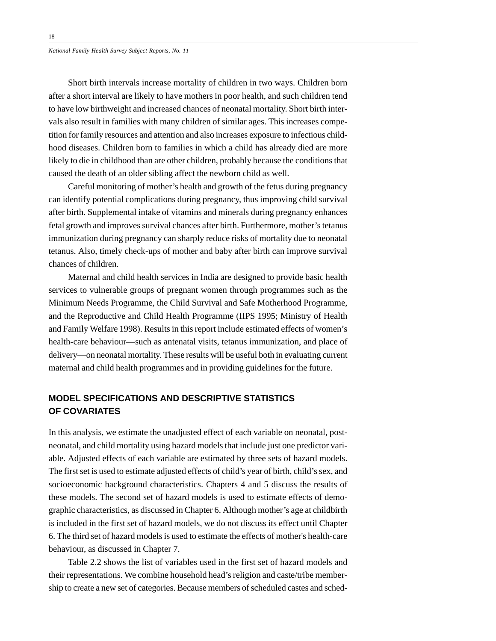Short birth intervals increase mortality of children in two ways. Children born after a short interval are likely to have mothers in poor health, and such children tend to have low birthweight and increased chances of neonatal mortality. Short birth intervals also result in families with many children of similar ages. This increases competition for family resources and attention and also increases exposure to infectious childhood diseases. Children born to families in which a child has already died are more likely to die in childhood than are other children, probably because the conditions that caused the death of an older sibling affect the newborn child as well.

Careful monitoring of mother's health and growth of the fetus during pregnancy can identify potential complications during pregnancy, thus improving child survival after birth. Supplemental intake of vitamins and minerals during pregnancy enhances fetal growth and improves survival chances after birth. Furthermore, mother's tetanus immunization during pregnancy can sharply reduce risks of mortality due to neonatal tetanus. Also, timely check-ups of mother and baby after birth can improve survival chances of children.

Maternal and child health services in India are designed to provide basic health services to vulnerable groups of pregnant women through programmes such as the Minimum Needs Programme, the Child Survival and Safe Motherhood Programme, and the Reproductive and Child Health Programme (IIPS 1995; Ministry of Health and Family Welfare 1998). Results in this report include estimated effects of women's health-care behaviour—such as antenatal visits, tetanus immunization, and place of delivery—on neonatal mortality. These results will be useful both in evaluating current maternal and child health programmes and in providing guidelines for the future.

## **MODEL SPECIFICATIONS AND DESCRIPTIVE STATISTICS OF COVARIATES**

In this analysis, we estimate the unadjusted effect of each variable on neonatal, postneonatal, and child mortality using hazard models that include just one predictor variable. Adjusted effects of each variable are estimated by three sets of hazard models. The first set is used to estimate adjusted effects of child's year of birth, child's sex, and socioeconomic background characteristics. Chapters 4 and 5 discuss the results of these models. The second set of hazard models is used to estimate effects of demographic characteristics, as discussed in Chapter 6. Although mother's age at childbirth is included in the first set of hazard models, we do not discuss its effect until Chapter 6. The third set of hazard models is used to estimate the effects of mother's health-care behaviour, as discussed in Chapter 7.

Table 2.2 shows the list of variables used in the first set of hazard models and their representations. We combine household head's religion and caste/tribe membership to create a new set of categories. Because members of scheduled castes and sched-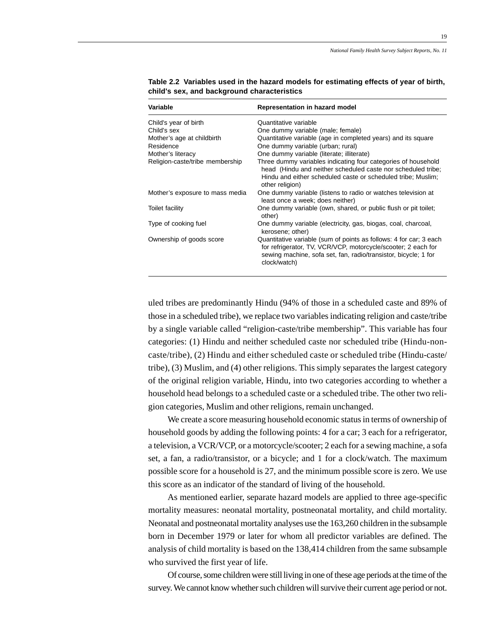19

| Variable                        | Representation in hazard model                                                                                                                                                                                         |
|---------------------------------|------------------------------------------------------------------------------------------------------------------------------------------------------------------------------------------------------------------------|
| Child's year of birth           | Quantitative variable                                                                                                                                                                                                  |
| Child's sex                     | One dummy variable (male; female)                                                                                                                                                                                      |
| Mother's age at childbirth      | Quantitative variable (age in completed years) and its square                                                                                                                                                          |
| Residence                       | One dummy variable (urban; rural)                                                                                                                                                                                      |
| Mother's literacy               | One dummy variable (literate; illiterate)                                                                                                                                                                              |
| Religion-caste/tribe membership | Three dummy variables indicating four categories of household<br>head (Hindu and neither scheduled caste nor scheduled tribe;<br>Hindu and either scheduled caste or scheduled tribe; Muslim;<br>other religion)       |
| Mother's exposure to mass media | One dummy variable (listens to radio or watches television at<br>least once a week; does neither)                                                                                                                      |
| Toilet facility                 | One dummy variable (own, shared, or public flush or pit toilet;<br>other)                                                                                                                                              |
| Type of cooking fuel            | One dummy variable (electricity, gas, biogas, coal, charcoal,<br>kerosene; other)                                                                                                                                      |
| Ownership of goods score        | Quantitative variable (sum of points as follows: 4 for car; 3 each<br>for refrigerator, TV, VCR/VCP, motorcycle/scooter; 2 each for<br>sewing machine, sofa set, fan, radio/transistor, bicycle; 1 for<br>clock/watch) |

**Table 2.2 Variables used in the hazard models for estimating effects of year of birth, child's sex, and background characteristics**

uled tribes are predominantly Hindu (94% of those in a scheduled caste and 89% of those in a scheduled tribe), we replace two variables indicating religion and caste/tribe by a single variable called "religion-caste/tribe membership". This variable has four categories: (1) Hindu and neither scheduled caste nor scheduled tribe (Hindu-noncaste/tribe), (2) Hindu and either scheduled caste or scheduled tribe (Hindu-caste/ tribe), (3) Muslim, and (4) other religions. This simply separates the largest category of the original religion variable, Hindu, into two categories according to whether a household head belongs to a scheduled caste or a scheduled tribe. The other two religion categories, Muslim and other religions, remain unchanged.

We create a score measuring household economic status in terms of ownership of household goods by adding the following points: 4 for a car; 3 each for a refrigerator, a television, a VCR/VCP, or a motorcycle/scooter; 2 each for a sewing machine, a sofa set, a fan, a radio/transistor, or a bicycle; and 1 for a clock/watch. The maximum possible score for a household is 27, and the minimum possible score is zero. We use this score as an indicator of the standard of living of the household.

As mentioned earlier, separate hazard models are applied to three age-specific mortality measures: neonatal mortality, postneonatal mortality, and child mortality. Neonatal and postneonatal mortality analyses use the 163,260 children in the subsample born in December 1979 or later for whom all predictor variables are defined. The analysis of child mortality is based on the 138,414 children from the same subsample who survived the first year of life.

Of course, some children were still living in one of these age periods at the time of the survey. We cannot know whether such children will survive their current age period or not.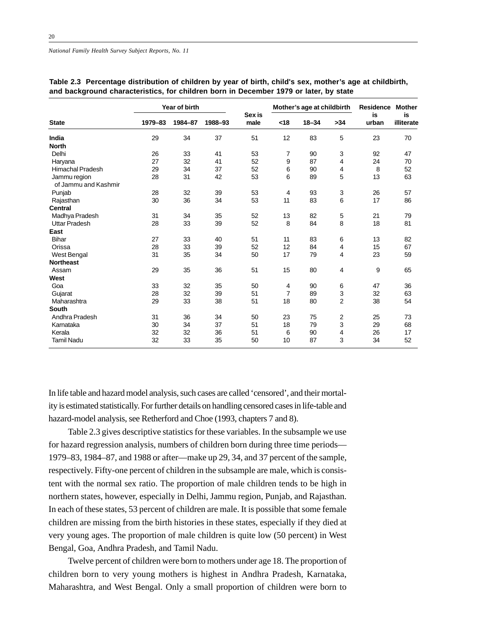|                                      | Year of birth |         |         |                |      | Mother's age at childbirth | <b>Residence</b> | <b>Mother</b> |                  |
|--------------------------------------|---------------|---------|---------|----------------|------|----------------------------|------------------|---------------|------------------|
| <b>State</b>                         | 1979-83       | 1984-87 | 1988-93 | Sex is<br>male | < 18 | $18 - 34$                  | >34              | is<br>urban   | is<br>illiterate |
| India                                | 29            | 34      | 37      | 51             | 12   | 83                         | 5                | 23            | 70               |
| <b>North</b>                         |               |         |         |                |      |                            |                  |               |                  |
| Delhi                                | 26            | 33      | 41      | 53             | 7    | 90                         | 3                | 92            | 47               |
| Haryana                              | 27            | 32      | 41      | 52             | 9    | 87                         | 4                | 24            | 70               |
| <b>Himachal Pradesh</b>              | 29            | 34      | 37      | 52             | 6    | 90                         | 4                | 8             | 52               |
| Jammu region<br>of Jammu and Kashmir | 28            | 31      | 42      | 53             | 6    | 89                         | 5                | 13            | 63               |
| Punjab                               | 28            | 32      | 39      | 53             | 4    | 93                         | 3                | 26            | 57               |
| Rajasthan                            | 30            | 36      | 34      | 53             | 11   | 83                         | 6                | 17            | 86               |
| <b>Central</b>                       |               |         |         |                |      |                            |                  |               |                  |
| Madhya Pradesh                       | 31            | 34      | 35      | 52             | 13   | 82                         | 5                | 21            | 79               |
| <b>Uttar Pradesh</b>                 | 28            | 33      | 39      | 52             | 8    | 84                         | 8                | 18            | 81               |
| East                                 |               |         |         |                |      |                            |                  |               |                  |
| <b>Bihar</b>                         | 27            | 33      | 40      | 51             | 11   | 83                         | 6                | 13            | 82               |
| Orissa                               | 28            | 33      | 39      | 52             | 12   | 84                         | $\overline{4}$   | 15            | 67               |
| West Bengal                          | 31            | 35      | 34      | 50             | 17   | 79                         | 4                | 23            | 59               |
| <b>Northeast</b>                     |               |         |         |                |      |                            |                  |               |                  |
| Assam                                | 29            | 35      | 36      | 51             | 15   | 80                         | 4                | 9             | 65               |
| West                                 |               |         |         |                |      |                            |                  |               |                  |
| Goa                                  | 33            | 32      | 35      | 50             | 4    | 90                         | 6                | 47            | 36               |
| Gujarat                              | 28            | 32      | 39      | 51             | 7    | 89                         | $\mathsf 3$      | 32            | 63               |
| Maharashtra                          | 29            | 33      | 38      | 51             | 18   | 80                         | $\overline{2}$   | 38            | 54               |
| <b>South</b>                         |               |         |         |                |      |                            |                  |               |                  |
| Andhra Pradesh                       | 31            | 36      | 34      | 50             | 23   | 75                         | $\overline{2}$   | 25            | 73               |
| Karnataka                            | 30            | 34      | 37      | 51             | 18   | 79                         | 3                | 29            | 68               |
| Kerala                               | 32            | 32      | 36      | 51             | 6    | 90                         | 4                | 26            | 17               |
| <b>Tamil Nadu</b>                    | 32            | 33      | 35      | 50             | 10   | 87                         | 3                | 34            | 52               |

|  | Table 2.3   Percentage distribution of children by year of birth, child's sex, mother's age at childbirth, |  |  |  |  |
|--|------------------------------------------------------------------------------------------------------------|--|--|--|--|
|  | and background characteristics, for children born in December 1979 or later, by state                      |  |  |  |  |

In life table and hazard model analysis, such cases are called 'censored', and their mortality is estimated statistically. For further details on handling censored cases in life-table and hazard-model analysis, see Retherford and Choe (1993, chapters 7 and 8).

Table 2.3 gives descriptive statistics for these variables. In the subsample we use for hazard regression analysis, numbers of children born during three time periods— 1979–83, 1984–87, and 1988 or after—make up 29, 34, and 37 percent of the sample, respectively. Fifty-one percent of children in the subsample are male, which is consistent with the normal sex ratio. The proportion of male children tends to be high in northern states, however, especially in Delhi, Jammu region, Punjab, and Rajasthan. In each of these states, 53 percent of children are male. It is possible that some female children are missing from the birth histories in these states, especially if they died at very young ages. The proportion of male children is quite low (50 percent) in West Bengal, Goa, Andhra Pradesh, and Tamil Nadu.

Twelve percent of children were born to mothers under age 18. The proportion of children born to very young mothers is highest in Andhra Pradesh, Karnataka, Maharashtra, and West Bengal. Only a small proportion of children were born to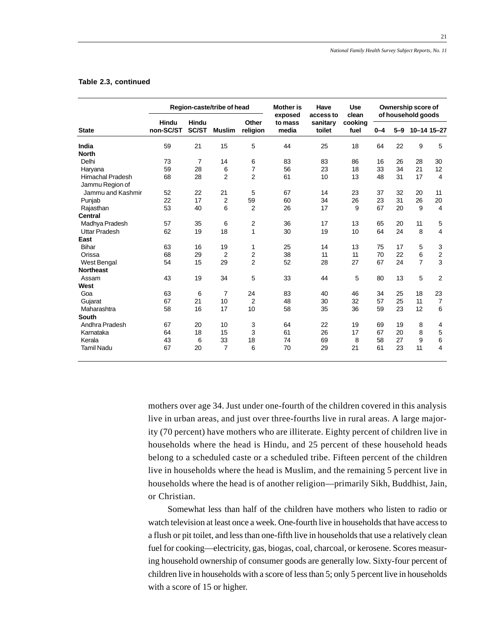|                                        | Region-caste/tribe of head |                |                |                      | <b>Mother is</b><br>exposed            | Have<br>access to | <b>Use</b><br>clean | Ownership score of<br>of household goods |          |                |                |
|----------------------------------------|----------------------------|----------------|----------------|----------------------|----------------------------------------|-------------------|---------------------|------------------------------------------|----------|----------------|----------------|
| <b>State</b>                           | Hindu<br>non-SC/ST         | Hindu<br>SC/ST | <b>Muslim</b>  | Other<br>religion    | sanitary<br>to mass<br>media<br>toilet |                   | cooking<br>fuel     | $0 - 4$                                  | $5-9$    |                | 10-14 15-27    |
| India                                  | 59                         | 21             | 15             | 5                    | 44                                     | 25                | 18                  | 64                                       | 22       | 9              | 5              |
| <b>North</b>                           |                            |                |                |                      |                                        |                   |                     |                                          |          |                |                |
| Delhi                                  | 73                         | 7              | 14             | 6                    | 83                                     | 83                | 86                  | 16                                       | 26       | 28             | 30             |
| Haryana                                | 59                         | 28             | 6              | $\overline{7}$       | 56                                     | 23                | 18                  | 33                                       | 34       | 21             | 12             |
| <b>Himachal Pradesh</b>                | 68                         | 28             | $\overline{2}$ | $\overline{2}$       | 61                                     | 10                | 13                  | 48                                       | 31       | 17             | 4              |
| Jammu Region of                        |                            |                |                |                      |                                        |                   |                     |                                          |          |                |                |
| Jammu and Kashmir                      | 52                         | 22             | 21             | 5                    | 67                                     | 14                | 23                  | 37                                       | 32       | 20             | 11             |
| Punjab                                 | 22<br>53                   | 17<br>40       | 2<br>6         | 59<br>$\overline{2}$ | 60<br>26                               | 34<br>17          | 26<br>9             | 23<br>67                                 | 31<br>20 | 26<br>9        | 20<br>4        |
| Rajasthan<br>Central                   |                            |                |                |                      |                                        |                   |                     |                                          |          |                |                |
|                                        | 57                         | 35             |                |                      | 36                                     |                   | 13                  | 65                                       |          | 11             |                |
| Madhya Pradesh<br><b>Uttar Pradesh</b> | 62                         | 19             | 6<br>18        | 2<br>$\overline{1}$  | 30                                     | 17<br>19          | 10                  | 64                                       | 20<br>24 | 8              | 5<br>4         |
| East                                   |                            |                |                |                      |                                        |                   |                     |                                          |          |                |                |
| Bihar                                  | 63                         | 16             | 19             | 1                    | 25                                     | 14                | 13                  | 75                                       | 17       | 5              | 3              |
| Orissa                                 | 68                         | 29             | $\overline{2}$ | $\overline{2}$       | 38                                     | 11                | 11                  | 70                                       | 22       | 6              | 2              |
| <b>West Bengal</b>                     | 54                         | 15             | 29             | $\overline{2}$       | 52                                     | 28                | 27                  | 67                                       | 24       | $\overline{7}$ | 3              |
| <b>Northeast</b>                       |                            |                |                |                      |                                        |                   |                     |                                          |          |                |                |
| Assam                                  | 43                         | 19             | 34             | 5                    | 33                                     | 44                | 5                   | 80                                       | 13       | 5              | $\overline{2}$ |
| West                                   |                            |                |                |                      |                                        |                   |                     |                                          |          |                |                |
| Goa                                    | 63                         | 6              | 7              | 24                   | 83                                     | 40                | 46                  | 34                                       | 25       | 18             | 23             |
| Gujarat                                | 67                         | 21             | 10             | $\overline{2}$       | 48                                     | 30                | 32                  | 57                                       | 25       | 11             | $\overline{7}$ |
| Maharashtra                            | 58                         | 16             | 17             | 10                   | 58                                     | 35                | 36                  | 59                                       | 23       | 12             | 6              |
| <b>South</b>                           |                            |                |                |                      |                                        |                   |                     |                                          |          |                |                |
| Andhra Pradesh                         | 67                         | 20             | 10             | 3                    | 64                                     | 22                | 19                  | 69                                       | 19       | 8              | 4              |
| Karnataka                              | 64                         | 18             | 15             | 3                    | 61                                     | 26                | 17                  | 67                                       | 20       | 8              | 5              |
| Kerala                                 | 43                         | 6              | 33             | 18                   | 74                                     | 69                | 8                   | 58                                       | 27       | 9              | 6              |
| <b>Tamil Nadu</b>                      | 67                         | 20             | $\overline{7}$ | 6                    | 70                                     | 29                | 21                  | 61                                       | 23       | 11             | 4              |
|                                        |                            |                |                |                      |                                        |                   |                     |                                          |          |                |                |

### **Table 2.3, continued**

mothers over age 34. Just under one-fourth of the children covered in this analysis live in urban areas, and just over three-fourths live in rural areas. A large majority (70 percent) have mothers who are illiterate. Eighty percent of children live in households where the head is Hindu, and 25 percent of these household heads belong to a scheduled caste or a scheduled tribe. Fifteen percent of the children live in households where the head is Muslim, and the remaining 5 percent live in households where the head is of another religion—primarily Sikh, Buddhist, Jain, or Christian.

Somewhat less than half of the children have mothers who listen to radio or watch television at least once a week. One-fourth live in households that have access to a flush or pit toilet, and less than one-fifth live in households that use a relatively clean fuel for cooking—electricity, gas, biogas, coal, charcoal, or kerosene. Scores measuring household ownership of consumer goods are generally low. Sixty-four percent of children live in households with a score of less than 5; only 5 percent live in households with a score of 15 or higher.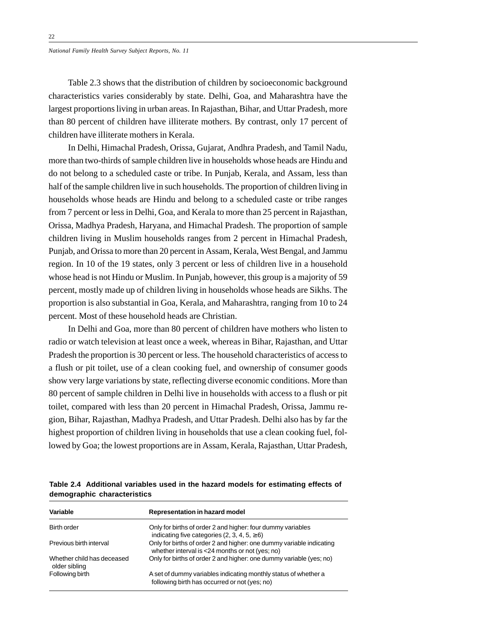Table 2.3 shows that the distribution of children by socioeconomic background characteristics varies considerably by state. Delhi, Goa, and Maharashtra have the largest proportions living in urban areas. In Rajasthan, Bihar, and Uttar Pradesh, more than 80 percent of children have illiterate mothers. By contrast, only 17 percent of children have illiterate mothers in Kerala.

In Delhi, Himachal Pradesh, Orissa, Gujarat, Andhra Pradesh, and Tamil Nadu, more than two-thirds of sample children live in households whose heads are Hindu and do not belong to a scheduled caste or tribe. In Punjab, Kerala, and Assam, less than half of the sample children live in such households. The proportion of children living in households whose heads are Hindu and belong to a scheduled caste or tribe ranges from 7 percent or less in Delhi, Goa, and Kerala to more than 25 percent in Rajasthan, Orissa, Madhya Pradesh, Haryana, and Himachal Pradesh. The proportion of sample children living in Muslim households ranges from 2 percent in Himachal Pradesh, Punjab, and Orissa to more than 20 percent in Assam, Kerala, West Bengal, and Jammu region. In 10 of the 19 states, only 3 percent or less of children live in a household whose head is not Hindu or Muslim. In Punjab, however, this group is a majority of 59 percent, mostly made up of children living in households whose heads are Sikhs. The proportion is also substantial in Goa, Kerala, and Maharashtra, ranging from 10 to 24 percent. Most of these household heads are Christian.

In Delhi and Goa, more than 80 percent of children have mothers who listen to radio or watch television at least once a week, whereas in Bihar, Rajasthan, and Uttar Pradesh the proportion is 30 percent or less. The household characteristics of access to a flush or pit toilet, use of a clean cooking fuel, and ownership of consumer goods show very large variations by state, reflecting diverse economic conditions. More than 80 percent of sample children in Delhi live in households with access to a flush or pit toilet, compared with less than 20 percent in Himachal Pradesh, Orissa, Jammu region, Bihar, Rajasthan, Madhya Pradesh, and Uttar Pradesh. Delhi also has by far the highest proportion of children living in households that use a clean cooking fuel, followed by Goa; the lowest proportions are in Assam, Kerala, Rajasthan, Uttar Pradesh,

**Table 2.4 Additional variables used in the hazard models for estimating effects of demographic characteristics**

| Variable                                    | Representation in hazard model                                                                                          |
|---------------------------------------------|-------------------------------------------------------------------------------------------------------------------------|
| Birth order                                 | Only for births of order 2 and higher: four dummy variables<br>indicating five categories $(2, 3, 4, 5, \ge 6)$         |
| Previous birth interval                     | Only for births of order 2 and higher: one dummy variable indicating<br>whether interval is <24 months or not (yes; no) |
| Whether child has deceased<br>older sibling | Only for births of order 2 and higher: one dummy variable (yes; no)                                                     |
| Following birth                             | A set of dummy variables indicating monthly status of whether a<br>following birth has occurred or not (yes; no)        |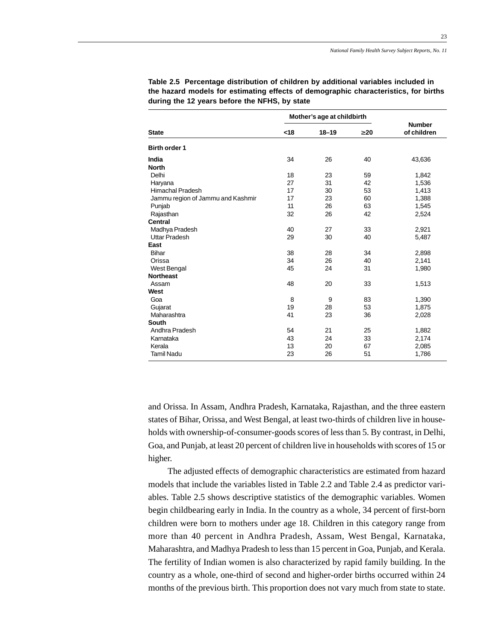23

|                                   |     | Mother's age at childbirth |           |                              |
|-----------------------------------|-----|----------------------------|-----------|------------------------------|
| <b>State</b>                      | <18 | $18 - 19$                  | $\geq 20$ | <b>Number</b><br>of children |
| <b>Birth order 1</b>              |     |                            |           |                              |
| India                             | 34  | 26                         | 40        | 43,636                       |
| <b>North</b>                      |     |                            |           |                              |
| Delhi                             | 18  | 23                         | 59        | 1,842                        |
| Haryana                           | 27  | 31                         | 42        | 1,536                        |
| <b>Himachal Pradesh</b>           | 17  | 30                         | 53        | 1,413                        |
| Jammu region of Jammu and Kashmir | 17  | 23                         | 60        | 1,388                        |
| Punjab                            | 11  | 26                         | 63        | 1,545                        |
| Rajasthan                         | 32  | 26                         | 42        | 2,524                        |
| <b>Central</b>                    |     |                            |           |                              |
| Madhya Pradesh                    | 40  | 27                         | 33        | 2,921                        |
| <b>Uttar Pradesh</b>              | 29  | 30                         | 40        | 5,487                        |
| East                              |     |                            |           |                              |
| <b>Bihar</b>                      | 38  | 28                         | 34        | 2,898                        |
| Orissa                            | 34  | 26                         | 40        | 2,141                        |
| West Bengal                       | 45  | 24                         | 31        | 1,980                        |
| <b>Northeast</b>                  |     |                            |           |                              |
| Assam                             | 48  | 20                         | 33        | 1,513                        |
| West                              |     |                            |           |                              |
| Goa                               | 8   | 9                          | 83        | 1,390                        |
| Gujarat                           | 19  | 28                         | 53        | 1,875                        |
| Maharashtra                       | 41  | 23                         | 36        | 2,028                        |
| South                             |     |                            |           |                              |
| Andhra Pradesh                    | 54  | 21                         | 25        | 1,882                        |
| Karnataka                         | 43  | 24                         | 33        | 2,174                        |
| Kerala                            | 13  | 20                         | 67        | 2,085                        |
| <b>Tamil Nadu</b>                 | 23  | 26                         | 51        | 1,786                        |

**Table 2.5 Percentage distribution of children by additional variables included in the hazard models for estimating effects of demographic characteristics, for births during the 12 years before the NFHS, by state**

and Orissa. In Assam, Andhra Pradesh, Karnataka, Rajasthan, and the three eastern states of Bihar, Orissa, and West Bengal, at least two-thirds of children live in households with ownership-of-consumer-goods scores of less than 5. By contrast, in Delhi, Goa, and Punjab, at least 20 percent of children live in households with scores of 15 or higher.

The adjusted effects of demographic characteristics are estimated from hazard models that include the variables listed in Table 2.2 and Table 2.4 as predictor variables. Table 2.5 shows descriptive statistics of the demographic variables. Women begin childbearing early in India. In the country as a whole, 34 percent of first-born children were born to mothers under age 18. Children in this category range from more than 40 percent in Andhra Pradesh, Assam, West Bengal, Karnataka, Maharashtra, and Madhya Pradesh to less than 15 percent in Goa, Punjab, and Kerala. The fertility of Indian women is also characterized by rapid family building. In the country as a whole, one-third of second and higher-order births occurred within 24 months of the previous birth. This proportion does not vary much from state to state.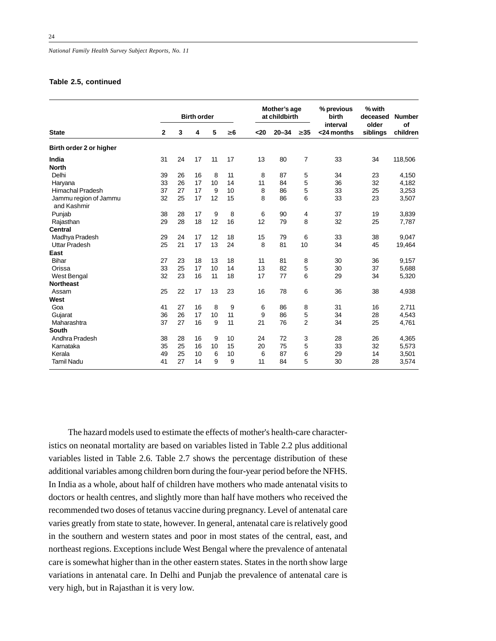### **Table 2.5, continued**

|                                      |              | <b>Birth order</b> |    |    |          |      | Mother's age<br>at childbirth |           | % previous<br>birth    | % with<br>deceased | <b>Number</b>  |
|--------------------------------------|--------------|--------------------|----|----|----------|------|-------------------------------|-----------|------------------------|--------------------|----------------|
| <b>State</b>                         | $\mathbf{2}$ | 3                  | 4  | 5  | $\geq 6$ | $20$ | $20 - 34$                     | $\geq 35$ | interval<br><24 months | older<br>siblings  | Οf<br>children |
| Birth order 2 or higher              |              |                    |    |    |          |      |                               |           |                        |                    |                |
| India<br><b>North</b>                | 31           | 24                 | 17 | 11 | 17       | 13   | 80                            | 7         | 33                     | 34                 | 118,506        |
| Delhi                                | 39           | 26                 | 16 | 8  | 11       | 8    | 87                            | 5         | 34                     | 23                 | 4,150          |
| Haryana                              | 33           | 26                 | 17 | 10 | 14       | 11   | 84                            | 5         | 36                     | 32                 | 4,182          |
| <b>Himachal Pradesh</b>              | 37           | 27                 | 17 | 9  | 10       | 8    | 86                            | 5         | 33                     | 25                 | 3,253          |
| Jammu region of Jammu<br>and Kashmir | 32           | 25                 | 17 | 12 | 15       | 8    | 86                            | 6         | 33                     | 23                 | 3,507          |
| Punjab                               | 38           | 28                 | 17 | 9  | 8        | 6    | 90                            | 4         | 37                     | 19                 | 3,839          |
| Rajasthan                            | 29           | 28                 | 18 | 12 | 16       | 12   | 79                            | 8         | 32                     | 25                 | 7,787          |
| <b>Central</b>                       |              |                    |    |    |          |      |                               |           |                        |                    |                |
| Madhya Pradesh                       | 29           | 24                 | 17 | 12 | 18       | 15   | 79                            | 6         | 33                     | 38                 | 9,047          |
| <b>Uttar Pradesh</b>                 | 25           | 21                 | 17 | 13 | 24       | 8    | 81                            | 10        | 34                     | 45                 | 19,464         |
| East                                 |              |                    |    |    |          |      |                               |           |                        |                    |                |
| <b>Bihar</b>                         | 27           | 23                 | 18 | 13 | 18       | 11   | 81                            | 8         | 30                     | 36                 | 9,157          |
| Orissa                               | 33           | 25                 | 17 | 10 | 14       | 13   | 82                            | 5         | 30                     | 37                 | 5,688          |
| <b>West Bengal</b>                   | 32           | 23                 | 16 | 11 | 18       | 17   | 77                            | 6         | 29                     | 34                 | 5,320          |
| <b>Northeast</b>                     |              |                    |    |    |          |      |                               |           |                        |                    |                |
| Assam                                | 25           | 22                 | 17 | 13 | 23       | 16   | 78                            | 6         | 36                     | 38                 | 4,938          |
| West                                 |              |                    |    |    |          |      |                               |           |                        |                    |                |
| Goa                                  | 41           | 27                 | 16 | 8  | 9        | 6    | 86                            | 8         | 31                     | 16                 | 2,711          |
| Gujarat                              | 36           | 26                 | 17 | 10 | 11       | 9    | 86                            | 5         | 34                     | 28                 | 4,543          |
| Maharashtra                          | 37           | 27                 | 16 | 9  | 11       | 21   | 76                            | 2         | 34                     | 25                 | 4,761          |
| <b>South</b>                         |              |                    |    |    |          |      |                               |           |                        |                    |                |
| Andhra Pradesh                       | 38           | 28                 | 16 | 9  | 10       | 24   | 72                            | 3         | 28                     | 26                 | 4,365          |
| Karnataka                            | 35           | 25                 | 16 | 10 | 15       | 20   | 75                            | 5         | 33                     | 32                 | 5,573          |
| Kerala                               | 49           | 25                 | 10 | 6  | 10       | 6    | 87                            | 6         | 29                     | 14                 | 3,501          |
| <b>Tamil Nadu</b>                    | 41           | 27                 | 14 | 9  | 9        | 11   | 84                            | 5         | 30                     | 28                 | 3,574          |

The hazard models used to estimate the effects of mother's health-care characteristics on neonatal mortality are based on variables listed in Table 2.2 plus additional variables listed in Table 2.6. Table 2.7 shows the percentage distribution of these additional variables among children born during the four-year period before the NFHS. In India as a whole, about half of children have mothers who made antenatal visits to doctors or health centres, and slightly more than half have mothers who received the recommended two doses of tetanus vaccine during pregnancy. Level of antenatal care varies greatly from state to state, however. In general, antenatal care is relatively good in the southern and western states and poor in most states of the central, east, and northeast regions. Exceptions include West Bengal where the prevalence of antenatal care is somewhat higher than in the other eastern states. States in the north show large variations in antenatal care. In Delhi and Punjab the prevalence of antenatal care is very high, but in Rajasthan it is very low.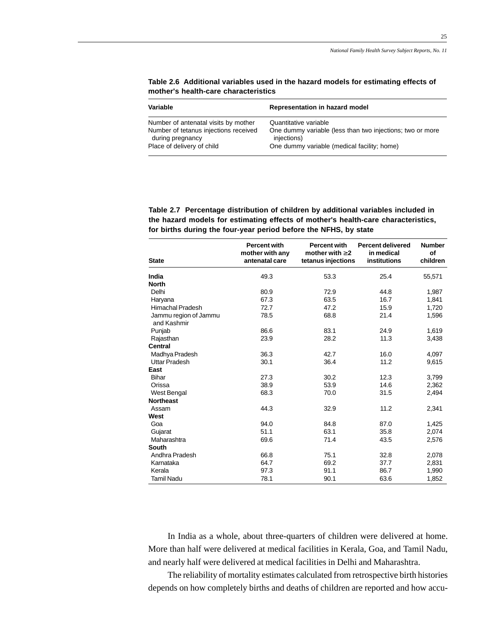25

| Variable                              | Representation in hazard model                            |
|---------------------------------------|-----------------------------------------------------------|
| Number of antenatal visits by mother  | Quantitative variable                                     |
| Number of tetanus injections received | One dummy variable (less than two injections; two or more |
| during pregnancy                      | injections)                                               |
| Place of delivery of child            | One dummy variable (medical facility; home)               |

**Table 2.6 Additional variables used in the hazard models for estimating effects of mother's health-care characteristics**

**Table 2.7 Percentage distribution of children by additional variables included in the hazard models for estimating effects of mother's health-care characteristics, for births during the four-year period before the NFHS, by state**

| <b>State</b>                         | <b>Percent with</b><br>mother with any<br>antenatal care | <b>Percent with</b><br>mother with $\geq 2$<br>tetanus injections | <b>Percent delivered</b><br>in medical<br><b>institutions</b> | <b>Number</b><br>of<br>children |
|--------------------------------------|----------------------------------------------------------|-------------------------------------------------------------------|---------------------------------------------------------------|---------------------------------|
| India                                | 49.3                                                     | 53.3                                                              | 25.4                                                          | 55,571                          |
| <b>North</b>                         |                                                          |                                                                   |                                                               |                                 |
| Delhi                                | 80.9                                                     | 72.9                                                              | 44.8                                                          | 1,987                           |
| Haryana                              | 67.3                                                     | 63.5                                                              | 16.7                                                          | 1,841                           |
| <b>Himachal Pradesh</b>              | 72.7                                                     | 47.2                                                              | 15.9                                                          | 1,720                           |
| Jammu region of Jammu<br>and Kashmir | 78.5                                                     | 68.8                                                              | 21.4                                                          | 1,596                           |
| Punjab                               | 86.6                                                     | 83.1                                                              | 24.9                                                          | 1,619                           |
| Rajasthan                            | 23.9                                                     | 28.2                                                              | 11.3                                                          | 3,438                           |
| Central                              |                                                          |                                                                   |                                                               |                                 |
| Madhya Pradesh                       | 36.3                                                     | 42.7                                                              | 16.0                                                          | 4,097                           |
| Uttar Pradesh                        | 30.1                                                     | 36.4                                                              | 11.2                                                          | 9,615                           |
| East                                 |                                                          |                                                                   |                                                               |                                 |
| <b>Bihar</b>                         | 27.3                                                     | 30.2                                                              | 12.3                                                          | 3,799                           |
| Orissa                               | 38.9                                                     | 53.9                                                              | 14.6                                                          | 2,362                           |
| West Bengal                          | 68.3                                                     | 70.0                                                              | 31.5                                                          | 2,494                           |
| <b>Northeast</b>                     |                                                          |                                                                   |                                                               |                                 |
| Assam                                | 44.3                                                     | 32.9                                                              | 11.2                                                          | 2,341                           |
| West                                 |                                                          |                                                                   |                                                               |                                 |
| Goa                                  | 94.0                                                     | 84.8                                                              | 87.0                                                          | 1,425                           |
| Gujarat                              | 51.1                                                     | 63.1                                                              | 35.8                                                          | 2,074                           |
| Maharashtra                          | 69.6                                                     | 71.4                                                              | 43.5                                                          | 2,576                           |
| <b>South</b>                         |                                                          |                                                                   |                                                               |                                 |
| Andhra Pradesh                       | 66.8                                                     | 75.1                                                              | 32.8                                                          | 2,078                           |
| Karnataka                            | 64.7                                                     | 69.2                                                              | 37.7                                                          | 2,831                           |
| Kerala                               | 97.3                                                     | 91.1                                                              | 86.7                                                          | 1,990                           |
| <b>Tamil Nadu</b>                    | 78.1                                                     | 90.1                                                              | 63.6                                                          | 1,852                           |

In India as a whole, about three-quarters of children were delivered at home. More than half were delivered at medical facilities in Kerala, Goa, and Tamil Nadu, and nearly half were delivered at medical facilities in Delhi and Maharashtra.

The reliability of mortality estimates calculated from retrospective birth histories depends on how completely births and deaths of children are reported and how accu-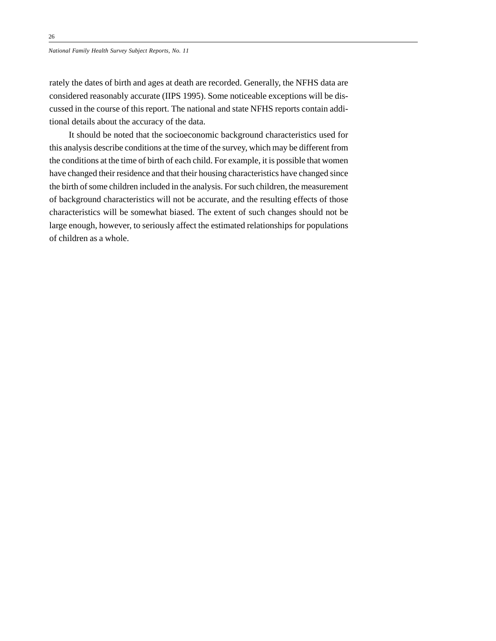rately the dates of birth and ages at death are recorded. Generally, the NFHS data are considered reasonably accurate (IIPS 1995). Some noticeable exceptions will be discussed in the course of this report. The national and state NFHS reports contain additional details about the accuracy of the data.

It should be noted that the socioeconomic background characteristics used for this analysis describe conditions at the time of the survey, which may be different from the conditions at the time of birth of each child. For example, it is possible that women have changed their residence and that their housing characteristics have changed since the birth of some children included in the analysis. For such children, the measurement of background characteristics will not be accurate, and the resulting effects of those characteristics will be somewhat biased. The extent of such changes should not be large enough, however, to seriously affect the estimated relationships for populations of children as a whole.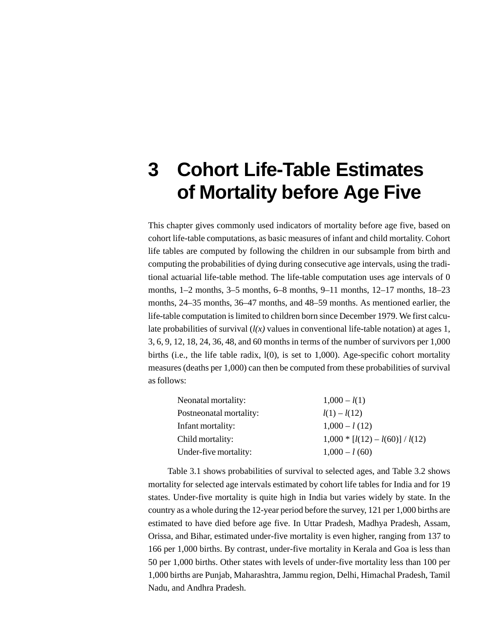## **3 Cohort Life-Table Estimates of Mortality before Age Five**

This chapter gives commonly used indicators of mortality before age five, based on cohort life-table computations, as basic measures of infant and child mortality. Cohort life tables are computed by following the children in our subsample from birth and computing the probabilities of dying during consecutive age intervals, using the traditional actuarial life-table method. The life-table computation uses age intervals of 0 months, 1–2 months, 3–5 months, 6–8 months, 9–11 months, 12–17 months, 18–23 months, 24–35 months, 36–47 months, and 48–59 months. As mentioned earlier, the life-table computation is limited to children born since December 1979. We first calculate probabilities of survival  $(l(x))$  values in conventional life-table notation) at ages 1, 3, 6, 9, 12, 18, 24, 36, 48, and 60 months in terms of the number of survivors per 1,000 births (i.e., the life table radix, l(0), is set to 1,000). Age-specific cohort mortality measures (deaths per 1,000) can then be computed from these probabilities of survival as follows:

| $1,000 - l(1)$                    |
|-----------------------------------|
| $l(1) - l(12)$                    |
| $1,000 - l(12)$                   |
| $1,000 * [l(12) - l(60)] / l(12)$ |
| $1,000 - l(60)$                   |
|                                   |

Table 3.1 shows probabilities of survival to selected ages, and Table 3.2 shows mortality for selected age intervals estimated by cohort life tables for India and for 19 states. Under-five mortality is quite high in India but varies widely by state. In the country as a whole during the 12-year period before the survey, 121 per 1,000 births are estimated to have died before age five. In Uttar Pradesh, Madhya Pradesh, Assam, Orissa, and Bihar, estimated under-five mortality is even higher, ranging from 137 to 166 per 1,000 births. By contrast, under-five mortality in Kerala and Goa is less than 50 per 1,000 births. Other states with levels of under-five mortality less than 100 per 1,000 births are Punjab, Maharashtra, Jammu region, Delhi, Himachal Pradesh, Tamil Nadu, and Andhra Pradesh.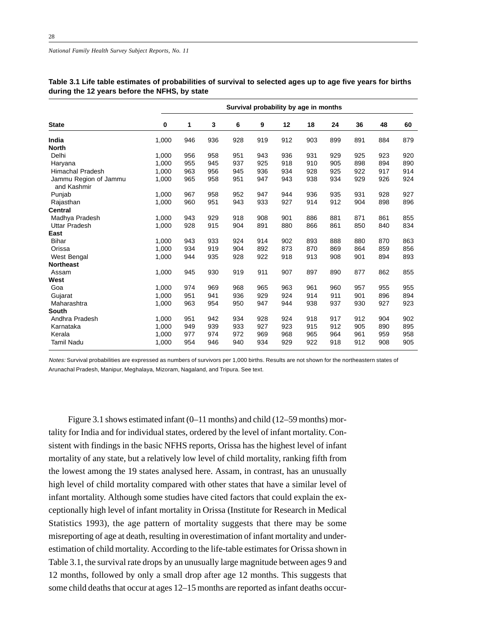|                                      | Survival probability by age in months |     |     |     |     |     |     |     |     |     |     |
|--------------------------------------|---------------------------------------|-----|-----|-----|-----|-----|-----|-----|-----|-----|-----|
| <b>State</b>                         | $\bf{0}$                              | 1   | 3   | 6   | 9   | 12  | 18  | 24  | 36  | 48  | 60  |
| India                                | 1,000                                 | 946 | 936 | 928 | 919 | 912 | 903 | 899 | 891 | 884 | 879 |
| <b>North</b>                         |                                       |     |     |     |     |     |     |     |     |     |     |
| Delhi                                | 1,000                                 | 956 | 958 | 951 | 943 | 936 | 931 | 929 | 925 | 923 | 920 |
| Haryana                              | 1.000                                 | 955 | 945 | 937 | 925 | 918 | 910 | 905 | 898 | 894 | 890 |
| Himachal Pradesh                     | 1,000                                 | 963 | 956 | 945 | 936 | 934 | 928 | 925 | 922 | 917 | 914 |
| Jammu Region of Jammu<br>and Kashmir | 1,000                                 | 965 | 958 | 951 | 947 | 943 | 938 | 934 | 929 | 926 | 924 |
| Punjab                               | 1,000                                 | 967 | 958 | 952 | 947 | 944 | 936 | 935 | 931 | 928 | 927 |
| Rajasthan                            | 1,000                                 | 960 | 951 | 943 | 933 | 927 | 914 | 912 | 904 | 898 | 896 |
| <b>Central</b>                       |                                       |     |     |     |     |     |     |     |     |     |     |
| Madhya Pradesh                       | 1,000                                 | 943 | 929 | 918 | 908 | 901 | 886 | 881 | 871 | 861 | 855 |
| <b>Uttar Pradesh</b>                 | 1,000                                 | 928 | 915 | 904 | 891 | 880 | 866 | 861 | 850 | 840 | 834 |
| East                                 |                                       |     |     |     |     |     |     |     |     |     |     |
| <b>Bihar</b>                         | 1,000                                 | 943 | 933 | 924 | 914 | 902 | 893 | 888 | 880 | 870 | 863 |
| Orissa                               | 1,000                                 | 934 | 919 | 904 | 892 | 873 | 870 | 869 | 864 | 859 | 856 |
| West Bengal                          | 1,000                                 | 944 | 935 | 928 | 922 | 918 | 913 | 908 | 901 | 894 | 893 |
| <b>Northeast</b>                     |                                       |     |     |     |     |     |     |     |     |     |     |
| Assam                                | 1,000                                 | 945 | 930 | 919 | 911 | 907 | 897 | 890 | 877 | 862 | 855 |
| West                                 |                                       |     |     |     |     |     |     |     |     |     |     |
| Goa                                  | 1,000                                 | 974 | 969 | 968 | 965 | 963 | 961 | 960 | 957 | 955 | 955 |
| Gujarat                              | 1,000                                 | 951 | 941 | 936 | 929 | 924 | 914 | 911 | 901 | 896 | 894 |
| Maharashtra                          | 1,000                                 | 963 | 954 | 950 | 947 | 944 | 938 | 937 | 930 | 927 | 923 |
| South                                |                                       |     |     |     |     |     |     |     |     |     |     |
| Andhra Pradesh                       | 1,000                                 | 951 | 942 | 934 | 928 | 924 | 918 | 917 | 912 | 904 | 902 |
| Karnataka                            | 1,000                                 | 949 | 939 | 933 | 927 | 923 | 915 | 912 | 905 | 890 | 895 |
| Kerala                               | 1,000                                 | 977 | 974 | 972 | 969 | 968 | 965 | 964 | 961 | 959 | 958 |
| <b>Tamil Nadu</b>                    | 1,000                                 | 954 | 946 | 940 | 934 | 929 | 922 | 918 | 912 | 908 | 905 |

**Table 3.1 Life table estimates of probabilities of survival to selected ages up to age five years for births during the 12 years before the NFHS, by state**

Notes: Survival probabilities are expressed as numbers of survivors per 1,000 births. Results are not shown for the northeastern states of Arunachal Pradesh, Manipur, Meghalaya, Mizoram, Nagaland, and Tripura. See text.

Figure 3.1 shows estimated infant (0–11 months) and child (12–59 months) mortality for India and for individual states, ordered by the level of infant mortality. Consistent with findings in the basic NFHS reports, Orissa has the highest level of infant mortality of any state, but a relatively low level of child mortality, ranking fifth from the lowest among the 19 states analysed here. Assam, in contrast, has an unusually high level of child mortality compared with other states that have a similar level of infant mortality. Although some studies have cited factors that could explain the exceptionally high level of infant mortality in Orissa (Institute for Research in Medical Statistics 1993), the age pattern of mortality suggests that there may be some misreporting of age at death, resulting in overestimation of infant mortality and underestimation of child mortality. According to the life-table estimates for Orissa shown in Table 3.1, the survival rate drops by an unusually large magnitude between ages 9 and 12 months, followed by only a small drop after age 12 months. This suggests that some child deaths that occur at ages 12–15 months are reported as infant deaths occur-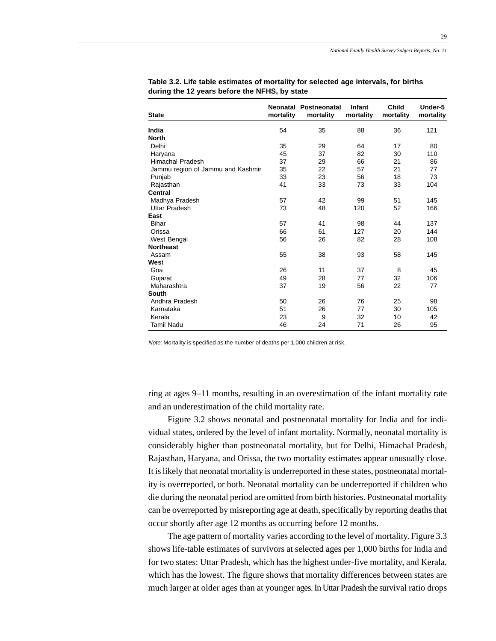29

| <b>State</b>                      | mortality | Neonatal Postneonatal<br>mortality | <b>Infant</b><br>mortality | Child<br>mortality | Under-5<br>mortality |
|-----------------------------------|-----------|------------------------------------|----------------------------|--------------------|----------------------|
| India                             | 54        | 35                                 | 88                         | 36                 | 121                  |
| <b>North</b>                      |           |                                    |                            |                    |                      |
| Delhi                             | 35        | 29                                 | 64                         | 17                 | 80                   |
| Haryana                           | 45        | 37                                 | 82                         | 30                 | 110                  |
| Himachal Pradesh                  | 37        | 29                                 | 66                         | 21                 | 86                   |
| Jammu region of Jammu and Kashmir | 35        | 22                                 | 57                         | 21                 | 77                   |
| Punjab                            | 33        | 23                                 | 56                         | 18                 | 73                   |
| Rajasthan                         | 41        | 33                                 | 73                         | 33                 | 104                  |
| Central                           |           |                                    |                            |                    |                      |
| Madhya Pradesh                    | 57        | 42                                 | 99                         | 51                 | 145                  |
| <b>Uttar Pradesh</b>              | 73        | 48                                 | 120                        | 52                 | 166                  |
| East                              |           |                                    |                            |                    |                      |
| <b>Bihar</b>                      | 57        | 41                                 | 98                         | 44                 | 137                  |
| Orissa                            | 66        | 61                                 | 127                        | 20                 | 144                  |
| West Bengal                       | 56        | 26                                 | 82                         | 28                 | 108                  |
| <b>Northeast</b>                  |           |                                    |                            |                    |                      |
| Assam                             | 55        | 38                                 | 93                         | 58                 | 145                  |
| West                              |           |                                    |                            |                    |                      |
| Goa                               | 26        | 11                                 | 37                         | 8                  | 45                   |
| Gujarat                           | 49        | 28                                 | 77                         | 32                 | 106                  |
| Maharashtra                       | 37        | 19                                 | 56                         | 22                 | 77                   |
| <b>South</b>                      |           |                                    |                            |                    |                      |
| Andhra Pradesh                    | 50        | 26                                 | 76                         | 25                 | 98                   |
| Karnataka                         | 51        | 26                                 | 77                         | 30                 | 105                  |
| Kerala                            | 23        | 9                                  | 32                         | 10                 | 42                   |
| <b>Tamil Nadu</b>                 | 46        | 24                                 | 71                         | 26                 | 95                   |

**Table 3.2. Life table estimates of mortality for selected age intervals, for births during the 12 years before the NFHS, by state**

Note: Mortality is specified as the number of deaths per 1,000 children at risk.

ring at ages 9–11 months, resulting in an overestimation of the infant mortality rate and an underestimation of the child mortality rate.

Figure 3.2 shows neonatal and postneonatal mortality for India and for individual states, ordered by the level of infant mortality. Normally, neonatal mortality is considerably higher than postneonatal mortality, but for Delhi, Himachal Pradesh, Rajasthan, Haryana, and Orissa, the two mortality estimates appear unusually close. It is likely that neonatal mortality is underreported in these states, postneonatal mortality is overreported, or both. Neonatal mortality can be underreported if children who die during the neonatal period are omitted from birth histories. Postneonatal mortality can be overreported by misreporting age at death, specifically by reporting deaths that occur shortly after age 12 months as occurring before 12 months.

The age pattern of mortality varies according to the level of mortality. Figure 3.3 shows life-table estimates of survivors at selected ages per 1,000 births for India and for two states: Uttar Pradesh, which has the highest under-five mortality, and Kerala, which has the lowest. The figure shows that mortality differences between states are much larger at older ages than at younger ages. In Uttar Pradesh the survival ratio drops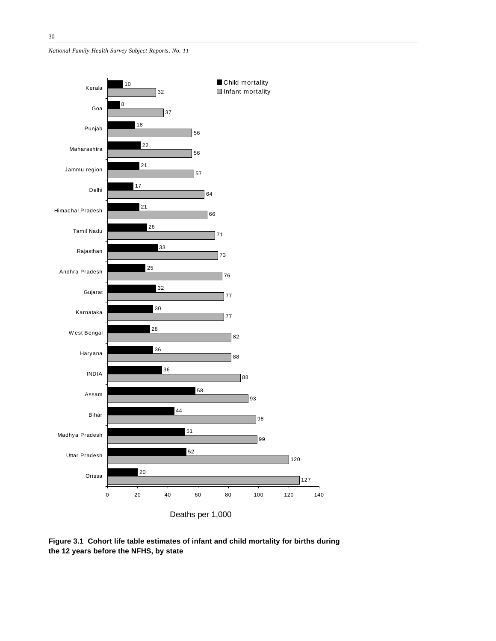*National Family Health Survey Subject Reports, No. 11*



**Figure 3.1 Cohort life table estimates of infant and child mortality for births during the 12 years before the NFHS, by state**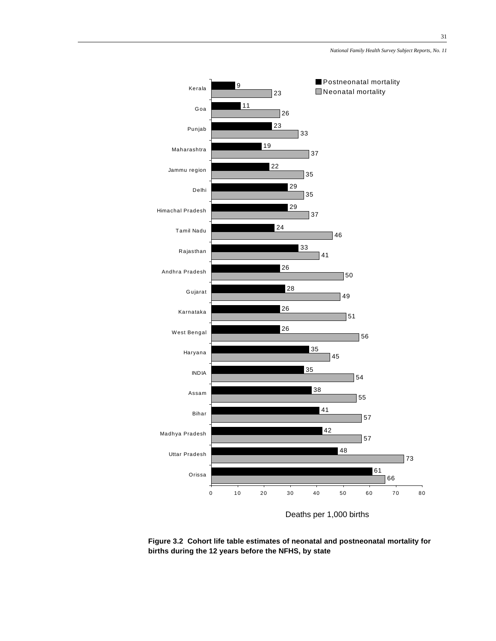

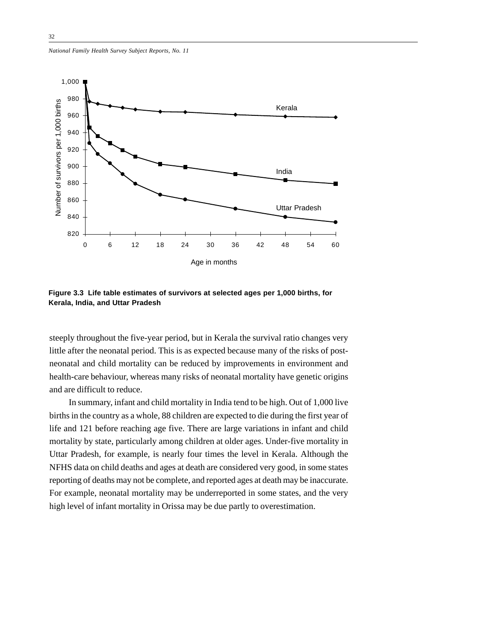*National Family Health Survey Subject Reports, No. 11*



**Figure 3.3 Life table estimates of survivors at selected ages per 1,000 births, for Kerala, India, and Uttar Pradesh**

steeply throughout the five-year period, but in Kerala the survival ratio changes very little after the neonatal period. This is as expected because many of the risks of postneonatal and child mortality can be reduced by improvements in environment and health-care behaviour, whereas many risks of neonatal mortality have genetic origins and are difficult to reduce.

In summary, infant and child mortality in India tend to be high. Out of 1,000 live births in the country as a whole, 88 children are expected to die during the first year of life and 121 before reaching age five. There are large variations in infant and child mortality by state, particularly among children at older ages. Under-five mortality in Uttar Pradesh, for example, is nearly four times the level in Kerala. Although the NFHS data on child deaths and ages at death are considered very good, in some states reporting of deaths may not be complete, and reported ages at death may be inaccurate. For example, neonatal mortality may be underreported in some states, and the very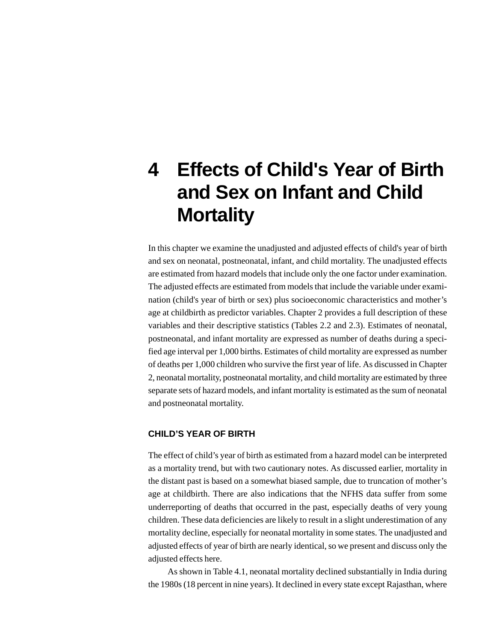## **4 Effects of Child's Year of Birth and Sex on Infant and Child Mortality**

In this chapter we examine the unadjusted and adjusted effects of child's year of birth and sex on neonatal, postneonatal, infant, and child mortality. The unadjusted effects are estimated from hazard models that include only the one factor under examination. The adjusted effects are estimated from models that include the variable under examination (child's year of birth or sex) plus socioeconomic characteristics and mother's age at childbirth as predictor variables. Chapter 2 provides a full description of these variables and their descriptive statistics (Tables 2.2 and 2.3). Estimates of neonatal, postneonatal, and infant mortality are expressed as number of deaths during a specified age interval per 1,000 births. Estimates of child mortality are expressed as number of deaths per 1,000 children who survive the first year of life. As discussed in Chapter 2, neonatal mortality, postneonatal mortality, and child mortality are estimated by three separate sets of hazard models, and infant mortality is estimated as the sum of neonatal and postneonatal mortality.

### **CHILD'S YEAR OF BIRTH**

The effect of child's year of birth as estimated from a hazard model can be interpreted as a mortality trend, but with two cautionary notes. As discussed earlier, mortality in the distant past is based on a somewhat biased sample, due to truncation of mother's age at childbirth. There are also indications that the NFHS data suffer from some underreporting of deaths that occurred in the past, especially deaths of very young children. These data deficiencies are likely to result in a slight underestimation of any mortality decline, especially for neonatal mortality in some states. The unadjusted and adjusted effects of year of birth are nearly identical, so we present and discuss only the adjusted effects here.

As shown in Table 4.1, neonatal mortality declined substantially in India during the 1980s (18 percent in nine years). It declined in every state except Rajasthan, where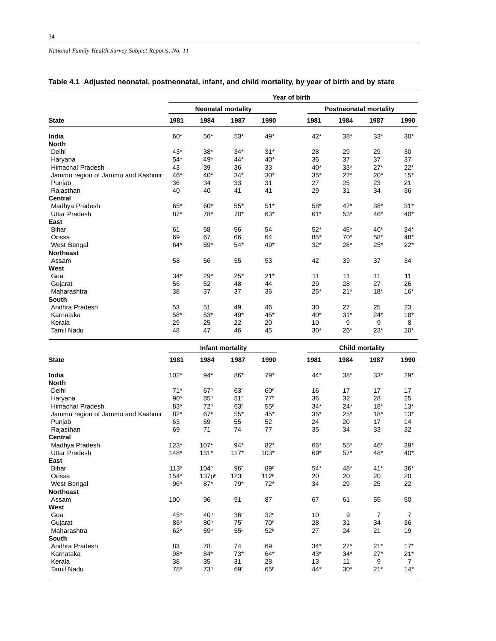|                                   | Year of birth |             |                           |       |                               |       |       |       |  |  |  |
|-----------------------------------|---------------|-------------|---------------------------|-------|-------------------------------|-------|-------|-------|--|--|--|
|                                   |               |             | <b>Neonatal mortality</b> |       | <b>Postneonatal mortality</b> |       |       |       |  |  |  |
| <b>State</b>                      | 1981          | 1984        | 1987                      | 1990  | 1981                          | 1984  | 1987  | 1990  |  |  |  |
| India                             | $60*$         | $56^{\ast}$ | $53*$                     | 49*   | $42*$                         | $38*$ | $33*$ | $30*$ |  |  |  |
| <b>North</b>                      |               |             |                           |       |                               |       |       |       |  |  |  |
| Delhi                             | $43*$         | $38*$       | $34*$                     | $31*$ | 28                            | 29    | 29    | 30    |  |  |  |
| Haryana                           | $54*$         | 49*         | 44*                       | $40*$ | 36                            | 37    | 37    | 37    |  |  |  |
| <b>Himachal Pradesh</b>           | 43            | 39          | 36                        | 33    | $40*$                         | $33*$ | $27*$ | $22*$ |  |  |  |
| Jammu region of Jammu and Kashmir | 46*           | 40*         | $34*$                     | $30*$ | $35*$                         | $27*$ | $20*$ | $15*$ |  |  |  |
| Punjab                            | 36            | 34          | 33                        | 31    | 27                            | 25    | 23    | 21    |  |  |  |
| Rajasthan                         | 40            | 40          | 41                        | 41    | 29                            | 31    | 34    | 36    |  |  |  |
| <b>Central</b>                    |               |             |                           |       |                               |       |       |       |  |  |  |
| Madhya Pradesh                    | $65*$         | $60*$       | $55*$                     | $51*$ | $58*$                         | $47*$ | $38*$ | $31*$ |  |  |  |
| <b>Uttar Pradesh</b>              | $87*$         | 78*         | $70*$                     | $63*$ | $61*$                         | $53*$ | 46*   | 40*   |  |  |  |
| East                              |               |             |                           |       |                               |       |       |       |  |  |  |
| <b>Bihar</b>                      | 61            | 58          | 56                        | 54    | $52*$                         | $45*$ | $40*$ | $34*$ |  |  |  |
| Orissa                            | 69            | 67          | 66                        | 64    | 85*                           | $70*$ | $58*$ | 48*   |  |  |  |
| West Bengal                       | $64*$         | $59*$       | $54*$                     | 49*   | $32*$                         | $28*$ | $25*$ | $22*$ |  |  |  |
| <b>Northeast</b>                  |               |             |                           |       |                               |       |       |       |  |  |  |
| Assam                             | 58            | 56          | 55                        | 53    | 42                            | 39    | 37    | 34    |  |  |  |
| West                              |               |             |                           |       |                               |       |       |       |  |  |  |
| Goa                               | $34*$         | $29*$       | $25*$                     | $21*$ | 11                            | 11    | 11    | 11    |  |  |  |
| Gujarat                           | 56            | 52          | 48                        | 44    | 29                            | 28    | 27    | 26    |  |  |  |
| Maharashtra                       | 38            | 37          | 37                        | 36    | $25*$                         | $21*$ | $18*$ | $16*$ |  |  |  |
| <b>South</b>                      |               |             |                           |       |                               |       |       |       |  |  |  |
| Andhra Pradesh                    | 53            | 51          | 49                        | 46    | 30                            | 27    | 25    | 23    |  |  |  |
| Karnataka                         | $58*$         | $53*$       | 49*                       | 45*   | $40*$                         | $31*$ | $24*$ | $18*$ |  |  |  |
| Kerala                            | 29            | 25          | 22                        | 20    | 10                            | 9     | 9     | 8     |  |  |  |
| <b>Tamil Nadu</b>                 | 48            | 47          | 46                        | 45    | $30*$                         | $26*$ | $23*$ | $20*$ |  |  |  |

### **Table 4.1 Adjusted neonatal, postneonatal, infant, and child mortality, by year of birth and by state**

|                                   |                  |                   | Infant mortality |                  | <b>Child mortality</b> |       |       |       |
|-----------------------------------|------------------|-------------------|------------------|------------------|------------------------|-------|-------|-------|
| <b>State</b>                      | 1981             | 1984              | 1987             | 1990             | 1981                   | 1984  | 1987  | 1990  |
| India                             | $102*$           | $94*$             | 86*              | $79*$            | $44*$                  | $38*$ | $33*$ | $29*$ |
| <b>North</b>                      |                  |                   |                  |                  |                        |       |       |       |
| Delhi                             | 71 <sup>n</sup>  | 67 <sup>n</sup>   | 63 <sup>n</sup>  | 60 <sup>n</sup>  | 16                     | 17    | 17    | 17    |
| Haryana                           | 90 <sup>n</sup>  | 85 <sup>n</sup>   | 81 <sup>n</sup>  | $77^n$           | 36                     | 32    | 28    | 25    |
| <b>Himachal Pradesh</b>           | 83 <sup>p</sup>  | 72 <sup>p</sup>   | 63 <sup>p</sup>  | 55P              | $34*$                  | $24*$ | $18*$ | $13*$ |
| Jammu region of Jammu and Kashmir | $82*$            | $67*$             | $55*$            | 45*              | $35*$                  | $25*$ | $18*$ | $13*$ |
| Punjab                            | 63               | 59                | 55               | 52               | 24                     | 20    | 17    | 14    |
| Rajasthan                         | 69               | 71                | 74               | 77               | 35                     | 34    | 33    | 32    |
| <b>Central</b>                    |                  |                   |                  |                  |                        |       |       |       |
| Madhya Pradesh                    | $123*$           | $107*$            | $94*$            | $82*$            | 66*                    | $55*$ | 46*   | $39*$ |
| <b>Uttar Pradesh</b>              | $148*$           | $131*$            | $117*$           | $103*$           | 69*                    | $57*$ | 48*   | $40*$ |
| East                              |                  |                   |                  |                  |                        |       |       |       |
| <b>Bihar</b>                      | 113 <sup>p</sup> | 104 <sup>p</sup>  | 96 <sup>p</sup>  | 89P              | $54*$                  | 48*   | $41*$ | $36*$ |
| Orissa                            | 154P             | 137p <sup>p</sup> | 123 <sup>p</sup> | 112 <sup>p</sup> | 20                     | 20    | 20    | 20    |
| West Bengal                       | 96*              | $87*$             | $79*$            | $72*$            | 34                     | 29    | 25    | 22    |
| <b>Northeast</b>                  |                  |                   |                  |                  |                        |       |       |       |
| Assam                             | 100              | 96                | 91               | 87               | 67                     | 61    | 55    | 50    |
| West                              |                  |                   |                  |                  |                        |       |       |       |
| Goa                               | 45 <sup>n</sup>  | 40 <sup>n</sup>   | 36 <sup>n</sup>  | 32 <sup>n</sup>  | 10                     | 9     | 7     | 7     |
| Gujarat                           | 86 <sup>n</sup>  | 80 <sup>n</sup>   | 75 <sup>n</sup>  | 70 <sup>n</sup>  | 28                     | 31    | 34    | 36    |
| Maharashtra                       | 62P              | 59 <sup>p</sup>   | 55 <sup>p</sup>  | 52 <sup>p</sup>  | 27                     | 24    | 21    | 19    |
| South                             |                  |                   |                  |                  |                        |       |       |       |
| Andhra Pradesh                    | 83               | 78                | 74               | 69               | $34*$                  | $27*$ | $21*$ | $17*$ |
| Karnataka                         | 98*              | 84*               | $73*$            | $64*$            | $43*$                  | $34*$ | $27*$ | $21*$ |
| Kerala                            | 38               | 35                | 31               | 28               | 13                     | 11    | 9     | 7     |
| <b>Tamil Nadu</b>                 | 78 <sup>p</sup>  | 73 <sup>p</sup>   | 69 <sup>p</sup>  | 65 <sup>p</sup>  | $44*$                  | $30*$ | $21*$ | $14*$ |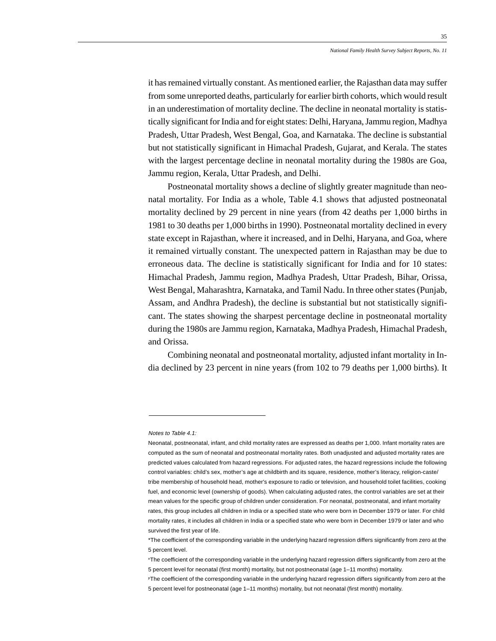it has remained virtually constant. As mentioned earlier, the Rajasthan data may suffer from some unreported deaths, particularly for earlier birth cohorts, which would result in an underestimation of mortality decline. The decline in neonatal mortality is statistically significant for India and for eight states: Delhi, Haryana, Jammu region, Madhya Pradesh, Uttar Pradesh, West Bengal, Goa, and Karnataka. The decline is substantial but not statistically significant in Himachal Pradesh, Gujarat, and Kerala. The states with the largest percentage decline in neonatal mortality during the 1980s are Goa, Jammu region, Kerala, Uttar Pradesh, and Delhi.

Postneonatal mortality shows a decline of slightly greater magnitude than neonatal mortality. For India as a whole, Table 4.1 shows that adjusted postneonatal mortality declined by 29 percent in nine years (from 42 deaths per 1,000 births in 1981 to 30 deaths per 1,000 births in 1990). Postneonatal mortality declined in every state except in Rajasthan, where it increased, and in Delhi, Haryana, and Goa, where it remained virtually constant. The unexpected pattern in Rajasthan may be due to erroneous data. The decline is statistically significant for India and for 10 states: Himachal Pradesh, Jammu region, Madhya Pradesh, Uttar Pradesh, Bihar, Orissa, West Bengal, Maharashtra, Karnataka, and Tamil Nadu. In three other states (Punjab, Assam, and Andhra Pradesh), the decline is substantial but not statistically significant. The states showing the sharpest percentage decline in postneonatal mortality during the 1980s are Jammu region, Karnataka, Madhya Pradesh, Himachal Pradesh, and Orissa.

Combining neonatal and postneonatal mortality, adjusted infant mortality in India declined by 23 percent in nine years (from 102 to 79 deaths per 1,000 births). It

Notes to Table 4.1:

Neonatal, postneonatal, infant, and child mortality rates are expressed as deaths per 1,000. Infant mortality rates are computed as the sum of neonatal and postneonatal mortality rates. Both unadjusted and adjusted mortality rates are predicted values calculated from hazard regressions. For adjusted rates, the hazard regressions include the following control variables: child's sex, mother's age at childbirth and its square, residence, mother's literacy, religion-caste/ tribe membership of household head, mother's exposure to radio or television, and household toilet facilities, cooking fuel, and economic level (ownership of goods). When calculating adjusted rates, the control variables are set at their mean values for the specific group of children under consideration. For neonatal, postneonatal, and infant mortality rates, this group includes all children in India or a specified state who were born in December 1979 or later. For child mortality rates, it includes all children in India or a specified state who were born in December 1979 or later and who survived the first year of life.

<sup>\*</sup>The coefficient of the corresponding variable in the underlying hazard regression differs significantly from zero at the 5 percent level.

nThe coefficient of the corresponding variable in the underlying hazard regression differs significantly from zero at the 5 percent level for neonatal (first month) mortality, but not postneonatal (age 1–11 months) mortality.

PThe coefficient of the corresponding variable in the underlying hazard regression differs significantly from zero at the 5 percent level for postneonatal (age 1–11 months) mortality, but not neonatal (first month) mortality.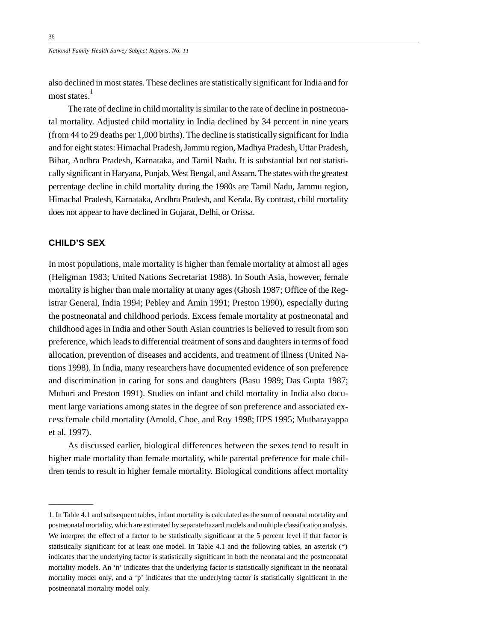also declined in most states. These declines are statistically significant for India and for most states.<sup>1</sup>

The rate of decline in child mortality is similar to the rate of decline in postneonatal mortality. Adjusted child mortality in India declined by 34 percent in nine years (from 44 to 29 deaths per 1,000 births). The decline is statistically significant for India and for eight states: Himachal Pradesh, Jammu region, Madhya Pradesh, Uttar Pradesh, Bihar, Andhra Pradesh, Karnataka, and Tamil Nadu. It is substantial but not statistically significant in Haryana, Punjab, West Bengal, and Assam. The states with the greatest percentage decline in child mortality during the 1980s are Tamil Nadu, Jammu region, Himachal Pradesh, Karnataka, Andhra Pradesh, and Kerala. By contrast, child mortality does not appear to have declined in Gujarat, Delhi, or Orissa.

### **CHILD'S SEX**

—————

In most populations, male mortality is higher than female mortality at almost all ages (Heligman 1983; United Nations Secretariat 1988). In South Asia, however, female mortality is higher than male mortality at many ages (Ghosh 1987; Office of the Registrar General, India 1994; Pebley and Amin 1991; Preston 1990), especially during the postneonatal and childhood periods. Excess female mortality at postneonatal and childhood ages in India and other South Asian countries is believed to result from son preference, which leads to differential treatment of sons and daughters in terms of food allocation, prevention of diseases and accidents, and treatment of illness (United Nations 1998). In India, many researchers have documented evidence of son preference and discrimination in caring for sons and daughters (Basu 1989; Das Gupta 1987; Muhuri and Preston 1991). Studies on infant and child mortality in India also document large variations among states in the degree of son preference and associated excess female child mortality (Arnold, Choe, and Roy 1998; IIPS 1995; Mutharayappa et al. 1997).

As discussed earlier, biological differences between the sexes tend to result in higher male mortality than female mortality, while parental preference for male children tends to result in higher female mortality. Biological conditions affect mortality

<sup>1.</sup> In Table 4.1 and subsequent tables, infant mortality is calculated as the sum of neonatal mortality and postneonatal mortality, which are estimated by separate hazard models and multiple classification analysis. We interpret the effect of a factor to be statistically significant at the 5 percent level if that factor is statistically significant for at least one model. In Table 4.1 and the following tables, an asterisk (\*) indicates that the underlying factor is statistically significant in both the neonatal and the postneonatal mortality models. An 'n' indicates that the underlying factor is statistically significant in the neonatal mortality model only, and a 'p' indicates that the underlying factor is statistically significant in the postneonatal mortality model only.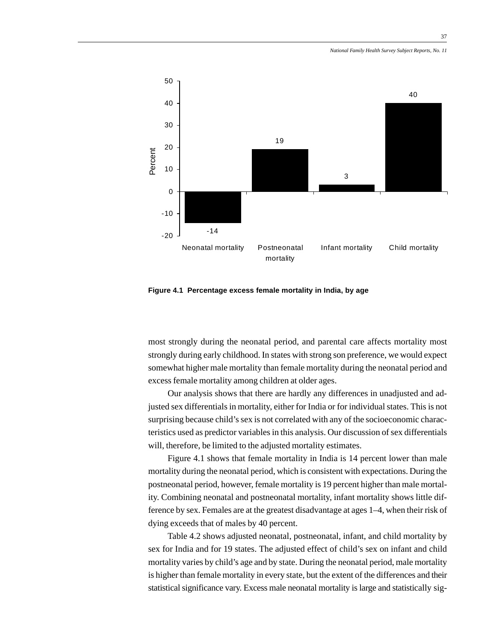37



**Figure 4.1 Percentage excess female mortality in India, by age**

most strongly during the neonatal period, and parental care affects mortality most strongly during early childhood. In states with strong son preference, we would expect somewhat higher male mortality than female mortality during the neonatal period and excess female mortality among children at older ages.

Our analysis shows that there are hardly any differences in unadjusted and adjusted sex differentials in mortality, either for India or for individual states. This is not surprising because child's sex is not correlated with any of the socioeconomic characteristics used as predictor variables in this analysis. Our discussion of sex differentials will, therefore, be limited to the adjusted mortality estimates.

Figure 4.1 shows that female mortality in India is 14 percent lower than male mortality during the neonatal period, which is consistent with expectations. During the postneonatal period, however, female mortality is 19 percent higher than male mortality. Combining neonatal and postneonatal mortality, infant mortality shows little difference by sex. Females are at the greatest disadvantage at ages 1–4, when their risk of dying exceeds that of males by 40 percent.

Table 4.2 shows adjusted neonatal, postneonatal, infant, and child mortality by sex for India and for 19 states. The adjusted effect of child's sex on infant and child mortality varies by child's age and by state. During the neonatal period, male mortality is higher than female mortality in every state, but the extent of the differences and their statistical significance vary. Excess male neonatal mortality is large and statistically sig-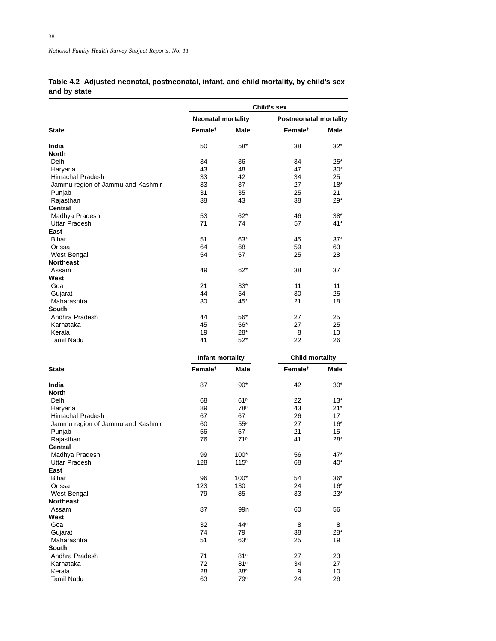**Table 4.2 Adjusted neonatal, postneonatal, infant, and child mortality, by child's sex and by state**

|                                   | Child's sex               |             |                               |             |  |  |  |  |
|-----------------------------------|---------------------------|-------------|-------------------------------|-------------|--|--|--|--|
|                                   | <b>Neonatal mortality</b> |             | <b>Postneonatal mortality</b> |             |  |  |  |  |
| <b>State</b>                      | Female <sup>t</sup>       | <b>Male</b> | Female <sup>t</sup>           | <b>Male</b> |  |  |  |  |
| India                             | 50                        | $58*$       | 38                            | $32*$       |  |  |  |  |
| <b>North</b>                      |                           |             |                               |             |  |  |  |  |
| Delhi                             | 34                        | 36          | 34                            | $25*$       |  |  |  |  |
| Haryana                           | 43                        | 48          | 47                            | $30*$       |  |  |  |  |
| <b>Himachal Pradesh</b>           | 33                        | 42          | 34                            | 25          |  |  |  |  |
| Jammu region of Jammu and Kashmir | 33                        | 37          | 27                            | $18*$       |  |  |  |  |
| Punjab                            | 31                        | 35          | 25                            | 21          |  |  |  |  |
| Rajasthan                         | 38                        | 43          | 38                            | $29*$       |  |  |  |  |
| <b>Central</b>                    |                           |             |                               |             |  |  |  |  |
| Madhya Pradesh                    | 53                        | $62*$       | 46                            | $38*$       |  |  |  |  |
| <b>Uttar Pradesh</b>              | 71                        | 74          | 57                            | $41*$       |  |  |  |  |
| East                              |                           |             |                               |             |  |  |  |  |
| <b>Bihar</b>                      | 51                        | $63*$       | 45                            | $37*$       |  |  |  |  |
| Orissa                            | 64                        | 68          | 59                            | 63          |  |  |  |  |
| West Bengal                       | 54                        | 57          | 25                            | 28          |  |  |  |  |
| <b>Northeast</b>                  |                           |             |                               |             |  |  |  |  |
| Assam                             | 49                        | $62*$       | 38                            | 37          |  |  |  |  |
| West                              |                           |             |                               |             |  |  |  |  |
| Goa                               | 21                        | $33*$       | 11                            | 11          |  |  |  |  |
| Gujarat                           | 44                        | 54          | 30                            | 25          |  |  |  |  |
| Maharashtra                       | 30                        | 45*         | 21                            | 18          |  |  |  |  |
| South                             |                           |             |                               |             |  |  |  |  |
| Andhra Pradesh                    | 44                        | $56*$       | 27                            | 25          |  |  |  |  |
| Karnataka                         | 45                        | $56*$       | 27                            | 25          |  |  |  |  |
| Kerala                            | 19                        | $28*$       | 8                             | 10          |  |  |  |  |
| <b>Tamil Nadu</b>                 | 41                        | $52*$       | 22                            | 26          |  |  |  |  |

|                                   | Infant mortality    |                  | Child mortality     |             |  |
|-----------------------------------|---------------------|------------------|---------------------|-------------|--|
| <b>State</b>                      | Female <sup>t</sup> | <b>Male</b>      | Female <sup>t</sup> | <b>Male</b> |  |
| India                             | 87                  | $90*$            | 42                  | $30*$       |  |
| <b>North</b>                      |                     |                  |                     |             |  |
| Delhi                             | 68                  | 61P              | 22                  | $13*$       |  |
| Haryana                           | 89                  | 78 <sup>p</sup>  | 43                  | $21*$       |  |
| <b>Himachal Pradesh</b>           | 67                  | 67               | 26                  | 17          |  |
| Jammu region of Jammu and Kashmir | 60                  | 55P              | 27                  | $16*$       |  |
| Punjab                            | 56                  | 57               | 21                  | 15          |  |
| Rajasthan                         | 76                  | 71 <sup>p</sup>  | 41                  | $28*$       |  |
| <b>Central</b>                    |                     |                  |                     |             |  |
| Madhya Pradesh                    | 99                  | $100*$           | 56                  | $47*$       |  |
| <b>Uttar Pradesh</b>              | 128                 | 115 <sup>p</sup> | 68                  | $40*$       |  |
| East                              |                     |                  |                     |             |  |
| <b>Bihar</b>                      | 96                  | $100*$           | 54                  | $36*$       |  |
| Orissa                            | 123                 | 130              | 24                  | $16*$       |  |
| West Bengal                       | 79                  | 85               | 33                  | $23*$       |  |
| <b>Northeast</b>                  |                     |                  |                     |             |  |
| Assam                             | 87                  | 99 <sub>n</sub>  | 60                  | 56          |  |
| West                              |                     |                  |                     |             |  |
| Goa                               | 32                  | 44 <sup>n</sup>  | 8                   | 8           |  |
| Gujarat                           | 74                  | 79               | 38                  | $28*$       |  |
| Maharashtra                       | 51                  | 63 <sup>n</sup>  | 25                  | 19          |  |
| South                             |                     |                  |                     |             |  |
| Andhra Pradesh                    | 71                  | 81 <sup>n</sup>  | 27                  | 23          |  |
| Karnataka                         | 72                  | 81 <sup>n</sup>  | 34                  | 27          |  |
| Kerala                            | 28                  | 38 <sup>n</sup>  | 9                   | 10          |  |
| <b>Tamil Nadu</b>                 | 63                  | 79 <sup>n</sup>  | 24                  | 28          |  |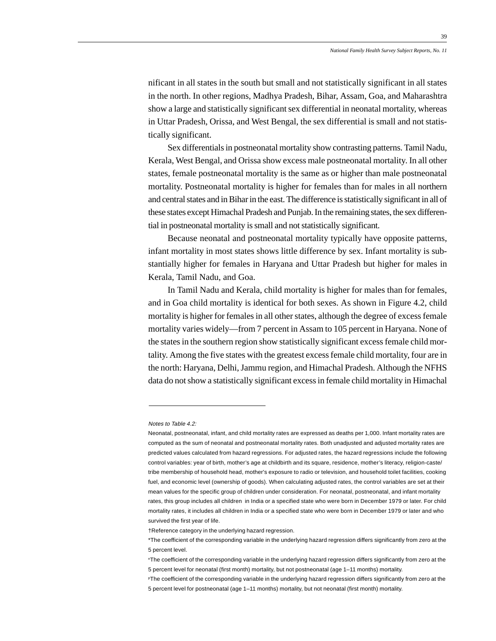nificant in all states in the south but small and not statistically significant in all states in the north. In other regions, Madhya Pradesh, Bihar, Assam, Goa, and Maharashtra show a large and statistically significant sex differential in neonatal mortality, whereas in Uttar Pradesh, Orissa, and West Bengal, the sex differential is small and not statistically significant.

Sex differentials in postneonatal mortality show contrasting patterns. Tamil Nadu, Kerala, West Bengal, and Orissa show excess male postneonatal mortality. In all other states, female postneonatal mortality is the same as or higher than male postneonatal mortality. Postneonatal mortality is higher for females than for males in all northern and central states and in Bihar in the east. The difference is statistically significant in all of these states except Himachal Pradesh and Punjab. In the remaining states, the sex differential in postneonatal mortality is small and not statistically significant.

Because neonatal and postneonatal mortality typically have opposite patterns, infant mortality in most states shows little difference by sex. Infant mortality is substantially higher for females in Haryana and Uttar Pradesh but higher for males in Kerala, Tamil Nadu, and Goa.

In Tamil Nadu and Kerala, child mortality is higher for males than for females, and in Goa child mortality is identical for both sexes. As shown in Figure 4.2, child mortality is higher for females in all other states, although the degree of excess female mortality varies widely—from 7 percent in Assam to 105 percent in Haryana. None of the states in the southern region show statistically significant excess female child mortality. Among the five states with the greatest excess female child mortality, four are in the north: Haryana, Delhi, Jammu region, and Himachal Pradesh. Although the NFHS data do not show a statistically significant excess in female child mortality in Himachal

Notes to Table 4.2:

Neonatal, postneonatal, infant, and child mortality rates are expressed as deaths per 1,000. Infant mortality rates are computed as the sum of neonatal and postneonatal mortality rates. Both unadjusted and adjusted mortality rates are predicted values calculated from hazard regressions. For adjusted rates, the hazard regressions include the following control variables: year of birth, mother's age at childbirth and its square, residence, mother's literacy, religion-caste/ tribe membership of household head, mother's exposure to radio or television, and household toilet facilities, cooking fuel, and economic level (ownership of goods). When calculating adjusted rates, the control variables are set at their mean values for the specific group of children under consideration. For neonatal, postneonatal, and infant mortality rates, this group includes all children in India or a specified state who were born in December 1979 or later. For child mortality rates, it includes all children in India or a specified state who were born in December 1979 or later and who survived the first year of life.

<sup>†</sup>Reference category in the underlying hazard regression.

<sup>\*</sup>The coefficient of the corresponding variable in the underlying hazard regression differs significantly from zero at the 5 percent level.

nThe coefficient of the corresponding variable in the underlying hazard regression differs significantly from zero at the 5 percent level for neonatal (first month) mortality, but not postneonatal (age 1–11 months) mortality.

PThe coefficient of the corresponding variable in the underlying hazard regression differs significantly from zero at the 5 percent level for postneonatal (age 1–11 months) mortality, but not neonatal (first month) mortality.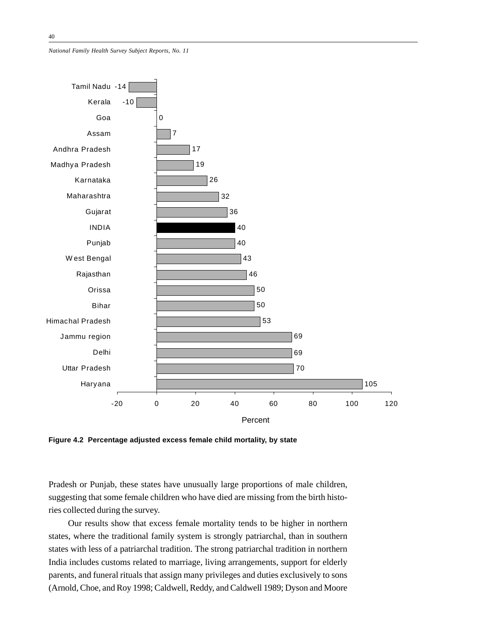

**Figure 4.2 Percentage adjusted excess female child mortality, by state**

Pradesh or Punjab, these states have unusually large proportions of male children, suggesting that some female children who have died are missing from the birth histories collected during the survey.

Our results show that excess female mortality tends to be higher in northern states, where the traditional family system is strongly patriarchal, than in southern states with less of a patriarchal tradition. The strong patriarchal tradition in northern India includes customs related to marriage, living arrangements, support for elderly parents, and funeral rituals that assign many privileges and duties exclusively to sons (Arnold, Choe, and Roy 1998; Caldwell, Reddy, and Caldwell 1989; Dyson and Moore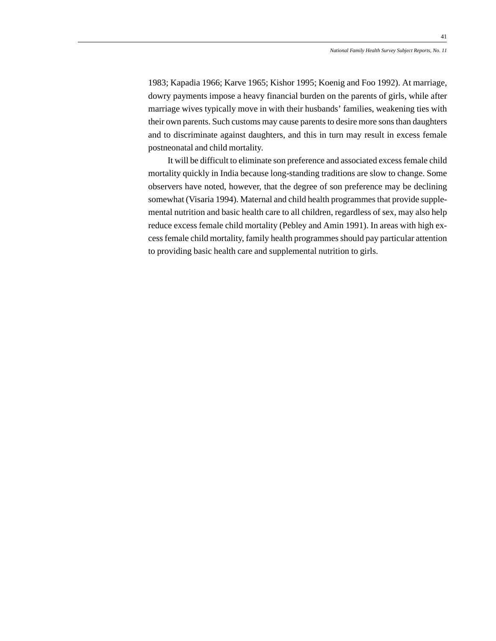1983; Kapadia 1966; Karve 1965; Kishor 1995; Koenig and Foo 1992). At marriage, dowry payments impose a heavy financial burden on the parents of girls, while after marriage wives typically move in with their husbands' families, weakening ties with their own parents. Such customs may cause parents to desire more sons than daughters and to discriminate against daughters, and this in turn may result in excess female postneonatal and child mortality.

It will be difficult to eliminate son preference and associated excess female child mortality quickly in India because long-standing traditions are slow to change. Some observers have noted, however, that the degree of son preference may be declining somewhat (Visaria 1994). Maternal and child health programmes that provide supplemental nutrition and basic health care to all children, regardless of sex, may also help reduce excess female child mortality (Pebley and Amin 1991). In areas with high excess female child mortality, family health programmes should pay particular attention to providing basic health care and supplemental nutrition to girls.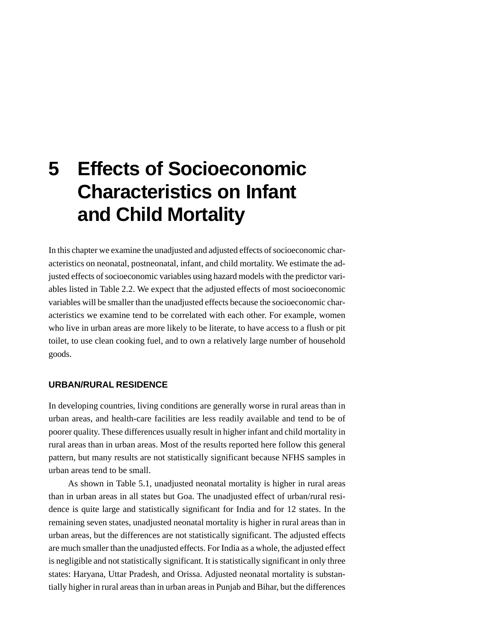# **5 Effects of Socioeconomic Characteristics on Infant and Child Mortality**

In this chapter we examine the unadjusted and adjusted effects of socioeconomic characteristics on neonatal, postneonatal, infant, and child mortality. We estimate the adjusted effects of socioeconomic variables using hazard models with the predictor variables listed in Table 2.2. We expect that the adjusted effects of most socioeconomic variables will be smaller than the unadjusted effects because the socioeconomic characteristics we examine tend to be correlated with each other. For example, women who live in urban areas are more likely to be literate, to have access to a flush or pit toilet, to use clean cooking fuel, and to own a relatively large number of household goods.

#### **URBAN/RURAL RESIDENCE**

In developing countries, living conditions are generally worse in rural areas than in urban areas, and health-care facilities are less readily available and tend to be of poorer quality. These differences usually result in higher infant and child mortality in rural areas than in urban areas. Most of the results reported here follow this general pattern, but many results are not statistically significant because NFHS samples in urban areas tend to be small.

As shown in Table 5.1, unadjusted neonatal mortality is higher in rural areas than in urban areas in all states but Goa. The unadjusted effect of urban/rural residence is quite large and statistically significant for India and for 12 states. In the remaining seven states, unadjusted neonatal mortality is higher in rural areas than in urban areas, but the differences are not statistically significant. The adjusted effects are much smaller than the unadjusted effects. For India as a whole, the adjusted effect is negligible and not statistically significant. It is statistically significant in only three states: Haryana, Uttar Pradesh, and Orissa. Adjusted neonatal mortality is substantially higher in rural areas than in urban areas in Punjab and Bihar, but the differences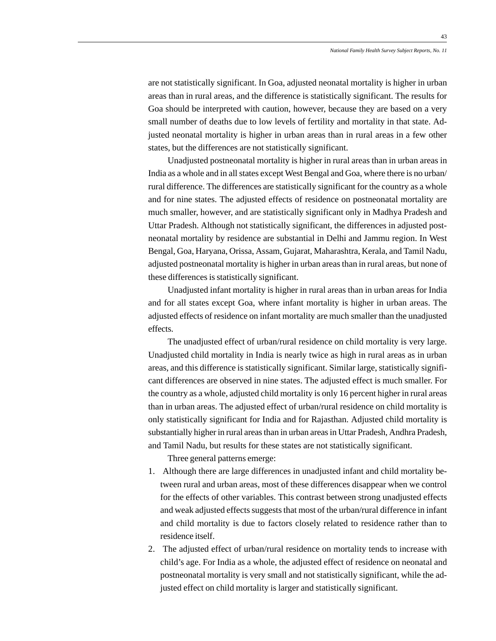are not statistically significant. In Goa, adjusted neonatal mortality is higher in urban areas than in rural areas, and the difference is statistically significant. The results for Goa should be interpreted with caution, however, because they are based on a very small number of deaths due to low levels of fertility and mortality in that state. Adjusted neonatal mortality is higher in urban areas than in rural areas in a few other states, but the differences are not statistically significant.

Unadjusted postneonatal mortality is higher in rural areas than in urban areas in India as a whole and in all states except West Bengal and Goa, where there is no urban/ rural difference. The differences are statistically significant for the country as a whole and for nine states. The adjusted effects of residence on postneonatal mortality are much smaller, however, and are statistically significant only in Madhya Pradesh and Uttar Pradesh. Although not statistically significant, the differences in adjusted postneonatal mortality by residence are substantial in Delhi and Jammu region. In West Bengal, Goa, Haryana, Orissa, Assam, Gujarat, Maharashtra, Kerala, and Tamil Nadu, adjusted postneonatal mortality is higher in urban areas than in rural areas, but none of these differences is statistically significant.

Unadjusted infant mortality is higher in rural areas than in urban areas for India and for all states except Goa, where infant mortality is higher in urban areas. The adjusted effects of residence on infant mortality are much smaller than the unadjusted effects.

The unadjusted effect of urban/rural residence on child mortality is very large. Unadjusted child mortality in India is nearly twice as high in rural areas as in urban areas, and this difference is statistically significant. Similar large, statistically significant differences are observed in nine states. The adjusted effect is much smaller. For the country as a whole, adjusted child mortality is only 16 percent higher in rural areas than in urban areas. The adjusted effect of urban/rural residence on child mortality is only statistically significant for India and for Rajasthan. Adjusted child mortality is substantially higher in rural areas than in urban areas in Uttar Pradesh, Andhra Pradesh, and Tamil Nadu, but results for these states are not statistically significant.

Three general patterns emerge:

- 1. Although there are large differences in unadjusted infant and child mortality between rural and urban areas, most of these differences disappear when we control for the effects of other variables. This contrast between strong unadjusted effects and weak adjusted effects suggests that most of the urban/rural difference in infant and child mortality is due to factors closely related to residence rather than to residence itself.
- 2. The adjusted effect of urban/rural residence on mortality tends to increase with child's age. For India as a whole, the adjusted effect of residence on neonatal and postneonatal mortality is very small and not statistically significant, while the adjusted effect on child mortality is larger and statistically significant.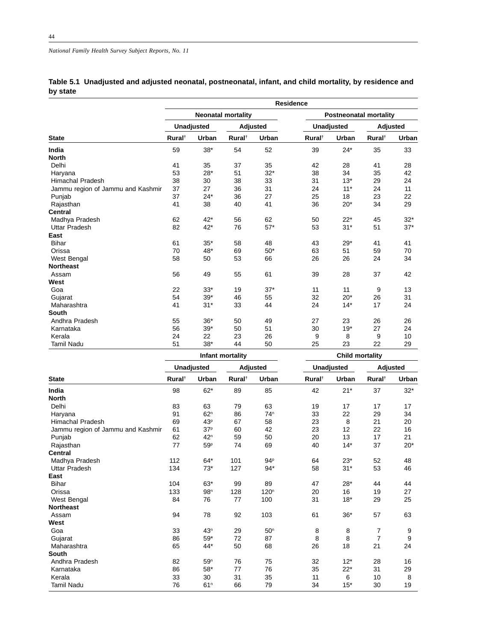|          | Table 5.1 Unadjusted and adjusted neonatal, postneonatal, infant, and child mortality, by residence and |  |  |
|----------|---------------------------------------------------------------------------------------------------------|--|--|
| by state |                                                                                                         |  |  |

|                                   | Residence          |            |                           |       |                    |                        |                               |       |  |
|-----------------------------------|--------------------|------------|---------------------------|-------|--------------------|------------------------|-------------------------------|-------|--|
|                                   |                    |            | <b>Neonatal mortality</b> |       |                    |                        | <b>Postneonatal mortality</b> |       |  |
|                                   |                    | Unadjusted | Adjusted                  |       |                    | Unadjusted             | Adjusted                      |       |  |
| <b>State</b>                      | Rural <sup>+</sup> | Urban      | Rural <sup>†</sup>        | Urban | Rural <sup>†</sup> | Urban                  | Rural <sup>†</sup>            | Urban |  |
| India                             | 59                 | $38*$      | 54                        | 52    | 39                 | $24*$                  | 35                            | 33    |  |
| <b>North</b>                      |                    |            |                           |       |                    |                        |                               |       |  |
| Delhi                             | 41                 | 35         | 37                        | 35    | 42                 | 28                     | 41                            | 28    |  |
| Haryana                           | 53                 | $28*$      | 51                        | $32*$ | 38                 | 34                     | 35                            | 42    |  |
| Himachal Pradesh                  | 38                 | 30         | 38                        | 33    | 31                 | $13*$                  | 29                            | 24    |  |
| Jammu region of Jammu and Kashmir | 37                 | 27         | 36                        | 31    | 24                 | $11*$                  | 24                            | 11    |  |
| Punjab                            | 37                 | $24*$      | 36                        | 27    | 25                 | 18                     | 23                            | 22    |  |
| Rajasthan                         | 41                 | 38         | 40                        | 41    | 36                 | $20*$                  | 34                            | 29    |  |
| <b>Central</b>                    |                    |            |                           |       |                    |                        |                               |       |  |
| Madhya Pradesh                    | 62                 | $42*$      | 56                        | 62    | 50                 | $22*$                  | 45                            | $32*$ |  |
| <b>Uttar Pradesh</b>              | 82                 | 42*        | 76                        | $57*$ | 53                 | $31*$                  | 51                            | $37*$ |  |
| East                              |                    |            |                           |       |                    |                        |                               |       |  |
| <b>Bihar</b>                      | 61                 | $35*$      | 58                        | 48    | 43                 | $29*$                  | 41                            | 41    |  |
| Orissa                            | 70                 | 48*        | 69                        | $50*$ | 63                 | 51                     | 59                            | 70    |  |
| West Bengal                       | 58                 | 50         | 53                        | 66    | 26                 | 26                     | 24                            | 34    |  |
| <b>Northeast</b>                  |                    |            |                           |       |                    |                        |                               |       |  |
| Assam                             | 56                 | 49         | 55                        | 61    | 39                 | 28                     | 37                            | 42    |  |
| West                              |                    |            |                           |       |                    |                        |                               |       |  |
| Goa                               | 22                 | $33*$      | 19                        | $37*$ | 11                 | 11                     | 9                             | 13    |  |
| Gujarat                           | 54                 | $39*$      | 46                        | 55    | 32                 | $20*$                  | 26                            | 31    |  |
| Maharashtra                       | 41                 | $31*$      | 33                        | 44    | 24                 | $14*$                  | 17                            | 24    |  |
| South                             |                    |            |                           |       |                    |                        |                               |       |  |
| Andhra Pradesh                    | 55                 | $36*$      | 50                        | 49    | 27                 | 23                     | 26                            | 26    |  |
| Karnataka                         | 56                 | $39*$      | 50                        | 51    | 30                 | $19*$                  | 27                            | 24    |  |
| Kerala                            | 24                 | 22         | 23                        | 26    | 9                  | 8                      | 9                             | 10    |  |
| <b>Tamil Nadu</b>                 | 51                 | $38*$      | 44                        | 50    | 25                 | 23                     | 22                            | 29    |  |
|                                   |                    |            | Infant mortality          |       |                    | <b>Child mortality</b> |                               |       |  |

| <b>Unadjusted</b>  |                 |                    |                  |                    |         | Adjusted           |       |  |
|--------------------|-----------------|--------------------|------------------|--------------------|---------|--------------------|-------|--|
| Rural <sup>†</sup> | Urban           | Rural <sup>†</sup> | Urban            | Rural <sup>+</sup> | Urban   | Rural <sup>†</sup> | Urban |  |
| 98                 | $62*$           | 89                 | 85               | 42                 | $21*$   | 37                 | $32*$ |  |
|                    |                 |                    |                  |                    |         |                    |       |  |
| 83                 | 63              | 79                 | 63               | 19                 | 17      | 17                 | 17    |  |
| 91                 | 62 <sup>n</sup> | 86                 | 74 <sup>n</sup>  | 33                 | 22      | 29                 | 34    |  |
| 69                 | 43 <sup>p</sup> | 67                 | 58               | 23                 | 8       | 21                 | 20    |  |
| 61                 | 37 <sup>p</sup> | 60                 | 42               | 23                 | 12      | 22                 | 16    |  |
| 62                 | 42 <sup>n</sup> | 59                 | 50               | 20                 | 13      | 17                 | 21    |  |
| 77                 | 59 <sup>p</sup> | 74                 | 69               | 40                 | $14*$   | 37                 | $20*$ |  |
|                    |                 |                    |                  |                    |         |                    |       |  |
| 112                | $64*$           | 101                | 94P              | 64                 | $23*$   | 52                 | 48    |  |
| 134                | $73*$           | 127                | $94*$            | 58                 | $31*$   | 53                 | 46    |  |
|                    |                 |                    |                  |                    |         |                    |       |  |
| 104                | $63*$           | 99                 | 89               | 47                 | $28*$   | 44                 | 44    |  |
| 133                | 98 <sup>n</sup> | 128                | 120 <sup>n</sup> | 20                 | 16      | 19                 | 27    |  |
| 84                 | 76              | 77                 | 100              | 31                 | $18*$   | 29                 | 25    |  |
|                    |                 |                    |                  |                    |         |                    |       |  |
| 94                 | 78              | 92                 | 103              | 61                 | $36*$   | 57                 | 63    |  |
|                    |                 |                    |                  |                    |         |                    |       |  |
| 33                 | 43 <sup>n</sup> | 29                 | 50 <sup>n</sup>  |                    | 8       | $\overline{7}$     | 9     |  |
| 86                 | $59*$           | 72                 | 87               | 8                  | 8       | $\overline{7}$     | 9     |  |
|                    | 44*             |                    | 68               |                    | 18      | 21                 | 24    |  |
|                    |                 |                    |                  |                    |         |                    |       |  |
| 82                 | 59 <sup>n</sup> | 76                 | 75               | 32                 | $12*$   | 28                 | 16    |  |
| 86                 | $58*$           | 77                 | 76               | 35                 | $22*$   | 31                 | 29    |  |
| 33                 | 30              | 31                 | 35               | 11                 | 6       | 10                 | 8     |  |
| 76                 | 61 <sup>n</sup> | 66                 | 79               | 34                 | $15*$   | 30                 | 19    |  |
|                    | 65              |                    | 50               | <b>Adjusted</b>    | 8<br>26 | <b>Unadjusted</b>  |       |  |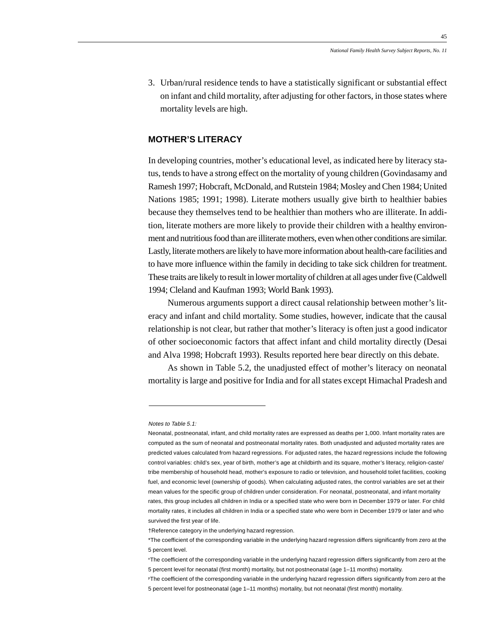3. Urban/rural residence tends to have a statistically significant or substantial effect on infant and child mortality, after adjusting for other factors, in those states where mortality levels are high.

# **MOTHER'S LITERACY**

In developing countries, mother's educational level, as indicated here by literacy status, tends to have a strong effect on the mortality of young children (Govindasamy and Ramesh 1997; Hobcraft, McDonald, and Rutstein 1984; Mosley and Chen 1984; United Nations 1985; 1991; 1998). Literate mothers usually give birth to healthier babies because they themselves tend to be healthier than mothers who are illiterate. In addition, literate mothers are more likely to provide their children with a healthy environment and nutritious food than are illiterate mothers, even when other conditions are similar. Lastly, literate mothers are likely to have more information about health-care facilities and to have more influence within the family in deciding to take sick children for treatment. These traits are likely to result in lower mortality of children at all ages under five (Caldwell 1994; Cleland and Kaufman 1993; World Bank 1993).

Numerous arguments support a direct causal relationship between mother's literacy and infant and child mortality. Some studies, however, indicate that the causal relationship is not clear, but rather that mother's literacy is often just a good indicator of other socioeconomic factors that affect infant and child mortality directly (Desai and Alva 1998; Hobcraft 1993). Results reported here bear directly on this debate.

As shown in Table 5.2, the unadjusted effect of mother's literacy on neonatal mortality is large and positive for India and for all states except Himachal Pradesh and

Notes to Table 5.1:

Neonatal, postneonatal, infant, and child mortality rates are expressed as deaths per 1,000. Infant mortality rates are computed as the sum of neonatal and postneonatal mortality rates. Both unadjusted and adjusted mortality rates are predicted values calculated from hazard regressions. For adjusted rates, the hazard regressions include the following control variables: child's sex, year of birth, mother's age at childbirth and its square, mother's literacy, religion-caste/ tribe membership of household head, mother's exposure to radio or television, and household toilet facilities, cooking fuel, and economic level (ownership of goods). When calculating adjusted rates, the control variables are set at their mean values for the specific group of children under consideration. For neonatal, postneonatal, and infant mortality rates, this group includes all children in India or a specified state who were born in December 1979 or later. For child mortality rates, it includes all children in India or a specified state who were born in December 1979 or later and who survived the first year of life.

<sup>†</sup>Reference category in the underlying hazard regression.

<sup>\*</sup>The coefficient of the corresponding variable in the underlying hazard regression differs significantly from zero at the 5 percent level.

nThe coefficient of the corresponding variable in the underlying hazard regression differs significantly from zero at the 5 percent level for neonatal (first month) mortality, but not postneonatal (age 1–11 months) mortality.

PThe coefficient of the corresponding variable in the underlying hazard regression differs significantly from zero at the 5 percent level for postneonatal (age 1–11 months) mortality, but not neonatal (first month) mortality.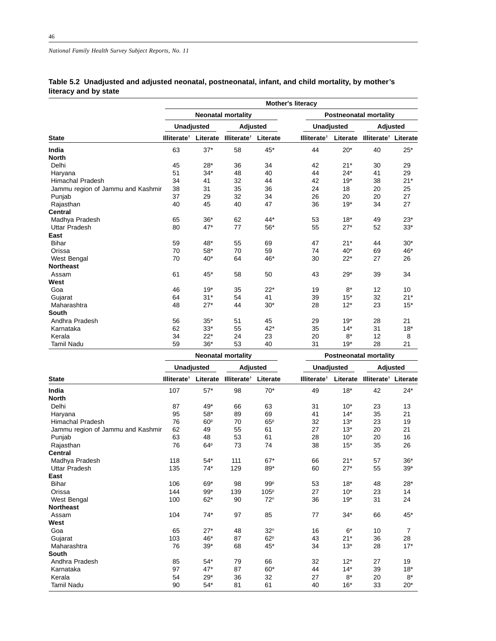# **Table 5.2 Unadjusted and adjusted neonatal, postneonatal, infant, and child mortality, by mother's literacy and by state**

|                                   |                         | <b>Mother's literacy</b> |                           |          |                               |            |                                  |       |  |  |  |
|-----------------------------------|-------------------------|--------------------------|---------------------------|----------|-------------------------------|------------|----------------------------------|-------|--|--|--|
|                                   |                         |                          | <b>Neonatal mortality</b> |          |                               |            | <b>Postneonatal mortality</b>    |       |  |  |  |
|                                   |                         | Unadjusted               | Adjusted                  |          |                               | Unadjusted | Adjusted                         |       |  |  |  |
| <b>State</b>                      | Illiterate <sup>†</sup> | Literate                 | Illiterate <sup>t</sup>   | Literate | <b>Illiterate<sup>t</sup></b> | Literate   | Illiterate <sup>†</sup> Literate |       |  |  |  |
| India                             | 63                      | $37*$                    | 58                        | 45*      | 44                            | $20*$      | 40                               | $25*$ |  |  |  |
| <b>North</b>                      |                         |                          |                           |          |                               |            |                                  |       |  |  |  |
| Delhi                             | 45                      | $28*$                    | 36                        | 34       | 42                            | $21*$      | 30                               | 29    |  |  |  |
| Haryana                           | 51                      | $34*$                    | 48                        | 40       | 44                            | $24*$      | 41                               | 29    |  |  |  |
| <b>Himachal Pradesh</b>           | 34                      | 41                       | 32                        | 44       | 42                            | $19*$      | 38                               | $21*$ |  |  |  |
| Jammu region of Jammu and Kashmir | 38                      | 31                       | 35                        | 36       | 24                            | 18         | 20                               | 25    |  |  |  |
| Punjab                            | 37                      | 29                       | 32                        | 34       | 26                            | 20         | 20                               | 27    |  |  |  |
| Rajasthan                         | 40                      | 45                       | 40                        | 47       | 36                            | $19*$      | 34                               | 27    |  |  |  |
| <b>Central</b>                    |                         |                          |                           |          |                               |            |                                  |       |  |  |  |
| Madhya Pradesh                    | 65                      | $36*$                    | 62                        | $44*$    | 53                            | $18*$      | 49                               | $23*$ |  |  |  |
| <b>Uttar Pradesh</b>              | 80                      | $47*$                    | 77                        | $56*$    | 55                            | $27*$      | 52                               | $33*$ |  |  |  |
| East                              |                         |                          |                           |          |                               |            |                                  |       |  |  |  |
| Bihar                             | 59                      | 48*                      | 55                        | 69       | 47                            | $21*$      | 44                               | $30*$ |  |  |  |
| Orissa                            | 70                      | $58*$                    | 70                        | 59       | 74                            | $40*$      | 69                               | 46*   |  |  |  |
| West Bengal                       | 70                      | $40*$                    | 64                        | $46*$    | 30                            | $22*$      | 27                               | 26    |  |  |  |
| <b>Northeast</b>                  |                         |                          |                           |          |                               |            |                                  |       |  |  |  |
| Assam                             | 61                      | $45*$                    | 58                        | 50       | 43                            | $29*$      | 39                               | 34    |  |  |  |
| West                              |                         |                          |                           |          |                               |            |                                  |       |  |  |  |
| Goa                               | 46                      | $19*$                    | 35                        | $22*$    | 19                            | $8*$       | 12                               | 10    |  |  |  |
| Gujarat                           | 64                      | $31*$                    | 54                        | 41       | 39                            | $15*$      | 32                               | $21*$ |  |  |  |
| Maharashtra                       | 48                      | $27*$                    | 44                        | $30*$    | 28                            | $12*$      | 23                               | $15*$ |  |  |  |
| South                             |                         |                          |                           |          |                               |            |                                  |       |  |  |  |
| Andhra Pradesh                    | 56                      | $35*$                    | 51                        | 45       | 29                            | $19*$      | 28                               | 21    |  |  |  |
| Karnataka                         | 62                      | $33*$                    | 55                        | $42*$    | 35                            | $14*$      | 31                               | $18*$ |  |  |  |
| Kerala                            | 34                      | $22*$                    | 24                        | 23       | 20                            | $8*$       | 12                               | 8     |  |  |  |
| Tamil Nadu                        | 59                      | $36*$                    | 53                        | 40       | 31                            | $19*$      | 28                               | 21    |  |  |  |
|                                   |                         |                          | <b>Neonatal mortality</b> |          |                               |            | <b>Postneonatal mortality</b>    |       |  |  |  |

|                                   | <b>Unadjusted</b>                    |                 | Adjusted                |                  | <b>Unadjusted</b>       |          | <b>Adjusted</b>                  |       |
|-----------------------------------|--------------------------------------|-----------------|-------------------------|------------------|-------------------------|----------|----------------------------------|-------|
| <b>State</b>                      | Illiterate <sup><math>†</math></sup> | Literate        | Illiterate <sup>†</sup> | Literate         | Illiterate <sup>†</sup> | Literate | Illiterate <sup>†</sup> Literate |       |
| India                             | 107                                  | $57*$           | 98                      | $70*$            | 49                      | $18*$    | 42                               | $24*$ |
| <b>North</b>                      |                                      |                 |                         |                  |                         |          |                                  |       |
| Delhi                             | 87                                   | 49*             | 66                      | 63               | 31                      | $10*$    | 23                               | 13    |
| Haryana                           | 95                                   | $58*$           | 89                      | 69               | 41                      | $14*$    | 35                               | 21    |
| <b>Himachal Pradesh</b>           | 76                                   | 60 <sup>p</sup> | 70                      | 65P              | 32                      | $13*$    | 23                               | 19    |
| Jammu region of Jammu and Kashmir | 62                                   | 49              | 55                      | 61               | 27                      | $13*$    | 20                               | 21    |
| Punjab                            | 63                                   | 48              | 53                      | 61               | 28                      | $10*$    | 20                               | 16    |
| Rajasthan                         | 76                                   | 64 <sup>p</sup> | 73                      | 74               | 38                      | $15*$    | 35                               | 26    |
| <b>Central</b>                    |                                      |                 |                         |                  |                         |          |                                  |       |
| Madhya Pradesh                    | 118                                  | $54*$           | 111                     | $67*$            | 66                      | $21*$    | 57                               | $36*$ |
| <b>Uttar Pradesh</b>              | 135                                  | $74*$           | 129                     | 89*              | 60                      | $27*$    | 55                               | $39*$ |
| East                              |                                      |                 |                         |                  |                         |          |                                  |       |
| <b>Bihar</b>                      | 106                                  | 69*             | 98                      | 99P              | 53                      | $18*$    | 48                               | 28*   |
| Orissa                            | 144                                  | $99*$           | 139                     | 105 <sup>p</sup> | 27                      | $10*$    | 23                               | 14    |
| West Bengal                       | 100                                  | $62*$           | 90                      | 72 <sup>n</sup>  | 36                      | $19*$    | 31                               | 24    |
| <b>Northeast</b>                  |                                      |                 |                         |                  |                         |          |                                  |       |
| Assam                             | 104                                  | $74*$           | 97                      | 85               | 77                      | $34*$    | 66                               | 45*   |
| West                              |                                      |                 |                         |                  |                         |          |                                  |       |
| Goa                               | 65                                   | $27*$           | 48                      | 32 <sup>n</sup>  | 16                      | $6*$     | 10                               | 7     |
| Gujarat                           | 103                                  | 46*             | 87                      | 62P              | 43                      | $21*$    | 36                               | 28    |
| Maharashtra                       | 76                                   | $39*$           | 68                      | 45*              | 34                      | $13*$    | 28                               | $17*$ |
| South                             |                                      |                 |                         |                  |                         |          |                                  |       |
| Andhra Pradesh                    | 85                                   | $54*$           | 79                      | 66               | 32                      | $12*$    | 27                               | 19    |
| Karnataka                         | 97                                   | $47*$           | 87                      | $60*$            | 44                      | $14*$    | 39                               | $18*$ |
| Kerala                            | 54                                   | $29*$           | 36                      | 32               | 27                      | $8*$     | 20                               | $8*$  |
| <b>Tamil Nadu</b>                 | 90                                   | $54*$           | 81                      | 61               | 40                      | $16*$    | 33                               | $20*$ |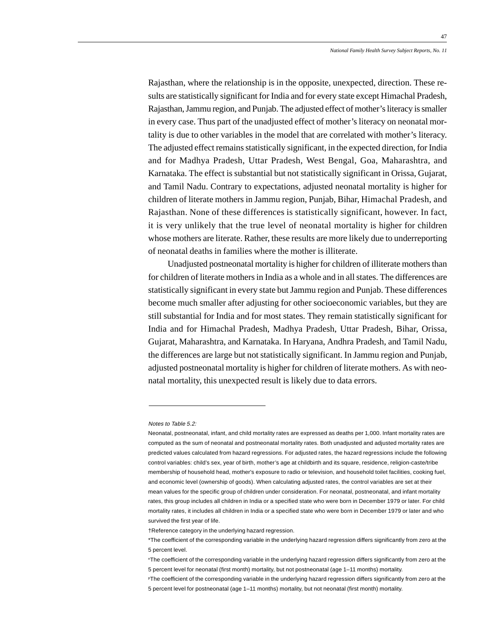Rajasthan, where the relationship is in the opposite, unexpected, direction. These results are statistically significant for India and for every state except Himachal Pradesh, Rajasthan, Jammu region, and Punjab. The adjusted effect of mother's literacy is smaller in every case. Thus part of the unadjusted effect of mother's literacy on neonatal mortality is due to other variables in the model that are correlated with mother's literacy. The adjusted effect remains statistically significant, in the expected direction, for India and for Madhya Pradesh, Uttar Pradesh, West Bengal, Goa, Maharashtra, and Karnataka. The effect is substantial but not statistically significant in Orissa, Gujarat, and Tamil Nadu. Contrary to expectations, adjusted neonatal mortality is higher for children of literate mothers in Jammu region, Punjab, Bihar, Himachal Pradesh, and Rajasthan. None of these differences is statistically significant, however. In fact, it is very unlikely that the true level of neonatal mortality is higher for children whose mothers are literate. Rather, these results are more likely due to underreporting of neonatal deaths in families where the mother is illiterate.

Unadjusted postneonatal mortality is higher for children of illiterate mothers than for children of literate mothers in India as a whole and in all states. The differences are statistically significant in every state but Jammu region and Punjab. These differences become much smaller after adjusting for other socioeconomic variables, but they are still substantial for India and for most states. They remain statistically significant for India and for Himachal Pradesh, Madhya Pradesh, Uttar Pradesh, Bihar, Orissa, Gujarat, Maharashtra, and Karnataka. In Haryana, Andhra Pradesh, and Tamil Nadu, the differences are large but not statistically significant. In Jammu region and Punjab, adjusted postneonatal mortality is higher for children of literate mothers. As with neonatal mortality, this unexpected result is likely due to data errors.

#### Notes to Table 5.2:

Neonatal, postneonatal, infant, and child mortality rates are expressed as deaths per 1,000. Infant mortality rates are computed as the sum of neonatal and postneonatal mortality rates. Both unadjusted and adjusted mortality rates are predicted values calculated from hazard regressions. For adjusted rates, the hazard regressions include the following control variables: child's sex, year of birth, mother's age at childbirth and its square, residence, religion-caste/tribe membership of household head, mother's exposure to radio or television, and household toilet facilities, cooking fuel, and economic level (ownership of goods). When calculating adjusted rates, the control variables are set at their mean values for the specific group of children under consideration. For neonatal, postneonatal, and infant mortality rates, this group includes all children in India or a specified state who were born in December 1979 or later. For child mortality rates, it includes all children in India or a specified state who were born in December 1979 or later and who survived the first year of life.

<sup>†</sup>Reference category in the underlying hazard regression.

<sup>\*</sup>The coefficient of the corresponding variable in the underlying hazard regression differs significantly from zero at the 5 percent level.

nThe coefficient of the corresponding variable in the underlying hazard regression differs significantly from zero at the 5 percent level for neonatal (first month) mortality, but not postneonatal (age 1–11 months) mortality.

PThe coefficient of the corresponding variable in the underlying hazard regression differs significantly from zero at the 5 percent level for postneonatal (age 1–11 months) mortality, but not neonatal (first month) mortality.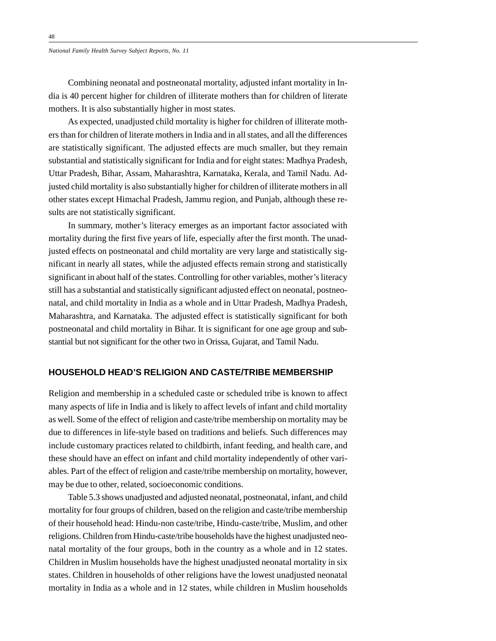Combining neonatal and postneonatal mortality, adjusted infant mortality in India is 40 percent higher for children of illiterate mothers than for children of literate mothers. It is also substantially higher in most states.

As expected, unadjusted child mortality is higher for children of illiterate mothers than for children of literate mothers in India and in all states, and all the differences are statistically significant. The adjusted effects are much smaller, but they remain substantial and statistically significant for India and for eight states: Madhya Pradesh, Uttar Pradesh, Bihar, Assam, Maharashtra, Karnataka, Kerala, and Tamil Nadu. Adjusted child mortality is also substantially higher for children of illiterate mothers in all other states except Himachal Pradesh, Jammu region, and Punjab, although these results are not statistically significant.

In summary, mother's literacy emerges as an important factor associated with mortality during the first five years of life, especially after the first month. The unadjusted effects on postneonatal and child mortality are very large and statistically significant in nearly all states, while the adjusted effects remain strong and statistically significant in about half of the states. Controlling for other variables, mother's literacy still has a substantial and statistically significant adjusted effect on neonatal, postneonatal, and child mortality in India as a whole and in Uttar Pradesh, Madhya Pradesh, Maharashtra, and Karnataka. The adjusted effect is statistically significant for both postneonatal and child mortality in Bihar. It is significant for one age group and substantial but not significant for the other two in Orissa, Gujarat, and Tamil Nadu.

## **HOUSEHOLD HEAD'S RELIGION AND CASTE/TRIBE MEMBERSHIP**

Religion and membership in a scheduled caste or scheduled tribe is known to affect many aspects of life in India and is likely to affect levels of infant and child mortality as well. Some of the effect of religion and caste/tribe membership on mortality may be due to differences in life-style based on traditions and beliefs. Such differences may include customary practices related to childbirth, infant feeding, and health care, and these should have an effect on infant and child mortality independently of other variables. Part of the effect of religion and caste/tribe membership on mortality, however, may be due to other, related, socioeconomic conditions.

Table 5.3 shows unadjusted and adjusted neonatal, postneonatal, infant, and child mortality for four groups of children, based on the religion and caste/tribe membership of their household head: Hindu-non caste/tribe, Hindu-caste/tribe, Muslim, and other religions. Children from Hindu-caste/tribe households have the highest unadjusted neonatal mortality of the four groups, both in the country as a whole and in 12 states. Children in Muslim households have the highest unadjusted neonatal mortality in six states. Children in households of other religions have the lowest unadjusted neonatal mortality in India as a whole and in 12 states, while children in Muslim households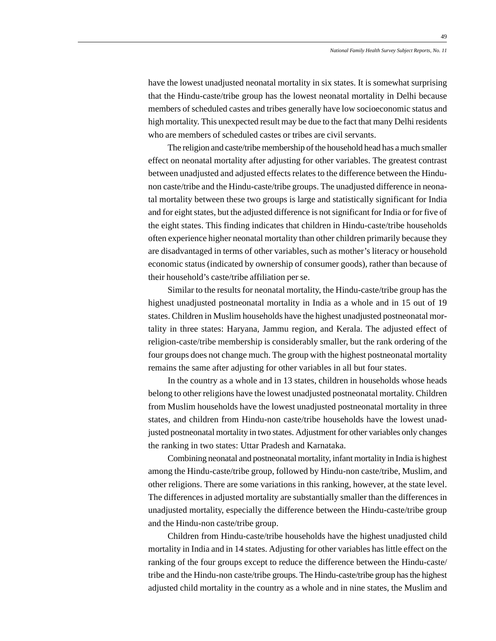have the lowest unadjusted neonatal mortality in six states. It is somewhat surprising that the Hindu-caste/tribe group has the lowest neonatal mortality in Delhi because members of scheduled castes and tribes generally have low socioeconomic status and high mortality. This unexpected result may be due to the fact that many Delhi residents who are members of scheduled castes or tribes are civil servants.

The religion and caste/tribe membership of the household head has a much smaller effect on neonatal mortality after adjusting for other variables. The greatest contrast between unadjusted and adjusted effects relates to the difference between the Hindunon caste/tribe and the Hindu-caste/tribe groups. The unadjusted difference in neonatal mortality between these two groups is large and statistically significant for India and for eight states, but the adjusted difference is not significant for India or for five of the eight states. This finding indicates that children in Hindu-caste/tribe households often experience higher neonatal mortality than other children primarily because they are disadvantaged in terms of other variables, such as mother's literacy or household economic status (indicated by ownership of consumer goods), rather than because of their household's caste/tribe affiliation per se.

Similar to the results for neonatal mortality, the Hindu-caste/tribe group has the highest unadjusted postneonatal mortality in India as a whole and in 15 out of 19 states. Children in Muslim households have the highest unadjusted postneonatal mortality in three states: Haryana, Jammu region, and Kerala. The adjusted effect of religion-caste/tribe membership is considerably smaller, but the rank ordering of the four groups does not change much. The group with the highest postneonatal mortality remains the same after adjusting for other variables in all but four states.

In the country as a whole and in 13 states, children in households whose heads belong to other religions have the lowest unadjusted postneonatal mortality. Children from Muslim households have the lowest unadjusted postneonatal mortality in three states, and children from Hindu-non caste/tribe households have the lowest unadjusted postneonatal mortality in two states. Adjustment for other variables only changes the ranking in two states: Uttar Pradesh and Karnataka.

Combining neonatal and postneonatal mortality, infant mortality in India is highest among the Hindu-caste/tribe group, followed by Hindu-non caste/tribe, Muslim, and other religions. There are some variations in this ranking, however, at the state level. The differences in adjusted mortality are substantially smaller than the differences in unadjusted mortality, especially the difference between the Hindu-caste/tribe group and the Hindu-non caste/tribe group.

Children from Hindu-caste/tribe households have the highest unadjusted child mortality in India and in 14 states. Adjusting for other variables has little effect on the ranking of the four groups except to reduce the difference between the Hindu-caste/ tribe and the Hindu-non caste/tribe groups. The Hindu-caste/tribe group has the highest adjusted child mortality in the country as a whole and in nine states, the Muslim and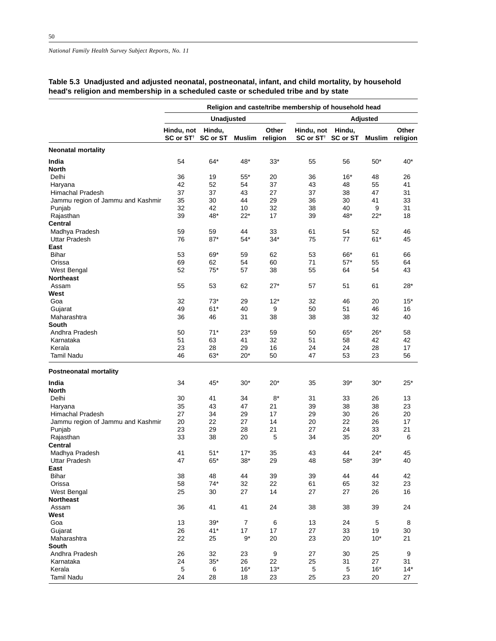#### **Religion and caste/tribe membership of household head Unadjusted Adjusted Hindu, not Hindu, Other Hindu, not Hindu, Other SC or ST† SC or ST Muslim religion SC or ST† SC or ST Muslim religion Neonatal mortality India** 54 64\* 48\* 33\* 55 56 50\* 40\* **North** Delhi 36 19 55\* 20 36 16\* 48 26 Haryana 42 52 54 37 43 48 55 41 Himachal Pradesh 37 37 43 27 37 38 47 31 Jammu region of Jammu and Kashmir 35 30 44 29 36 30 41 33 Punjab 32 42 10 32 38 40 9 31 Rajasthan 39 48\* 22\* 17 39 48\* 22\* 18 **Central** Madhya Pradesh 59 59 44 33 61 54 52 46 Uttar Pradesh **East** Bihar 53 69\* 59 62 53 66\* 61 66 Orissa 69 62 54 60 71 57\* 55 64 West Bengal  $52$   $75^*$   $57$  38  $55$  64 54 43 **Northeast** Assam 55 53 62 27\* 57 51 61 28\* **West** Goa 32 73\* 29 12\* 32 46 20 15\* Gujarat 49 61\* 40 9 50 51 46 16 Maharashtra 36 46 31 38 38 38 32 40 **South** Andhra Pradesh 50 71\* 23\* 59 50 65\* 26\* 58 Karnataka 51 63 41 32 51 58 42 42 Kerala 23 28 29 16 24 24 28 17 Tamil Nadu 46 63\* 20\* 50 47 53 23 56 **Postneonatal mortality India** 34 45\* 30\* 20\* 35 39\* 30\* 25\* **North** Delhi 30 41 34 8\* 31 33 26 13 Haryana 35 43 47 21 39 38 38 23 Himachal Pradesh 27 34 29 17 29 30 26 20 Jammu region of Jammu and Kashmir 20 22 27 14 20 22 26 17 Punjab 23 29 28 21 27 24 33 21 Rajasthan 33 38 20 5 34 35 20\* 6 **Central** Madhya Pradesh 41 51\* 17\* 35 43 44 24\* 45 Uttar Pradesh 47 65\* 38\* 29 48 58\* 39\* 40 **East** Bihar 38 48 44 39 39 44 44 42 Orissa 58 74\* 32 22 61 65 32 23 West Bengal 25 30 27 14 27 27 26 16 **Northeast** Assam 36 41 41 24 38 38 39 24 **West** Goa 13 39\* 7 6 13 24 5 8 Gujarat 26 41\* 17 17 27 33 19 30 Maharashtra 22 25 9\* 20 23 20 10\* 21 **South** Andhra Pradesh 26 32 23 9 27 30 25 9 Karnataka 24 35\* 26 22 25 31 27 31 Kerala 5 6 16\* 13\* 5 5 16\* 14\* Tamil Nadu 24 28 18 23 25 23 20 27

### **Table 5.3 Unadjusted and adjusted neonatal, postneonatal, infant, and child mortality, by household head's religion and membership in a scheduled caste or scheduled tribe and by state**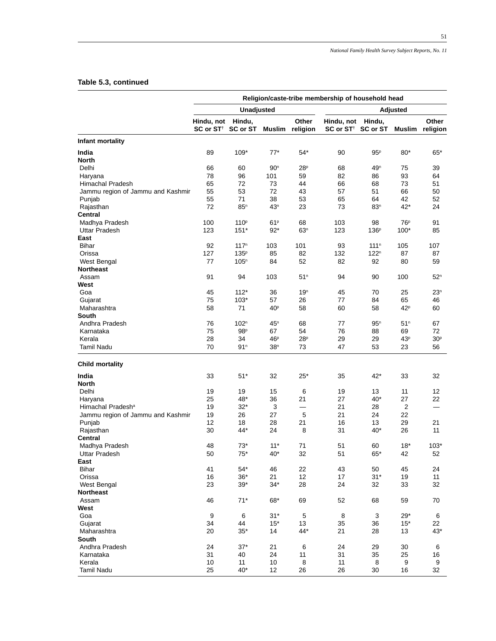51

# **Table 5.3, continued**

|                                   | Religion/caste-tribe membership of household head |                       |                        |                          |                                              |                  |                       |                       |  |
|-----------------------------------|---------------------------------------------------|-----------------------|------------------------|--------------------------|----------------------------------------------|------------------|-----------------------|-----------------------|--|
|                                   |                                                   | Unadjusted            |                        |                          |                                              |                  | Adjusted              |                       |  |
|                                   | Hindu, not<br>SC or ST <sup>+</sup> SC or ST      | Hindu,                | <b>Muslim</b>          | Other<br>religion        | Hindu, not<br>SC or ST <sup>+</sup> SC or ST | Hindu,           | <b>Muslim</b>         | Other<br>religion     |  |
| Infant mortality                  |                                                   |                       |                        |                          |                                              |                  |                       |                       |  |
| India                             | 89                                                | $109*$                | $77*$                  | $54*$                    | 90                                           | 95P              | $80*$                 | $65*$                 |  |
| North                             |                                                   |                       |                        |                          |                                              |                  |                       |                       |  |
| Delhi                             | 66                                                | 60                    | 90 <sup>n</sup>        | 28 <sup>p</sup>          | 68                                           | 49 <sup>n</sup>  | 75                    | 39                    |  |
| Haryana                           | 78                                                | 96                    | 101                    | 59                       | 82                                           | 86               | 93                    | 64                    |  |
| Himachal Pradesh                  | 65                                                | 72                    | 73                     | 44                       | 66                                           | 68               | 73                    | 51                    |  |
| Jammu region of Jammu and Kashmir | 55                                                | 53                    | 72                     | 43                       | 57                                           | 51               | 66                    | 50                    |  |
| Punjab                            | 55                                                | 71                    | 38                     | 53                       | 65                                           | 64               | 42                    | 52                    |  |
| Rajasthan                         | 72                                                | 85 <sup>n</sup>       | 43 <sup>n</sup>        | 23                       | 73                                           | 83 <sup>n</sup>  | $42*$                 | 24                    |  |
| Central                           |                                                   |                       |                        |                          |                                              |                  |                       |                       |  |
| Madhya Pradesh                    | 100                                               | 110 <sup>p</sup>      | 61P                    | 68                       | 103                                          | 98               | 76 <sup>p</sup>       | 91                    |  |
| <b>Uttar Pradesh</b>              | 123                                               | $151*$                | $92*$                  | 63 <sup>n</sup>          | 123                                          | 136 <sup>p</sup> | $100*$                | 85                    |  |
| East                              |                                                   |                       |                        |                          |                                              |                  |                       |                       |  |
| Bihar                             | 92                                                | 117 <sup>n</sup>      | 103                    | 101                      | 93                                           | 111 <sup>n</sup> | 105                   | 107                   |  |
| Orissa                            | 127                                               | 135 <sup>p</sup>      | 85                     | 82                       | 132                                          | $122^n$          | 87                    | 87                    |  |
| West Bengal                       | 77                                                | 105 <sup>n</sup>      | 84                     | 52                       | 82                                           | 92               | 80                    | 59                    |  |
| Northeast                         |                                                   |                       |                        |                          |                                              |                  |                       |                       |  |
| Assam                             | 91                                                | 94                    | 103                    | 51 <sup>n</sup>          | 94                                           | 90               | 100                   | 52 <sup>n</sup>       |  |
| West                              |                                                   |                       |                        |                          |                                              |                  |                       |                       |  |
| Goa                               | 45                                                | $112*$                | 36                     | 19 <sup>n</sup>          | 45                                           | 70               | 25                    | 23 <sup>n</sup>       |  |
| Gujarat                           | 75                                                | 103*                  | 57                     | 26                       | 77                                           | 84               | 65                    | 46                    |  |
| Maharashtra                       | 58                                                | 71                    | 40 <sup>p</sup>        | 58                       | 60                                           | 58               | 42P                   | 60                    |  |
| South                             |                                                   |                       |                        |                          |                                              |                  |                       |                       |  |
| Andhra Pradesh                    | 76                                                | 102 <sup>n</sup>      | 45 <sup>n</sup>        | 68                       | 77                                           | 95 <sup>n</sup>  | 51 <sup>n</sup>       | 67                    |  |
| Karnataka                         | 75                                                | 98 <sup>p</sup>       | 67                     | 54                       | 76                                           | 88               | 69                    | 72                    |  |
| Kerala<br><b>Tamil Nadu</b>       | 28<br>70                                          | 34<br>91 <sup>n</sup> | 46P<br>38 <sup>n</sup> | 28 <sup>p</sup><br>73    | 29<br>47                                     | 29<br>53         | 43 <sup>p</sup><br>23 | 30 <sup>p</sup><br>56 |  |
| <b>Child mortality</b>            |                                                   |                       |                        |                          |                                              |                  |                       |                       |  |
| India                             | 33                                                | $51*$                 | 32                     | $25*$                    | 35                                           | 42*              | 33                    | 32                    |  |
| North                             |                                                   |                       |                        |                          |                                              |                  |                       |                       |  |
| Delhi                             | 19                                                | 19                    | 15                     | 6                        | 19                                           | 13               | 11                    | 12                    |  |
| Haryana                           | 25                                                | 48*                   | 36                     | 21                       | 27                                           | 40*              | 27                    | 22                    |  |
| Himachal Pradesh <sup>a</sup>     | 19                                                | $32*$                 | 3                      | $\overline{\phantom{0}}$ | 21                                           | 28               | 2                     |                       |  |
| Jammu region of Jammu and Kashmir | 19                                                | 26                    | 27                     | 5                        | 21                                           | 24               | 22                    |                       |  |
| Punjab                            | 12                                                | 18                    | 28                     | 21                       | 16                                           | 13               | 29                    | 21                    |  |
| Rajasthan                         | 30                                                | 44*                   | 24                     | 8                        | 31                                           | 40*              | 26                    | 11                    |  |
| Central                           |                                                   |                       |                        |                          |                                              |                  |                       |                       |  |
| Madhya Pradesh                    | 48                                                | $73*$                 | $11*$                  | 71                       | 51                                           | 60               | $18*$                 | $103*$                |  |
| Uttar Pradesh                     | 50                                                | $75^{\ast}$           | $40*$                  | 32                       | 51                                           | $65^{\ast}$      | 42                    | 52                    |  |
| East                              |                                                   |                       |                        |                          |                                              |                  |                       |                       |  |
| <b>Bihar</b>                      | 41                                                | $54*$                 | 46                     | 22                       | 43                                           | 50               | 45                    | 24                    |  |
| Orissa                            | 16                                                | $36*$                 | 21                     | 12                       | 17                                           | $31*$            | 19                    | 11                    |  |
| West Bengal                       | 23                                                | $39*$                 | $34*$                  | 28                       | 24                                           | 32               | 33                    | 32                    |  |
| Northeast                         |                                                   |                       |                        |                          |                                              |                  |                       |                       |  |
| Assam                             | 46                                                | $71*$                 | 68*                    | 69                       | 52                                           | 68               | 59                    | 70                    |  |
| West                              |                                                   |                       |                        |                          |                                              |                  |                       |                       |  |
| Goa                               | 9                                                 | 6                     | $31*$                  | 5                        | 8                                            | 3                | $29*$                 | 6                     |  |
| Gujarat                           | 34                                                | 44                    | $15*$                  | 13                       | 35                                           | 36               | $15*$                 | 22                    |  |
| Maharashtra                       | 20                                                | $35*$                 | 14                     | 44*                      | 21                                           | 28               | 13                    | $43*$                 |  |
| South                             |                                                   |                       |                        |                          |                                              |                  |                       |                       |  |
| Andhra Pradesh                    | 24                                                | $37*$                 | 21                     | 6                        | 24                                           | 29               | 30                    | 6                     |  |
| Karnataka                         | 31                                                | 40                    | 24                     | 11                       | 31                                           | 35               | 25                    | 16                    |  |
| Kerala                            | 10                                                | 11                    | 10                     | 8                        | 11                                           | 8                | 9                     | 9                     |  |
| <b>Tamil Nadu</b>                 | 25                                                | $40*$                 | 12                     | 26                       | 26                                           | 30               | 16                    | 32                    |  |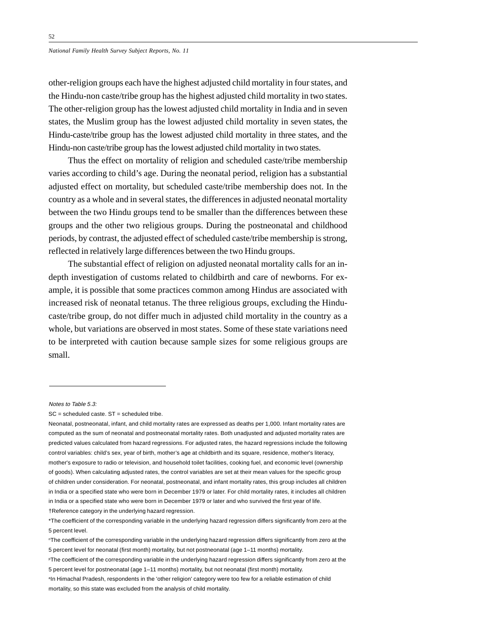other-religion groups each have the highest adjusted child mortality in four states, and the Hindu-non caste/tribe group has the highest adjusted child mortality in two states. The other-religion group has the lowest adjusted child mortality in India and in seven states, the Muslim group has the lowest adjusted child mortality in seven states, the Hindu-caste/tribe group has the lowest adjusted child mortality in three states, and the Hindu-non caste/tribe group has the lowest adjusted child mortality in two states.

Thus the effect on mortality of religion and scheduled caste/tribe membership varies according to child's age. During the neonatal period, religion has a substantial adjusted effect on mortality, but scheduled caste/tribe membership does not. In the country as a whole and in several states, the differences in adjusted neonatal mortality between the two Hindu groups tend to be smaller than the differences between these groups and the other two religious groups. During the postneonatal and childhood periods, by contrast, the adjusted effect of scheduled caste/tribe membership is strong, reflected in relatively large differences between the two Hindu groups.

The substantial effect of religion on adjusted neonatal mortality calls for an indepth investigation of customs related to childbirth and care of newborns. For example, it is possible that some practices common among Hindus are associated with increased risk of neonatal tetanus. The three religious groups, excluding the Hinducaste/tribe group, do not differ much in adjusted child mortality in the country as a whole, but variations are observed in most states. Some of these state variations need to be interpreted with caution because sample sizes for some religious groups are small.

†Reference category in the underlying hazard regression.

Notes to Table 5.3:

SC = scheduled caste. ST = scheduled tribe.

Neonatal, postneonatal, infant, and child mortality rates are expressed as deaths per 1,000. Infant mortality rates are computed as the sum of neonatal and postneonatal mortality rates. Both unadjusted and adjusted mortality rates are predicted values calculated from hazard regressions. For adjusted rates, the hazard regressions include the following control variables: child's sex, year of birth, mother's age at childbirth and its square, residence, mother's literacy, mother's exposure to radio or television, and household toilet facilities, cooking fuel, and economic level (ownership of goods). When calculating adjusted rates, the control variables are set at their mean values for the specific group of children under consideration. For neonatal, postneonatal, and infant mortality rates, this group includes all children in India or a specified state who were born in December 1979 or later. For child mortality rates, it includes all children in India or a specified state who were born in December 1979 or later and who survived the first year of life.

<sup>\*</sup>The coefficient of the corresponding variable in the underlying hazard regression differs significantly from zero at the 5 percent level.

nThe coefficient of the corresponding variable in the underlying hazard regression differs significantly from zero at the 5 percent level for neonatal (first month) mortality, but not postneonatal (age 1–11 months) mortality.

PThe coefficient of the corresponding variable in the underlying hazard regression differs significantly from zero at the 5 percent level for postneonatal (age 1–11 months) mortality, but not neonatal (first month) mortality.

aIn Himachal Pradesh, respondents in the 'other religion' category were too few for a reliable estimation of child mortality, so this state was excluded from the analysis of child mortality.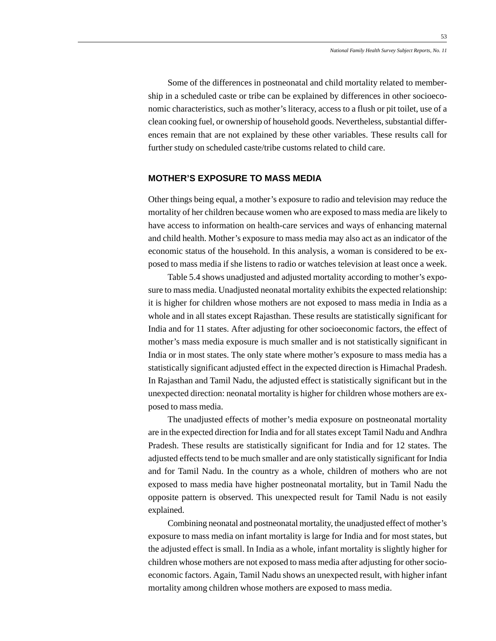Some of the differences in postneonatal and child mortality related to membership in a scheduled caste or tribe can be explained by differences in other socioeconomic characteristics, such as mother's literacy, access to a flush or pit toilet, use of a clean cooking fuel, or ownership of household goods. Nevertheless, substantial differences remain that are not explained by these other variables. These results call for further study on scheduled caste/tribe customs related to child care.

# **MOTHER'S EXPOSURE TO MASS MEDIA**

Other things being equal, a mother's exposure to radio and television may reduce the mortality of her children because women who are exposed to mass media are likely to have access to information on health-care services and ways of enhancing maternal and child health. Mother's exposure to mass media may also act as an indicator of the economic status of the household. In this analysis, a woman is considered to be exposed to mass media if she listens to radio or watches television at least once a week.

Table 5.4 shows unadjusted and adjusted mortality according to mother's exposure to mass media. Unadjusted neonatal mortality exhibits the expected relationship: it is higher for children whose mothers are not exposed to mass media in India as a whole and in all states except Rajasthan. These results are statistically significant for India and for 11 states. After adjusting for other socioeconomic factors, the effect of mother's mass media exposure is much smaller and is not statistically significant in India or in most states. The only state where mother's exposure to mass media has a statistically significant adjusted effect in the expected direction is Himachal Pradesh. In Rajasthan and Tamil Nadu, the adjusted effect is statistically significant but in the unexpected direction: neonatal mortality is higher for children whose mothers are exposed to mass media.

The unadjusted effects of mother's media exposure on postneonatal mortality are in the expected direction for India and for all states except Tamil Nadu and Andhra Pradesh. These results are statistically significant for India and for 12 states. The adjusted effects tend to be much smaller and are only statistically significant for India and for Tamil Nadu. In the country as a whole, children of mothers who are not exposed to mass media have higher postneonatal mortality, but in Tamil Nadu the opposite pattern is observed. This unexpected result for Tamil Nadu is not easily explained.

Combining neonatal and postneonatal mortality, the unadjusted effect of mother's exposure to mass media on infant mortality is large for India and for most states, but the adjusted effect is small. In India as a whole, infant mortality is slightly higher for children whose mothers are not exposed to mass media after adjusting for other socioeconomic factors. Again, Tamil Nadu shows an unexpected result, with higher infant mortality among children whose mothers are exposed to mass media.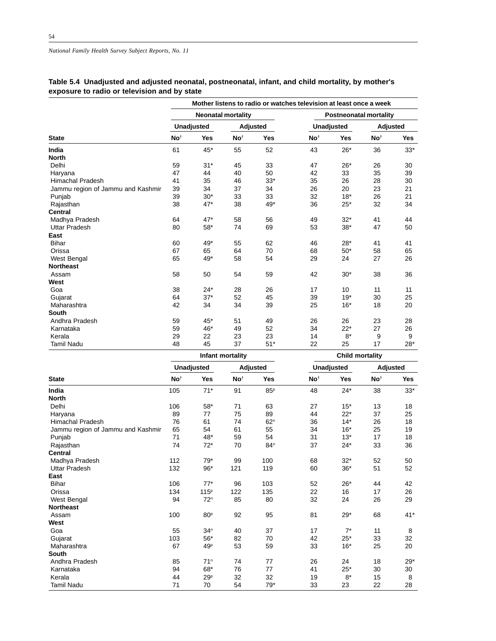|  | Table 5.4 Unadjusted and adjusted neonatal, postneonatal, infant, and child mortality, by mother's |  |  |
|--|----------------------------------------------------------------------------------------------------|--|--|
|  | exposure to radio or television and by state                                                       |  |  |

|                                   | Mother listens to radio or watches television at least once a week |                   |                           |            |                               |                        |                 |            |  |  |
|-----------------------------------|--------------------------------------------------------------------|-------------------|---------------------------|------------|-------------------------------|------------------------|-----------------|------------|--|--|
|                                   |                                                                    |                   | <b>Neonatal mortality</b> |            | <b>Postneonatal mortality</b> |                        |                 |            |  |  |
|                                   |                                                                    | <b>Unadjusted</b> |                           | Adjusted   | <b>Unadjusted</b>             |                        | Adjusted        |            |  |  |
| <b>State</b>                      | No <sup>t</sup>                                                    | Yes               | No <sup>t</sup>           | <b>Yes</b> | No <sup>t</sup>               | <b>Yes</b>             | No <sup>t</sup> | <b>Yes</b> |  |  |
| India                             | 61                                                                 | 45*               | 55                        | 52         | 43                            | $26*$                  | 36              | $33*$      |  |  |
| <b>North</b>                      |                                                                    |                   |                           |            |                               |                        |                 |            |  |  |
| Delhi                             | 59                                                                 | $31*$             | 45                        | 33         | 47                            | $26*$                  | 26              | 30         |  |  |
| Haryana                           | 47                                                                 | 44                | 40                        | 50         | 42                            | 33                     | 35              | 39         |  |  |
| <b>Himachal Pradesh</b>           | 41                                                                 | 35                | 46                        | $33*$      | 35                            | 26                     | 28              | 30         |  |  |
| Jammu region of Jammu and Kashmir | 39                                                                 | 34                | 37                        | 34         | 26                            | 20                     | 23              | 21         |  |  |
| Punjab                            | 39                                                                 | $30*$             | 33                        | 33         | 32                            | $18*$                  | 26              | 21         |  |  |
| Rajasthan                         | 38                                                                 | $47*$             | 38                        | 49*        | 36                            | $25*$                  | 32              | 34         |  |  |
| <b>Central</b>                    |                                                                    |                   |                           |            |                               |                        |                 |            |  |  |
| Madhya Pradesh                    | 64                                                                 | $47*$             | 58                        | 56         | 49                            | $32*$                  | 41              | 44         |  |  |
| <b>Uttar Pradesh</b>              | 80                                                                 | 58*               | 74                        | 69         | 53                            | $38*$                  | 47              | 50         |  |  |
| East                              |                                                                    |                   |                           |            |                               |                        |                 |            |  |  |
| <b>Bihar</b>                      | 60                                                                 | 49*               | 55                        | 62         | 46                            | $28*$                  | 41              | 41         |  |  |
| Orissa                            | 67                                                                 | 65                | 64                        | 70         | 68                            | $50*$                  | 58              | 65         |  |  |
| West Bengal                       | 65                                                                 | 49*               | 58                        | 54         | 29                            | 24                     | 27              | 26         |  |  |
| <b>Northeast</b>                  |                                                                    |                   |                           |            |                               |                        |                 |            |  |  |
| Assam                             | 58                                                                 | 50                | 54                        | 59         | 42                            | $30*$                  | 38              | 36         |  |  |
| West                              |                                                                    |                   |                           |            |                               |                        |                 |            |  |  |
| Goa                               | 38                                                                 | $24*$             | 28                        | 26         | 17                            | 10                     | 11              | 11         |  |  |
| Gujarat                           | 64                                                                 | $37*$             | 52                        | 45         | 39                            | $19*$                  | 30              | 25         |  |  |
| Maharashtra                       | 42                                                                 | 34                | 34                        | 39         | 25                            | $16*$                  | 18              | 20         |  |  |
| <b>South</b>                      |                                                                    |                   |                           |            |                               |                        |                 |            |  |  |
| Andhra Pradesh                    | 59                                                                 | 45*               | 51                        | 49         | 26                            | 26                     | 23              | 28         |  |  |
| Karnataka                         | 59                                                                 | 46*               | 49                        | 52         | 34                            | $22*$                  | 27              | 26         |  |  |
| Kerala                            | 29                                                                 | 22                | 23                        | 23         | 14                            | $8*$                   | 9               | 9          |  |  |
| <b>Tamil Nadu</b>                 | 48                                                                 | 45                | 37                        | $51*$      | 22                            | 25                     | 17              | $28*$      |  |  |
|                                   |                                                                    |                   | Infant mortality          |            |                               | <b>Child mortality</b> |                 |            |  |  |

|                 |                 |                                                                |                           | עווווע וווטו נעוונ |                                  |                                              |                      |
|-----------------|-----------------|----------------------------------------------------------------|---------------------------|--------------------|----------------------------------|----------------------------------------------|----------------------|
|                 |                 |                                                                |                           |                    |                                  | Adjusted                                     |                      |
| No <sup>t</sup> | Yes             | No <sup>t</sup>                                                | Yes                       | No <sup>t</sup>    | Yes                              | No <sup>t</sup>                              | <b>Yes</b>           |
| 105             | $71*$           | 91                                                             | 85 <sup>p</sup>           | 48                 | $24*$                            | 38                                           | $33*$                |
|                 |                 |                                                                |                           |                    |                                  |                                              |                      |
| 106             | 58*             | 71                                                             | 63                        | 27                 | $15*$                            | 13                                           | 18                   |
| 89              | 77              | 75                                                             | 89                        | 44                 | $22*$                            | 37                                           | 25                   |
| 76              | 61              | 74                                                             | 62 <sup>n</sup>           | 36                 | $14*$                            | 26                                           | 18                   |
| 65              | 54              | 61                                                             | 55                        | 34                 | $16*$                            | 25                                           | 19                   |
| 71              | 48*             | 59                                                             | 54                        | 31                 | $13*$                            | 17                                           | 18                   |
| 74              |                 | 70                                                             | 84 <sup>n</sup>           | 37                 | $24*$                            | 33                                           | 36                   |
|                 |                 |                                                                |                           |                    |                                  |                                              |                      |
| 112             | $79*$           | 99                                                             | 100                       | 68                 | $32*$                            | 52                                           | 50                   |
| 132             |                 | 121                                                            | 119                       |                    |                                  | 51                                           | 52                   |
|                 |                 |                                                                |                           |                    |                                  |                                              |                      |
| 106             | $77*$           | 96                                                             | 103                       |                    | $26*$                            | 44                                           | 42                   |
|                 |                 | 122                                                            |                           |                    | 16                               | 17                                           | 26                   |
| 94              | 72 <sup>n</sup> |                                                                | 80                        |                    | 24                               | 26                                           | 29                   |
|                 |                 |                                                                |                           |                    |                                  |                                              |                      |
| 100             | 80 <sup>p</sup> | 92                                                             | 95                        | 81                 | $29*$                            |                                              | $41*$                |
|                 |                 |                                                                |                           |                    |                                  |                                              |                      |
| 55              | 34 <sup>n</sup> | 40                                                             | 37                        | 17                 | $7^*$                            | 11                                           | 8                    |
|                 | $56*$           |                                                                | 70                        |                    |                                  |                                              | 32                   |
| 67              | 49 <sup>p</sup> | 53                                                             | 59                        | 33                 | $16*$                            | 25                                           | 20                   |
|                 |                 |                                                                |                           |                    |                                  |                                              |                      |
| 85              | 71 <sup>n</sup> | 74                                                             | 77                        |                    | 24                               |                                              | $29*$                |
| 94              |                 | 76                                                             | 77                        | 41                 |                                  |                                              | 30                   |
| 44              | 29 <sup>p</sup> | 32                                                             | 32                        | 19                 | $8*$                             | 15                                           | 8                    |
| 71              | 70              | 54                                                             | 79*                       | 33                 | 23                               | 22                                           | 28                   |
|                 | 134<br>103      | <b>Unadjusted</b><br>$72*$<br>$96*$<br>115 <sup>p</sup><br>68* | mant mortanty<br>85<br>82 | Adjusted<br>135    | 60<br>52<br>22<br>32<br>42<br>26 | <b>Unadjusted</b><br>$36*$<br>$25*$<br>$25*$ | 68<br>33<br>18<br>30 |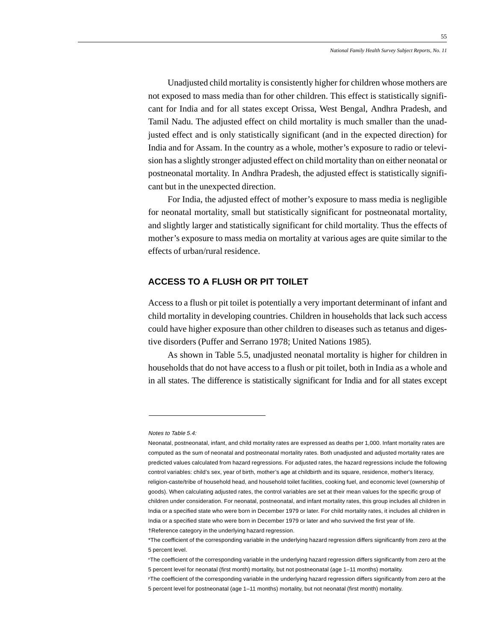Unadjusted child mortality is consistently higher for children whose mothers are not exposed to mass media than for other children. This effect is statistically significant for India and for all states except Orissa, West Bengal, Andhra Pradesh, and Tamil Nadu. The adjusted effect on child mortality is much smaller than the unadjusted effect and is only statistically significant (and in the expected direction) for India and for Assam. In the country as a whole, mother's exposure to radio or television has a slightly stronger adjusted effect on child mortality than on either neonatal or postneonatal mortality. In Andhra Pradesh, the adjusted effect is statistically significant but in the unexpected direction.

For India, the adjusted effect of mother's exposure to mass media is negligible for neonatal mortality, small but statistically significant for postneonatal mortality, and slightly larger and statistically significant for child mortality. Thus the effects of mother's exposure to mass media on mortality at various ages are quite similar to the effects of urban/rural residence.

# **ACCESS TO A FLUSH OR PIT TOILET**

Access to a flush or pit toilet is potentially a very important determinant of infant and child mortality in developing countries. Children in households that lack such access could have higher exposure than other children to diseases such as tetanus and digestive disorders (Puffer and Serrano 1978; United Nations 1985).

As shown in Table 5.5, unadjusted neonatal mortality is higher for children in households that do not have access to a flush or pit toilet, both in India as a whole and in all states. The difference is statistically significant for India and for all states except

Notes to Table 5.4:

Neonatal, postneonatal, infant, and child mortality rates are expressed as deaths per 1,000. Infant mortality rates are computed as the sum of neonatal and postneonatal mortality rates. Both unadjusted and adjusted mortality rates are predicted values calculated from hazard regressions. For adjusted rates, the hazard regressions include the following control variables: child's sex, year of birth, mother's age at childbirth and its square, residence, mother's literacy, religion-caste/tribe of household head, and household toilet facilities, cooking fuel, and economic level (ownership of goods). When calculating adjusted rates, the control variables are set at their mean values for the specific group of children under consideration. For neonatal, postneonatal, and infant mortality rates, this group includes all children in India or a specified state who were born in December 1979 or later. For child mortality rates, it includes all children in India or a specified state who were born in December 1979 or later and who survived the first year of life. †Reference category in the underlying hazard regression.

<sup>\*</sup>The coefficient of the corresponding variable in the underlying hazard regression differs significantly from zero at the 5 percent level.

nThe coefficient of the corresponding variable in the underlying hazard regression differs significantly from zero at the 5 percent level for neonatal (first month) mortality, but not postneonatal (age 1–11 months) mortality.

PThe coefficient of the corresponding variable in the underlying hazard regression differs significantly from zero at the 5 percent level for postneonatal (age 1–11 months) mortality, but not neonatal (first month) mortality.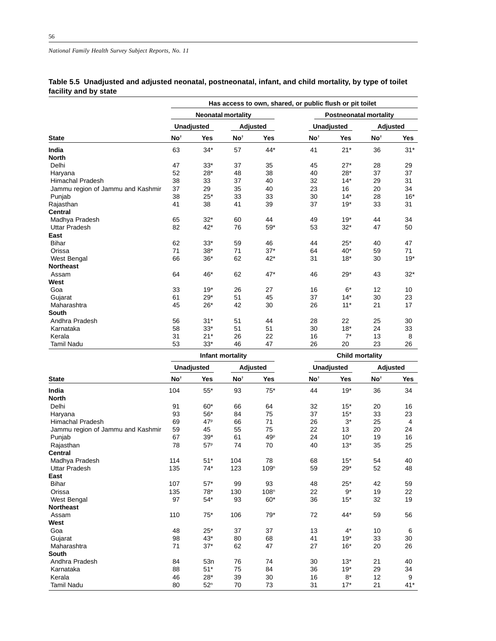# **Table 5.5 Unadjusted and adjusted neonatal, postneonatal, infant, and child mortality, by type of toilet facility and by state**

|                                   | Has access to own, shared, or public flush or pit toilet |                   |                           |            |                        |                               |                 |            |  |  |
|-----------------------------------|----------------------------------------------------------|-------------------|---------------------------|------------|------------------------|-------------------------------|-----------------|------------|--|--|
|                                   |                                                          |                   | <b>Neonatal mortality</b> |            |                        | <b>Postneonatal mortality</b> |                 |            |  |  |
|                                   |                                                          | <b>Unadjusted</b> |                           | Adjusted   |                        | <b>Unadjusted</b>             |                 | Adjusted   |  |  |
| <b>State</b>                      | No <sup>t</sup>                                          | <b>Yes</b>        | No <sup>t</sup>           | <b>Yes</b> | No <sup>t</sup>        | <b>Yes</b>                    | No <sup>t</sup> | <b>Yes</b> |  |  |
| India                             | 63                                                       | $34*$             | 57                        | $44*$      | 41                     | $21*$                         | 36              | $31*$      |  |  |
| <b>North</b>                      |                                                          |                   |                           |            |                        |                               |                 |            |  |  |
| Delhi                             | 47                                                       | $33*$             | 37                        | 35         | 45                     | $27*$                         | 28              | 29         |  |  |
| Haryana                           | 52                                                       | $28*$             | 48                        | 38         | 40                     | $28*$                         | 37              | 37         |  |  |
| Himachal Pradesh                  | 38                                                       | 33                | 37                        | 40         | 32                     | $14*$                         | 29              | 31         |  |  |
| Jammu region of Jammu and Kashmir | 37                                                       | 29                | 35                        | 40         | 23                     | 16                            | 20              | 34         |  |  |
| Punjab                            | 38                                                       | $25*$             | 33                        | 33         | 30                     | $14*$                         | 28              | $16*$      |  |  |
| Rajasthan                         | 41                                                       | 38                | 41                        | 39         | 37                     | $19*$                         | 33              | 31         |  |  |
| <b>Central</b>                    |                                                          |                   |                           |            |                        |                               |                 |            |  |  |
| Madhya Pradesh                    | 65                                                       | $32*$             | 60                        | 44         | 49                     | $19*$                         | 44              | 34         |  |  |
| <b>Uttar Pradesh</b>              | 82                                                       | $42*$             | 76                        | $59*$      | 53                     | $32*$                         | 47              | 50         |  |  |
| East                              |                                                          |                   |                           |            |                        |                               |                 |            |  |  |
| <b>Bihar</b>                      | 62                                                       | $33*$             | 59                        | 46         | 44                     | $25*$                         | 40              | 47         |  |  |
| Orissa                            | 71                                                       | $38*$             | 71                        | $37*$      | 64                     | $40*$                         | 59              | 71         |  |  |
| West Bengal                       | 66                                                       | $36*$             | 62                        | $42*$      | 31                     | $18*$                         | 30              | $19*$      |  |  |
| <b>Northeast</b>                  |                                                          |                   |                           |            |                        |                               |                 |            |  |  |
| Assam                             | 64                                                       | 46*               | 62                        | $47*$      | 46                     | $29*$                         | 43              | $32*$      |  |  |
| West                              |                                                          |                   |                           |            |                        |                               |                 |            |  |  |
| Goa                               | 33                                                       | $19*$             | 26                        | 27         | 16                     | $6*$                          | 12              | 10         |  |  |
| Gujarat                           | 61                                                       | $29*$             | 51                        | 45         | 37                     | $14*$                         | 30              | 23         |  |  |
| Maharashtra                       | 45                                                       | $26*$             | 42                        | 30         | 26                     | $11*$                         | 21              | 17         |  |  |
| <b>South</b>                      |                                                          |                   |                           |            |                        |                               |                 |            |  |  |
| Andhra Pradesh                    | 56                                                       | $31*$             | 51                        | 44         | 28                     | 22                            | 25              | 30         |  |  |
| Karnataka                         | 58                                                       | $33*$             | 51                        | 51         | 30                     | $18*$                         | 24              | 33         |  |  |
| Kerala                            | 31                                                       | $21*$             | 26                        | 22         | 16                     | $7^*$                         | 13              | 8          |  |  |
| <b>Tamil Nadu</b>                 | 53                                                       | $33*$             | 46                        | 47         | 26                     | 20                            | 23              | 26         |  |  |
|                                   |                                                          |                   | Infant mortality          |            | <b>Child mortality</b> |                               |                 |            |  |  |

|                                   | <b>Unadjusted</b> |                 |                 | Adjusted         | <b>Unadjusted</b> |       | Adjusted        |            |  |  |
|-----------------------------------|-------------------|-----------------|-----------------|------------------|-------------------|-------|-----------------|------------|--|--|
| <b>State</b>                      | No <sup>t</sup>   | Yes             | No <sup>t</sup> | Yes              | No <sup>t</sup>   | Yes   | No <sup>t</sup> | <b>Yes</b> |  |  |
| India                             | 104               | $55*$           | 93              | $75*$            | 44                | $19*$ | 36              | 34         |  |  |
| <b>North</b>                      |                   |                 |                 |                  |                   |       |                 |            |  |  |
| Delhi                             | 91                | $60*$           | 66              | 64               | 32                | $15*$ | 20              | 16         |  |  |
| Haryana                           | 93                | $56*$           | 84              | 75               | 37                | $15*$ | 33              | 23         |  |  |
| <b>Himachal Pradesh</b>           | 69                | 47 <sup>p</sup> | 66              | 71               | 26                | $3^*$ | 25              | 4          |  |  |
| Jammu region of Jammu and Kashmir | 59                | 45              | 55              | 75               | 22                | 13    | 20              | 24         |  |  |
| Punjab                            | 67                | $39*$           | 61              | 49 <sup>p</sup>  | 24                | $10*$ | 19              | 16         |  |  |
| Rajasthan                         | 78                | 57 <sup>p</sup> | 74              | 70               | 40                | $13*$ | 35              | 25         |  |  |
| <b>Central</b>                    |                   |                 |                 |                  |                   |       |                 |            |  |  |
| Madhya Pradesh                    | 114               | $51*$           | 104             | 78               | 68                | $15*$ | 54              | 40         |  |  |
| <b>Uttar Pradesh</b>              | 135               | $74*$           | 123             | 109 <sup>n</sup> | 59                | $29*$ | 52              | 48         |  |  |
| East                              |                   |                 |                 |                  |                   |       |                 |            |  |  |
| <b>Bihar</b>                      | 107               | $57*$           | 99              | 93               | 48                | $25*$ | 42              | 59         |  |  |
| Orissa                            | 135               | $78*$           | 130             | 108 <sup>n</sup> | 22                | $9*$  | 19              | 22         |  |  |
| West Bengal                       | 97                | $54*$           | 93              | $60*$            | 36                | $15*$ | 32              | 19         |  |  |
| <b>Northeast</b>                  |                   |                 |                 |                  |                   |       |                 |            |  |  |
| Assam                             | 110               | $75*$           | 106             | $79*$            | 72                | 44*   | 59              | 56         |  |  |
| West                              |                   |                 |                 |                  |                   |       |                 |            |  |  |
| Goa                               | 48                | $25*$           | 37              | 37               | 13                | $4^*$ | 10              | 6          |  |  |
| Gujarat                           | 98                | $43*$           | 80              | 68               | 41                | $19*$ | 33              | 30         |  |  |
| Maharashtra                       | 71                | $37*$           | 62              | 47               | 27                | $16*$ | 20              | 26         |  |  |
| South                             |                   |                 |                 |                  |                   |       |                 |            |  |  |
| Andhra Pradesh                    | 84                | 53n             | 76              | 74               | 30                | $13*$ | 21              | 40         |  |  |
| Karnataka                         | 88                | $51*$           | 75              | 84               | 36                | $19*$ | 29              | 34         |  |  |
| Kerala                            | 46                | $28*$           | 39              | 30               | 16                | $8*$  | 12              | 9          |  |  |
| <b>Tamil Nadu</b>                 | 80                | 52 <sup>n</sup> | 70              | 73               | 31                | $17*$ | 21              | $41*$      |  |  |
|                                   |                   |                 |                 |                  |                   |       |                 |            |  |  |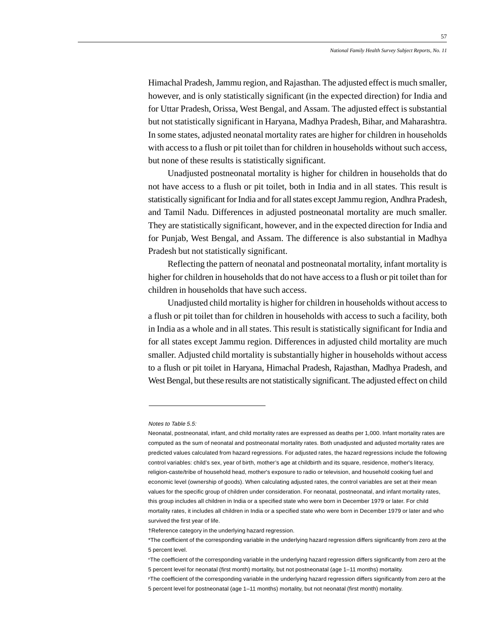Himachal Pradesh, Jammu region, and Rajasthan. The adjusted effect is much smaller, however, and is only statistically significant (in the expected direction) for India and for Uttar Pradesh, Orissa, West Bengal, and Assam. The adjusted effect is substantial but not statistically significant in Haryana, Madhya Pradesh, Bihar, and Maharashtra. In some states, adjusted neonatal mortality rates are higher for children in households with access to a flush or pit toilet than for children in households without such access, but none of these results is statistically significant.

Unadjusted postneonatal mortality is higher for children in households that do not have access to a flush or pit toilet, both in India and in all states. This result is statistically significant for India and for all states except Jammu region, Andhra Pradesh, and Tamil Nadu. Differences in adjusted postneonatal mortality are much smaller. They are statistically significant, however, and in the expected direction for India and for Punjab, West Bengal, and Assam. The difference is also substantial in Madhya Pradesh but not statistically significant.

Reflecting the pattern of neonatal and postneonatal mortality, infant mortality is higher for children in households that do not have access to a flush or pit toilet than for children in households that have such access.

Unadjusted child mortality is higher for children in households without access to a flush or pit toilet than for children in households with access to such a facility, both in India as a whole and in all states. This result is statistically significant for India and for all states except Jammu region. Differences in adjusted child mortality are much smaller. Adjusted child mortality is substantially higher in households without access to a flush or pit toilet in Haryana, Himachal Pradesh, Rajasthan, Madhya Pradesh, and West Bengal, but these results are not statistically significant. The adjusted effect on child

#### Notes to Table 5.5:

Neonatal, postneonatal, infant, and child mortality rates are expressed as deaths per 1,000. Infant mortality rates are computed as the sum of neonatal and postneonatal mortality rates. Both unadjusted and adjusted mortality rates are predicted values calculated from hazard regressions. For adjusted rates, the hazard regressions include the following control variables: child's sex, year of birth, mother's age at childbirth and its square, residence, mother's literacy, religion-caste/tribe of household head, mother's exposure to radio or television, and household cooking fuel and economic level (ownership of goods). When calculating adjusted rates, the control variables are set at their mean values for the specific group of children under consideration. For neonatal, postneonatal, and infant mortality rates, this group includes all children in India or a specified state who were born in December 1979 or later. For child mortality rates, it includes all children in India or a specified state who were born in December 1979 or later and who survived the first year of life.

<sup>†</sup>Reference category in the underlying hazard regression.

<sup>\*</sup>The coefficient of the corresponding variable in the underlying hazard regression differs significantly from zero at the 5 percent level.

nThe coefficient of the corresponding variable in the underlying hazard regression differs significantly from zero at the 5 percent level for neonatal (first month) mortality, but not postneonatal (age 1–11 months) mortality.

PThe coefficient of the corresponding variable in the underlying hazard regression differs significantly from zero at the 5 percent level for postneonatal (age 1–11 months) mortality, but not neonatal (first month) mortality.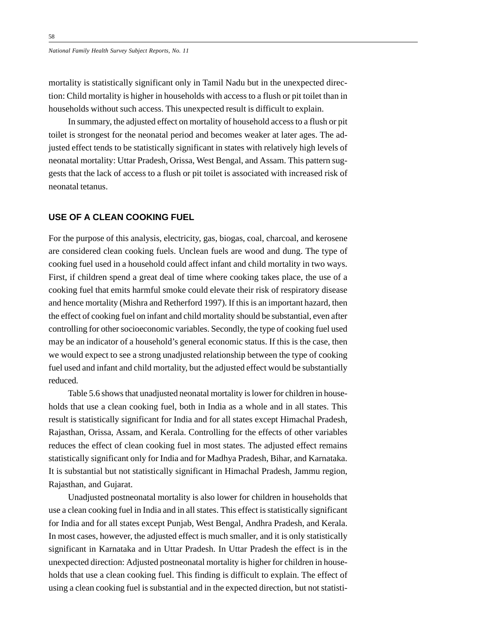mortality is statistically significant only in Tamil Nadu but in the unexpected direction: Child mortality is higher in households with access to a flush or pit toilet than in households without such access. This unexpected result is difficult to explain.

In summary, the adjusted effect on mortality of household access to a flush or pit toilet is strongest for the neonatal period and becomes weaker at later ages. The adjusted effect tends to be statistically significant in states with relatively high levels of neonatal mortality: Uttar Pradesh, Orissa, West Bengal, and Assam. This pattern suggests that the lack of access to a flush or pit toilet is associated with increased risk of neonatal tetanus.

#### **USE OF A CLEAN COOKING FUEL**

For the purpose of this analysis, electricity, gas, biogas, coal, charcoal, and kerosene are considered clean cooking fuels. Unclean fuels are wood and dung. The type of cooking fuel used in a household could affect infant and child mortality in two ways. First, if children spend a great deal of time where cooking takes place, the use of a cooking fuel that emits harmful smoke could elevate their risk of respiratory disease and hence mortality (Mishra and Retherford 1997). If this is an important hazard, then the effect of cooking fuel on infant and child mortality should be substantial, even after controlling for other socioeconomic variables. Secondly, the type of cooking fuel used may be an indicator of a household's general economic status. If this is the case, then we would expect to see a strong unadjusted relationship between the type of cooking fuel used and infant and child mortality, but the adjusted effect would be substantially reduced.

Table 5.6 shows that unadjusted neonatal mortality is lower for children in households that use a clean cooking fuel, both in India as a whole and in all states. This result is statistically significant for India and for all states except Himachal Pradesh, Rajasthan, Orissa, Assam, and Kerala. Controlling for the effects of other variables reduces the effect of clean cooking fuel in most states. The adjusted effect remains statistically significant only for India and for Madhya Pradesh, Bihar, and Karnataka. It is substantial but not statistically significant in Himachal Pradesh, Jammu region, Rajasthan, and Gujarat.

Unadjusted postneonatal mortality is also lower for children in households that use a clean cooking fuel in India and in all states. This effect is statistically significant for India and for all states except Punjab, West Bengal, Andhra Pradesh, and Kerala. In most cases, however, the adjusted effect is much smaller, and it is only statistically significant in Karnataka and in Uttar Pradesh. In Uttar Pradesh the effect is in the unexpected direction: Adjusted postneonatal mortality is higher for children in households that use a clean cooking fuel. This finding is difficult to explain. The effect of using a clean cooking fuel is substantial and in the expected direction, but not statisti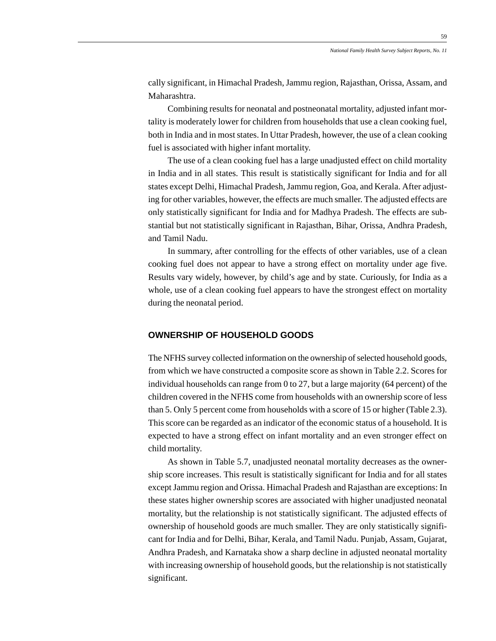cally significant, in Himachal Pradesh, Jammu region, Rajasthan, Orissa, Assam, and Maharashtra.

Combining results for neonatal and postneonatal mortality, adjusted infant mortality is moderately lower for children from households that use a clean cooking fuel, both in India and in most states. In Uttar Pradesh, however, the use of a clean cooking fuel is associated with higher infant mortality.

The use of a clean cooking fuel has a large unadjusted effect on child mortality in India and in all states. This result is statistically significant for India and for all states except Delhi, Himachal Pradesh, Jammu region, Goa, and Kerala. After adjusting for other variables, however, the effects are much smaller. The adjusted effects are only statistically significant for India and for Madhya Pradesh. The effects are substantial but not statistically significant in Rajasthan, Bihar, Orissa, Andhra Pradesh, and Tamil Nadu.

In summary, after controlling for the effects of other variables, use of a clean cooking fuel does not appear to have a strong effect on mortality under age five. Results vary widely, however, by child's age and by state. Curiously, for India as a whole, use of a clean cooking fuel appears to have the strongest effect on mortality during the neonatal period.

## **OWNERSHIP OF HOUSEHOLD GOODS**

The NFHS survey collected information on the ownership of selected household goods, from which we have constructed a composite score as shown in Table 2.2. Scores for individual households can range from 0 to 27, but a large majority (64 percent) of the children covered in the NFHS come from households with an ownership score of less than 5. Only 5 percent come from households with a score of 15 or higher (Table 2.3). This score can be regarded as an indicator of the economic status of a household. It is expected to have a strong effect on infant mortality and an even stronger effect on child mortality.

As shown in Table 5.7, unadjusted neonatal mortality decreases as the ownership score increases. This result is statistically significant for India and for all states except Jammu region and Orissa. Himachal Pradesh and Rajasthan are exceptions: In these states higher ownership scores are associated with higher unadjusted neonatal mortality, but the relationship is not statistically significant. The adjusted effects of ownership of household goods are much smaller. They are only statistically significant for India and for Delhi, Bihar, Kerala, and Tamil Nadu. Punjab, Assam, Gujarat, Andhra Pradesh, and Karnataka show a sharp decline in adjusted neonatal mortality with increasing ownership of household goods, but the relationship is not statistically significant.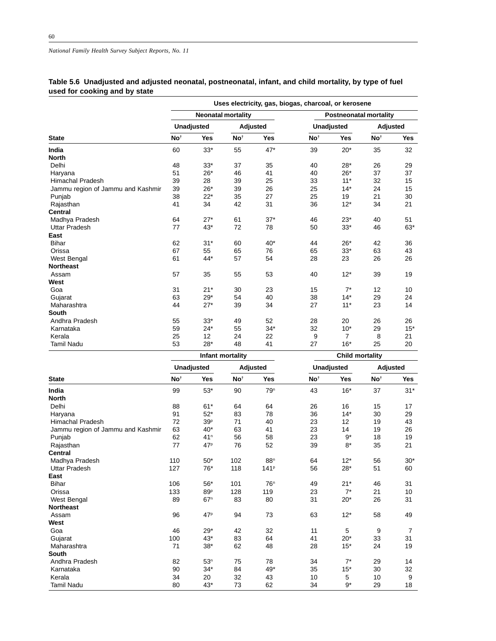# **Table 5.6 Unadjusted and adjusted neonatal, postneonatal, infant, and child mortality, by type of fuel used for cooking and by state**

|                                   | Uses electricity, gas, biogas, charcoal, or kerosene |                   |                           |            |                 |                               |                 |            |  |  |  |
|-----------------------------------|------------------------------------------------------|-------------------|---------------------------|------------|-----------------|-------------------------------|-----------------|------------|--|--|--|
|                                   |                                                      |                   | <b>Neonatal mortality</b> |            |                 | <b>Postneonatal mortality</b> |                 |            |  |  |  |
|                                   |                                                      | <b>Unadjusted</b> |                           | Adjusted   |                 | <b>Unadjusted</b>             | Adjusted        |            |  |  |  |
| <b>State</b>                      | No <sup>t</sup>                                      | <b>Yes</b>        | No <sup>t</sup>           | <b>Yes</b> | No <sup>t</sup> | <b>Yes</b>                    | No <sup>t</sup> | <b>Yes</b> |  |  |  |
| India                             | 60                                                   | $33*$             | 55                        | $47*$      | 39              | $20*$                         | 35              | 32         |  |  |  |
| <b>North</b>                      |                                                      |                   |                           |            |                 |                               |                 |            |  |  |  |
| Delhi                             | 48                                                   | $33*$             | 37                        | 35         | 40              | $28*$                         | 26              | 29         |  |  |  |
| Haryana                           | 51                                                   | $26*$             | 46                        | 41         | 40              | $26*$                         | 37              | 37         |  |  |  |
| <b>Himachal Pradesh</b>           | 39                                                   | 28                | 39                        | 25         | 33              | $11*$                         | 32              | 15         |  |  |  |
| Jammu region of Jammu and Kashmir | 39                                                   | 26*               | 39                        | 26         | 25              | $14*$                         | 24              | 15         |  |  |  |
| Punjab                            | 38                                                   | $22*$             | 35                        | 27         | 25              | 19                            | 21              | 30         |  |  |  |
| Rajasthan                         | 41                                                   | 34                |                           | 31         | 36              | $12*$                         | 34              | 21         |  |  |  |
| <b>Central</b>                    |                                                      |                   |                           |            |                 |                               |                 |            |  |  |  |
| Madhya Pradesh                    | 64                                                   | $27*$             | 61                        | $37*$      | 46              | $23*$                         | 40              | 51         |  |  |  |
| <b>Uttar Pradesh</b>              | 77                                                   | 43*               | 72                        | 78         | 50              | $33*$                         | 46              | 63*        |  |  |  |
| East                              |                                                      |                   |                           |            |                 |                               |                 |            |  |  |  |
| <b>Bihar</b>                      | 62                                                   | $31*$             | 60                        | $40*$      | 44              | $26*$                         | 42              | 36         |  |  |  |
| Orissa                            | 67                                                   | 55                | 65                        | 76         | 65              | $33*$                         | 63              | 43         |  |  |  |
| West Bengal                       | 61                                                   | 44*               | 57                        | 54         | 28              | 23                            | 26              | 26         |  |  |  |
| <b>Northeast</b>                  |                                                      |                   |                           |            |                 |                               |                 |            |  |  |  |
| Assam                             | 57                                                   | 35                | 55                        | 53         | 40              | $12*$                         | 39              | 19         |  |  |  |
| West                              |                                                      |                   |                           |            |                 |                               |                 |            |  |  |  |
| Goa                               | 31                                                   | $21*$             | 30                        | 23         | 15              | $7^*$                         | 12              | 10         |  |  |  |
| Gujarat                           | 63                                                   | $29*$             | 54                        | 40         | 38              | $14*$                         | 29              | 24         |  |  |  |
| Maharashtra                       | 44                                                   | $27*$             | 39                        | 34         | 27              | $11*$                         | 23              | 14         |  |  |  |
| <b>South</b>                      |                                                      |                   |                           |            |                 |                               |                 |            |  |  |  |
| Andhra Pradesh                    | 55                                                   | $33*$             | 49                        | 52         | 28              | 20                            | 26              | 26         |  |  |  |
| Karnataka                         | 59                                                   | $24*$             | 55                        | $34*$      | 32              | $10*$                         | 29              | $15*$      |  |  |  |
| Kerala                            | 25                                                   | 12                | 24                        | 22         | 9               | $\overline{7}$                | 8               | 21         |  |  |  |
| <b>Tamil Nadu</b>                 | 53                                                   | $28*$             | 48                        | 41         | 27              | $16*$                         | 25              | 20         |  |  |  |
|                                   |                                                      |                   | Infant mortality          |            |                 | <b>Child mortality</b>        |                 |            |  |  |  |

|                                   | <b>Unadjusted</b> |                 |                 | Adjusted         |                 | <b>Unadjusted</b> | Adjusted        |            |  |  |
|-----------------------------------|-------------------|-----------------|-----------------|------------------|-----------------|-------------------|-----------------|------------|--|--|
| <b>State</b>                      | No <sup>t</sup>   | Yes             | No <sup>t</sup> | Yes              | No <sup>t</sup> | Yes               | No <sup>t</sup> | <b>Yes</b> |  |  |
| India                             | 99                | $53*$           | 90              | 79 <sup>n</sup>  | 43              | $16*$             | 37              | $31*$      |  |  |
| <b>North</b>                      |                   |                 |                 |                  |                 |                   |                 |            |  |  |
| Delhi                             | 88                | $61*$           | 64              | 64               | 26              | 16                | 15              | 17         |  |  |
| Haryana                           | 91                | $52*$           | 83              | 78               | 36              | $14*$             | 30              | 29         |  |  |
| <b>Himachal Pradesh</b>           | 72                | 39 <sup>p</sup> | 71              | 40               | 23              | 12                | 19              | 43         |  |  |
| Jammu region of Jammu and Kashmir | 63                | $40*$           | 63              | 41               | 23              | 14                | 19              | 26         |  |  |
| Punjab                            | 62                | 41 <sup>n</sup> | 56              | 58               | 23              | $9*$              | 18              | 19         |  |  |
| Rajasthan                         | 77                | 47 <sup>p</sup> | 76              | 52               | 39              | $8*$              | 35              | 21         |  |  |
| <b>Central</b>                    |                   |                 |                 |                  |                 |                   |                 |            |  |  |
| Madhya Pradesh                    | 110               | $50*$           | 102             | 88 <sup>n</sup>  | 64              | $12*$             | 56              | $30*$      |  |  |
| Uttar Pradesh                     | 127               | 76*             | 118             | 141 <sup>p</sup> | 56              | $28*$             | 51              | 60         |  |  |
| East                              |                   |                 |                 |                  |                 |                   |                 |            |  |  |
| <b>Bihar</b>                      | 106               | $56*$           | 101             | 76 <sup>n</sup>  | 49              | $21*$             | 46              | 31         |  |  |
| Orissa                            | 133               | 89P             | 128             | 119              | 23              | $7^*$             | 21              | 10         |  |  |
| West Bengal                       | 89                | 67 <sup>n</sup> | 83              | 80               | 31              | $20*$             | 26              | 31         |  |  |
| <b>Northeast</b>                  |                   |                 |                 |                  |                 |                   |                 |            |  |  |
| Assam                             | 96                | 47 <sup>p</sup> | 94              | 73               | 63              | $12*$             | 58              | 49         |  |  |
| West                              |                   |                 |                 |                  |                 |                   |                 |            |  |  |
| Goa                               | 46                | $29*$           | 42              | 32               | 11              | 5                 | 9               | 7          |  |  |
| Gujarat                           | 100               | $43*$           | 83              | 64               | 41              | $20*$             | 33              | 31         |  |  |
| Maharashtra                       | 71                | $38*$           | 62              | 48               | 28              | $15*$             | 24              | 19         |  |  |
| South                             |                   |                 |                 |                  |                 |                   |                 |            |  |  |
| Andhra Pradesh                    | 82                | 53 <sup>n</sup> | 75              | 78               | 34              | $7^*$             | 29              | 14         |  |  |
| Karnataka                         | 90                | $34*$           | 84              | 49*              | 35              | $15*$             | 30              | 32         |  |  |
| Kerala                            | 34                | 20              | 32              | 43               | 10              | 5                 | 10              | 9          |  |  |
| <b>Tamil Nadu</b>                 | 80                | $43*$           | 73              | 62               | 34              | $9*$              | 29              | 18         |  |  |
|                                   |                   |                 |                 |                  |                 |                   |                 |            |  |  |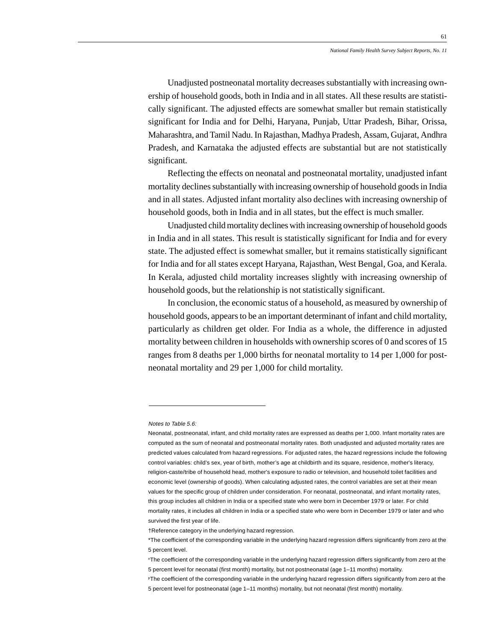Unadjusted postneonatal mortality decreases substantially with increasing ownership of household goods, both in India and in all states. All these results are statistically significant. The adjusted effects are somewhat smaller but remain statistically significant for India and for Delhi, Haryana, Punjab, Uttar Pradesh, Bihar, Orissa, Maharashtra, and Tamil Nadu. In Rajasthan, Madhya Pradesh, Assam, Gujarat, Andhra Pradesh, and Karnataka the adjusted effects are substantial but are not statistically significant.

Reflecting the effects on neonatal and postneonatal mortality, unadjusted infant mortality declines substantially with increasing ownership of household goods in India and in all states. Adjusted infant mortality also declines with increasing ownership of household goods, both in India and in all states, but the effect is much smaller.

Unadjusted child mortality declines with increasing ownership of household goods in India and in all states. This result is statistically significant for India and for every state. The adjusted effect is somewhat smaller, but it remains statistically significant for India and for all states except Haryana, Rajasthan, West Bengal, Goa, and Kerala. In Kerala, adjusted child mortality increases slightly with increasing ownership of household goods, but the relationship is not statistically significant.

In conclusion, the economic status of a household, as measured by ownership of household goods, appears to be an important determinant of infant and child mortality, particularly as children get older. For India as a whole, the difference in adjusted mortality between children in households with ownership scores of 0 and scores of 15 ranges from 8 deaths per 1,000 births for neonatal mortality to 14 per 1,000 for postneonatal mortality and 29 per 1,000 for child mortality.

#### Notes to Table 5.6:

†Reference category in the underlying hazard regression.

Neonatal, postneonatal, infant, and child mortality rates are expressed as deaths per 1,000. Infant mortality rates are computed as the sum of neonatal and postneonatal mortality rates. Both unadjusted and adjusted mortality rates are predicted values calculated from hazard regressions. For adjusted rates, the hazard regressions include the following control variables: child's sex, year of birth, mother's age at childbirth and its square, residence, mother's literacy, religion-caste/tribe of household head, mother's exposure to radio or television, and household toilet facilities and economic level (ownership of goods). When calculating adjusted rates, the control variables are set at their mean values for the specific group of children under consideration. For neonatal, postneonatal, and infant mortality rates, this group includes all children in India or a specified state who were born in December 1979 or later. For child mortality rates, it includes all children in India or a specified state who were born in December 1979 or later and who survived the first year of life.

<sup>\*</sup>The coefficient of the corresponding variable in the underlying hazard regression differs significantly from zero at the 5 percent level.

nThe coefficient of the corresponding variable in the underlying hazard regression differs significantly from zero at the 5 percent level for neonatal (first month) mortality, but not postneonatal (age 1–11 months) mortality.

PThe coefficient of the corresponding variable in the underlying hazard regression differs significantly from zero at the 5 percent level for postneonatal (age 1–11 months) mortality, but not neonatal (first month) mortality.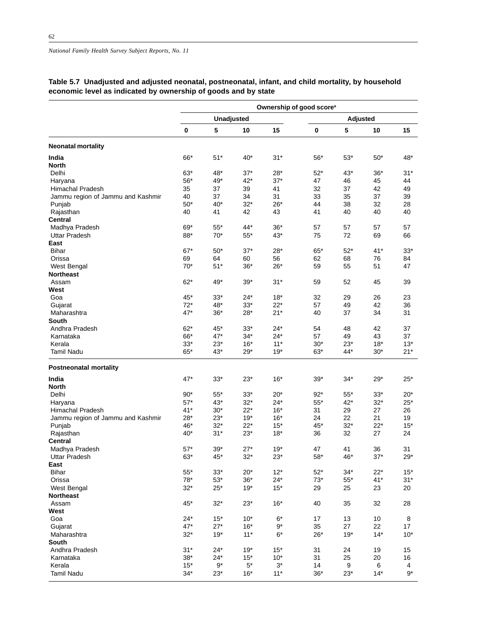|                                   | Ownership of good score <sup>a</sup> |                |                |                |                |             |                |                |  |  |  |
|-----------------------------------|--------------------------------------|----------------|----------------|----------------|----------------|-------------|----------------|----------------|--|--|--|
|                                   |                                      | Unadjusted     |                |                | Adjusted       |             |                |                |  |  |  |
|                                   | $\mathbf 0$                          | 5              | 10             | 15             | 0              | 5           | 10             | 15             |  |  |  |
| <b>Neonatal mortality</b>         |                                      |                |                |                |                |             |                |                |  |  |  |
| India                             | 66*                                  | $51*$          | $40*$          | $31*$          | $56*$          | $53*$       | $50*$          | 48*            |  |  |  |
| <b>North</b>                      |                                      |                |                |                |                |             |                |                |  |  |  |
| Delhi                             | $63*$                                | 48*            | $37*$          | $28*$          | $52*$          | $43*$       | $36*$          | $31*$          |  |  |  |
| Haryana                           | $56*$                                | 49*            | 42*            | $37*$          | 47             | 46          | 45             | 44             |  |  |  |
| Himachal Pradesh                  | 35                                   | 37             | 39             | 41             | 32             | 37          | 42             | 49             |  |  |  |
| Jammu region of Jammu and Kashmir | 40                                   | 37             | 34             | 31             | 33             | 35          | 37             | 39             |  |  |  |
| Punjab                            | $50*$                                | $40*$          | $32*$          | $26*$          | 44             | 38          | 32             | 28             |  |  |  |
| Rajasthan                         | 40                                   | 41             | 42             | 43             | 41             | 40          | 40             | 40             |  |  |  |
| <b>Central</b>                    |                                      |                |                |                |                |             |                |                |  |  |  |
| Madhya Pradesh                    | 69*                                  | $55*$          | 44*            | $36*$          | 57             | 57          | 57             | 57             |  |  |  |
| Uttar Pradesh                     | 88*                                  | $70*$          | $55*$          | 43*            | 75             | 72          | 69             | 66             |  |  |  |
| East                              |                                      |                |                |                |                |             |                |                |  |  |  |
| <b>Bihar</b>                      | $67*$                                | $50*$          | $37*$          | $28*$          | 65*            | $52*$       | $41*$          | $33*$          |  |  |  |
| Orissa                            | 69                                   | 64             | 60             | 56             | 62             | 68          | 76             | 84             |  |  |  |
| West Bengal                       | $70*$                                | $51*$          | $36*$          | $26*$          | 59             | 55          | 51             | 47             |  |  |  |
| <b>Northeast</b>                  |                                      |                |                |                |                |             |                |                |  |  |  |
| Assam                             | $62*$                                | 49*            | $39*$          | $31*$          | 59             | 52          | 45             | 39             |  |  |  |
| West                              |                                      |                |                |                |                |             |                |                |  |  |  |
| Goa                               | 45*<br>$72*$                         | $33*$<br>48*   | 24*            | $18*$          | 32<br>57       | 29          | 26<br>42       | 23<br>36       |  |  |  |
| Gujarat                           |                                      |                | $33*$          | $22*$          |                | 49          |                |                |  |  |  |
| Maharashtra                       | 47*                                  | $36*$          | $28*$          | $21*$          | 40             | 37          | 34             | 31             |  |  |  |
| South<br>Andhra Pradesh           | $62*$                                | 45*            | $33*$          | $24*$          | 54             | 48          | 42             | 37             |  |  |  |
|                                   | 66*                                  | 47*            | $34*$          | $24*$          | 57             | 49          | 43             | 37             |  |  |  |
| Karnataka<br>Kerala               |                                      |                |                | $11*$          |                | $23*$       |                |                |  |  |  |
| <b>Tamil Nadu</b>                 | $33*$<br>65*                         | $23*$<br>$43*$ | $16*$<br>$29*$ | $19*$          | $30*$<br>$63*$ | 44*         | $18*$<br>$30*$ | $13*$<br>$21*$ |  |  |  |
|                                   |                                      |                |                |                |                |             |                |                |  |  |  |
| <b>Postneonatal mortality</b>     |                                      |                |                |                |                |             |                |                |  |  |  |
| India                             | $47*$                                | $33*$          | $23*$          | $16*$          | $39*$          | $34*$       | $29*$          | $25*$          |  |  |  |
| <b>North</b>                      |                                      |                |                |                |                |             |                |                |  |  |  |
| Delhi                             | $90*$                                | $55*$          | 33*            | $20*$          | $92*$          | $55*$       | $33*$          | $20*$          |  |  |  |
| Haryana                           | $57*$                                | $43*$          | $32*$          | $24*$          | $55*$          | $42*$       | $32*$          | $25*$          |  |  |  |
| Himachal Pradesh                  | $41*$                                | $30*$          | $22*$          | $16*$          | 31             | 29          | 27             | 26             |  |  |  |
| Jammu region of Jammu and Kashmir | $28*$                                | $23*$          | $19*$          | $16*$          | 24             | 22          | 21             | 19             |  |  |  |
| Punjab                            | 46*                                  | $32*$          | $22*$          | $15*$          | 45*            | $32*$       | $22*$          | $15*$          |  |  |  |
| Rajasthan                         | 40*                                  | $31*$          | $23*$          | $18*$          | 36             | 32          | 27             | 24             |  |  |  |
| <b>Central</b>                    |                                      |                |                |                |                |             |                |                |  |  |  |
| Madhya Pradesh                    | $57*$                                | $39*$          | $27*$          | $19*$          | 47             | 41          | 36             | 31             |  |  |  |
| <b>Uttar Pradesh</b>              | 63*                                  | 45*            | $32*$          | $23*$          | 58*            | 46*         | $37*$          | $29*$          |  |  |  |
| East                              |                                      |                |                |                |                |             |                |                |  |  |  |
| <b>Bihar</b>                      | $55^{\ast}$<br>$78*$                 | $33*$          | $20*$          | $12*$          | $52*$          | $34*$       | $22*$          | $15*$          |  |  |  |
| Orissa                            | $32*$                                | $53*$<br>$25*$ | $36*$<br>$19*$ | $24*$<br>$15*$ | $73*$          | $55^{\ast}$ | $41*$          | $31*$          |  |  |  |
| West Bengal<br><b>Northeast</b>   |                                      |                |                |                | 29             | 25          | 23             | 20             |  |  |  |
|                                   | 45*                                  | $32*$          | $23*$          | $16*$          | 40             | 35          | 32             | 28             |  |  |  |
| Assam                             |                                      |                |                |                |                |             |                |                |  |  |  |
| West<br>Goa                       | $24*$                                | $15*$          | $10*$          | $6*$           | 17             | 13          | 10             | 8              |  |  |  |
| Gujarat                           | $47*$                                | $27*$          | $16*$          | $9*$           | 35             | 27          | 22             | 17             |  |  |  |
| Maharashtra                       | $32*$                                | $19*$          | $11*$          | $6*$           | $26*$          | $19*$       | $14*$          | $10*$          |  |  |  |
| South                             |                                      |                |                |                |                |             |                |                |  |  |  |
| Andhra Pradesh                    | $31*$                                | $24*$          | $19*$          | $15*$          | 31             | 24          | 19             | 15             |  |  |  |
| Karnataka                         | $38*$                                | $24*$          | $15*$          | $10*$          | 31             | 25          | 20             | 16             |  |  |  |
| Kerala                            | $15*$                                | $9^{\star}$    | $5^\ast$       | $3^*$          | 14             | 9           | 6              | 4              |  |  |  |
| Tamil Nadu                        | $34*$                                | $23*$          | $16*$          | $11*$          | $36*$          | $23*$       | $14*$          | $9*$           |  |  |  |
|                                   |                                      |                |                |                |                |             |                |                |  |  |  |

# **Table 5.7 Unadjusted and adjusted neonatal, postneonatal, infant, and child mortality, by household economic level as indicated by ownership of goods and by state**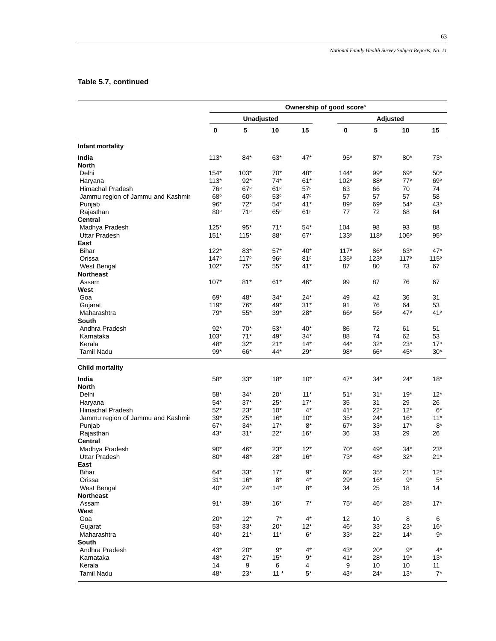63

# **Table 5.7, continued**

|                                   | Ownership of good score <sup>a</sup> |                   |                 |                 |                  |                  |                  |                  |  |  |  |
|-----------------------------------|--------------------------------------|-------------------|-----------------|-----------------|------------------|------------------|------------------|------------------|--|--|--|
|                                   |                                      | <b>Unadjusted</b> |                 |                 | <b>Adjusted</b>  |                  |                  |                  |  |  |  |
|                                   | $\mathbf 0$                          | 5                 | 10              | 15              | $\pmb{0}$        | 5                | 10               | 15               |  |  |  |
| Infant mortality                  |                                      |                   |                 |                 |                  |                  |                  |                  |  |  |  |
| India                             | $113*$                               | 84*               | 63*             | 47*             | $95*$            | $87*$            | $80*$            | 73*              |  |  |  |
| North                             |                                      |                   |                 |                 |                  |                  |                  |                  |  |  |  |
| Delhi                             | $154*$                               | $103*$            | $70*$           | 48*             | $144*$           | $99*$            | 69*              | 50*              |  |  |  |
| Haryana                           | $113*$                               | $92*$             | $74*$           | $61*$           | 102 <sup>p</sup> | 88 <sup>p</sup>  | 77 <sup>p</sup>  | 69P              |  |  |  |
| Himachal Pradesh                  | 76 <sup>p</sup>                      | 67 <sup>p</sup>   | 61P             | 57P             | 63               | 66               | 70               | 74               |  |  |  |
| Jammu region of Jammu and Kashmir | 68 <sup>p</sup>                      | 60 <sup>p</sup>   | 53 <sup>p</sup> | 47 <sup>p</sup> | 57               | 57               | 57               | 58               |  |  |  |
| Punjab                            | $96*$                                | $72*$             | $54*$           | $41*$           | 89P              | 69 <sup>p</sup>  | 54 <sup>p</sup>  | 43 <sup>p</sup>  |  |  |  |
| Rajasthan                         | 80 <sup>p</sup>                      | 71 <sup>p</sup>   | 65P             | 61P             | 77               | 72               | 68               | 64               |  |  |  |
| Central                           |                                      |                   |                 |                 |                  |                  |                  |                  |  |  |  |
| Madhya Pradesh                    | $125*$                               | $95*$             | $71*$           | $54*$           | 104              | 98               | 93               | 88               |  |  |  |
| <b>Uttar Pradesh</b>              | $151*$                               | $115*$            | $88^{\ast}$     | $67*$           | 133 <sup>p</sup> | 118 <sup>p</sup> | 106 <sup>p</sup> | 95P              |  |  |  |
| East                              |                                      |                   |                 |                 |                  |                  |                  |                  |  |  |  |
| Bihar                             | $122*$                               | 83*               | $57*$           | $40*$           | $117*$           | 86*              | $63*$            | 47*              |  |  |  |
| Orissa                            | 147 <sup>p</sup>                     | 117 <sup>p</sup>  | 96P             | 81P             | $135^p$          | 123 <sup>p</sup> | 117 <sup>p</sup> | 115 <sup>p</sup> |  |  |  |
| West Bengal                       | $102*$                               | $75*$             | $55*$           | $41*$           | 87               | 80               | 73               | 67               |  |  |  |
| <b>Northeast</b>                  |                                      |                   |                 |                 |                  |                  |                  |                  |  |  |  |
| Assam                             | 107*                                 | $81*$             | $61*$           | 46*             | 99               | 87               | 76               | 67               |  |  |  |
| West                              |                                      |                   |                 |                 |                  |                  |                  |                  |  |  |  |
| Goa                               | 69*                                  | 48*               | $34*$           | $24*$           | 49               | 42               | 36               | 31               |  |  |  |
| Gujarat                           | $119*$                               | 76*               | 49*             | $31*$           | 91               | 76               | 64               | 53               |  |  |  |
| Maharashtra                       | $79*$                                | $55^{\ast}$       | $39*$           | $28*$           | 66P              | 56P              | 47 <sup>p</sup>  | 41P              |  |  |  |
| South                             |                                      |                   |                 |                 |                  |                  |                  |                  |  |  |  |
| Andhra Pradesh                    | $92*$                                | $70*$             | $53*$           | $40*$           | 86               | 72               | 61               | 51               |  |  |  |
| Karnataka                         | $103*$                               | $71*$             | 49*             | $34*$           | 88               | 74               | 62               | 53               |  |  |  |
| Kerala                            | 48*                                  | $32*$             | $21*$           | $14*$           | $44^n$           | 32 <sup>n</sup>  | 23 <sup>n</sup>  | 17 <sup>n</sup>  |  |  |  |
| Tamil Nadu                        | $99*$                                | 66*               | 44*             | $29*$           | 98*              | 66*              | 45*              | $30*$            |  |  |  |
| <b>Child mortality</b>            |                                      |                   |                 |                 |                  |                  |                  |                  |  |  |  |
| India<br>North                    | $58*$                                | $33*$             | $18*$           | $10*$           | $47*$            | 34*              | $24*$            | $18*$            |  |  |  |
| Delhi                             | 58*                                  | $34*$             | $20*$           | $11*$           | $51*$            | $31*$            | $19*$            | $12*$            |  |  |  |
| Haryana                           | $54*$                                | $37*$             | $25*$           | $17*$           | 35               | 31               | 29               | 26               |  |  |  |
| Himachal Pradesh                  | $52*$                                | $23*$             | $10*$           | $4^*$           | $41*$            | $22*$            | $12*$            | 6*               |  |  |  |
| Jammu region of Jammu and Kashmir | $39*$                                | $25*$             | $16*$           | $10*$           | $35*$            | $24*$            | $16*$            | $11*$            |  |  |  |
| Punjab                            | $67*$                                | $34*$             | $17*$           | 8*              | $67*$            | $33*$            | $17*$            | $8*$             |  |  |  |
| Rajasthan                         | 43*                                  | $31*$             | $22*$           | $16*$           | 36               | 33               | 29               | 26               |  |  |  |
| Central                           |                                      |                   |                 |                 |                  |                  |                  |                  |  |  |  |
| Madhya Pradesh                    | 90*                                  | 46*               | $23*$           | $12*$           | $70*$            | 49*              | 34*              | 23*              |  |  |  |
| <b>Uttar Pradesh</b>              | 80*                                  | 48*               | $28*$           | $16*$           | $73*$            | 48*              | $32*$            | $21*$            |  |  |  |
| East                              |                                      |                   |                 |                 |                  |                  |                  |                  |  |  |  |
| <b>Bihar</b>                      | $64*$                                | $33*$             | $17*$           | $9*$            | $60*$            | $35*$            | $21*$            | $12*$            |  |  |  |
| Orissa                            | $31*$                                | $16*$             | $8*$            | $4^*$           | $29*$            | $16*$            | $9*$             | $5*$             |  |  |  |
| West Bengal                       | 40*                                  | $24*$             | $14*$           | 8*              | 34               | 25               | 18               | 14               |  |  |  |
| <b>Northeast</b>                  |                                      |                   |                 |                 |                  |                  |                  |                  |  |  |  |
| Assam                             | $91*$                                | $39*$             | $16*$           | $7^*$           | $75*$            | 46*              | 28*              | $17*$            |  |  |  |
| West                              |                                      |                   |                 |                 |                  |                  |                  |                  |  |  |  |
| Goa                               | $20*$                                | $12*$             | $7^*$           | $4^*$           | 12               | 10               | 8                | 6                |  |  |  |
| Gujarat                           | $53*$                                | $33*$             | $20*$           | $12*$           | 46*              | $33*$            | $23*$            | $16*$            |  |  |  |
| Maharashtra                       | $40*$                                | $21*$             | $11*$           | $6*$            | $33*$            | $22*$            | $14*$            | $9^*$            |  |  |  |
| South                             |                                      |                   |                 |                 |                  |                  |                  |                  |  |  |  |
| Andhra Pradesh                    | $43*$                                | $20*$             | 9*              | $4^*$           | $43*$            | $20*$            | $9^*$            | $4^*$            |  |  |  |
| Karnataka                         | 48*                                  | $27*$             | $15*$           | $9^\star$       | $41*$            | $28*$            | 19*              | $13*$            |  |  |  |
| Kerala                            | 14                                   | 9                 | 6               | 4               | 9                | 10               | 10               | 11               |  |  |  |
| <b>Tamil Nadu</b>                 | 48*                                  | $23*$             | $11 *$          | $5*$            | 43*              | $24*$            | $13*$            | $7^*$            |  |  |  |
|                                   |                                      |                   |                 |                 |                  |                  |                  |                  |  |  |  |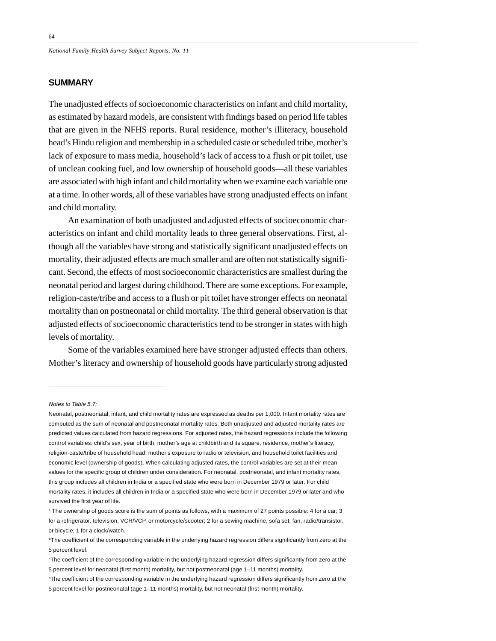# **SUMMARY**

The unadjusted effects of socioeconomic characteristics on infant and child mortality, as estimated by hazard models, are consistent with findings based on period life tables that are given in the NFHS reports. Rural residence, mother's illiteracy, household head's Hindu religion and membership in a scheduled caste or scheduled tribe, mother's lack of exposure to mass media, household's lack of access to a flush or pit toilet, use of unclean cooking fuel, and low ownership of household goods—all these variables are associated with high infant and child mortality when we examine each variable one at a time. In other words, all of these variables have strong unadjusted effects on infant and child mortality.

An examination of both unadjusted and adjusted effects of socioeconomic characteristics on infant and child mortality leads to three general observations. First, although all the variables have strong and statistically significant unadjusted effects on mortality, their adjusted effects are much smaller and are often not statistically significant. Second, the effects of most socioeconomic characteristics are smallest during the neonatal period and largest during childhood. There are some exceptions. For example, religion-caste/tribe and access to a flush or pit toilet have stronger effects on neonatal mortality than on postneonatal or child mortality. The third general observation is that adjusted effects of socioeconomic characteristics tend to be stronger in states with high levels of mortality.

Some of the variables examined here have stronger adjusted effects than others. Mother's literacy and ownership of household goods have particularly strong adjusted

Notes to Table 5.7:

Neonatal, postneonatal, infant, and child mortality rates are expressed as deaths per 1,000. Infant mortality rates are computed as the sum of neonatal and postneonatal mortality rates. Both unadjusted and adjusted mortality rates are predicted values calculated from hazard regressions. For adjusted rates, the hazard regressions include the following control variables: child's sex, year of birth, mother's age at childbirth and its square, residence, mother's literacy, religion-caste/tribe of household head, mother's exposure to radio or television, and household toilet facilities and economic level (ownership of goods). When calculating adjusted rates, the control variables are set at their mean values for the specific group of children under consideration. For neonatal, postneonatal, and infant mortality rates, this group includes all children in India or a specified state who were born in December 1979 or later. For child mortality rates, it includes all children in India or a specified state who were born in December 1979 or later and who survived the first year of life.

a The ownership of goods score is the sum of points as follows, with a maximum of 27 points possible: 4 for a car; 3 for a refrigerator, television, VCR/VCP, or motorcycle/scooter; 2 for a sewing machine, sofa set, fan, radio/transistor, or bicycle; 1 for a clock/watch.

<sup>\*</sup>The coefficient of the corresponding variable in the underlying hazard regression differs significantly from zero at the 5 percent level.

nThe coefficient of the corresponding variable in the underlying hazard regression differs significantly from zero at the 5 percent level for neonatal (first month) mortality, but not postneonatal (age 1–11 months) mortality.

PThe coefficient of the corresponding variable in the underlying hazard regression differs significantly from zero at the 5 percent level for postneonatal (age 1–11 months) mortality, but not neonatal (first month) mortality.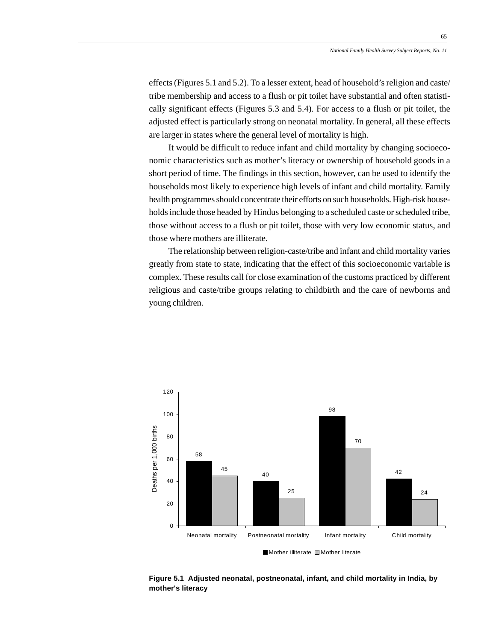65

effects (Figures 5.1 and 5.2). To a lesser extent, head of household's religion and caste/ tribe membership and access to a flush or pit toilet have substantial and often statistically significant effects (Figures 5.3 and 5.4). For access to a flush or pit toilet, the adjusted effect is particularly strong on neonatal mortality. In general, all these effects are larger in states where the general level of mortality is high.

It would be difficult to reduce infant and child mortality by changing socioeconomic characteristics such as mother's literacy or ownership of household goods in a short period of time. The findings in this section, however, can be used to identify the households most likely to experience high levels of infant and child mortality. Family health programmes should concentrate their efforts on such households. High-risk households include those headed by Hindus belonging to a scheduled caste or scheduled tribe, those without access to a flush or pit toilet, those with very low economic status, and those where mothers are illiterate.

The relationship between religion-caste/tribe and infant and child mortality varies greatly from state to state, indicating that the effect of this socioeconomic variable is complex. These results call for close examination of the customs practiced by different religious and caste/tribe groups relating to childbirth and the care of newborns and young children.



**Figure 5.1 Adjusted neonatal, postneonatal, infant, and child mortality in India, by mother's literacy**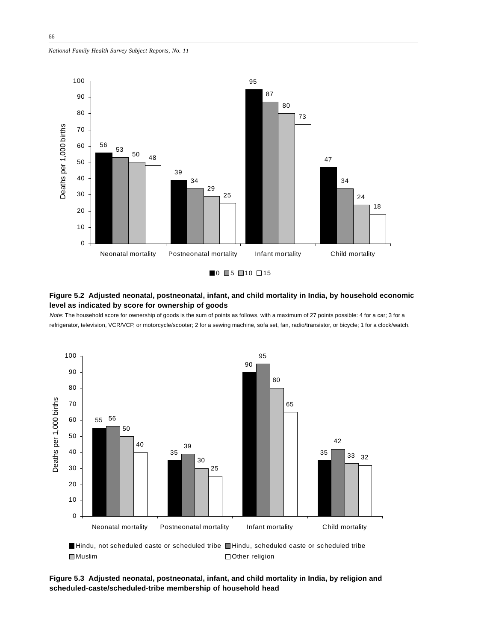*National Family Health Survey Subject Reports, No. 11*



#### **Figure 5.2 Adjusted neonatal, postneonatal, infant, and child mortality in India, by household economic level as indicated by score for ownership of goods**

Note: The household score for ownership of goods is the sum of points as follows, with a maximum of 27 points possible: 4 for a car; 3 for a refrigerator, television, VCR/VCP, or motorcycle/scooter; 2 for a sewing machine, sofa set, fan, radio/transistor, or bicycle; 1 for a clock/watch.



Hindu, not scheduled caste or scheduled tribe Hindu, scheduled caste or scheduled tribe ■Muslim **Other religion** 

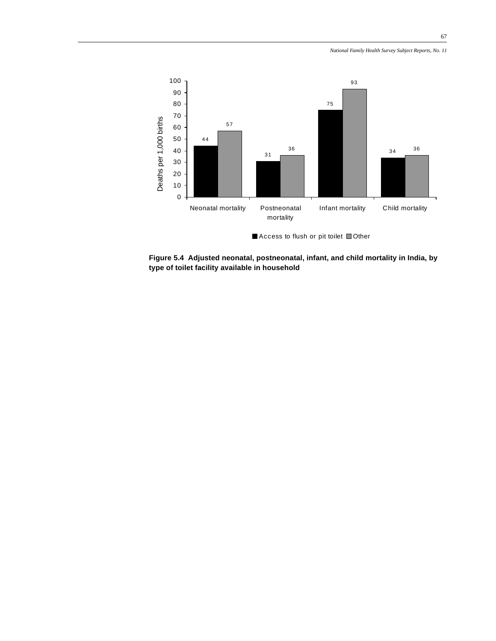

**Figure 5.4 Adjusted neonatal, postneonatal, infant, and child mortality in India, by type of toilet facility available in household**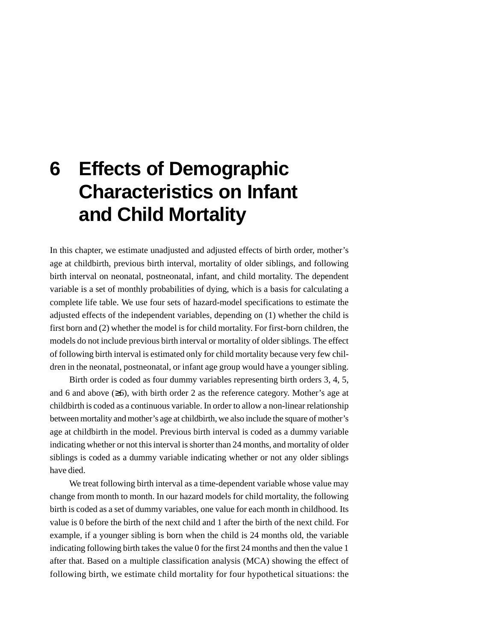# **6 Effects of Demographic Characteristics on Infant and Child Mortality**

In this chapter, we estimate unadjusted and adjusted effects of birth order, mother's age at childbirth, previous birth interval, mortality of older siblings, and following birth interval on neonatal, postneonatal, infant, and child mortality. The dependent variable is a set of monthly probabilities of dying, which is a basis for calculating a complete life table. We use four sets of hazard-model specifications to estimate the adjusted effects of the independent variables, depending on (1) whether the child is first born and (2) whether the model is for child mortality. For first-born children, the models do not include previous birth interval or mortality of older siblings. The effect of following birth interval is estimated only for child mortality because very few children in the neonatal, postneonatal, or infant age group would have a younger sibling.

Birth order is coded as four dummy variables representing birth orders 3, 4, 5, and 6 and above  $(\geq 6)$ , with birth order 2 as the reference category. Mother's age at childbirth is coded as a continuous variable. In order to allow a non-linear relationship between mortality and mother's age at childbirth, we also include the square of mother's age at childbirth in the model. Previous birth interval is coded as a dummy variable indicating whether or not this interval is shorter than 24 months, and mortality of older siblings is coded as a dummy variable indicating whether or not any older siblings have died.

We treat following birth interval as a time-dependent variable whose value may change from month to month. In our hazard models for child mortality, the following birth is coded as a set of dummy variables, one value for each month in childhood. Its value is 0 before the birth of the next child and 1 after the birth of the next child. For example, if a younger sibling is born when the child is 24 months old, the variable indicating following birth takes the value 0 for the first 24 months and then the value 1 after that. Based on a multiple classification analysis (MCA) showing the effect of following birth, we estimate child mortality for four hypothetical situations: the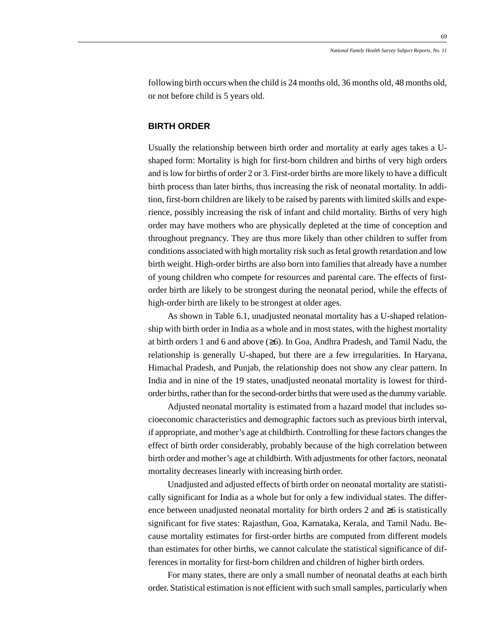69

following birth occurs when the child is 24 months old, 36 months old, 48 months old, or not before child is 5 years old.

#### **BIRTH ORDER**

Usually the relationship between birth order and mortality at early ages takes a Ushaped form: Mortality is high for first-born children and births of very high orders and is low for births of order 2 or 3. First-order births are more likely to have a difficult birth process than later births, thus increasing the risk of neonatal mortality. In addition, first-born children are likely to be raised by parents with limited skills and experience, possibly increasing the risk of infant and child mortality. Births of very high order may have mothers who are physically depleted at the time of conception and throughout pregnancy. They are thus more likely than other children to suffer from conditions associated with high mortality risk such as fetal growth retardation and low birth weight. High-order births are also born into families that already have a number of young children who compete for resources and parental care. The effects of firstorder birth are likely to be strongest during the neonatal period, while the effects of high-order birth are likely to be strongest at older ages.

As shown in Table 6.1, unadjusted neonatal mortality has a U-shaped relationship with birth order in India as a whole and in most states, with the highest mortality at birth orders 1 and 6 and above (≥6). In Goa, Andhra Pradesh, and Tamil Nadu, the relationship is generally U-shaped, but there are a few irregularities. In Haryana, Himachal Pradesh, and Punjab, the relationship does not show any clear pattern. In India and in nine of the 19 states, unadjusted neonatal mortality is lowest for thirdorder births, rather than for the second-order births that were used as the dummy variable.

Adjusted neonatal mortality is estimated from a hazard model that includes socioeconomic characteristics and demographic factors such as previous birth interval, if appropriate, and mother's age at childbirth. Controlling for these factors changes the effect of birth order considerably, probably because of the high correlation between birth order and mother's age at childbirth. With adjustments for other factors, neonatal mortality decreases linearly with increasing birth order.

Unadjusted and adjusted effects of birth order on neonatal mortality are statistically significant for India as a whole but for only a few individual states. The difference between unadjusted neonatal mortality for birth orders 2 and  $\geq 6$  is statistically significant for five states: Rajasthan, Goa, Karnataka, Kerala, and Tamil Nadu. Because mortality estimates for first-order births are computed from different models than estimates for other births, we cannot calculate the statistical significance of differences in mortality for first-born children and children of higher birth orders.

For many states, there are only a small number of neonatal deaths at each birth order. Statistical estimation is not efficient with such small samples, particularly when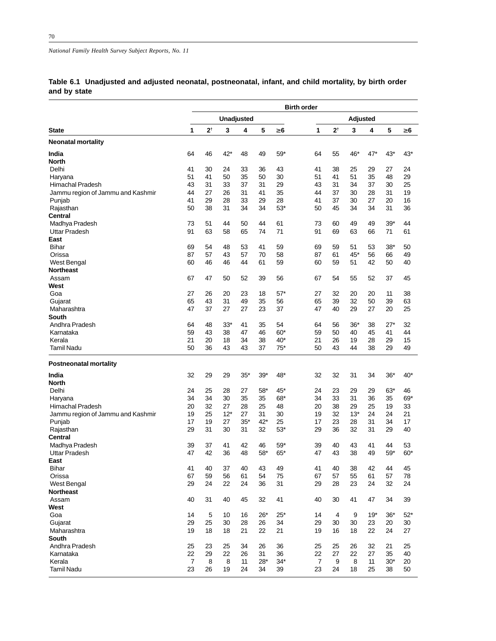|              | Table 6.1 Unadjusted and adjusted neonatal, postneonatal, infant, and child mortality, by birth order |  |  |  |  |
|--------------|-------------------------------------------------------------------------------------------------------|--|--|--|--|
| and by state |                                                                                                       |  |  |  |  |

|                                   |    |               |       |                   |       |          | <b>Birth order</b> |                |          |       |       |          |
|-----------------------------------|----|---------------|-------|-------------------|-------|----------|--------------------|----------------|----------|-------|-------|----------|
|                                   |    |               |       | <b>Unadjusted</b> |       |          |                    |                | Adjusted |       |       |          |
| <b>State</b>                      | 1  | $2^{\dagger}$ | 3     | 4                 | 5     | $\geq 6$ | 1                  | 2†             | 3        | 4     | 5     | $\geq 6$ |
| <b>Neonatal mortality</b>         |    |               |       |                   |       |          |                    |                |          |       |       |          |
| India                             | 64 | 46            | 42*   | 48                | 49    | $59*$    | 64                 | 55             | 46*      | 47*   | $43*$ | $43*$    |
| <b>North</b>                      |    |               |       |                   |       |          |                    |                |          |       |       |          |
| Delhi                             | 41 | 30            | 24    | 33                | 36    | 43       | 41                 | 38             | 25       | 29    | 27    | 24       |
| Haryana                           | 51 | 41            | 50    | 35                | 50    | 30       | 51                 | 41             | 51       | 35    | 48    | 29       |
| <b>Himachal Pradesh</b>           | 43 | 31            | 33    | 37                | 31    | 29       | 43                 | 31             | 34       | 37    | 30    | 25       |
| Jammu region of Jammu and Kashmir | 44 | 27            | 26    | 31                | 41    | 35       | 44                 | 37             | 30       | 28    | 31    | 19       |
| Punjab                            | 41 | 29            | 28    | 33                | 29    | 28       | 41                 | 37             | 30       | 27    | 20    | 16       |
| Rajasthan                         | 50 | 38            | 31    | 34                | 34    | $53*$    | 50                 | 45             | 34       | 34    | 31    | 36       |
| Central                           |    |               |       |                   |       |          |                    |                |          |       |       |          |
| Madhya Pradesh                    | 73 | 51            | 44    | 50                | 44    | 61       | 73                 | 60             | 49       | 49    | $39*$ | 44       |
| <b>Uttar Pradesh</b>              | 91 | 63            | 58    | 65                | 74    | 71       | 91                 | 69             | 63       | 66    | 71    | 61       |
| East                              |    |               |       |                   |       |          |                    |                |          |       |       |          |
| <b>Bihar</b>                      | 69 | 54            | 48    | 53                | 41    | 59       | 69                 | 59             | 51       | 53    | $38*$ | 50       |
| Orissa                            | 87 | 57            | 43    | 57                | 70    | 58       | 87                 | 61             | 45*      | 56    | 66    | 49       |
| <b>West Bengal</b>                | 60 | 46            | 46    | 44                | 61    | 59       | 60                 | 59             | 51       | 42    | 50    | 40       |
| <b>Northeast</b>                  |    |               |       |                   |       |          |                    |                |          |       |       |          |
| Assam                             | 67 | 47            | 50    | 52                | 39    | 56       | 67                 | 54             | 55       | 52    | 37    | 45       |
| West                              |    |               |       |                   |       |          |                    |                |          |       |       |          |
| Goa                               | 27 | 26            | 20    | 23                | 18    | $57*$    | 27                 | 32             | 20       | 20    | 11    | 38       |
| Gujarat                           | 65 | 43            | 31    | 49                | 35    | 56       | 65                 | 39             | 32       | 50    | 39    | 63       |
| Maharashtra                       | 47 | 37            | 27    | 27                | 23    | 37       | 47                 | 40             | 29       | 27    | 20    | 25       |
| South                             |    |               |       |                   |       |          |                    |                |          |       |       |          |
| Andhra Pradesh                    | 64 | 48            | $33*$ | 41                | 35    | 54       | 64                 | 56             | $36*$    | 38    | $27*$ | 32       |
| Karnataka                         | 59 | 43            | 38    | 47                | 46    | $60*$    | 59                 | 50             | 40       | 45    | 41    | 44       |
| Kerala                            | 21 | 20            | 18    | 34                | 38    | $40*$    | 21                 | 26             | 19       | 28    | 29    | 15       |
| Tamil Nadu                        | 50 | 36            | 43    | 43                | 37    | $75*$    | 50                 | 43             | 44       | 38    | 29    | 49       |
| <b>Postneonatal mortality</b>     |    |               |       |                   |       |          |                    |                |          |       |       |          |
| India                             | 32 | 29            | 29    | $35*$             | 39*   | 48*      | 32                 | 32             | 31       | 34    | $36*$ | 40*      |
| <b>North</b>                      |    |               |       |                   |       |          |                    |                |          |       |       |          |
| Delhi                             | 24 | 25            | 28    | 27                | $58*$ | 45*      | 24                 | 23             | 29       | 29    | $63*$ | 46       |
| Haryana                           | 34 | 34            | 30    | 35                | 35    | 68*      | 34                 | 33             | 31       | 36    | 35    | 69*      |
| Himachal Pradesh                  | 20 | 32            | 27    | 28                | 25    | 48       | 20                 | 38             | 29       | 25    | 19    | 33       |
| Jammu region of Jammu and Kashmir | 19 | 25            | $12*$ | 27                | 31    | 30       | 19                 | 32             | $13*$    | 24    | 24    | 21       |
| Punjab                            | 17 | 19            | 27    | $35*$             | 42*   | 25       | 17                 | 23             | 28       | 31    | 34    | 17       |
| Rajasthan                         | 29 | 31            | 30    | 31                | 32    | $53*$    | 29                 | 36             | 32       | 31    | 29    | 40       |
| Central                           |    |               |       |                   |       |          |                    |                |          |       |       |          |
| Madhya Pradesh                    | 39 | 37            | 41    | 42                | 46    | $59*$    | 39                 | 40             | 43       | 41    | 44    | 53       |
| <b>Uttar Pradesh</b>              | 47 | 42            | 36    | 48                | 58*   | $65*$    | 47                 | 43             | 38       | 49    | $59*$ | $60*$    |
| East                              |    |               |       |                   |       |          |                    |                |          |       |       |          |
| Bihar                             | 41 | 40            | 37    | 40                | 43    | 49       | 41                 | 40             | 38       | 42    | 44    | 45       |
| Orissa                            | 67 | 59            | 56    | 61                | 54    | 75       | 67                 | 57             | 55       | 61    | 57    | 78       |
| <b>West Bengal</b>                | 29 | 24            | 22    | 24                | 36    | 31       | 29                 | 28             | 23       | 24    | 32    | 24       |
| <b>Northeast</b>                  |    |               |       |                   |       |          |                    |                |          |       |       |          |
| Assam                             | 40 | 31            | 40    | 45                | 32    | 41       | 40                 | 30             | 41       | 47    | 34    | 39       |
| West                              |    |               |       |                   |       |          |                    |                |          |       |       |          |
| Goa                               | 14 | 5             | 10    | 16                | $26*$ | $25*$    | 14                 | $\overline{4}$ | 9        | $19*$ | $36*$ | $52*$    |
| Gujarat                           | 29 | 25            | 30    | 28                | 26    | 34       | 29                 | 30             | 30       | 23    | 20    | 30       |
| Maharashtra                       | 19 | 18            | 18    | 21                | 22    | 21       | 19                 | 16             | 18       | 22    | 24    | 27       |
| South                             |    |               |       |                   |       |          |                    |                |          |       |       |          |
| Andhra Pradesh                    | 25 | 23            | 25    | 34                | 26    | 36       | 25                 | 25             | 26       | 32    | 21    | 25       |
| Karnataka                         | 22 | 29            | 22    | 26                | 31    | 36       | 22                 | 27             | 22       | 27    | 35    | 40       |
| Kerala                            | 7  | 8             | 8     | 11                | $28*$ | $34*$    | $\overline{7}$     | 9              | 8        | 11    | $30*$ | 20       |
| Tamil Nadu                        | 23 | 26            | 19    | 24                | 34    | 39       | 23                 | 24             | 18       | 25    | 38    | 50       |
|                                   |    |               |       |                   |       |          |                    |                |          |       |       |          |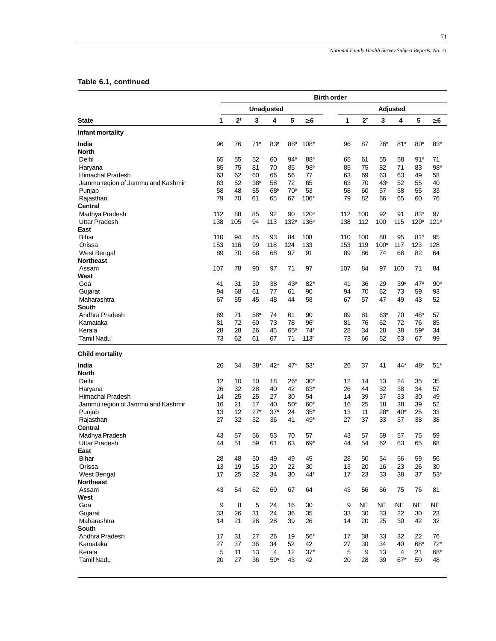71

# **Table 6.1, continued**

|                                   | <b>Birth order</b> |                |                 |                       |                       |                  |          |                |                  |                 |                  |                  |
|-----------------------------------|--------------------|----------------|-----------------|-----------------------|-----------------------|------------------|----------|----------------|------------------|-----------------|------------------|------------------|
|                                   |                    |                |                 | <b>Unadjusted</b>     |                       |                  |          | Adjusted       |                  |                 |                  |                  |
| <b>State</b>                      | 1                  | 2 <sup>†</sup> | 3               | 4                     | 5                     | $\geq 6$         | 1        | 2 <sup>†</sup> | 3                | 4               | 5                | $\geq 6$         |
| Infant mortality                  |                    |                |                 |                       |                       |                  |          |                |                  |                 |                  |                  |
| India                             | 96                 | 76             | 71 <sup>n</sup> | 83 <sup>p</sup>       | 88 <sup>p</sup>       | $108*$           | 96       | 87             | 76 <sup>n</sup>  | 81 <sup>n</sup> | $80*$            | $83*$            |
| <b>North</b>                      |                    |                |                 |                       |                       |                  |          |                |                  |                 |                  |                  |
| Delhi                             | 65                 | 55             | 52              | 60                    | 94P                   | 88 <sup>p</sup>  | 65       | 61             | 55               | 58              | 91P              | 71               |
| Haryana                           | 85                 | 75             | 81              | 70                    | 85                    | 98 <sup>p</sup>  | 85       | 75             | 82               | 71              | 83               | 98 <sup>p</sup>  |
| Himachal Pradesh                  | 63                 | 62             | 60              | 66                    | 56                    | 77               | 63       | 69             | 63               | 63              | 49               | 58               |
| Jammu region of Jammu and Kashmir | 63                 | 52             | 38 <sup>p</sup> | 58                    | 72                    | 65               | 63       | 70             | 43 <sup>p</sup>  | 52              | 55               | 40               |
| Punjab                            | 58<br>79           | 48<br>70       | 55<br>61        | 68 <sup>p</sup><br>65 | 70 <sup>p</sup><br>67 | 53<br>106*       | 58<br>79 | 60<br>82       | 57<br>66         | 58<br>65        | 55<br>60         | 33<br>76         |
| Rajasthan<br>Central              |                    |                |                 |                       |                       |                  |          |                |                  |                 |                  |                  |
| Madhya Pradesh                    | 112                | 88             | 85              | 92                    | 90                    | 120 <sup>p</sup> | 112      | 100            | 92               | 91              | 83 <sup>n</sup>  | 97               |
| Uttar Pradesh                     | 138                | 105            | 94              | 113                   | 132 <sup>p</sup>      | 136 <sup>p</sup> | 138      | 112            | 100              | 115             | 129 <sup>p</sup> | 121 <sup>P</sup> |
| East                              |                    |                |                 |                       |                       |                  |          |                |                  |                 |                  |                  |
| <b>Bihar</b>                      | 110                | 94             | 85              | 93                    | 84                    | 108              | 110      | 100            | 88               | 95              | 81 <sup>n</sup>  | 95               |
| Orissa                            | 153                | 116            | 99              | 118                   | 124                   | 133              | 153      | 119            | 100 <sup>n</sup> | 117             | 123              | 128              |
| West Bengal                       | 89                 | 70             | 68              | 68                    | 97                    | 91               | 89       | 86             | 74               | 66              | 82               | 64               |
| <b>Northeast</b>                  |                    |                |                 |                       |                       |                  |          |                |                  |                 |                  |                  |
| Assam                             | 107                | 78             | 90              | 97                    | 71                    | 97               | 107      | 84             | 97               | 100             | 71               | 84               |
| West                              |                    |                |                 |                       |                       |                  |          |                |                  |                 |                  |                  |
| Goa                               | 41                 | 31             | 30              | 38                    | 43 <sup>p</sup>       | $82*$            | 41       | 36             | 29               | 39 <sup>p</sup> | 47P              | 90 <sup>p</sup>  |
| Gujarat                           | 94                 | 68             | 61              | 77                    | 61                    | 90               | 94       | 70             | 62               | 73              | 59               | 93               |
| Maharashtra                       | 67                 | 55             | 45              | 48                    | 44                    | 58               | 67       | 57             | 47               | 49              | 43               | 52               |
| South                             |                    |                |                 |                       |                       |                  |          |                |                  |                 |                  |                  |
| Andhra Pradesh                    | 89                 | 71             | 58 <sup>n</sup> | 74                    | 61                    | 90               | 89       | 81             | 63 <sup>n</sup>  | 70              | 48 <sup>n</sup>  | 57               |
| Karnataka                         | 81                 | 72             | 60              | 73                    | 78                    | 96 <sup>n</sup>  | 81       | 76             | 62               | 72              | 76               | 85               |
| Kerala                            | 28                 | 28             | 26              | 45                    | 65 <sup>p</sup>       | $74*$            | 28       | 34             | 28               | 38              | 59P              | 34               |
| <b>Tamil Nadu</b>                 | 73                 | 62             | 61              | 67                    | 71                    | 113 <sup>n</sup> | 73       | 66             | 62               | 63              | 67               | 99               |
| <b>Child mortality</b>            |                    |                |                 |                       |                       |                  |          |                |                  |                 |                  |                  |
| India                             | 26                 | 34             | $38*$           | 42*                   | 47*                   | $53*$            | 26       | 37             | 41               | 44*             | 48*              | $51*$            |
| <b>North</b>                      |                    |                |                 |                       |                       |                  |          |                |                  |                 |                  |                  |
| Delhi                             | 12                 | 10             | 10              | 18                    | $26*$                 | $30*$            | 12       | 14             | 13               | 24              | 35               | 35               |
| Haryana                           | 26                 | 32             | 28              | 40                    | 42                    | $63*$            | 26       | 44             | 32               | 38              | 34               | 57               |
| Himachal Pradesh                  | 14                 | 25             | 25              | 27                    | 30                    | 54               | 14       | 39             | 37               | 33              | 30               | 49               |
| Jammu region of Jammu and Kashmir | 16                 | 21             | 17              | 40                    | $50*$                 | $60*$            | 16       | 25             | 18               | 38              | 39               | 52               |
| Punjab                            | 13                 | 12             | $27*$           | $37*$                 | 24                    | $35*$            | 13       | 11             | $28*$            | $40*$           | 25               | 33               |
| Rajasthan                         | 27                 | 32             | 32              | 36                    | 41                    | 49*              | 27       | 37             | 33               | 37              | 38               | 38               |
| Central<br>Madhya Pradesh         | 43                 | 57             | 56              | 53                    | 70                    | 57               | 43       | 57             | 59               | 57              | 75               | 59               |
| <b>Uttar Pradesh</b>              | 44                 | 51             | 59              | 61                    | 63                    | 69*              | 44       | 54             | 62               | 63              | 65               | 68               |
| East                              |                    |                |                 |                       |                       |                  |          |                |                  |                 |                  |                  |
| Bihar                             | 28                 | 48             | 50              | 49                    | 49                    | 45               | 28       | 50             | 54               | 56              | 59               | 56               |
| Orissa                            | 13                 | 19             | 15              | 20                    | 22                    | 30               | 13       | 20             | 16               | 23              | 26               | 30               |
| West Bengal                       | 17                 | 25             | 32              | 34                    | 30                    | 44*              | 17       | 23             | 33               | 38              | 37               | $53*$            |
| <b>Northeast</b>                  |                    |                |                 |                       |                       |                  |          |                |                  |                 |                  |                  |
| Assam                             | 43                 | 54             | 62              | 69                    | 67                    | 64               | 43       | 56             | 66               | 75              | 76               | 81               |
| West                              |                    |                |                 |                       |                       |                  |          |                |                  |                 |                  |                  |
| Goa                               | 9                  | 8              | 5               | 24                    | 16                    | 30               | 9        | NE             | <b>NE</b>        | NE              | NE               | ΝE               |
| Gujarat                           | 33                 | 26             | 31              | 24                    | 36                    | 35               | 33       | 30             | 33               | 22              | 30               | 23               |
| Maharashtra                       | 14                 | 21             | 26              | 28                    | 39                    | 26               | 14       | 20             | 25               | 30              | 42               | 32               |
| South                             |                    |                |                 |                       |                       |                  |          |                |                  |                 |                  |                  |
| Andhra Pradesh                    | 17                 | 31             | 27              | 26                    | 19                    | $56*$            | 17       | 38             | 33               | 32              | 22               | 76               |
| Karnataka                         | 27                 | 37             | 36              | 34                    | 52                    | 42               | 27       | 30             | 34               | 40              | 68*              | $72*$            |
| Kerala                            | 5                  | 11             | 13              | 4                     | 12 <sup>2</sup>       | $37*$            | 5        | 9              | 13               | 4               | 21               | 68*              |
| <b>Tamil Nadu</b>                 | 20                 | 27             | 36              | $59*$                 | 43                    | 42               | 20       | 28             | 39               | $67*$           | 50               | 48               |
|                                   |                    |                |                 |                       |                       |                  |          |                |                  |                 |                  |                  |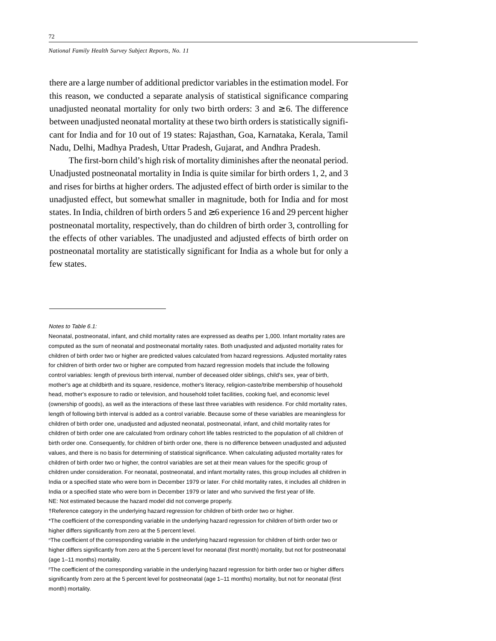there are a large number of additional predictor variables in the estimation model. For this reason, we conducted a separate analysis of statistical significance comparing unadjusted neonatal mortality for only two birth orders: 3 and  $\geq 6$ . The difference between unadjusted neonatal mortality at these two birth orders is statistically significant for India and for 10 out of 19 states: Rajasthan, Goa, Karnataka, Kerala, Tamil Nadu, Delhi, Madhya Pradesh, Uttar Pradesh, Gujarat, and Andhra Pradesh.

The first-born child's high risk of mortality diminishes after the neonatal period. Unadjusted postneonatal mortality in India is quite similar for birth orders 1, 2, and 3 and rises for births at higher orders. The adjusted effect of birth order is similar to the unadjusted effect, but somewhat smaller in magnitude, both for India and for most states. In India, children of birth orders 5 and  $\geq$  6 experience 16 and 29 percent higher postneonatal mortality, respectively, than do children of birth order 3, controlling for the effects of other variables. The unadjusted and adjusted effects of birth order on postneonatal mortality are statistically significant for India as a whole but for only a few states.

Notes to Table 6.1:

Neonatal, postneonatal, infant, and child mortality rates are expressed as deaths per 1,000. Infant mortality rates are computed as the sum of neonatal and postneonatal mortality rates. Both unadjusted and adjusted mortality rates for children of birth order two or higher are predicted values calculated from hazard regressions. Adjusted mortality rates for children of birth order two or higher are computed from hazard regression models that include the following control variables: length of previous birth interval, number of deceased older siblings, child's sex, year of birth, mother's age at childbirth and its square, residence, mother's literacy, religion-caste/tribe membership of household head, mother's exposure to radio or television, and household toilet facilities, cooking fuel, and economic level (ownership of goods), as well as the interactions of these last three variables with residence. For child mortality rates, length of following birth interval is added as a control variable. Because some of these variables are meaningless for children of birth order one, unadjusted and adjusted neonatal, postneonatal, infant, and child mortality rates for children of birth order one are calculated from ordinary cohort life tables restricted to the population of all children of birth order one. Consequently, for children of birth order one, there is no difference between unadjusted and adjusted values, and there is no basis for determining of statistical significance. When calculating adjusted mortality rates for children of birth order two or higher, the control variables are set at their mean values for the specific group of children under consideration. For neonatal, postneonatal, and infant mortality rates, this group includes all children in India or a specified state who were born in December 1979 or later. For child mortality rates, it includes all children in India or a specified state who were born in December 1979 or later and who survived the first year of life. NE: Not estimated because the hazard model did not converge properly.

<sup>†</sup>Reference category in the underlying hazard regression for children of birth order two or higher.

<sup>\*</sup>The coefficient of the corresponding variable in the underlying hazard regression for children of birth order two or higher differs significantly from zero at the 5 percent level.

nThe coefficient of the corresponding variable in the underlying hazard regression for children of birth order two or higher differs significantly from zero at the 5 percent level for neonatal (first month) mortality, but not for postneonatal (age 1–11 months) mortality.

PThe coefficient of the corresponding variable in the underlying hazard regression for birth order two or higher differs significantly from zero at the 5 percent level for postneonatal (age 1–11 months) mortality, but not for neonatal (first month) mortality.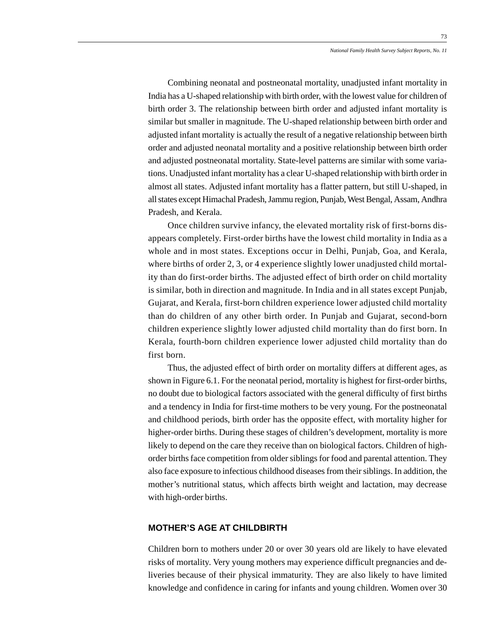Combining neonatal and postneonatal mortality, unadjusted infant mortality in India has a U-shaped relationship with birth order, with the lowest value for children of birth order 3. The relationship between birth order and adjusted infant mortality is similar but smaller in magnitude. The U-shaped relationship between birth order and adjusted infant mortality is actually the result of a negative relationship between birth order and adjusted neonatal mortality and a positive relationship between birth order and adjusted postneonatal mortality. State-level patterns are similar with some variations. Unadjusted infant mortality has a clear U-shaped relationship with birth order in almost all states. Adjusted infant mortality has a flatter pattern, but still U-shaped, in all states except Himachal Pradesh, Jammu region, Punjab, West Bengal, Assam, Andhra Pradesh, and Kerala.

Once children survive infancy, the elevated mortality risk of first-borns disappears completely. First-order births have the lowest child mortality in India as a whole and in most states. Exceptions occur in Delhi, Punjab, Goa, and Kerala, where births of order 2, 3, or 4 experience slightly lower unadjusted child mortality than do first-order births. The adjusted effect of birth order on child mortality is similar, both in direction and magnitude. In India and in all states except Punjab, Gujarat, and Kerala, first-born children experience lower adjusted child mortality than do children of any other birth order. In Punjab and Gujarat, second-born children experience slightly lower adjusted child mortality than do first born. In Kerala, fourth-born children experience lower adjusted child mortality than do first born.

Thus, the adjusted effect of birth order on mortality differs at different ages, as shown in Figure 6.1. For the neonatal period, mortality is highest for first-order births, no doubt due to biological factors associated with the general difficulty of first births and a tendency in India for first-time mothers to be very young. For the postneonatal and childhood periods, birth order has the opposite effect, with mortality higher for higher-order births. During these stages of children's development, mortality is more likely to depend on the care they receive than on biological factors. Children of highorder births face competition from older siblings for food and parental attention. They also face exposure to infectious childhood diseases from their siblings. In addition, the mother's nutritional status, which affects birth weight and lactation, may decrease with high-order births.

#### **MOTHER'S AGE AT CHILDBIRTH**

Children born to mothers under 20 or over 30 years old are likely to have elevated risks of mortality. Very young mothers may experience difficult pregnancies and deliveries because of their physical immaturity. They are also likely to have limited knowledge and confidence in caring for infants and young children. Women over 30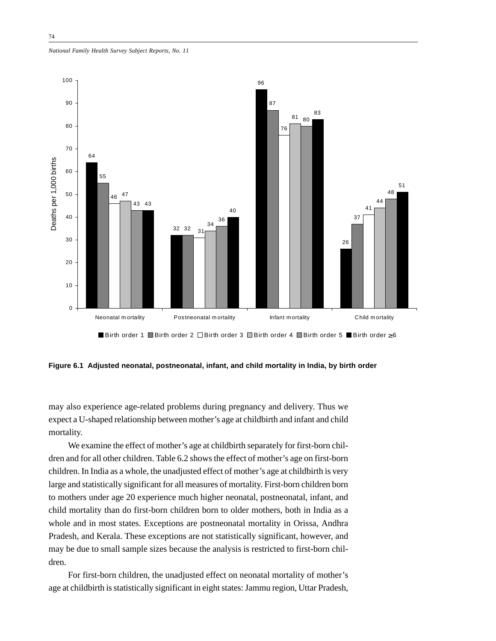*National Family Health Survey Subject Reports, No. 11*



**Figure 6.1 Adjusted neonatal, postneonatal, infant, and child mortality in India, by birth order**

may also experience age-related problems during pregnancy and delivery. Thus we expect a U-shaped relationship between mother's age at childbirth and infant and child mortality.

We examine the effect of mother's age at childbirth separately for first-born children and for all other children. Table 6.2 shows the effect of mother's age on first-born children. In India as a whole, the unadjusted effect of mother's age at childbirth is very large and statistically significant for all measures of mortality. First-born children born to mothers under age 20 experience much higher neonatal, postneonatal, infant, and child mortality than do first-born children born to older mothers, both in India as a whole and in most states. Exceptions are postneonatal mortality in Orissa, Andhra Pradesh, and Kerala. These exceptions are not statistically significant, however, and may be due to small sample sizes because the analysis is restricted to first-born children.

For first-born children, the unadjusted effect on neonatal mortality of mother's age at childbirth is statistically significant in eight states: Jammu region, Uttar Pradesh,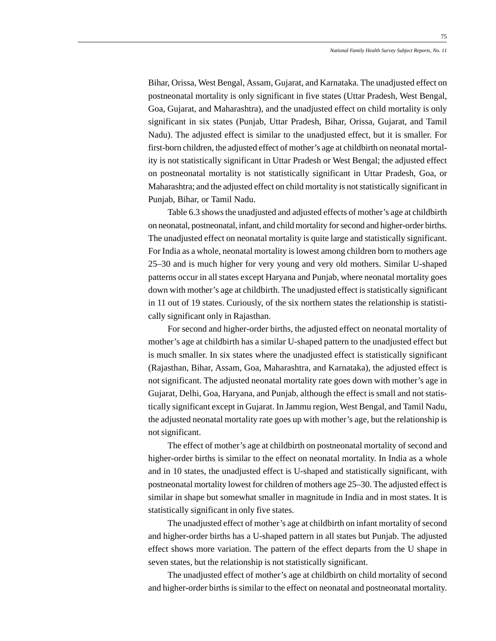Bihar, Orissa, West Bengal, Assam, Gujarat, and Karnataka. The unadjusted effect on postneonatal mortality is only significant in five states (Uttar Pradesh, West Bengal, Goa, Gujarat, and Maharashtra), and the unadjusted effect on child mortality is only significant in six states (Punjab, Uttar Pradesh, Bihar, Orissa, Gujarat, and Tamil Nadu). The adjusted effect is similar to the unadjusted effect, but it is smaller. For first-born children, the adjusted effect of mother's age at childbirth on neonatal mortality is not statistically significant in Uttar Pradesh or West Bengal; the adjusted effect on postneonatal mortality is not statistically significant in Uttar Pradesh, Goa, or Maharashtra; and the adjusted effect on child mortality is not statistically significant in Punjab, Bihar, or Tamil Nadu.

Table 6.3 shows the unadjusted and adjusted effects of mother's age at childbirth on neonatal, postneonatal, infant, and child mortality for second and higher-order births. The unadjusted effect on neonatal mortality is quite large and statistically significant. For India as a whole, neonatal mortality is lowest among children born to mothers age 25–30 and is much higher for very young and very old mothers. Similar U-shaped patterns occur in all states except Haryana and Punjab, where neonatal mortality goes down with mother's age at childbirth. The unadjusted effect is statistically significant in 11 out of 19 states. Curiously, of the six northern states the relationship is statistically significant only in Rajasthan.

For second and higher-order births, the adjusted effect on neonatal mortality of mother's age at childbirth has a similar U-shaped pattern to the unadjusted effect but is much smaller. In six states where the unadjusted effect is statistically significant (Rajasthan, Bihar, Assam, Goa, Maharashtra, and Karnataka), the adjusted effect is not significant. The adjusted neonatal mortality rate goes down with mother's age in Gujarat, Delhi, Goa, Haryana, and Punjab, although the effect is small and not statistically significant except in Gujarat. In Jammu region, West Bengal, and Tamil Nadu, the adjusted neonatal mortality rate goes up with mother's age, but the relationship is not significant.

The effect of mother's age at childbirth on postneonatal mortality of second and higher-order births is similar to the effect on neonatal mortality. In India as a whole and in 10 states, the unadjusted effect is U-shaped and statistically significant, with postneonatal mortality lowest for children of mothers age 25–30. The adjusted effect is similar in shape but somewhat smaller in magnitude in India and in most states. It is statistically significant in only five states.

The unadjusted effect of mother's age at childbirth on infant mortality of second and higher-order births has a U-shaped pattern in all states but Punjab. The adjusted effect shows more variation. The pattern of the effect departs from the U shape in seven states, but the relationship is not statistically significant.

The unadjusted effect of mother's age at childbirth on child mortality of second and higher-order births is similar to the effect on neonatal and postneonatal mortality.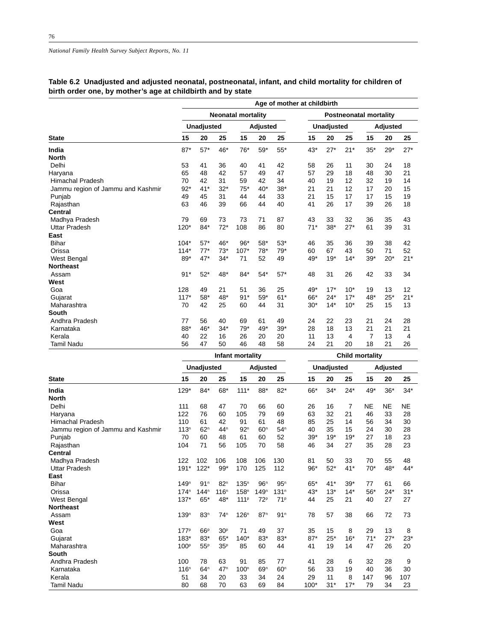## **Table 6.2 Unadjusted and adjusted neonatal, postneonatal, infant, and child mortality for children of birth order one, by mother's age at childbirth and by state**

|                                   | Age of mother at childbirth |                   |       |                           |          |       |       |            |                               |       |          |       |  |
|-----------------------------------|-----------------------------|-------------------|-------|---------------------------|----------|-------|-------|------------|-------------------------------|-------|----------|-------|--|
|                                   |                             |                   |       | <b>Neonatal mortality</b> |          |       |       |            | <b>Postneonatal mortality</b> |       |          |       |  |
|                                   |                             | <b>Unadjusted</b> |       |                           | Adjusted |       |       | Unadjusted |                               |       | Adjusted |       |  |
| <b>State</b>                      | 15                          | 20                | 25    | 15                        | 20       | 25    | 15    | 20         | 25                            | 15    | 20       | 25    |  |
| India                             | $87*$                       | $57*$             | 46*   | $76*$                     | $59*$    | $55*$ | $43*$ | $27*$      | $21*$                         | $35*$ | $29*$    | $27*$ |  |
| <b>North</b>                      |                             |                   |       |                           |          |       |       |            |                               |       |          |       |  |
| Delhi                             | 53                          | 41                | 36    | 40                        | 41       | 42    | 58    | 26         | 11                            | 30    | 24       | 18    |  |
| Haryana                           | 65                          | 48                | 42    | 57                        | 49       | 47    | 57    | 29         | 18                            | 48    | 30       | 21    |  |
| <b>Himachal Pradesh</b>           | 70                          | 42                | 31    | 59                        | 42       | 34    | 40    | 19         | 12                            | 32    | 19       | 14    |  |
| Jammu region of Jammu and Kashmir | $92*$                       | $41*$             | $32*$ | $75*$                     | $40*$    | $38*$ | 21    | 21         | 12                            | 17    | 20       | 15    |  |
| Punjab                            | 49                          | 45                | 31    | 44                        | 44       | 33    | 21    | 15         | 17                            | 17    | 15       | 19    |  |
| Rajasthan                         | 63                          | 46                | 39    | 66                        | 44       | 40    | 41    | 26         | 17                            | 39    | 26       | 18    |  |
| <b>Central</b>                    |                             |                   |       |                           |          |       |       |            |                               |       |          |       |  |
| Madhya Pradesh                    | 79                          | 69                | 73    | 73                        | 71       | 87    | 43    | 33         | 32                            | 36    | 35       | 43    |  |
| <b>Uttar Pradesh</b>              | $120*$                      | $84*$             | $72*$ | 108                       | 86       | 80    | $71*$ | $38*$      | $27*$                         | 61    | 39       | 31    |  |
| East                              |                             |                   |       |                           |          |       |       |            |                               |       |          |       |  |
| <b>Bihar</b>                      | $104*$                      | $57*$             | 46*   | $96*$                     | $58*$    | $53*$ | 46    | 35         | 36                            | 39    | 38       | 42    |  |
| Orissa                            | $114*$                      | $77*$             | $73*$ | $107*$                    | $78*$    | $79*$ | 60    | 67         | 43                            | 50    | 71       | 52    |  |
| West Bengal                       | 89*                         | $47*$             | $34*$ | 71                        | 52       | 49    | 49*   | $19*$      | $14*$                         | $39*$ | $20*$    | $21*$ |  |
| <b>Northeast</b>                  |                             |                   |       |                           |          |       |       |            |                               |       |          |       |  |
| Assam                             | $91*$                       | $52*$             | 48*   | $84*$                     | $54*$    | $57*$ | 48    | 31         | 26                            | 42    | 33       | 34    |  |
| West                              |                             |                   |       |                           |          |       |       |            |                               |       |          |       |  |
| Goa                               | 128                         | 49                | 21    | 51                        | 36       | 25    | 49*   | $17*$      | $10*$                         | 19    | 13       | 12    |  |
| Gujarat                           | $117*$                      | $58*$             | 48*   | $91*$                     | $59*$    | $61*$ | 66*   | $24*$      | $17*$                         | 48*   | $25*$    | $21*$ |  |
| Maharashtra                       | 70                          | 42                | 25    | 60                        | 44       | 31    | $30*$ | $14*$      | $10*$                         | 25    | 15       | 13    |  |
| South                             |                             |                   |       |                           |          |       |       |            |                               |       |          |       |  |
| Andhra Pradesh                    | 77                          | 56                | 40    | 69                        | 61       | 49    | 24    | 22         | 23                            | 21    | 24       | 28    |  |
| Karnataka                         | 88*                         | 46*               | $34*$ | $79*$                     | 49*      | $39*$ | 28    | 18         | 13                            | 21    | 21       | 21    |  |
| Kerala                            | 40                          | 22                | 16    | 26                        | 20       | 20    | 11    | 13         | 4                             | 7     | 13       | 4     |  |
| <b>Tamil Nadu</b>                 | 56                          | 47                | 50    | 46                        | 48       | 58    | 24    | 21         | 20                            | 18    | 21       | 26    |  |

|                                   |                  | Child mortality  |                  |                  |                  |                  |        |                   |       |       |          |       |
|-----------------------------------|------------------|------------------|------------------|------------------|------------------|------------------|--------|-------------------|-------|-------|----------|-------|
|                                   |                  | Unadjusted       |                  |                  | Adjusted         |                  |        | <b>Unadjusted</b> |       |       | Adjusted |       |
| <b>State</b>                      | 15               | 20               | 25               | 15               | 20               | 25               | 15     | 20                | 25    | 15    | 20       | 25    |
| India                             | $129*$           | $84*$            | 68*              | $111*$           | 88*              | $82*$            | 66*    | $34*$             | $24*$ | 49*   | $36*$    | $34*$ |
| <b>North</b>                      |                  |                  |                  |                  |                  |                  |        |                   |       |       |          |       |
| Delhi                             | 111              | 68               | 47               | 70               | 66               | 60               | 26     | 16                | 7     | NE    | NE       | NE    |
| Haryana                           | 122              | 76               | 60               | 105              | 79               | 69               | 63     | 32                | 21    | 46    | 33       | 28    |
| Himachal Pradesh                  | 110              | 61               | 42               | 91               | 61               | 48               | 85     | 25                | 14    | 56    | 34       | 30    |
| Jammu region of Jammu and Kashmir | 113 <sup>n</sup> | 62 <sup>n</sup>  | 44 <sup>n</sup>  | 92 <sup>n</sup>  | 60 <sup>n</sup>  | 54 <sup>n</sup>  | 40     | 35                | 15    | 24    | 30       | 28    |
| Punjab                            | 70               | 60               | 48               | 61               | 60               | 52               | $39*$  | $19*$             | $19*$ | 27    | 18       | 23    |
| Rajasthan                         | 104              | 71               | 56               | 105              | 70               | 58               | 46     | 34                | 27    | 35    | 28       | 23    |
| Central                           |                  |                  |                  |                  |                  |                  |        |                   |       |       |          |       |
| Madhya Pradesh                    | 122              | 102              | 106              | 108              | 106              | 130              | 81     | 50                | 33    | 70    | 55       | 48    |
| Uttar Pradesh                     | $191*$           | $122*$           | $99*$            | 170              | 125              | 112              | $96*$  | $52*$             | $41*$ | $70*$ | 48*      | $44*$ |
| East                              |                  |                  |                  |                  |                  |                  |        |                   |       |       |          |       |
| <b>Bihar</b>                      | 149 <sup>n</sup> | 91 <sup>n</sup>  | 82 <sup>n</sup>  | 135 <sup>n</sup> | 96 <sup>n</sup>  | 95 <sup>n</sup>  | $65*$  | $41*$             | $39*$ | 77    | 61       | 66    |
| Orissa                            | 174 <sup>n</sup> | 144 <sup>n</sup> | 116 <sup>n</sup> | 158 <sup>n</sup> | 149 <sup>n</sup> | 131 <sup>n</sup> | $43*$  | $13*$             | $14*$ | $56*$ | $24*$    | $31*$ |
| West Bengal                       | $137*$           | $65*$            | 48*              | 111 <sup>p</sup> | 72 <sup>p</sup>  | 71 <sup>p</sup>  | 44     | 25                | 21    | 40    | 27       | 27    |
| <b>Northeast</b>                  |                  |                  |                  |                  |                  |                  |        |                   |       |       |          |       |
| Assam                             | 139 <sup>n</sup> | 83 <sup>n</sup>  | 74 <sup>n</sup>  | 126 <sup>n</sup> | 87 <sup>n</sup>  | 91 <sup>n</sup>  | 78     | 57                | 38    | 66    | 72       | 73    |
| West                              |                  |                  |                  |                  |                  |                  |        |                   |       |       |          |       |
| Goa                               | 177 <sup>p</sup> | 66 <sup>P</sup>  | 30 <sup>p</sup>  | 71               | 49               | 37               | 35     | 15                | 8     | 29    | 13       | 8     |
| Gujarat                           | $183*$           | $83*$            | $65*$            | $140*$           | $83*$            | 83*              | $87*$  | $25*$             | $16*$ | $71*$ | $27*$    | $23*$ |
| Maharashtra                       | 100 <sup>p</sup> | 55 <sup>p</sup>  | 35 <sup>p</sup>  | 85               | 60               | 44               | 41     | 19                | 14    | 47    | 26       | 20    |
| South                             |                  |                  |                  |                  |                  |                  |        |                   |       |       |          |       |
| Andhra Pradesh                    | 100              | 78               | 63               | 91               | 85               | 77               | 41     | 28                | 6     | 32    | 28       | 9     |
| Karnataka                         | 116 <sup>n</sup> | 64 <sup>n</sup>  | 47 <sup>n</sup>  | 100 <sup>n</sup> | 69 <sup>n</sup>  | 60 <sup>n</sup>  | 56     | 33                | 19    | 40    | 36       | 30    |
| Kerala                            | 51               | 34               | 20               | 33               | 34               | 24               | 29     | 11                | 8     | 147   | 96       | 107   |
| <b>Tamil Nadu</b>                 | 80               | 68               | 70               | 63               | 69               | 84               | $100*$ | $31*$             | $17*$ | 79    | 34       | 23    |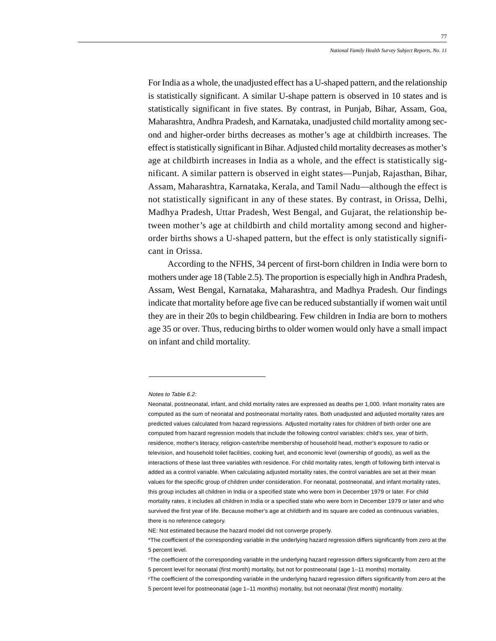For India as a whole, the unadjusted effect has a U-shaped pattern, and the relationship is statistically significant. A similar U-shape pattern is observed in 10 states and is statistically significant in five states. By contrast, in Punjab, Bihar, Assam, Goa, Maharashtra, Andhra Pradesh, and Karnataka, unadjusted child mortality among second and higher-order births decreases as mother's age at childbirth increases. The effect is statistically significant in Bihar. Adjusted child mortality decreases as mother's age at childbirth increases in India as a whole, and the effect is statistically significant. A similar pattern is observed in eight states—Punjab, Rajasthan, Bihar, Assam, Maharashtra, Karnataka, Kerala, and Tamil Nadu—although the effect is not statistically significant in any of these states. By contrast, in Orissa, Delhi, Madhya Pradesh, Uttar Pradesh, West Bengal, and Gujarat, the relationship between mother's age at childbirth and child mortality among second and higherorder births shows a U-shaped pattern, but the effect is only statistically significant in Orissa.

According to the NFHS, 34 percent of first-born children in India were born to mothers under age 18 (Table 2.5). The proportion is especially high in Andhra Pradesh, Assam, West Bengal, Karnataka, Maharashtra, and Madhya Pradesh. Our findings indicate that mortality before age five can be reduced substantially if women wait until they are in their 20s to begin childbearing. Few children in India are born to mothers age 35 or over. Thus, reducing births to older women would only have a small impact on infant and child mortality.

Notes to Table 6.2:

Neonatal, postneonatal, infant, and child mortality rates are expressed as deaths per 1,000. Infant mortality rates are computed as the sum of neonatal and postneonatal mortality rates. Both unadjusted and adjusted mortality rates are predicted values calculated from hazard regressions. Adjusted mortality rates for children of birth order one are computed from hazard regression models that include the following control variables: child's sex, year of birth, residence, mother's literacy, religion-caste/tribe membership of household head, mother's exposure to radio or television, and household toilet facilities, cooking fuel, and economic level (ownership of goods), as well as the interactions of these last three variables with residence. For child mortality rates, length of following birth interval is added as a control variable. When calculating adjusted mortality rates, the control variables are set at their mean values for the specific group of children under consideration. For neonatal, postneonatal, and infant mortality rates, this group includes all children in India or a specified state who were born in December 1979 or later. For child mortality rates, it includes all children in India or a specified state who were born in December 1979 or later and who survived the first year of life. Because mother's age at childbirth and its square are coded as continuous variables, there is no reference category.

NE: Not estimated because the hazard model did not converge properly.

<sup>\*</sup>The coefficient of the corresponding variable in the underlying hazard regression differs significantly from zero at the 5 percent level.

nThe coefficient of the corresponding variable in the underlying hazard regression differs significantly from zero at the 5 percent level for neonatal (first month) mortality, but not for postneonatal (age 1–11 months) mortality.

PThe coefficient of the corresponding variable in the underlying hazard regression differs significantly from zero at the 5 percent level for postneonatal (age 1–11 months) mortality, but not neonatal (first month) mortality.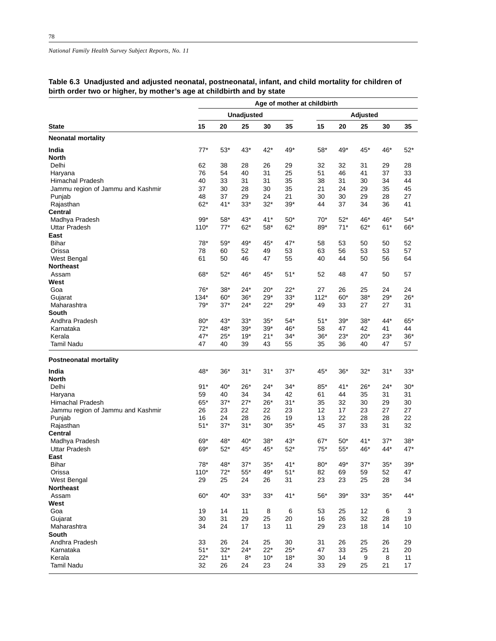|                                   | Age of mother at childbirth |       |             |       |       |        |       |          |       |       |  |  |
|-----------------------------------|-----------------------------|-------|-------------|-------|-------|--------|-------|----------|-------|-------|--|--|
|                                   |                             |       | Unadjusted  |       |       |        |       | Adjusted |       |       |  |  |
| <b>State</b>                      | 15                          | 20    | 25          | 30    | 35    | 15     | 20    | 25       | 30    | 35    |  |  |
| <b>Neonatal mortality</b>         |                             |       |             |       |       |        |       |          |       |       |  |  |
| India                             | $77*$                       | $53*$ | 43*         | $42*$ | 49*   | 58*    | 49*   | $45*$    | 46*   | $52*$ |  |  |
| <b>North</b>                      |                             |       |             |       |       |        |       |          |       |       |  |  |
| Delhi                             | 62                          | 38    | 28          | 26    | 29    | 32     | 32    | 31       | 29    | 28    |  |  |
| Haryana                           | 76                          | 54    | 40          | 31    | 25    | 51     | 46    | 41       | 37    | 33    |  |  |
| Himachal Pradesh                  | 40                          | 33    | 31          | 31    | 35    | 38     | 31    | 30       | 34    | 44    |  |  |
| Jammu region of Jammu and Kashmir | 37                          | 30    | 28          | 30    | 35    | 21     | 24    | 29       | 35    | 45    |  |  |
| Punjab                            | 48                          | 37    | 29          | 24    | 21    | 30     | 30    | 29       | 28    | 27    |  |  |
| Rajasthan                         | $62*$                       | $41*$ | $33*$       | $32*$ | $39*$ | 44     | 37    | 34       | 36    | 41    |  |  |
| Central                           |                             |       |             |       |       |        |       |          |       |       |  |  |
| Madhya Pradesh                    | $99*$                       | $58*$ | $43*$       | $41*$ | $50*$ | 70*    | $52*$ | 46*      | 46*   | $54*$ |  |  |
| <b>Uttar Pradesh</b>              | $110*$                      | $77*$ | $62*$       | $58*$ | $62*$ | 89*    | $71*$ | $62*$    | 61*   | 66*   |  |  |
| East                              |                             |       |             |       |       |        |       |          |       |       |  |  |
| <b>Bihar</b>                      | 78*                         | $59*$ | 49*         | 45*   | 47*   | 58     | 53    | 50       | 50    | 52    |  |  |
| Orissa                            | 78                          | 60    | 52          | 49    | 53    | 63     | 56    | 53       | 53    | 57    |  |  |
| West Bengal                       | 61                          | 50    | 46          | 47    | 55    | 40     | 44    | 50       | 56    | 64    |  |  |
| <b>Northeast</b>                  |                             |       |             |       |       |        |       |          |       |       |  |  |
|                                   | 68*                         |       |             |       | $51*$ |        |       |          |       |       |  |  |
| Assam                             |                             | $52*$ | 46*         | 45*   |       | 52     | 48    | 47       | 50    | 57    |  |  |
| West                              |                             |       |             |       |       |        |       |          |       |       |  |  |
| Goa                               | 76*                         | $38*$ | 24*         | $20*$ | $22*$ | 27     | 26    | 25       | 24    | 24    |  |  |
| Gujarat                           | $134*$                      | $60*$ | $36*$       | $29*$ | $33*$ | $112*$ | $60*$ | $38*$    | $29*$ | $26*$ |  |  |
| Maharashtra                       | $79*$                       | $37*$ | $24*$       | $22*$ | $29*$ | 49     | 33    | 27       | 27    | 31    |  |  |
| South                             |                             |       |             |       |       |        |       |          |       |       |  |  |
| Andhra Pradesh                    | 80*                         | $43*$ | $33*$       | $35*$ | $54*$ | 51*    | $39*$ | $38*$    | $44*$ | $65*$ |  |  |
| Karnataka                         | $72*$                       | 48*   | $39*$       | $39*$ | 46*   | 58     | 47    | 42       | 41    | 44    |  |  |
| Kerala                            | $47*$                       | $25*$ | $19*$       | $21*$ | $34*$ | 36*    | $23*$ | $20*$    | 23*   | $36*$ |  |  |
| <b>Tamil Nadu</b>                 | 47                          | 40    | 39          | 43    | 55    | 35     | 36    | 40       | 47    | 57    |  |  |
| <b>Postneonatal mortality</b>     |                             |       |             |       |       |        |       |          |       |       |  |  |
| India                             | 48*                         | $36*$ | $31*$       | $31*$ | $37*$ | 45*    | $36*$ | $32*$    | $31*$ | 33*   |  |  |
| <b>North</b>                      |                             |       |             |       |       |        |       |          |       |       |  |  |
| Delhi                             | $91*$                       | 40*   | $26*$       | $24*$ | $34*$ | 85*    | $41*$ | $26*$    | 24*   | $30*$ |  |  |
| Haryana                           | 59                          | 40    | 34          | 34    | 42    | 61     | 44    | 35       | 31    | 31    |  |  |
| <b>Himachal Pradesh</b>           | $65*$                       | $37*$ | $27*$       | $26*$ | $31*$ | 35     | 32    | 30       | 29    | 30    |  |  |
| Jammu region of Jammu and Kashmir | 26                          | 23    | 22          | 22    | 23    | 12     | 17    | 23       | 27    | 27    |  |  |
| Punjab                            | 16                          | 24    | 28          | 26    | 19    | 13     | 22    | 28       | 28    | 22    |  |  |
| Rajasthan                         | $51*$                       | $37*$ | $31*$       | $30*$ | $35*$ | 45     | 37    | 33       | 31    | 32    |  |  |
| Central                           |                             |       |             |       |       |        |       |          |       |       |  |  |
| Madhya Pradesh                    | 69*                         | 48*   | 40*         | $38*$ | $43*$ | $67*$  | $50*$ | $41*$    | $37*$ | 38*   |  |  |
| <b>Uttar Pradesh</b>              | 69*                         | $52*$ | 45*         | 45*   | $52*$ | $75*$  | $55*$ | 46*      | 44*   | $47*$ |  |  |
| East                              |                             |       |             |       |       |        |       |          |       |       |  |  |
| Bihar                             | $78*$                       | 48*   | $37*$       | $35*$ | $41*$ | $80*$  | 49*   | $37*$    | $35*$ | $39*$ |  |  |
| Orissa                            | $110*$                      | $72*$ | $55^{\ast}$ | 49*   | $51*$ | 82     | 69    | 59       | 52    | 47    |  |  |
| West Bengal                       | 29                          | 25    | 24          | 26    | 31    | 23     | 23    | 25       | 28    | 34    |  |  |
| <b>Northeast</b>                  |                             |       |             |       |       |        |       |          |       |       |  |  |
|                                   | 60*                         | $40*$ | $33*$       |       |       |        |       | $33*$    |       |       |  |  |
| Assam                             |                             |       |             | $33*$ | 41*   | $56*$  | $39*$ |          | $35*$ | 44*   |  |  |
| West                              |                             |       |             |       |       |        |       |          |       |       |  |  |
| Goa                               | 19                          | 14    | 11          | 8     | 6     | 53     | 25    | 12       | 6     | 3     |  |  |
| Gujarat                           | 30                          | 31    | 29          | 25    | 20    | 16     | 26    | 32       | 28    | 19    |  |  |
| Maharashtra                       | 34                          | 24    | 17          | 13    | 11    | 29     | 23    | 18       | 14    | 10    |  |  |
| South                             |                             |       |             |       |       |        |       |          |       |       |  |  |
| Andhra Pradesh                    | 33                          | 26    | 24          | 25    | 30    | 31     | 26    | 25       | 26    | 29    |  |  |
| Karnataka                         | $51*$                       | $32*$ | $24*$       | $22*$ | $25*$ | 47     | 33    | 25       | 21    | 20    |  |  |
| Kerala                            | $22*$                       | $11*$ | $8^{\star}$ | $10*$ | $18*$ | 30     | 14    | 9        | 8     | 11    |  |  |
| <b>Tamil Nadu</b>                 | 32                          | 26    | 24          | 23    | 24    | 33     | 29    | 25       | 21    | 17    |  |  |

## **Table 6.3 Unadjusted and adjusted neonatal, postneonatal, infant, and child mortality for children of birth order two or higher, by mother's age at childbirth and by state**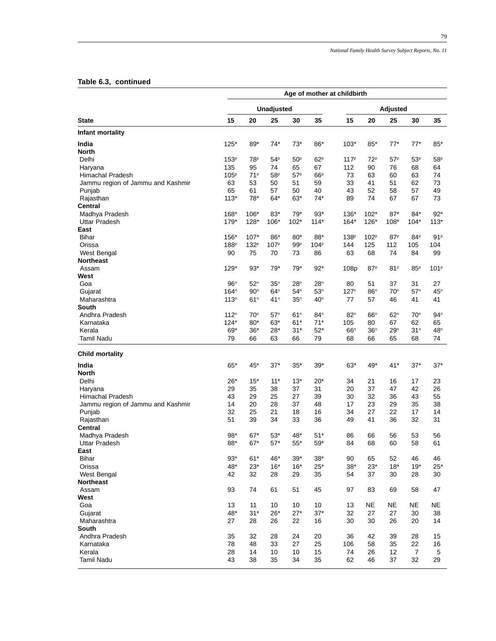#### **Table 6.3, continued**

|                                   | Age of mother at childbirth |                 |                       |                 |                       |                  |                  |                 |                  |                  |  |  |
|-----------------------------------|-----------------------------|-----------------|-----------------------|-----------------|-----------------------|------------------|------------------|-----------------|------------------|------------------|--|--|
|                                   |                             |                 | Unadjusted            |                 |                       |                  |                  | Adjusted        |                  |                  |  |  |
| <b>State</b>                      | 15                          | 20              | 25                    | 30              | 35                    | 15               | 20               | 25              | 30               | 35               |  |  |
| Infant mortality                  |                             |                 |                       |                 |                       |                  |                  |                 |                  |                  |  |  |
| India                             | $125*$                      | 89*             | $74*$                 | $73*$           | 86*                   | $103*$           | $85*$            | $77*$           | 77*              | $85*$            |  |  |
| <b>North</b>                      |                             |                 |                       |                 |                       |                  |                  |                 |                  |                  |  |  |
| Delhi                             | 153 <sup>p</sup>            | 78P             | 54P                   | 50 <sup>p</sup> | 62P                   | 117 <sup>p</sup> | 72 <sup>p</sup>  | 57 <sup>p</sup> | 53 <sup>p</sup>  | 58 <sup>p</sup>  |  |  |
| Haryana<br>Himachal Pradesh       | 135<br>105 <sup>p</sup>     | 95<br>71P       | 74<br>58 <sup>p</sup> | 65<br>57P       | 67<br>66 <sup>p</sup> | 112<br>73        | 90<br>63         | 76<br>60        | 68<br>63         | 64<br>74         |  |  |
| Jammu region of Jammu and Kashmir | 63                          | 53              | 50                    | 51              | 59                    | 33               | 41               | 51              | 62               | 73               |  |  |
| Punjab                            | 65                          | 61              | 57                    | 50              | 40                    | 43               | 52               | 58              | 57               | 49               |  |  |
| Rajasthan                         | $113*$                      | 78*             | $64*$                 | $63*$           | $74*$                 | 89               | 74               | 67              | 67               | 73               |  |  |
| Central                           |                             |                 |                       |                 |                       |                  |                  |                 |                  |                  |  |  |
| Madhya Pradesh                    | 168*                        | $106*$          | $83*$                 | $79*$           | $93*$                 | 136*             | $102*$           | $87*$           | $84*$            | $92*$            |  |  |
| <b>Uttar Pradesh</b>              | 179*                        | 128*            | 106*                  | $102*$          | $114*$                | $164*$           | 126*             | $108*$          | $104*$           | $113*$           |  |  |
| East                              |                             |                 |                       |                 |                       |                  |                  |                 |                  |                  |  |  |
| <b>Bihar</b>                      | 156*                        | $107*$          | 86*                   | $80*$           | 88*                   | 138 <sup>p</sup> | 102 <sup>p</sup> | 87 <sup>p</sup> | 84P              | 91P              |  |  |
| Orissa                            | 188 <sup>p</sup>            | 132P            | 107 <sup>p</sup>      | 99P             | 104 <sup>p</sup>      | 144              | 125              | 112             | 105              | 104              |  |  |
| West Bengal                       | 90                          | 75              | 70                    | 73              | 86                    | 63               | 68               | 74              | 84               | 99               |  |  |
| <b>Northeast</b>                  |                             |                 |                       |                 |                       |                  |                  |                 |                  |                  |  |  |
| Assam                             | 129*                        | $93*$           | 79*                   | 79*             | $92*$                 | 108p             | 87 <sup>p</sup>  | 81P             | 85P              | 101 <sup>P</sup> |  |  |
| West<br>Goa                       | 96 <sup>n</sup>             | 52 <sup>n</sup> | 35 <sup>n</sup>       | 28 <sup>n</sup> | 28 <sup>n</sup>       | 80               | 51               | 37              | 31               | 27               |  |  |
| Gujarat                           | 164 <sup>n</sup>            | 90 <sup>n</sup> | 64 <sup>n</sup>       | 54 <sup>n</sup> | 53 <sup>n</sup>       | 127 <sup>n</sup> | 86 <sup>n</sup>  | 70 <sup>n</sup> | 57 <sup>n</sup>  | 45 <sup>n</sup>  |  |  |
| Maharashtra                       | 113 <sup>n</sup>            | 61 <sup>n</sup> | 41 <sup>n</sup>       | 35 <sup>n</sup> | 40 <sup>n</sup>       | 77               | 57               | 46              | 41               | 41               |  |  |
| South                             |                             |                 |                       |                 |                       |                  |                  |                 |                  |                  |  |  |
| Andhra Pradesh                    | 112 <sup>n</sup>            | 70 <sup>n</sup> | 57 <sup>n</sup>       | 61 <sup>n</sup> | 84 <sup>n</sup>       | 82 <sup>n</sup>  | 66 <sup>n</sup>  | 62 <sup>n</sup> | 70 <sup>n</sup>  | 94 <sup>n</sup>  |  |  |
| Karnataka                         | $124*$                      | $80*$           | 63*                   | $61*$           | 71*                   | 105              | 80               | 67              | 62               | 65               |  |  |
| Kerala                            | 69*                         | $36*$           | $28*$                 | $31*$           | $52*$                 | 66 <sup>n</sup>  | 36 <sup>n</sup>  | 29 <sup>n</sup> | 31 <sup>n</sup>  | 48 <sup>n</sup>  |  |  |
| <b>Tamil Nadu</b>                 | 79                          | 66              | 63                    | 66              | 79                    | 68               | 66               | 65              | 68               | 74               |  |  |
| <b>Child mortality</b>            |                             |                 |                       |                 |                       |                  |                  |                 |                  |                  |  |  |
| India                             | 65*                         | 45*             | $37*$                 | $35*$           | $39*$                 | $63*$            | 49*              | $41*$           | $37*$            | $37*$            |  |  |
| <b>North</b>                      |                             |                 |                       |                 |                       |                  |                  |                 |                  |                  |  |  |
| Delhi                             | $26*$                       | $15*$           | $11*$                 | $13*$           | $20*$                 | 34               | 21               | 16              | 17               | 23               |  |  |
| Haryana                           | 29                          | 35              | 38                    | 37              | 31                    | 20               | 37               | 47              | 42               | 26               |  |  |
| Himachal Pradesh                  | 43                          | 29              | 25                    | 27              | 39                    | 30               | 32               | 36              | 43               | 55               |  |  |
| Jammu region of Jammu and Kashmir | 14                          | 20              | 28                    | 37              | 48                    | 17               | 23               | 29              | 35               | 38               |  |  |
| Punjab                            | 32                          | 25              | 21                    | 18              | 16                    | 34               | 27               | 22              | 17               | 14               |  |  |
| Rajasthan                         | 51                          | 39              | 34                    | 33              | 36                    | 49               | 41               | 36              | 32               | 31               |  |  |
| Central                           |                             |                 |                       |                 |                       |                  |                  |                 |                  |                  |  |  |
| Madhya Pradesh                    | 98*                         | $67*$           | $53*$                 | 48*             | $51*$                 | 86               | 66               | 56              | 53               | 56               |  |  |
| <b>Uttar Pradesh</b><br>East      | 88*                         | $67*$           | $57*$                 | $55*$           | $59*$                 | 84               | 68               | 60              | 58               | 61               |  |  |
| Bihar                             | $93*$                       | $61*$           | 46*                   | $39*$           | $38*$                 | 90               | 65               | 52              | 46               | 46               |  |  |
| Orissa                            | 48*                         | $23*$           | $16*$                 | $16*$           | $25*$                 | $38*$            | $23*$            | $18*$           | $19*$            | $25*$            |  |  |
| West Bengal                       | 42                          | 32              | 28                    | 29              | 35                    | 54               | 37               | 30              | 28               | 30               |  |  |
| <b>Northeast</b>                  |                             |                 |                       |                 |                       |                  |                  |                 |                  |                  |  |  |
| Assam                             | 93                          | 74              | 61                    | 51              | 45                    | 97               | 83               | 69              | 58               | 47               |  |  |
| West                              |                             |                 |                       |                 |                       |                  |                  |                 |                  |                  |  |  |
| Goa                               | 13                          | 11              | 10                    | 10              | 10                    | 13               | NE               | <b>NE</b>       | <b>NE</b>        | NE               |  |  |
| Gujarat                           | 48*                         | $31*$           | $26*$                 | $27*$           | $37*$                 | 32               | 27               | 27              | 30               | 38               |  |  |
| Maharashtra                       | 27                          | 28              | 26                    | 22              | 16                    | 30               | 30               | 26              | 20               | 14               |  |  |
| South                             |                             |                 |                       |                 |                       |                  |                  |                 |                  |                  |  |  |
| Andhra Pradesh                    | 35                          | 32              | 28                    | 24              | 20                    | 36               | 42               | 39              | 28               | 15               |  |  |
| Karnataka                         | 78                          | 48              | 33                    | 27              | 25                    | 106              | 58               | 35              | 22               | 16               |  |  |
| Kerala                            | 28                          | 14              | 10                    | 10              | 15                    | 74               | 26               | 12              | $\boldsymbol{7}$ | 5                |  |  |
| <b>Tamil Nadu</b>                 | 43                          | 38              | 35                    | 34              | 35                    | 62               | 46               | 37              | 32               | 29               |  |  |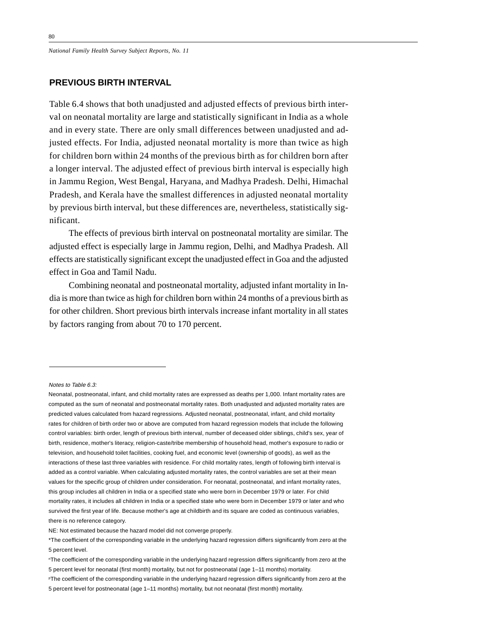*National Family Health Survey Subject Reports, No. 11*

## **PREVIOUS BIRTH INTERVAL**

Table 6.4 shows that both unadjusted and adjusted effects of previous birth interval on neonatal mortality are large and statistically significant in India as a whole and in every state. There are only small differences between unadjusted and adjusted effects. For India, adjusted neonatal mortality is more than twice as high for children born within 24 months of the previous birth as for children born after a longer interval. The adjusted effect of previous birth interval is especially high in Jammu Region, West Bengal, Haryana, and Madhya Pradesh. Delhi, Himachal Pradesh, and Kerala have the smallest differences in adjusted neonatal mortality by previous birth interval, but these differences are, nevertheless, statistically significant.

The effects of previous birth interval on postneonatal mortality are similar. The adjusted effect is especially large in Jammu region, Delhi, and Madhya Pradesh. All effects are statistically significant except the unadjusted effect in Goa and the adjusted effect in Goa and Tamil Nadu.

Combining neonatal and postneonatal mortality, adjusted infant mortality in India is more than twice as high for children born within 24 months of a previous birth as for other children. Short previous birth intervals increase infant mortality in all states by factors ranging from about 70 to 170 percent.

Notes to Table 6.3:

NE: Not estimated because the hazard model did not converge properly.

Neonatal, postneonatal, infant, and child mortality rates are expressed as deaths per 1,000. Infant mortality rates are computed as the sum of neonatal and postneonatal mortality rates. Both unadjusted and adjusted mortality rates are predicted values calculated from hazard regressions. Adjusted neonatal, postneonatal, infant, and child mortality rates for children of birth order two or above are computed from hazard regression models that include the following control variables: birth order, length of previous birth interval, number of deceased older siblings, child's sex, year of birth, residence, mother's literacy, religion-caste/tribe membership of household head, mother's exposure to radio or television, and household toilet facilities, cooking fuel, and economic level (ownership of goods), as well as the interactions of these last three variables with residence. For child mortality rates, length of following birth interval is added as a control variable. When calculating adjusted mortality rates, the control variables are set at their mean values for the specific group of children under consideration. For neonatal, postneonatal, and infant mortality rates, this group includes all children in India or a specified state who were born in December 1979 or later. For child mortality rates, it includes all children in India or a specified state who were born in December 1979 or later and who survived the first year of life. Because mother's age at childbirth and its square are coded as continuous variables, there is no reference category.

<sup>\*</sup>The coefficient of the corresponding variable in the underlying hazard regression differs significantly from zero at the 5 percent level.

nThe coefficient of the corresponding variable in the underlying hazard regression differs significantly from zero at the 5 percent level for neonatal (first month) mortality, but not for postneonatal (age 1–11 months) mortality.

PThe coefficient of the corresponding variable in the underlying hazard regression differs significantly from zero at the 5 percent level for postneonatal (age 1–11 months) mortality, but not neonatal (first month) mortality.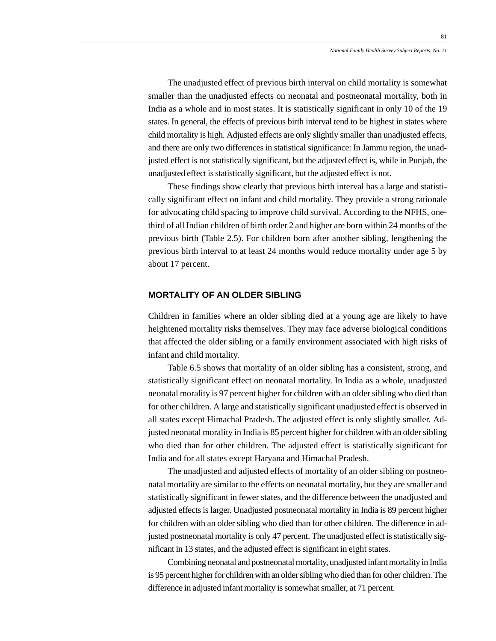The unadjusted effect of previous birth interval on child mortality is somewhat smaller than the unadjusted effects on neonatal and postneonatal mortality, both in India as a whole and in most states. It is statistically significant in only 10 of the 19 states. In general, the effects of previous birth interval tend to be highest in states where child mortality is high. Adjusted effects are only slightly smaller than unadjusted effects, and there are only two differences in statistical significance: In Jammu region, the unadjusted effect is not statistically significant, but the adjusted effect is, while in Punjab, the unadjusted effect is statistically significant, but the adjusted effect is not.

These findings show clearly that previous birth interval has a large and statistically significant effect on infant and child mortality. They provide a strong rationale for advocating child spacing to improve child survival. According to the NFHS, onethird of all Indian children of birth order 2 and higher are born within 24 months of the previous birth (Table 2.5). For children born after another sibling, lengthening the previous birth interval to at least 24 months would reduce mortality under age 5 by about 17 percent.

#### **MORTALITY OF AN OLDER SIBLING**

Children in families where an older sibling died at a young age are likely to have heightened mortality risks themselves. They may face adverse biological conditions that affected the older sibling or a family environment associated with high risks of infant and child mortality.

Table 6.5 shows that mortality of an older sibling has a consistent, strong, and statistically significant effect on neonatal mortality. In India as a whole, unadjusted neonatal morality is 97 percent higher for children with an older sibling who died than for other children. A large and statistically significant unadjusted effect is observed in all states except Himachal Pradesh. The adjusted effect is only slightly smaller. Adjusted neonatal morality in India is 85 percent higher for children with an older sibling who died than for other children. The adjusted effect is statistically significant for India and for all states except Haryana and Himachal Pradesh.

The unadjusted and adjusted effects of mortality of an older sibling on postneonatal mortality are similar to the effects on neonatal mortality, but they are smaller and statistically significant in fewer states, and the difference between the unadjusted and adjusted effects is larger. Unadjusted postneonatal mortality in India is 89 percent higher for children with an older sibling who died than for other children. The difference in adjusted postneonatal mortality is only 47 percent. The unadjusted effect is statistically significant in 13 states, and the adjusted effect is significant in eight states.

Combining neonatal and postneonatal mortality, unadjusted infant mortality in India is 95 percent higher for children with an older sibling who died than for other children. The difference in adjusted infant mortality is somewhat smaller, at 71 percent.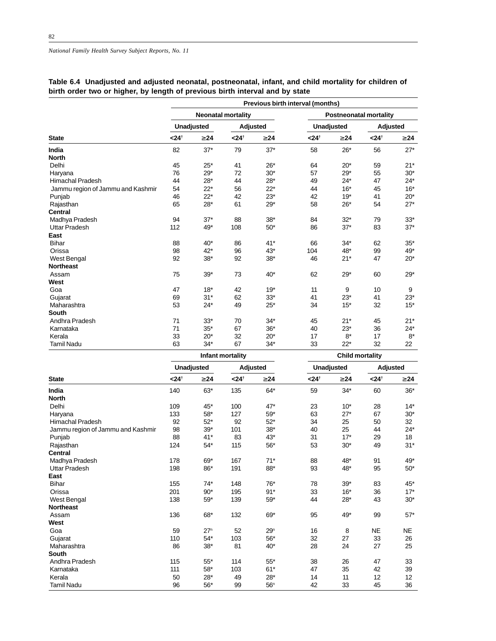## **Table 6.4 Unadjusted and adjusted neonatal, postneonatal, infant, and child mortality for children of birth order two or higher, by length of previous birth interval and by state**

|                                   | Previous birth interval (months) |            |                           |           |                   |                        |                               |           |  |  |  |  |
|-----------------------------------|----------------------------------|------------|---------------------------|-----------|-------------------|------------------------|-------------------------------|-----------|--|--|--|--|
|                                   |                                  |            | <b>Neonatal mortality</b> |           |                   |                        | <b>Postneonatal mortality</b> |           |  |  |  |  |
|                                   |                                  | Unadjusted |                           | Adjusted  |                   | <b>Unadjusted</b>      | Adjusted                      |           |  |  |  |  |
| <b>State</b>                      | < 24 <sup>†</sup>                | $\geq$ 24  | < 24 <sup>†</sup>         | $\geq$ 24 | < 24 <sup>†</sup> | $\geq$ 24              | < 24 <sup>†</sup>             | $\geq 24$ |  |  |  |  |
| India                             | 82                               | $37*$      | 79                        | $37*$     | 58                | $26*$                  | 56                            | $27*$     |  |  |  |  |
| <b>North</b>                      |                                  |            |                           |           |                   |                        |                               |           |  |  |  |  |
| Delhi                             | 45                               | $25*$      | 41                        | $26*$     | 64                | $20*$                  | 59                            | $21*$     |  |  |  |  |
| Haryana                           | 76                               | 29*        | 72                        | $30*$     | 57                | $29*$                  | 55                            | $30*$     |  |  |  |  |
| <b>Himachal Pradesh</b>           | 44                               | $28*$      | 44                        | $28*$     | 49                | $24*$                  | 47                            | $24*$     |  |  |  |  |
| Jammu region of Jammu and Kashmir | 54                               | $22*$      | 56                        | $22*$     | 44                | $16*$                  | 45                            | $16*$     |  |  |  |  |
| Punjab                            | 46                               | $22*$      | 42                        | $23*$     | 42                | $19*$                  | 41                            | $20*$     |  |  |  |  |
| Rajasthan                         | 65                               | $28*$      | 61                        | $29*$     | 58                | $26*$                  | 54                            | $27*$     |  |  |  |  |
| <b>Central</b>                    |                                  |            |                           |           |                   |                        |                               |           |  |  |  |  |
| Madhya Pradesh                    | 94                               | $37*$      | 88                        | $38*$     | 84                | $32*$                  | 79                            | $33*$     |  |  |  |  |
| <b>Uttar Pradesh</b>              | 112                              | 49*        | 108                       | $50*$     | 86                | $37*$                  | 83                            | $37*$     |  |  |  |  |
| East                              |                                  |            |                           |           |                   |                        |                               |           |  |  |  |  |
| <b>Bihar</b>                      | 88                               | $40*$      | 86                        | $41*$     | 66                | $34*$                  | 62                            | $35*$     |  |  |  |  |
| Orissa                            | 98                               | 42*        | 96                        | 43*       | 104               | 48*                    | 99                            | 49*       |  |  |  |  |
| <b>West Bengal</b>                | 92                               | $38*$      | 92                        | $38*$     | 46                | $21*$                  | 47                            | $20*$     |  |  |  |  |
| <b>Northeast</b>                  |                                  |            |                           |           |                   |                        |                               |           |  |  |  |  |
| Assam                             | 75                               | $39*$      | 73                        | $40*$     | 62                | $29*$                  | 60                            | $29*$     |  |  |  |  |
| West                              |                                  |            |                           |           |                   |                        |                               |           |  |  |  |  |
| Goa                               | 47                               | $18*$      | 42                        | $19*$     | 11                | 9                      | 10                            | 9         |  |  |  |  |
| Gujarat                           | 69                               | $31*$      | 62                        | $33*$     | 41                | $23*$                  | 41                            | $23*$     |  |  |  |  |
| Maharashtra                       | 53                               | $24*$      | 49                        | $25*$     | 34                | $15*$                  | 32                            | $15*$     |  |  |  |  |
| <b>South</b>                      |                                  |            |                           |           |                   |                        |                               |           |  |  |  |  |
| Andhra Pradesh                    | 71                               | $33*$      | 70                        | $34*$     | 45                | $21*$                  | 45                            | $21*$     |  |  |  |  |
| Karnataka                         | 71                               | $35*$      | 67                        | $36*$     | 40                | $23*$                  | 36                            | $24*$     |  |  |  |  |
| Kerala                            | 33                               | $20*$      | 32                        | $20*$     | 17                | $8*$                   | 17                            | $8*$      |  |  |  |  |
| <b>Tamil Nadu</b>                 | 63                               | $34*$      | 67                        | $34*$     | 33                | $22*$                  | 32                            | 22        |  |  |  |  |
|                                   |                                  |            | Infant mortality          |           |                   | <b>Child mortality</b> |                               |           |  |  |  |  |

|                                   |                   | <b>Unadjusted</b> |                   | Adjusted        |                   | <b>Unadjusted</b> | Adjusted         |           |  |
|-----------------------------------|-------------------|-------------------|-------------------|-----------------|-------------------|-------------------|------------------|-----------|--|
| <b>State</b>                      | < 24 <sup>†</sup> | $\geq$ 24         | < 24 <sup>†</sup> | $\geq$ 24       | < 24 <sup>†</sup> | $\geq$ 24         | $< 24^{\dagger}$ | $\geq 24$ |  |
| India                             | 140               | $63*$             | 135               | $64*$           | 59                | $34*$             | 60               | $36*$     |  |
| <b>North</b>                      |                   |                   |                   |                 |                   |                   |                  |           |  |
| Delhi                             | 109               | $45*$             | 100               | $47*$           | 23                | $10*$             | 28               | $14*$     |  |
| Haryana                           | 133               | 58*               | 127               | $59*$           | 63                | $27*$             | 67               | $30*$     |  |
| <b>Himachal Pradesh</b>           | 92                | $52*$             | 92                | $52*$           | 34                | 25                | 50               | 32        |  |
| Jammu region of Jammu and Kashmir | 98                | $39*$             | 101               | $38*$           | 40                | 25                | 44               | $24*$     |  |
| Punjab                            | 88                | $41*$             | 83                | $43*$           | 31                | $17*$             | 29               | 18        |  |
| Rajasthan                         | 124               | $54*$             | 115               | $56^{\ast}$     | 53                | $30*$             | 49               | $31*$     |  |
| <b>Central</b>                    |                   |                   |                   |                 |                   |                   |                  |           |  |
| Madhya Pradesh                    | 178               | 69*               | 167               | $71*$           | 88                | 48*               | 91               | 49*       |  |
| Uttar Pradesh                     | 198               | 86*               | 191               | 88*             | 93                | 48*               | 95               | $50*$     |  |
| East                              |                   |                   |                   |                 |                   |                   |                  |           |  |
| <b>Bihar</b>                      | 155               | $74*$             | 148               | 76*             | 78                | $39*$             | 83               | 45*       |  |
| Orissa                            | 201               | $90*$             | 195               | $91*$           | 33                | $16*$             | 36               | $17*$     |  |
| West Bengal                       | 138               | $59*$             | 139               | $59*$           | 44                | $28*$             | 43               | $30*$     |  |
| <b>Northeast</b>                  |                   |                   |                   |                 |                   |                   |                  |           |  |
| Assam                             | 136               | 68*               | 132               | 69*             | 95                | 49*               | 99               | $57*$     |  |
| West                              |                   |                   |                   |                 |                   |                   |                  |           |  |
| Goa                               | 59                | 27 <sup>n</sup>   | 52                | 29 <sup>n</sup> | 16                | 8                 | <b>NE</b>        | <b>NE</b> |  |
| Gujarat                           | 110               | $54*$             | 103               | 56*             | 32                | 27                | 33               | 26        |  |
| Maharashtra                       | 86                | $38*$             | 81                | $40*$           | 28                | 24                | 27               | 25        |  |
| South                             |                   |                   |                   |                 |                   |                   |                  |           |  |
| Andhra Pradesh                    | 115               | $55*$             | 114               | $55*$           | 38                | 26                | 47               | 33        |  |
| Karnataka                         | 111               | $58*$             | 103               | $61*$           | 47                | 35                | 42               | 39        |  |
| Kerala                            | 50                | $28*$             | 49                | $28*$           | 14                | 11                | 12               | 12        |  |
| <b>Tamil Nadu</b>                 | 96                | 56*               | 99                | 56 <sup>n</sup> | 42                | 33                | 45               | 36        |  |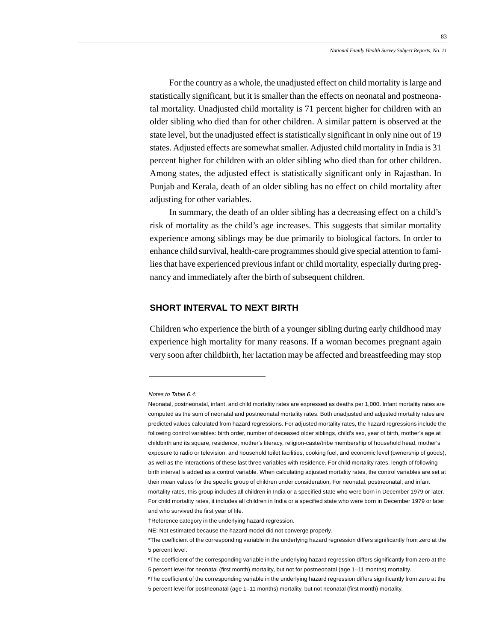For the country as a whole, the unadjusted effect on child mortality is large and statistically significant, but it is smaller than the effects on neonatal and postneonatal mortality. Unadjusted child mortality is 71 percent higher for children with an older sibling who died than for other children. A similar pattern is observed at the state level, but the unadjusted effect is statistically significant in only nine out of 19 states. Adjusted effects are somewhat smaller. Adjusted child mortality in India is 31 percent higher for children with an older sibling who died than for other children. Among states, the adjusted effect is statistically significant only in Rajasthan. In Punjab and Kerala, death of an older sibling has no effect on child mortality after adjusting for other variables.

In summary, the death of an older sibling has a decreasing effect on a child's risk of mortality as the child's age increases. This suggests that similar mortality experience among siblings may be due primarily to biological factors. In order to enhance child survival, health-care programmes should give special attention to families that have experienced previous infant or child mortality, especially during pregnancy and immediately after the birth of subsequent children.

#### **SHORT INTERVAL TO NEXT BIRTH**

Children who experience the birth of a younger sibling during early childhood may experience high mortality for many reasons. If a woman becomes pregnant again very soon after childbirth, her lactation may be affected and breastfeeding may stop

Notes to Table 6.4:

Neonatal, postneonatal, infant, and child mortality rates are expressed as deaths per 1,000. Infant mortality rates are computed as the sum of neonatal and postneonatal mortality rates. Both unadjusted and adjusted mortality rates are predicted values calculated from hazard regressions. For adjusted mortality rates, the hazard regressions include the following control variables: birth order, number of deceased older siblings, child's sex, year of birth, mother's age at childbirth and its square, residence, mother's literacy, religion-caste/tribe membership of household head, mother's exposure to radio or television, and household toilet facilities, cooking fuel, and economic level (ownership of goods), as well as the interactions of these last three variables with residence. For child mortality rates, length of following birth interval is added as a control variable. When calculating adjusted mortality rates, the control variables are set at their mean values for the specific group of children under consideration. For neonatal, postneonatal, and infant mortality rates, this group includes all children in India or a specified state who were born in December 1979 or later. For child mortality rates, it includes all children in India or a specified state who were born in December 1979 or later and who survived the first year of life.

<sup>†</sup>Reference category in the underlying hazard regression.

NE: Not estimated because the hazard model did not converge properly.

<sup>\*</sup>The coefficient of the corresponding variable in the underlying hazard regression differs significantly from zero at the 5 percent level.

nThe coefficient of the corresponding variable in the underlying hazard regression differs significantly from zero at the 5 percent level for neonatal (first month) mortality, but not for postneonatal (age 1–11 months) mortality.

PThe coefficient of the corresponding variable in the underlying hazard regression differs significantly from zero at the 5 percent level for postneonatal (age 1–11 months) mortality, but not neonatal (first month) mortality.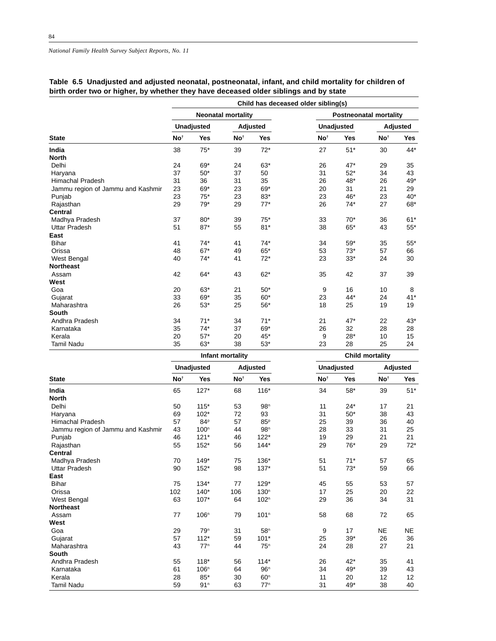|                                   |                 |                   |                           |            | Child has deceased older sibling(s) |                   |                               |          |
|-----------------------------------|-----------------|-------------------|---------------------------|------------|-------------------------------------|-------------------|-------------------------------|----------|
|                                   |                 |                   | <b>Neonatal mortality</b> |            |                                     |                   | <b>Postneonatal mortality</b> |          |
|                                   |                 | <b>Unadjusted</b> |                           | Adjusted   |                                     | <b>Unadjusted</b> |                               | Adjusted |
| <b>State</b>                      | No <sup>t</sup> | Yes               | No <sup>t</sup>           | <b>Yes</b> | No <sup>t</sup>                     | <b>Yes</b>        | No <sup>t</sup>               | Yes      |
| India                             | 38              | $75*$             | 39                        | $72*$      | 27                                  | $51*$             | 30                            | $44*$    |
| <b>North</b>                      |                 |                   |                           |            |                                     |                   |                               |          |
| Delhi                             | 24              | 69*               | 24                        | $63*$      | 26                                  | $47*$             | 29                            | 35       |
| Haryana                           | 37              | $50*$             | 37                        | 50         | 31                                  | $52*$             | 34                            | 43       |
| <b>Himachal Pradesh</b>           | 31              | 36                | 31                        | 35         | 26                                  | 48*               | 26                            | $49*$    |
| Jammu region of Jammu and Kashmir | 23              | 69*               | 23                        | 69*        | 20                                  | 31                | 21                            | 29       |
| Punjab                            | 23              | $75*$             | 23                        | 83*        | 23                                  | 46*               | 23                            | $40*$    |
| Rajasthan                         | 29              | $79*$             | 29                        | $77*$      | 26                                  | $74*$             | 27                            | 68*      |
| <b>Central</b>                    |                 |                   |                           |            |                                     |                   |                               |          |
| Madhya Pradesh                    | 37              | $80*$             | 39                        | $75*$      | 33                                  | $70*$             | 36                            | $61*$    |
| <b>Uttar Pradesh</b>              | 51              | $87*$             | 55                        | $81*$      | 38                                  | $65*$             | 43                            | $55*$    |
| East                              |                 |                   |                           |            |                                     |                   |                               |          |
| <b>Bihar</b>                      | 41              | $74*$             | 41                        | $74*$      | 34                                  | $59*$             | 35                            | $55*$    |
| Orissa                            | 48              | $67*$             | 49                        | 65*        | 53                                  | $73*$             | 57                            | 66       |
| <b>West Bengal</b>                | 40              | $74*$             | 41                        | $72*$      | 23                                  | $33*$             | 24                            | 30       |
| <b>Northeast</b>                  |                 |                   |                           |            |                                     |                   |                               |          |
| Assam                             | 42              | $64*$             | 43                        | $62*$      | 35                                  | 42                | 37                            | 39       |
| West                              |                 |                   |                           |            |                                     |                   |                               |          |
| Goa                               | 20              | 63*               | 21                        | $50*$      | 9                                   | 16                | 10                            | 8        |
| Gujarat                           | 33              | 69*               | 35                        | $60*$      | 23                                  | 44*               | 24                            | $41*$    |
| Maharashtra                       | 26              | $53*$             | 25                        | $56*$      | 18                                  | 25                | 19                            | 19       |
| <b>South</b>                      |                 |                   |                           |            |                                     |                   |                               |          |
| Andhra Pradesh                    | 34              | $71*$             | 34                        | $71*$      | 21                                  | 47*               | 22                            | $43*$    |
| Karnataka                         | 35              | $74*$             | 37                        | 69*        | 26                                  | 32                | 28                            | 28       |
| Kerala                            | 20              | $57*$             | 20                        | 45*        | 9                                   | $28*$             | 10                            | 15       |
| <b>Tamil Nadu</b>                 | 35              | $63*$             | 38                        | $53*$      | 23                                  | 28                | 25                            | 24       |

## **Table 6.5 Unadjusted and adjusted neonatal, postneonatal, infant, and child mortality for children of birth order two or higher, by whether they have deceased older siblings and by state**

|                                   |                 |                   | Infant mortality |                  | <b>Child mortality</b> |                   |                 |                 |  |  |
|-----------------------------------|-----------------|-------------------|------------------|------------------|------------------------|-------------------|-----------------|-----------------|--|--|
|                                   |                 | <b>Unadjusted</b> |                  | <b>Adjusted</b>  |                        | <b>Unadjusted</b> |                 | <b>Adjusted</b> |  |  |
| <b>State</b>                      | No <sup>t</sup> | Yes               | No <sup>t</sup>  | <b>Yes</b>       | No <sup>t</sup>        | Yes               | No <sup>t</sup> | Yes             |  |  |
| India                             | 65              | $127*$            | 68               | $116*$           | 34                     | $58*$             | 39              | $51*$           |  |  |
| <b>North</b>                      |                 |                   |                  |                  |                        |                   |                 |                 |  |  |
| Delhi                             | 50              | $115*$            | 53               | 98 <sup>n</sup>  | 11                     | $24*$             | 17              | 21              |  |  |
| Haryana                           | 69              | $102*$            | 72               | 93               | 31                     | $50^{\star}$      | 38              | 43              |  |  |
| <b>Himachal Pradesh</b>           | 57              | 84P               | 57               | 85P              | 25                     | 39                | 36              | 40              |  |  |
| Jammu region of Jammu and Kashmir | 43              | 100 <sup>n</sup>  | 44               | 98 <sup>n</sup>  | 28                     | 33                | 31              | 25              |  |  |
| Punjab                            | 46              | $121*$            | 46               | $122*$           | 19                     | 29                | 21              | 21              |  |  |
| Rajasthan                         | 55              | $152*$            | 56               | $144*$           | 29                     | $76*$             | 29              | $72*$           |  |  |
| <b>Central</b>                    |                 |                   |                  |                  |                        |                   |                 |                 |  |  |
| Madhya Pradesh                    | 70              | $149*$            | 75               | 136*             | 51                     | $71*$             | 57              | 65              |  |  |
| <b>Uttar Pradesh</b>              | 90              | $152*$            | 98               | $137*$           | 51                     | $73*$             | 59              | 66              |  |  |
| East                              |                 |                   |                  |                  |                        |                   |                 |                 |  |  |
| <b>Bihar</b>                      | 75              | $134*$            | 77               | $129*$           | 45                     | 55                | 53              | 57              |  |  |
| Orissa                            | 102             | $140*$            | 106              | 130 <sup>n</sup> | 17                     | 25                | 20              | 22              |  |  |
| <b>West Bengal</b>                | 63              | 107*              | 64               | 102 <sup>n</sup> | 29                     | 36                | 34              | 31              |  |  |
| <b>Northeast</b>                  |                 |                   |                  |                  |                        |                   |                 |                 |  |  |
| Assam                             | 77              | 106 <sup>n</sup>  | 79               | 101 <sup>n</sup> | 58                     | 68                | 72              | 65              |  |  |
| West                              |                 |                   |                  |                  |                        |                   |                 |                 |  |  |
| Goa                               | 29              | 79 <sup>n</sup>   | 31               | 58 <sup>n</sup>  | 9                      | 17                | <b>NE</b>       | <b>NE</b>       |  |  |
| Gujarat                           | 57              | $112*$            | 59               | $101*$           | 25                     | $39*$             | 26              | 36              |  |  |
| Maharashtra                       | 43              | $77^n$            | 44               | 75 <sup>n</sup>  | 24                     | 28                | 27              | 21              |  |  |
| <b>South</b>                      |                 |                   |                  |                  |                        |                   |                 |                 |  |  |
| Andhra Pradesh                    | 55              | $118*$            | 56               | $114*$           | 26                     | $42*$             | 35              | 41              |  |  |
| Karnataka                         | 61              | 106 <sup>n</sup>  | 64               | 96 <sup>n</sup>  | 34                     | 49*               | 39              | 43              |  |  |
| Kerala                            | 28              | 85*               | 30               | 60 <sup>n</sup>  | 11                     | 20                | 12              | 12              |  |  |
| <b>Tamil Nadu</b>                 | 59              | 91 <sup>n</sup>   | 63               | $77^n$           | 31                     | 49*               | 38              | 40              |  |  |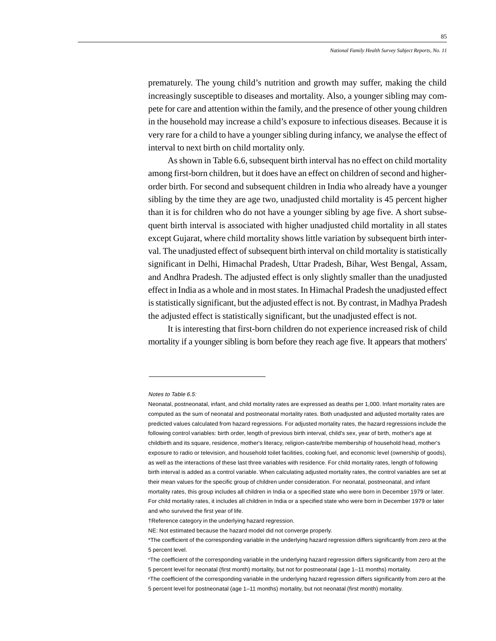prematurely. The young child's nutrition and growth may suffer, making the child increasingly susceptible to diseases and mortality. Also, a younger sibling may compete for care and attention within the family, and the presence of other young children in the household may increase a child's exposure to infectious diseases. Because it is very rare for a child to have a younger sibling during infancy, we analyse the effect of interval to next birth on child mortality only.

As shown in Table 6.6, subsequent birth interval has no effect on child mortality among first-born children, but it does have an effect on children of second and higherorder birth. For second and subsequent children in India who already have a younger sibling by the time they are age two, unadjusted child mortality is 45 percent higher than it is for children who do not have a younger sibling by age five. A short subsequent birth interval is associated with higher unadjusted child mortality in all states except Gujarat, where child mortality shows little variation by subsequent birth interval. The unadjusted effect of subsequent birth interval on child mortality is statistically significant in Delhi, Himachal Pradesh, Uttar Pradesh, Bihar, West Bengal, Assam, and Andhra Pradesh. The adjusted effect is only slightly smaller than the unadjusted effect in India as a whole and in most states. In Himachal Pradesh the unadjusted effect is statistically significant, but the adjusted effect is not. By contrast, in Madhya Pradesh the adjusted effect is statistically significant, but the unadjusted effect is not.

It is interesting that first-born children do not experience increased risk of child mortality if a younger sibling is born before they reach age five. It appears that mothers'

Notes to Table 6.5:

Neonatal, postneonatal, infant, and child mortality rates are expressed as deaths per 1,000. Infant mortality rates are computed as the sum of neonatal and postneonatal mortality rates. Both unadjusted and adjusted mortality rates are predicted values calculated from hazard regressions. For adjusted mortality rates, the hazard regressions include the following control variables: birth order, length of previous birth interval, child's sex, year of birth, mother's age at childbirth and its square, residence, mother's literacy, religion-caste/tribe membership of household head, mother's exposure to radio or television, and household toilet facilities, cooking fuel, and economic level (ownership of goods), as well as the interactions of these last three variables with residence. For child mortality rates, length of following birth interval is added as a control variable. When calculating adjusted mortality rates, the control variables are set at their mean values for the specific group of children under consideration. For neonatal, postneonatal, and infant mortality rates, this group includes all children in India or a specified state who were born in December 1979 or later. For child mortality rates, it includes all children in India or a specified state who were born in December 1979 or later and who survived the first year of life.

<sup>†</sup>Reference category in the underlying hazard regression.

NE: Not estimated because the hazard model did not converge properly.

<sup>\*</sup>The coefficient of the corresponding variable in the underlying hazard regression differs significantly from zero at the 5 percent level.

nThe coefficient of the corresponding variable in the underlying hazard regression differs significantly from zero at the 5 percent level for neonatal (first month) mortality, but not for postneonatal (age 1–11 months) mortality.

PThe coefficient of the corresponding variable in the underlying hazard regression differs significantly from zero at the 5 percent level for postneonatal (age 1–11 months) mortality, but not neonatal (first month) mortality.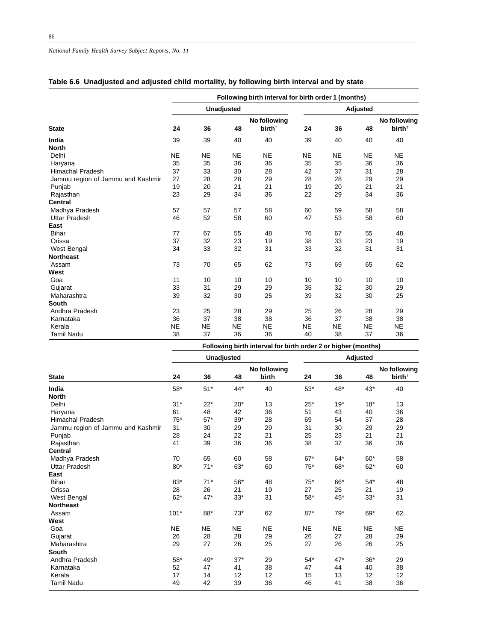#### *National Family Health Survey Subject Reports, No. 11*

|                                   | Following birth interval for birth order 1 (months) |           |                   |                                    |           |           |                 |                                    |  |  |  |  |
|-----------------------------------|-----------------------------------------------------|-----------|-------------------|------------------------------------|-----------|-----------|-----------------|------------------------------------|--|--|--|--|
|                                   |                                                     |           | <b>Unadjusted</b> |                                    |           |           | <b>Adjusted</b> |                                    |  |  |  |  |
| <b>State</b>                      | 24                                                  | 36        | 48                | No following<br>birth <sup>†</sup> | 24        | 36        | 48              | No following<br>birth <sup>†</sup> |  |  |  |  |
| India                             | 39                                                  | 39        | 40                | 40                                 | 39        | 40        | 40              | 40                                 |  |  |  |  |
| <b>North</b>                      |                                                     |           |                   |                                    |           |           |                 |                                    |  |  |  |  |
| Delhi                             | <b>NE</b>                                           | <b>NE</b> | <b>NE</b>         | <b>NE</b>                          | <b>NE</b> | <b>NE</b> | <b>NE</b>       | <b>NE</b>                          |  |  |  |  |
| Haryana                           | 35                                                  | 35        | 36                | 36                                 | 35        | 35        | 36              | 36                                 |  |  |  |  |
| <b>Himachal Pradesh</b>           | 37                                                  | 33        | 30                | 28                                 | 42        | 37        | 31              | 28                                 |  |  |  |  |
| Jammu region of Jammu and Kashmir | 27                                                  | 28        | 28                | 29                                 | 28        | 28        | 29              | 29                                 |  |  |  |  |
| Punjab                            | 19                                                  | 20        | 21                | 21                                 | 19        | 20        | 21              | 21                                 |  |  |  |  |
| Rajasthan                         | 23                                                  | 29        | 34                | 36                                 | 22        | 29        | 34              | 36                                 |  |  |  |  |
| <b>Central</b>                    |                                                     |           |                   |                                    |           |           |                 |                                    |  |  |  |  |
| Madhya Pradesh                    | 57                                                  | 57        | 57                | 58                                 | 60        | 59        | 58              | 58                                 |  |  |  |  |
| <b>Uttar Pradesh</b>              | 46                                                  | 52        | 58                | 60                                 | 47        | 53        | 58              | 60                                 |  |  |  |  |
| East                              |                                                     |           |                   |                                    |           |           |                 |                                    |  |  |  |  |
| <b>Bihar</b>                      | 77                                                  | 67        | 55                | 48                                 | 76        | 67        | 55              | 48                                 |  |  |  |  |
| Orissa                            | 37                                                  | 32        | 23                | 19                                 | 38        | 33        | 23              | 19                                 |  |  |  |  |
| West Bengal                       | 34                                                  | 33        | 32                | 31                                 | 33        | 32        | 31              | 31                                 |  |  |  |  |
| <b>Northeast</b>                  |                                                     |           |                   |                                    |           |           |                 |                                    |  |  |  |  |
| Assam                             | 73                                                  | 70        | 65                | 62                                 | 73        | 69        | 65              | 62                                 |  |  |  |  |
| West                              |                                                     |           |                   |                                    |           |           |                 |                                    |  |  |  |  |
| Goa                               | 11                                                  | 10        | 10                | 10                                 | 10        | 10        | 10              | 10                                 |  |  |  |  |
| Gujarat                           | 33                                                  | 31        | 29                | 29                                 | 35        | 32        | 30              | 29                                 |  |  |  |  |
| Maharashtra                       | 39                                                  | 32        | 30                | 25                                 | 39        | 32        | 30              | 25                                 |  |  |  |  |
| South                             |                                                     |           |                   |                                    |           |           |                 |                                    |  |  |  |  |
| Andhra Pradesh                    | 23                                                  | 25        | 28                | 29                                 | 25        | 26        | 28              | 29                                 |  |  |  |  |
| Karnataka                         | 36                                                  | 37        | 38                | 38                                 | 36        | 37        | 38              | 38                                 |  |  |  |  |
| Kerala                            | <b>NE</b>                                           | <b>NE</b> | <b>NE</b>         | <b>NE</b>                          | <b>NE</b> | <b>NE</b> | <b>NE</b>       | <b>NE</b>                          |  |  |  |  |
| <b>Tamil Nadu</b>                 | 38                                                  | 37        | 36                | 36                                 | 40        | 38        | 37              | 36                                 |  |  |  |  |

#### **Table 6.6 Unadjusted and adjusted child mortality, by following birth interval and by state**

|                                   |           |           | <b>Unadjusted</b> |                                    | Adjusted  |           |           |                                    |  |
|-----------------------------------|-----------|-----------|-------------------|------------------------------------|-----------|-----------|-----------|------------------------------------|--|
| <b>State</b>                      | 24        | 36        | 48                | No following<br>birth <sup>+</sup> | 24        | 36        | 48        | No following<br>birth <sup>+</sup> |  |
|                                   |           |           |                   |                                    |           |           |           |                                    |  |
| India                             | $58*$     | $51*$     | 44*               | 40                                 | $53*$     | 48*       | $43*$     | 40                                 |  |
| <b>North</b>                      |           |           |                   |                                    |           |           |           |                                    |  |
| Delhi                             | $31*$     | $22*$     | $20*$             | 13                                 | $25*$     | $19*$     | $18*$     | 13                                 |  |
| Haryana                           | 61        | 48        | 42                | 36                                 | 51        | 43        | 40        | 36                                 |  |
| <b>Himachal Pradesh</b>           | $75*$     | $57*$     | $39*$             | 28                                 | 69        | 54        | 37        | 28                                 |  |
| Jammu region of Jammu and Kashmir | 31        | 30        | 29                | 29                                 | 31        | 30        | 29        | 29                                 |  |
| Punjab                            | 28        | 24        | 22                | 21                                 | 25        | 23        | 21        | 21                                 |  |
| Rajasthan                         | 41        | 39        | 36                | 36                                 | 38        | 37        | 36        | 36                                 |  |
| <b>Central</b>                    |           |           |                   |                                    |           |           |           |                                    |  |
| Madhya Pradesh                    | 70        | 65        | 60                | 58                                 | $67*$     | $64*$     | $60*$     | 58                                 |  |
| <b>Uttar Pradesh</b>              | $80*$     | $71*$     | $63*$             | 60                                 | $75*$     | 68*       | $62*$     | 60                                 |  |
| East                              |           |           |                   |                                    |           |           |           |                                    |  |
| <b>Bihar</b>                      | $83*$     | $71*$     | $56^{\ast}$       | 48                                 | $75*$     | 66*       | $54*$     | 48                                 |  |
| Orissa                            | 28        | 26        | 21                | 19                                 | 27        | 25        | 21        | 19                                 |  |
| West Bengal                       | $62*$     | $47*$     | $33*$             | 31                                 | $58*$     | 45*       | $33*$     | 31                                 |  |
| <b>Northeast</b>                  |           |           |                   |                                    |           |           |           |                                    |  |
| Assam                             | $101*$    | 88*       | $73*$             | 62                                 | $87*$     | $79*$     | $69*$     | 62                                 |  |
| West                              |           |           |                   |                                    |           |           |           |                                    |  |
| Goa                               | <b>NE</b> | <b>NE</b> | <b>NE</b>         | <b>NE</b>                          | <b>NE</b> | <b>NE</b> | <b>NE</b> | <b>NE</b>                          |  |
| Gujarat                           | 26        | 28        | 28                | 29                                 | 26        | 27        | 28        | 29                                 |  |
| Maharashtra                       | 29        | 27        | 26                | 25                                 | 27        | 26        | 26        | 25                                 |  |
| South                             |           |           |                   |                                    |           |           |           |                                    |  |
| Andhra Pradesh                    | $58*$     | 49*       | $37*$             | 29                                 | $54*$     | $47*$     | $36*$     | 29                                 |  |
| Karnataka                         | 52        | 47        | 41                | 38                                 | 47        | 44        | 40        | 38                                 |  |
| Kerala                            | 17        | 14        | 12                | 12                                 | 15        | 13        | 12        | 12                                 |  |
| <b>Tamil Nadu</b>                 | 49        | 42        | 39                | 36                                 | 46        | 41        | 38        | 36                                 |  |
|                                   |           |           |                   |                                    |           |           |           |                                    |  |

**Following birth interval for birth order 2 or higher (months)**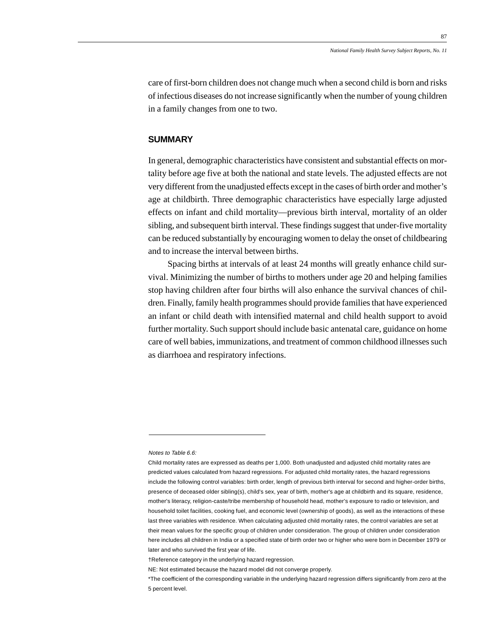care of first-born children does not change much when a second child is born and risks of infectious diseases do not increase significantly when the number of young children in a family changes from one to two.

#### **SUMMARY**

In general, demographic characteristics have consistent and substantial effects on mortality before age five at both the national and state levels. The adjusted effects are not very different from the unadjusted effects except in the cases of birth order and mother's age at childbirth. Three demographic characteristics have especially large adjusted effects on infant and child mortality—previous birth interval, mortality of an older sibling, and subsequent birth interval. These findings suggest that under-five mortality can be reduced substantially by encouraging women to delay the onset of childbearing and to increase the interval between births.

Spacing births at intervals of at least 24 months will greatly enhance child survival. Minimizing the number of births to mothers under age 20 and helping families stop having children after four births will also enhance the survival chances of children. Finally, family health programmes should provide families that have experienced an infant or child death with intensified maternal and child health support to avoid further mortality. Such support should include basic antenatal care, guidance on home care of well babies, immunizations, and treatment of common childhood illnesses such as diarrhoea and respiratory infections.

Notes to Table 6.6:

Child mortality rates are expressed as deaths per 1,000. Both unadjusted and adjusted child mortality rates are predicted values calculated from hazard regressions. For adjusted child mortality rates, the hazard regressions include the following control variables: birth order, length of previous birth interval for second and higher-order births, presence of deceased older sibling(s), child's sex, year of birth, mother's age at childbirth and its square, residence, mother's literacy, religion-caste/tribe membership of household head, mother's exposure to radio or television, and household toilet facilities, cooking fuel, and economic level (ownership of goods), as well as the interactions of these last three variables with residence. When calculating adjusted child mortality rates, the control variables are set at their mean values for the specific group of children under consideration. The group of children under consideration here includes all children in India or a specified state of birth order two or higher who were born in December 1979 or later and who survived the first year of life.

<sup>†</sup>Reference category in the underlying hazard regression.

NE: Not estimated because the hazard model did not converge properly.

<sup>\*</sup>The coefficient of the corresponding variable in the underlying hazard regression differs significantly from zero at the 5 percent level.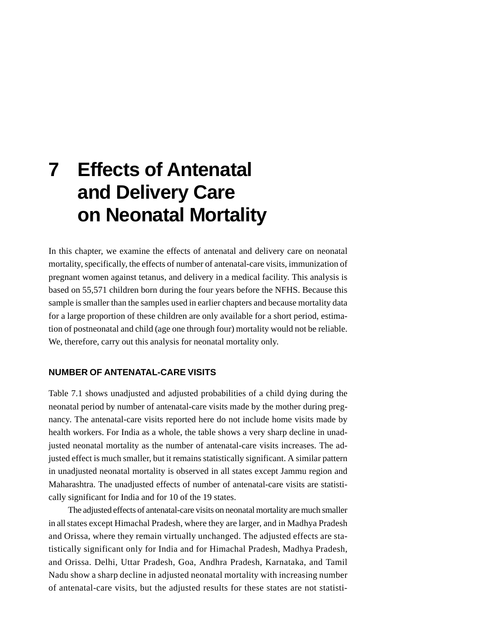# **7 Effects of Antenatal and Delivery Care on Neonatal Mortality**

In this chapter, we examine the effects of antenatal and delivery care on neonatal mortality, specifically, the effects of number of antenatal-care visits, immunization of pregnant women against tetanus, and delivery in a medical facility. This analysis is based on 55,571 children born during the four years before the NFHS. Because this sample is smaller than the samples used in earlier chapters and because mortality data for a large proportion of these children are only available for a short period, estimation of postneonatal and child (age one through four) mortality would not be reliable. We, therefore, carry out this analysis for neonatal mortality only.

## **NUMBER OF ANTENATAL-CARE VISITS**

Table 7.1 shows unadjusted and adjusted probabilities of a child dying during the neonatal period by number of antenatal-care visits made by the mother during pregnancy. The antenatal-care visits reported here do not include home visits made by health workers. For India as a whole, the table shows a very sharp decline in unadjusted neonatal mortality as the number of antenatal-care visits increases. The adjusted effect is much smaller, but it remains statistically significant. A similar pattern in unadjusted neonatal mortality is observed in all states except Jammu region and Maharashtra. The unadjusted effects of number of antenatal-care visits are statistically significant for India and for 10 of the 19 states.

The adjusted effects of antenatal-care visits on neonatal mortality are much smaller in all states except Himachal Pradesh, where they are larger, and in Madhya Pradesh and Orissa, where they remain virtually unchanged. The adjusted effects are statistically significant only for India and for Himachal Pradesh, Madhya Pradesh, and Orissa. Delhi, Uttar Pradesh, Goa, Andhra Pradesh, Karnataka, and Tamil Nadu show a sharp decline in adjusted neonatal mortality with increasing number of antenatal-care visits, but the adjusted results for these states are not statisti-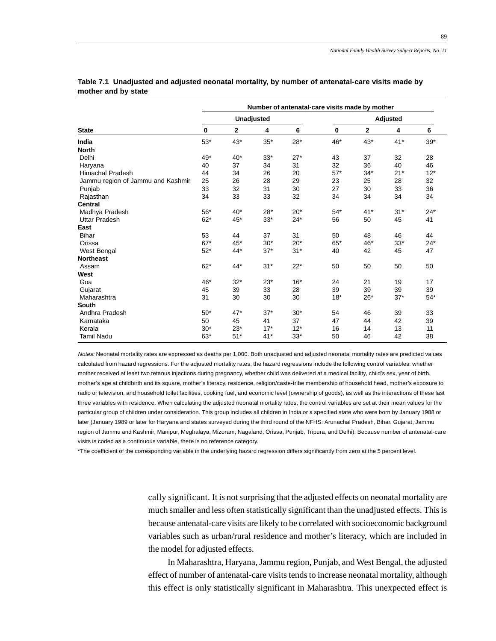|                                   | Number of antenatal-care visits made by mother |              |       |       |       |       |          |       |  |  |  |  |
|-----------------------------------|------------------------------------------------|--------------|-------|-------|-------|-------|----------|-------|--|--|--|--|
|                                   |                                                | Unadjusted   |       |       |       |       | Adjusted |       |  |  |  |  |
| <b>State</b>                      | 0                                              | $\mathbf{2}$ | 4     | 6     | 0     | 2     | 4        | 6     |  |  |  |  |
| India                             | $53*$                                          | $43*$        | $35*$ | $28*$ | 46*   | $43*$ | $41*$    | $39*$ |  |  |  |  |
| <b>North</b>                      |                                                |              |       |       |       |       |          |       |  |  |  |  |
| Delhi                             | 49*                                            | $40*$        | $33*$ | $27*$ | 43    | 37    | 32       | 28    |  |  |  |  |
| Haryana                           | 40                                             | 37           | 34    | 31    | 32    | 36    | 40       | 46    |  |  |  |  |
| Himachal Pradesh                  | 44                                             | 34           | 26    | 20    | $57*$ | $34*$ | $21*$    | $12*$ |  |  |  |  |
| Jammu region of Jammu and Kashmir | 25                                             | 26           | 28    | 29    | 23    | 25    | 28       | 32    |  |  |  |  |
| Punjab                            | 33                                             | 32           | 31    | 30    | 27    | 30    | 33       | 36    |  |  |  |  |
| Rajasthan                         | 34                                             | 33           | 33    | 32    | 34    | 34    | 34       | 34    |  |  |  |  |
| <b>Central</b>                    |                                                |              |       |       |       |       |          |       |  |  |  |  |
| Madhya Pradesh                    | $56*$                                          | $40*$        | $28*$ | $20*$ | $54*$ | $41*$ | $31*$    | $24*$ |  |  |  |  |
| <b>Uttar Pradesh</b>              | $62*$                                          | 45*          | $33*$ | $24*$ | 56    | 50    | 45       | 41    |  |  |  |  |
| East                              |                                                |              |       |       |       |       |          |       |  |  |  |  |
| <b>Bihar</b>                      | 53                                             | 44           | 37    | 31    | 50    | 48    | 46       | 44    |  |  |  |  |
| Orissa                            | $67*$                                          | $45*$        | $30*$ | $20*$ | $65*$ | 46*   | $33*$    | $24*$ |  |  |  |  |
| <b>West Bengal</b>                | $52*$                                          | $44*$        | $37*$ | $31*$ | 40    | 42    | 45       | 47    |  |  |  |  |
| <b>Northeast</b>                  |                                                |              |       |       |       |       |          |       |  |  |  |  |
| Assam                             | $62*$                                          | 44*          | $31*$ | $22*$ | 50    | 50    | 50       | 50    |  |  |  |  |
| West                              |                                                |              |       |       |       |       |          |       |  |  |  |  |
| Goa                               | 46*                                            | $32*$        | $23*$ | $16*$ | 24    | 21    | 19       | 17    |  |  |  |  |
| Gujarat                           | 45                                             | 39           | 33    | 28    | 39    | 39    | 39       | 39    |  |  |  |  |
| Maharashtra                       | 31                                             | 30           | 30    | 30    | $18*$ | $26*$ | $37*$    | $54*$ |  |  |  |  |
| South                             |                                                |              |       |       |       |       |          |       |  |  |  |  |
| Andhra Pradesh                    | $59*$                                          | $47*$        | $37*$ | $30*$ | 54    | 46    | 39       | 33    |  |  |  |  |
| Karnataka                         | 50                                             | 45           | 41    | 37    | 47    | 44    | 42       | 39    |  |  |  |  |
| Kerala                            | $30*$                                          | $23*$        | $17*$ | $12*$ | 16    | 14    | 13       | 11    |  |  |  |  |
| <b>Tamil Nadu</b>                 | 63*                                            | $51*$        | $41*$ | $33*$ | 50    | 46    | 42       | 38    |  |  |  |  |

#### **Table 7.1 Unadjusted and adjusted neonatal mortality, by number of antenatal-care visits made by mother and by state**

Notes: Neonatal mortality rates are expressed as deaths per 1,000. Both unadjusted and adjusted neonatal mortality rates are predicted values calculated from hazard regressions. For the adjusted mortality rates, the hazard regressions include the following control variables: whether mother received at least two tetanus injections during pregnancy, whether child was delivered at a medical facility, child's sex, year of birth, mother's age at childbirth and its square, mother's literacy, residence, religion/caste-tribe membership of household head, mother's exposure to radio or television, and household toilet facilities, cooking fuel, and economic level (ownership of goods), as well as the interactions of these last three variables with residence. When calculating the adjusted neonatal mortality rates, the control variables are set at their mean values for the particular group of children under consideration. This group includes all children in India or a specified state who were born by January 1988 or later (January 1989 or later for Haryana and states surveyed during the third round of the NFHS: Arunachal Pradesh, Bihar, Gujarat, Jammu region of Jammu and Kashmir, Manipur, Meghalaya, Mizoram, Nagaland, Orissa, Punjab, Tripura, and Delhi). Because number of antenatal-care visits is coded as a continuous variable, there is no reference category.

\*The coefficient of the corresponding variable in the underlying hazard regression differs significantly from zero at the 5 percent level.

cally significant. It is not surprising that the adjusted effects on neonatal mortality are much smaller and less often statistically significant than the unadjusted effects. This is because antenatal-care visits are likely to be correlated with socioeconomic background variables such as urban/rural residence and mother's literacy, which are included in the model for adjusted effects.

In Maharashtra, Haryana, Jammu region, Punjab, and West Bengal, the adjusted effect of number of antenatal-care visits tends to increase neonatal mortality, although this effect is only statistically significant in Maharashtra. This unexpected effect is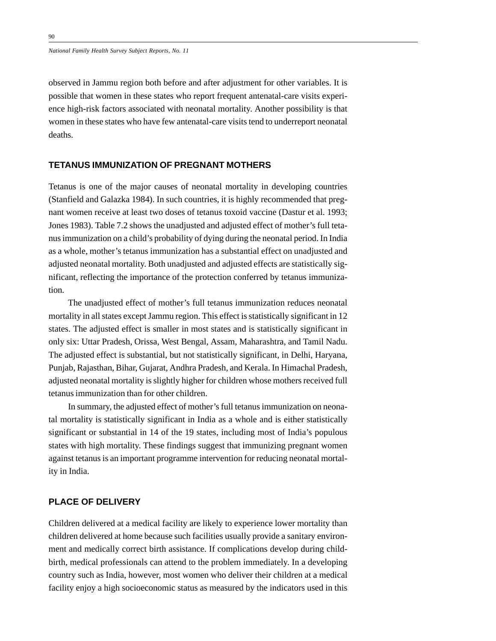*National Family Health Survey Subject Reports, No. 11*

observed in Jammu region both before and after adjustment for other variables. It is possible that women in these states who report frequent antenatal-care visits experience high-risk factors associated with neonatal mortality. Another possibility is that women in these states who have few antenatal-care visits tend to underreport neonatal deaths.

#### **TETANUS IMMUNIZATION OF PREGNANT MOTHERS**

Tetanus is one of the major causes of neonatal mortality in developing countries (Stanfield and Galazka 1984). In such countries, it is highly recommended that pregnant women receive at least two doses of tetanus toxoid vaccine (Dastur et al. 1993; Jones 1983). Table 7.2 shows the unadjusted and adjusted effect of mother's full tetanus immunization on a child's probability of dying during the neonatal period. In India as a whole, mother's tetanus immunization has a substantial effect on unadjusted and adjusted neonatal mortality. Both unadjusted and adjusted effects are statistically significant, reflecting the importance of the protection conferred by tetanus immunization.

The unadjusted effect of mother's full tetanus immunization reduces neonatal mortality in all states except Jammu region. This effect is statistically significant in 12 states. The adjusted effect is smaller in most states and is statistically significant in only six: Uttar Pradesh, Orissa, West Bengal, Assam, Maharashtra, and Tamil Nadu. The adjusted effect is substantial, but not statistically significant, in Delhi, Haryana, Punjab, Rajasthan, Bihar, Gujarat, Andhra Pradesh, and Kerala. In Himachal Pradesh, adjusted neonatal mortality is slightly higher for children whose mothers received full tetanus immunization than for other children.

In summary, the adjusted effect of mother's full tetanus immunization on neonatal mortality is statistically significant in India as a whole and is either statistically significant or substantial in 14 of the 19 states, including most of India's populous states with high mortality. These findings suggest that immunizing pregnant women against tetanus is an important programme intervention for reducing neonatal mortality in India.

#### **PLACE OF DELIVERY**

Children delivered at a medical facility are likely to experience lower mortality than children delivered at home because such facilities usually provide a sanitary environment and medically correct birth assistance. If complications develop during childbirth, medical professionals can attend to the problem immediately. In a developing country such as India, however, most women who deliver their children at a medical facility enjoy a high socioeconomic status as measured by the indicators used in this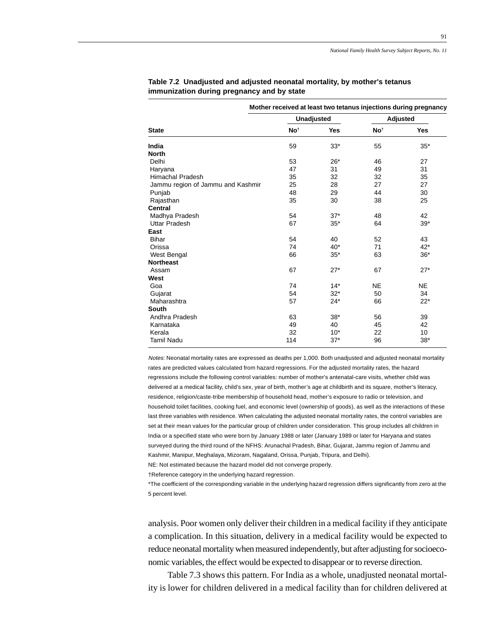|                                   | Mother received at least two tetanus injections during pregnancy |                   |                 |            |  |  |  |  |  |  |  |
|-----------------------------------|------------------------------------------------------------------|-------------------|-----------------|------------|--|--|--|--|--|--|--|
|                                   |                                                                  | <b>Unadjusted</b> |                 | Adjusted   |  |  |  |  |  |  |  |
| <b>State</b>                      | No <sup>t</sup>                                                  | Yes               | No <sup>t</sup> | <b>Yes</b> |  |  |  |  |  |  |  |
| India                             | 59                                                               | $33*$             | 55              | $35*$      |  |  |  |  |  |  |  |
| <b>North</b>                      |                                                                  |                   |                 |            |  |  |  |  |  |  |  |
| Delhi                             | 53                                                               | $26*$             | 46              | 27         |  |  |  |  |  |  |  |
| Haryana                           | 47                                                               | 31                | 49              | 31         |  |  |  |  |  |  |  |
| <b>Himachal Pradesh</b>           | 35                                                               | 32                | 32              | 35         |  |  |  |  |  |  |  |
| Jammu region of Jammu and Kashmir | 25                                                               | 28                | 27              | 27         |  |  |  |  |  |  |  |
| Punjab                            | 48                                                               | 29                | 44              | 30         |  |  |  |  |  |  |  |
| Rajasthan                         | 35                                                               | 30                | 38              | 25         |  |  |  |  |  |  |  |
| Central                           |                                                                  |                   |                 |            |  |  |  |  |  |  |  |
| Madhya Pradesh                    | 54                                                               | $37*$             | 48              | 42         |  |  |  |  |  |  |  |
| <b>Uttar Pradesh</b>              | 67                                                               | $35*$             | 64              | $39*$      |  |  |  |  |  |  |  |
| East                              |                                                                  |                   |                 |            |  |  |  |  |  |  |  |
| <b>Bihar</b>                      | 54                                                               | 40                | 52              | 43         |  |  |  |  |  |  |  |
| Orissa                            | 74                                                               | $40*$             | 71              | $42*$      |  |  |  |  |  |  |  |
| West Bengal                       | 66                                                               | $35*$             | 63              | $36*$      |  |  |  |  |  |  |  |
| <b>Northeast</b>                  |                                                                  |                   |                 |            |  |  |  |  |  |  |  |
| Assam                             | 67                                                               | $27*$             | 67              | $27*$      |  |  |  |  |  |  |  |
| West                              |                                                                  |                   |                 |            |  |  |  |  |  |  |  |
| Goa                               | 74                                                               | $14*$             | <b>NE</b>       | <b>NE</b>  |  |  |  |  |  |  |  |
| Gujarat                           | 54                                                               | $32*$             | 50              | 34         |  |  |  |  |  |  |  |
| Maharashtra                       | 57                                                               | $24*$             | 66              | $22*$      |  |  |  |  |  |  |  |
| South                             |                                                                  |                   |                 |            |  |  |  |  |  |  |  |
| Andhra Pradesh                    | 63                                                               | $38*$             | 56              | 39         |  |  |  |  |  |  |  |
| Karnataka                         | 49                                                               | 40                | 45              | 42         |  |  |  |  |  |  |  |
| Kerala                            | 32                                                               | $10*$             | 22              | 10         |  |  |  |  |  |  |  |
| <b>Tamil Nadu</b>                 | 114                                                              | $37*$             | 96              | $38*$      |  |  |  |  |  |  |  |

**Table 7.2 Unadjusted and adjusted neonatal mortality, by mother's tetanus immunization during pregnancy and by state**

Notes: Neonatal mortality rates are expressed as deaths per 1,000. Both unadjusted and adjusted neonatal mortality rates are predicted values calculated from hazard regressions. For the adjusted mortality rates, the hazard regressions include the following control variables: number of mother's antenatal-care visits, whether child was delivered at a medical facility, child's sex, year of birth, mother's age at childbirth and its square, mother's literacy, residence, religion/caste-tribe membership of household head, mother's exposure to radio or television, and household toilet facilities, cooking fuel, and economic level (ownership of goods), as well as the interactions of these last three variables with residence. When calculating the adjusted neonatal mortality rates, the control variables are set at their mean values for the particular group of children under consideration. This group includes all children in India or a specified state who were born by January 1988 or later (January 1989 or later for Haryana and states surveyed during the third round of the NFHS: Arunachal Pradesh, Bihar, Gujarat, Jammu region of Jammu and Kashmir, Manipur, Meghalaya, Mizoram, Nagaland, Orissa, Punjab, Tripura, and Delhi). NE: Not estimated because the hazard model did not converge properly.

†Reference category in the underlying hazard regression.

\*The coefficient of the corresponding variable in the underlying hazard regression differs significantly from zero at the 5 percent level.

analysis. Poor women only deliver their children in a medical facility if they anticipate a complication. In this situation, delivery in a medical facility would be expected to reduce neonatal mortality when measured independently, but after adjusting for socioeconomic variables, the effect would be expected to disappear or to reverse direction.

Table 7.3 shows this pattern. For India as a whole, unadjusted neonatal mortality is lower for children delivered in a medical facility than for children delivered at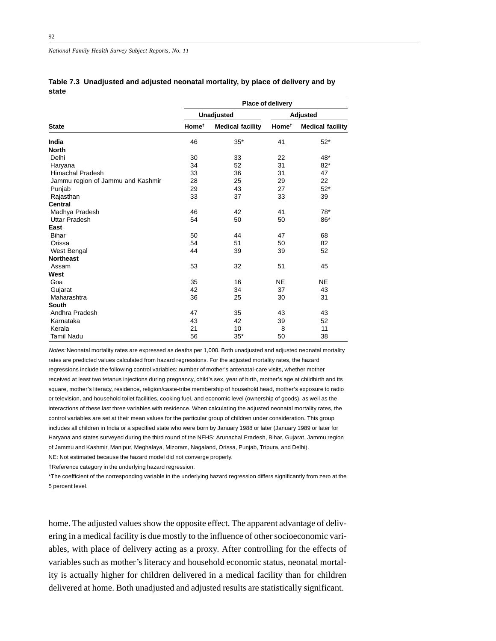*National Family Health Survey Subject Reports, No. 11*

|                                   | Place of delivery |                         |                   |                         |
|-----------------------------------|-------------------|-------------------------|-------------------|-------------------------|
| <b>State</b>                      | <b>Unadjusted</b> |                         | Adjusted          |                         |
|                                   | Home <sup>t</sup> | <b>Medical facility</b> | Home <sup>t</sup> | <b>Medical facility</b> |
| India                             | 46                | $35*$                   | 41                | $52*$                   |
| <b>North</b>                      |                   |                         |                   |                         |
| Delhi                             | 30                | 33                      | 22                | 48*                     |
| Haryana                           | 34                | 52                      | 31                | $82*$                   |
| <b>Himachal Pradesh</b>           | 33                | 36                      | 31                | 47                      |
| Jammu region of Jammu and Kashmir | 28                | 25                      | 29                | 22                      |
| Punjab                            | 29                | 43                      | 27                | $52*$                   |
| Rajasthan                         | 33                | 37                      | 33                | 39                      |
| <b>Central</b>                    |                   |                         |                   |                         |
| Madhya Pradesh                    | 46                | 42                      | 41                | 78*                     |
| <b>Uttar Pradesh</b>              | 54                | 50                      | 50                | 86*                     |
| East                              |                   |                         |                   |                         |
| <b>Bihar</b>                      | 50                | 44                      | 47                | 68                      |
| Orissa                            | 54                | 51                      | 50                | 82                      |
| West Bengal                       | 44                | 39                      | 39                | 52                      |
| <b>Northeast</b>                  |                   |                         |                   |                         |
| Assam                             | 53                | 32                      | 51                | 45                      |
| West                              |                   |                         |                   |                         |
| Goa                               | 35                | 16                      | <b>NE</b>         | <b>NE</b>               |
| Gujarat                           | 42                | 34                      | 37                | 43                      |
| Maharashtra                       | 36                | 25                      | 30                | 31                      |
| South                             |                   |                         |                   |                         |
| Andhra Pradesh                    | 47                | 35                      | 43                | 43                      |
| Karnataka                         | 43                | 42                      | 39                | 52                      |
| Kerala                            | 21                | 10                      | 8                 | 11                      |
| Tamil Nadu                        | 56                | $35*$                   | 50                | 38                      |

|       | Table 7.3 Unadjusted and adjusted neonatal mortality, by place of delivery and by |  |  |
|-------|-----------------------------------------------------------------------------------|--|--|
| state |                                                                                   |  |  |

Notes: Neonatal mortality rates are expressed as deaths per 1,000. Both unadjusted and adjusted neonatal mortality rates are predicted values calculated from hazard regressions. For the adjusted mortality rates, the hazard regressions include the following control variables: number of mother's antenatal-care visits, whether mother received at least two tetanus injections during pregnancy, child's sex, year of birth, mother's age at childbirth and its square, mother's literacy, residence, religion/caste-tribe membership of household head, mother's exposure to radio or television, and household toilet facilities, cooking fuel, and economic level (ownership of goods), as well as the interactions of these last three variables with residence. When calculating the adjusted neonatal mortality rates, the control variables are set at their mean values for the particular group of children under consideration. This group includes all children in India or a specified state who were born by January 1988 or later (January 1989 or later for Haryana and states surveyed during the third round of the NFHS: Arunachal Pradesh, Bihar, Gujarat, Jammu region of Jammu and Kashmir, Manipur, Meghalaya, Mizoram, Nagaland, Orissa, Punjab, Tripura, and Delhi). NE: Not estimated because the hazard model did not converge properly.

†Reference category in the underlying hazard regression.

\*The coefficient of the corresponding variable in the underlying hazard regression differs significantly from zero at the 5 percent level.

home. The adjusted values show the opposite effect. The apparent advantage of delivering in a medical facility is due mostly to the influence of other socioeconomic variables, with place of delivery acting as a proxy. After controlling for the effects of variables such as mother's literacy and household economic status, neonatal mortality is actually higher for children delivered in a medical facility than for children delivered at home. Both unadjusted and adjusted results are statistically significant.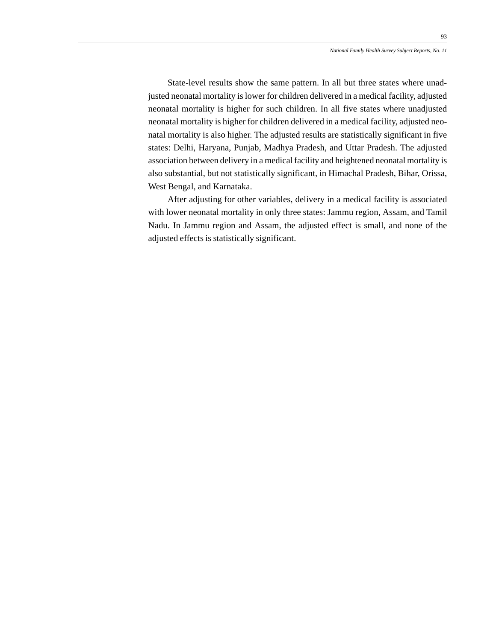State-level results show the same pattern. In all but three states where unadjusted neonatal mortality is lower for children delivered in a medical facility, adjusted neonatal mortality is higher for such children. In all five states where unadjusted neonatal mortality is higher for children delivered in a medical facility, adjusted neonatal mortality is also higher. The adjusted results are statistically significant in five states: Delhi, Haryana, Punjab, Madhya Pradesh, and Uttar Pradesh. The adjusted association between delivery in a medical facility and heightened neonatal mortality is also substantial, but not statistically significant, in Himachal Pradesh, Bihar, Orissa, West Bengal, and Karnataka.

After adjusting for other variables, delivery in a medical facility is associated with lower neonatal mortality in only three states: Jammu region, Assam, and Tamil Nadu. In Jammu region and Assam, the adjusted effect is small, and none of the adjusted effects is statistically significant.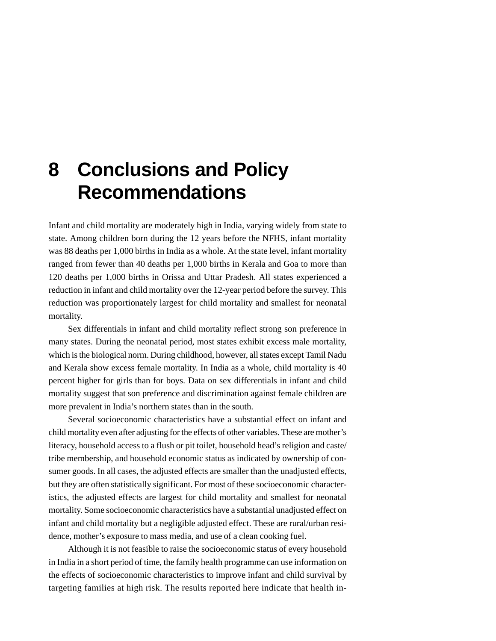## **8 Conclusions and Policy Recommendations**

Infant and child mortality are moderately high in India, varying widely from state to state. Among children born during the 12 years before the NFHS, infant mortality was 88 deaths per 1,000 births in India as a whole. At the state level, infant mortality ranged from fewer than 40 deaths per 1,000 births in Kerala and Goa to more than 120 deaths per 1,000 births in Orissa and Uttar Pradesh. All states experienced a reduction in infant and child mortality over the 12-year period before the survey. This reduction was proportionately largest for child mortality and smallest for neonatal mortality.

Sex differentials in infant and child mortality reflect strong son preference in many states. During the neonatal period, most states exhibit excess male mortality, which is the biological norm. During childhood, however, all states except Tamil Nadu and Kerala show excess female mortality. In India as a whole, child mortality is 40 percent higher for girls than for boys. Data on sex differentials in infant and child mortality suggest that son preference and discrimination against female children are more prevalent in India's northern states than in the south.

Several socioeconomic characteristics have a substantial effect on infant and child mortality even after adjusting for the effects of other variables. These are mother's literacy, household access to a flush or pit toilet, household head's religion and caste/ tribe membership, and household economic status as indicated by ownership of consumer goods. In all cases, the adjusted effects are smaller than the unadjusted effects, but they are often statistically significant. For most of these socioeconomic characteristics, the adjusted effects are largest for child mortality and smallest for neonatal mortality. Some socioeconomic characteristics have a substantial unadjusted effect on infant and child mortality but a negligible adjusted effect. These are rural/urban residence, mother's exposure to mass media, and use of a clean cooking fuel.

Although it is not feasible to raise the socioeconomic status of every household in India in a short period of time, the family health programme can use information on the effects of socioeconomic characteristics to improve infant and child survival by targeting families at high risk. The results reported here indicate that health in-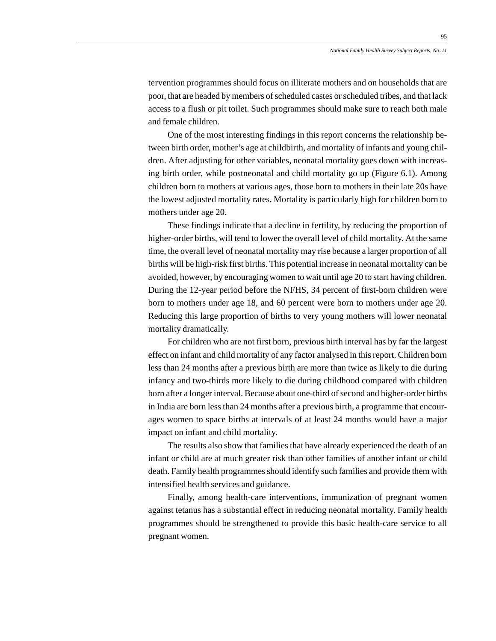tervention programmes should focus on illiterate mothers and on households that are poor, that are headed by members of scheduled castes or scheduled tribes, and that lack access to a flush or pit toilet. Such programmes should make sure to reach both male and female children.

One of the most interesting findings in this report concerns the relationship between birth order, mother's age at childbirth, and mortality of infants and young children. After adjusting for other variables, neonatal mortality goes down with increasing birth order, while postneonatal and child mortality go up (Figure 6.1). Among children born to mothers at various ages, those born to mothers in their late 20s have the lowest adjusted mortality rates. Mortality is particularly high for children born to mothers under age 20.

These findings indicate that a decline in fertility, by reducing the proportion of higher-order births, will tend to lower the overall level of child mortality. At the same time, the overall level of neonatal mortality may rise because a larger proportion of all births will be high-risk first births. This potential increase in neonatal mortality can be avoided, however, by encouraging women to wait until age 20 to start having children. During the 12-year period before the NFHS, 34 percent of first-born children were born to mothers under age 18, and 60 percent were born to mothers under age 20. Reducing this large proportion of births to very young mothers will lower neonatal mortality dramatically.

For children who are not first born, previous birth interval has by far the largest effect on infant and child mortality of any factor analysed in this report. Children born less than 24 months after a previous birth are more than twice as likely to die during infancy and two-thirds more likely to die during childhood compared with children born after a longer interval. Because about one-third of second and higher-order births in India are born less than 24 months after a previous birth, a programme that encourages women to space births at intervals of at least 24 months would have a major impact on infant and child mortality.

The results also show that families that have already experienced the death of an infant or child are at much greater risk than other families of another infant or child death. Family health programmes should identify such families and provide them with intensified health services and guidance.

Finally, among health-care interventions, immunization of pregnant women against tetanus has a substantial effect in reducing neonatal mortality. Family health programmes should be strengthened to provide this basic health-care service to all pregnant women.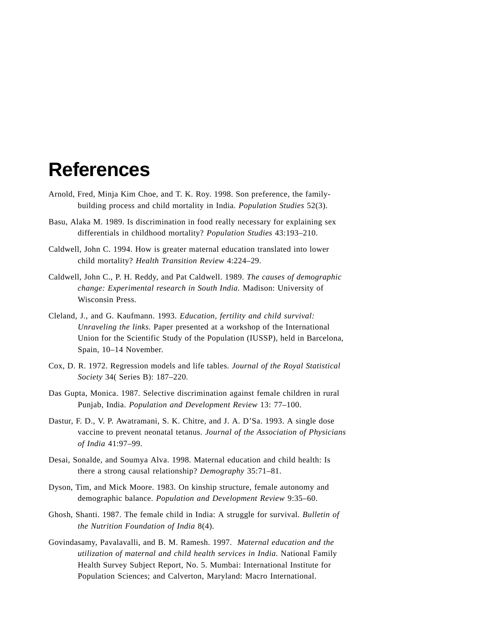## **References**

- Arnold, Fred, Minja Kim Choe, and T. K. Roy. 1998. Son preference, the familybuilding process and child mortality in India. *Population Studies* 52(3).
- Basu, Alaka M. 1989. Is discrimination in food really necessary for explaining sex differentials in childhood mortality? *Population Studies* 43:193–210.
- Caldwell, John C. 1994. How is greater maternal education translated into lower child mortality? *Health Transition Review* 4:224–29.
- Caldwell, John C., P. H. Reddy, and Pat Caldwell. 1989. *The causes of demographic change: Experimental research in South India.* Madison: University of Wisconsin Press.
- Cleland, J., and G. Kaufmann. 1993. *Education, fertility and child survival: Unraveling the links.* Paper presented at a workshop of the International Union for the Scientific Study of the Population (IUSSP), held in Barcelona, Spain, 10–14 November.
- Cox, D. R. 1972. Regression models and life tables. *Journal of the Royal Statistical Society* 34( Series B): 187–220.
- Das Gupta, Monica. 1987. Selective discrimination against female children in rural Punjab, India. *Population and Development Review* 13: 77–100.
- Dastur, F. D., V. P. Awatramani, S. K. Chitre, and J. A. D'Sa. 1993. A single dose vaccine to prevent neonatal tetanus. *Journal of the Association of Physicians of India* 41:97–99.
- Desai, Sonalde, and Soumya Alva. 1998. Maternal education and child health: Is there a strong causal relationship? *Demography* 35:71–81.
- Dyson, Tim, and Mick Moore. 1983. On kinship structure, female autonomy and demographic balance. *Population and Development Review* 9:35–60.
- Ghosh, Shanti. 1987. The female child in India: A struggle for survival. *Bulletin of the Nutrition Foundation of India* 8(4).
- Govindasamy, Pavalavalli, and B. M. Ramesh. 1997. *Maternal education and the utilization of maternal and child health services in India.* National Family Health Survey Subject Report, No. 5. Mumbai: International Institute for Population Sciences; and Calverton, Maryland: Macro International.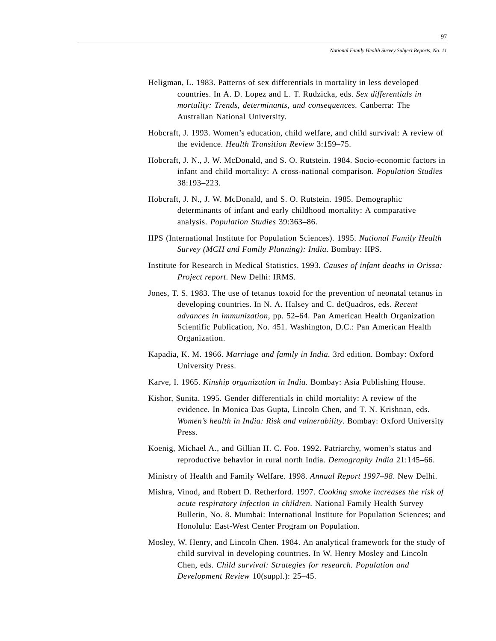- Heligman, L. 1983. Patterns of sex differentials in mortality in less developed countries. In A. D. Lopez and L. T. Rudzicka, eds. *Sex differentials in mortality: Trends, determinants, and consequences.* Canberra: The Australian National University.
- Hobcraft, J. 1993. Women's education, child welfare, and child survival: A review of the evidence. *Health Transition Review* 3:159–75.
- Hobcraft, J. N., J. W. McDonald, and S. O. Rutstein. 1984. Socio-economic factors in infant and child mortality: A cross-national comparison. *Population Studies* 38:193–223.
- Hobcraft, J. N., J. W. McDonald, and S. O. Rutstein. 1985. Demographic determinants of infant and early childhood mortality: A comparative analysis. *Population Studies* 39:363–86.
- IIPS (International Institute for Population Sciences). 1995. *National Family Health Survey (MCH and Family Planning): India*. Bombay: IIPS.
- Institute for Research in Medical Statistics. 1993. *Causes of infant deaths in Orissa: Project report*. New Delhi: IRMS.
- Jones, T. S. 1983. The use of tetanus toxoid for the prevention of neonatal tetanus in developing countries. In N. A. Halsey and C. deQuadros, eds. *Recent advances in immunization*, pp. 52–64. Pan American Health Organization Scientific Publication, No. 451. Washington, D.C.: Pan American Health Organization.
- Kapadia, K. M. 1966. *Marriage and family in India.* 3rd edition. Bombay: Oxford University Press.
- Karve, I. 1965. *Kinship organization in India.* Bombay: Asia Publishing House.
- Kishor, Sunita. 1995. Gender differentials in child mortality: A review of the evidence. In Monica Das Gupta, Lincoln Chen, and T. N. Krishnan, eds. *Women's health in India: Risk and vulnerability*. Bombay: Oxford University Press.
- Koenig, Michael A., and Gillian H. C. Foo. 1992. Patriarchy, women's status and reproductive behavior in rural north India. *Demography India* 21:145–66.
- Ministry of Health and Family Welfare. 1998. *Annual Report 1997–98*. New Delhi.
- Mishra, Vinod, and Robert D. Retherford. 1997. *Cooking smoke increases the risk of acute respiratory infection in children*. National Family Health Survey Bulletin, No. 8. Mumbai: International Institute for Population Sciences; and Honolulu: East-West Center Program on Population.
- Mosley, W. Henry, and Lincoln Chen. 1984. An analytical framework for the study of child survival in developing countries. In W. Henry Mosley and Lincoln Chen, eds. *Child survival: Strategies for research. Population and Development Review* 10(suppl.): 25–45.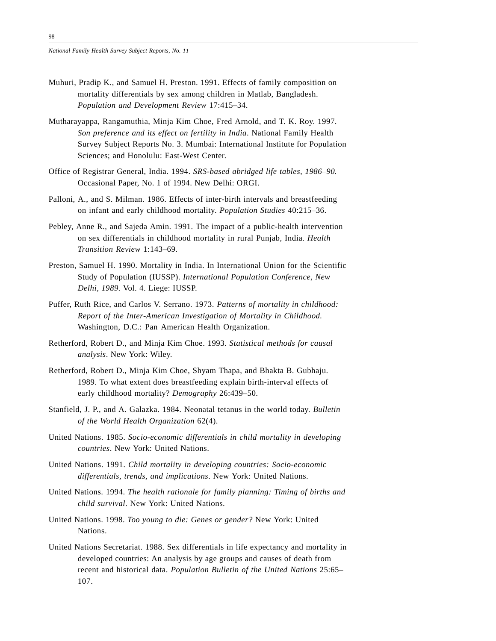- Muhuri, Pradip K., and Samuel H. Preston. 1991. Effects of family composition on mortality differentials by sex among children in Matlab, Bangladesh. *Population and Development Review* 17:415–34.
- Mutharayappa, Rangamuthia, Minja Kim Choe, Fred Arnold, and T. K. Roy. 1997. *Son preference and its effect on fertility in India*. National Family Health Survey Subject Reports No. 3. Mumbai: International Institute for Population Sciences; and Honolulu: East-West Center.
- Office of Registrar General, India. 1994. *SRS-based abridged life tables, 1986–90.* Occasional Paper, No. 1 of 1994. New Delhi: ORGI.
- Palloni, A., and S. Milman. 1986. Effects of inter-birth intervals and breastfeeding on infant and early childhood mortality. *Population Studies* 40:215–36.
- Pebley, Anne R., and Sajeda Amin. 1991. The impact of a public-health intervention on sex differentials in childhood mortality in rural Punjab, India. *Health Transition Review* 1:143–69.
- Preston, Samuel H. 1990. Mortality in India. In International Union for the Scientific Study of Population (IUSSP). *International Population Conference, New Delhi, 1989.* Vol. 4. Liege: IUSSP.
- Puffer, Ruth Rice, and Carlos V. Serrano. 1973. *Patterns of mortality in childhood: Report of the Inter-American Investigation of Mortality in Childhood.* Washington, D.C.: Pan American Health Organization.
- Retherford, Robert D., and Minja Kim Choe. 1993. *Statistical methods for causal analysis*. New York: Wiley.
- Retherford, Robert D., Minja Kim Choe, Shyam Thapa, and Bhakta B. Gubhaju. 1989. To what extent does breastfeeding explain birth-interval effects of early childhood mortality? *Demography* 26:439–50.
- Stanfield, J. P., and A. Galazka. 1984. Neonatal tetanus in the world today. *Bulletin of the World Health Organization* 62(4).
- United Nations. 1985. *Socio-economic differentials in child mortality in developing countries*. New York: United Nations.
- United Nations. 1991. *Child mortality in developing countries: Socio-economic differentials, trends, and implications*. New York: United Nations.
- United Nations. 1994. *The health rationale for family planning: Timing of births and child survival*. New York: United Nations.
- United Nations. 1998. *Too young to die: Genes or gender?* New York: United Nations.
- United Nations Secretariat. 1988. Sex differentials in life expectancy and mortality in developed countries: An analysis by age groups and causes of death from recent and historical data. *Population Bulletin of the United Nations* 25:65– 107.